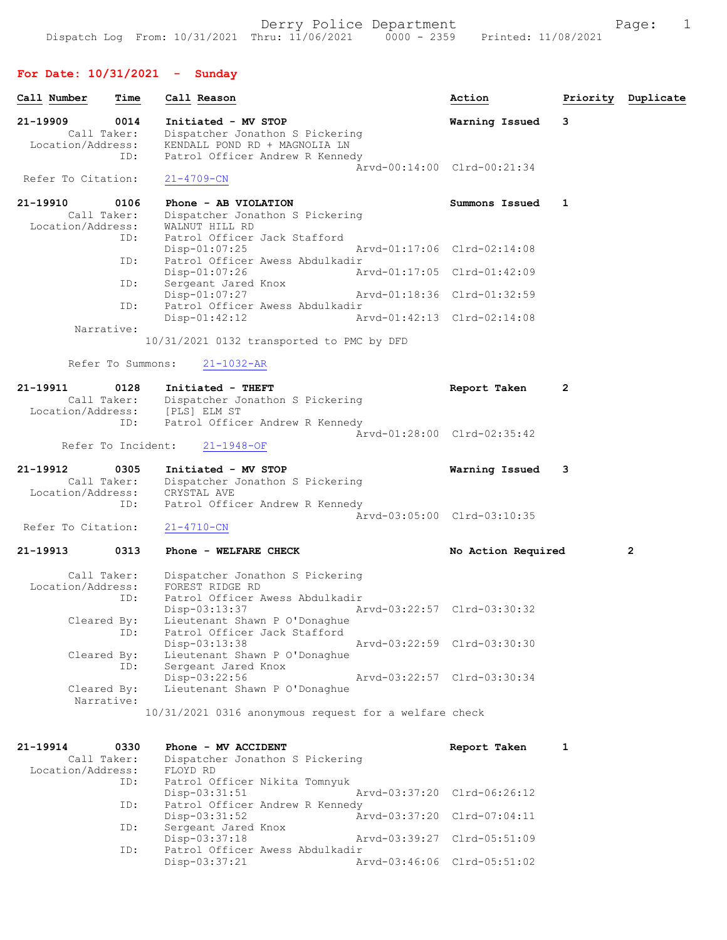# For Date: 10/31/2021 - Sunday

| Call Number                                  | Time                      | Call Reason                                                                            |                             | Action             | Priority     | Duplicate      |
|----------------------------------------------|---------------------------|----------------------------------------------------------------------------------------|-----------------------------|--------------------|--------------|----------------|
| 21-19909<br>Call Taker:                      | 0014                      | Initiated - MV STOP<br>Dispatcher Jonathon S Pickering                                 |                             | Warning Issued     | 3            |                |
| Location/Address:                            | ID:                       | KENDALL POND RD + MAGNOLIA LN<br>Patrol Officer Andrew R Kennedy                       | Arvd-00:14:00 Clrd-00:21:34 |                    |              |                |
| Refer To Citation:                           |                           | $21 - 4709 - CN$                                                                       |                             |                    |              |                |
| 21-19910<br>Call Taker:<br>Location/Address: | 0106                      | Phone - AB VIOLATION<br>Dispatcher Jonathon S Pickering<br>WALNUT HILL RD              |                             | Summons Issued     | 1            |                |
|                                              | ID:<br>ID:                | Patrol Officer Jack Stafford<br>Disp-01:07:25<br>Patrol Officer Awess Abdulkadir       | Arvd-01:17:06 Clrd-02:14:08 |                    |              |                |
|                                              |                           | Disp-01:07:26                                                                          | Arvd-01:17:05 Clrd-01:42:09 |                    |              |                |
|                                              | ID:                       | Sergeant Jared Knox<br>$Disp-01:07:27$                                                 | Arvd-01:18:36 Clrd-01:32:59 |                    |              |                |
|                                              | ID:                       | Patrol Officer Awess Abdulkadir<br>$Disp-01:42:12$                                     | Arvd-01:42:13 Clrd-02:14:08 |                    |              |                |
| Narrative:                                   |                           | 10/31/2021 0132 transported to PMC by DFD                                              |                             |                    |              |                |
|                                              | Refer To Summons:         | $21 - 1032 - AR$                                                                       |                             |                    |              |                |
| $21 - 19911$                                 | 0128<br>Call Taker:       | Initiated - THEFT<br>Dispatcher Jonathon S Pickering<br>Location/Address: [PLS] ELM ST |                             | Report Taken       | $\mathbf{2}$ |                |
|                                              | ID:<br>Refer To Incident: | Patrol Officer Andrew R Kennedy<br>$21 - 1948 - OF$                                    | Arvd-01:28:00 Clrd-02:35:42 |                    |              |                |
|                                              |                           |                                                                                        |                             |                    |              |                |
| 21-19912<br>Call Taker:<br>Location/Address: | 0305                      | Initiated - MV STOP<br>Dispatcher Jonathon S Pickering<br>CRYSTAL AVE                  |                             | Warning Issued     | 3            |                |
|                                              | ID:                       | Patrol Officer Andrew R Kennedy                                                        | Arvd-03:05:00 Clrd-03:10:35 |                    |              |                |
| Refer To Citation:                           |                           | $21 - 4710 - CN$                                                                       |                             |                    |              |                |
| 21-19913                                     | 0313                      | Phone - WELFARE CHECK                                                                  |                             | No Action Required |              | $\overline{2}$ |
| Call Taker:<br>Location/Address:             | ID:                       | Dispatcher Jonathon S Pickering<br>FOREST RIDGE RD<br>Patrol Officer Awess Abdulkadir  |                             |                    |              |                |
| Cleared By:                                  |                           | Disp-03:13:37<br>Lieutenant Shawn P O'Donaghue                                         | Arvd-03:22:57 Clrd-03:30:32 |                    |              |                |
| Cleared By:                                  | ID:                       | Patrol Officer Jack Stafford<br>Disp-03:13:38<br>Lieutenant Shawn P O'Donaghue         | Arvd-03:22:59 Clrd-03:30:30 |                    |              |                |
|                                              | ID:                       | Sergeant Jared Knox<br>Disp-03:22:56<br>Lieutenant Shawn P O'Donaghue                  | Arvd-03:22:57 Clrd-03:30:34 |                    |              |                |
| Cleared By:<br>Narrative:                    |                           | 10/31/2021 0316 anonymous request for a welfare check                                  |                             |                    |              |                |
|                                              |                           |                                                                                        |                             |                    |              |                |
| 21-19914<br>Call Taker:<br>Location/Address: | 0330                      | Phone - MV ACCIDENT<br>Dispatcher Jonathon S Pickering<br>FLOYD RD                     |                             | Report Taken       | 1            |                |
|                                              | ID:                       | Patrol Officer Nikita Tomnyuk<br>Disp-03:31:51                                         | Arvd-03:37:20 Clrd-06:26:12 |                    |              |                |
|                                              | ID:                       | Patrol Officer Andrew R Kennedy<br>$Disp-03:31:52$                                     | Arvd-03:37:20 Clrd-07:04:11 |                    |              |                |
|                                              | ID:                       | Sergeant Jared Knox<br>Disp-03:37:18                                                   | Arvd-03:39:27 Clrd-05:51:09 |                    |              |                |
|                                              | ID:                       | Patrol Officer Awess Abdulkadir<br>Disp-03:37:21                                       | Arvd-03:46:06 Clrd-05:51:02 |                    |              |                |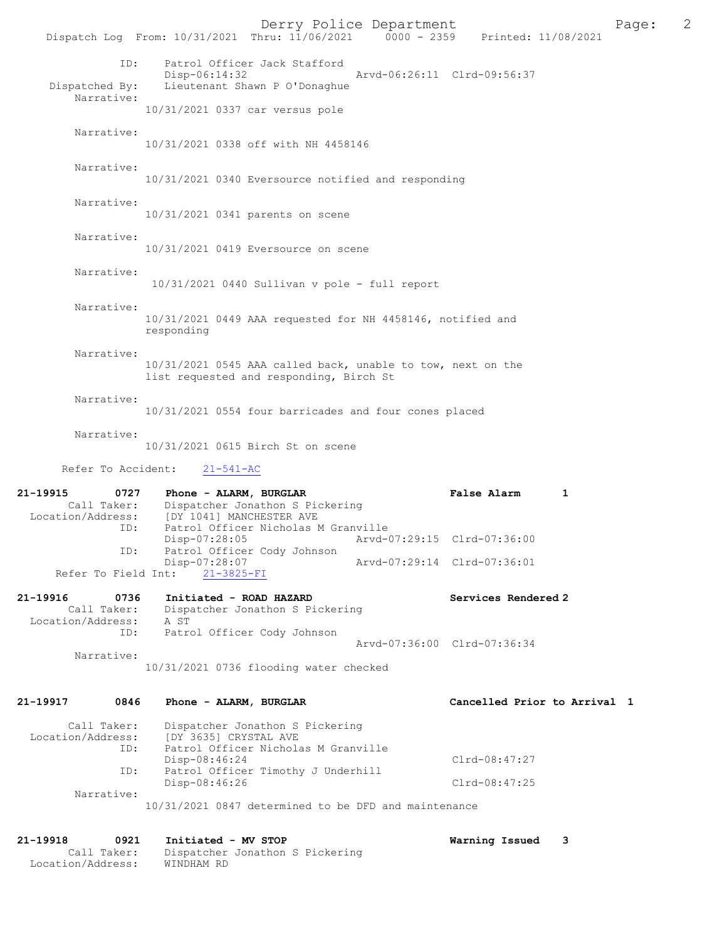Derry Police Department<br>
Page: 2 - 2159 Printed: 11/08/2021 2159 Printed: 0000 - 2359 Printed: 11/08/2021 Dispatch Log From: 10/31/2021 Thru: 11/06/2021 ID: Patrol Officer Jack Stafford Disp-06:14:32 Arvd-06:26:11 Clrd-09:56:37<br>Dispatched By: Lieutenant Shawn P O'Donaghue Lieutenant Shawn P O'Donaghue Narrative: 10/31/2021 0337 car versus pole Narrative: 10/31/2021 0338 off with NH 4458146 Narrative: 10/31/2021 0340 Eversource notified and responding Narrative: 10/31/2021 0341 parents on scene Narrative: 10/31/2021 0419 Eversource on scene Narrative: 10/31/2021 0440 Sullivan v pole - full report Narrative: 10/31/2021 0449 AAA requested for NH 4458146, notified and responding Narrative: 10/31/2021 0545 AAA called back, unable to tow, next on the list requested and responding, Birch St Narrative: 10/31/2021 0554 four barricades and four cones placed Narrative: 10/31/2021 0615 Birch St on scene Refer To Accident: 21-541-AC 21-19915 0727 Phone - ALARM, BURGLAR **False Alarm** 1<br>Call Taker: Dispatcher Jonathon S Pickering Call Taker: Dispatcher Jonathon S Pickering<br>Location/Address: [DY 1041] MANCHESTER AVE ess: [DY 1041] MANCHESTER AVE<br>ID: Patrol Officer Nicholas M Patrol Officer Nicholas M Granville Disp-07:28:05 Arvd-07:29:15 Clrd-07:36:00 ID: Patrol Officer Cody Johnson 07:28:07<br>21-3825-FI <br>21-3825-FI <br>Disposal arvd-07:29:14 Clrd-07:36:01 Refer To Field Int: 21-19916 0736 Initiated - ROAD HAZARD Services Rendered 2 Call Taker: Dispatcher Jonathon S Pickering Location/Address:<br>ID: A ST<br>Patrol Officer Cody Johnson Arvd-07:36:00 Clrd-07:36:34 Narrative: 10/31/2021 0736 flooding water checked 21-19917 0846 Phone - ALARM, BURGLAR Cancelled Prior to Arrival 1 Call Taker: Dispatcher Jonathon S Pickering<br>Location/Address: [DY 3635] CRYSTAL AVE [DY 3635] CRYSTAL AVE ID: Patrol Officer Nicholas M Granville Disp-08:46:24 Clrd-08:47:27<br>ID: Patrol Officer Timothy J Underhill Clrd-08:47:27 Patrol Officer Timothy J Underhill Disp-08:46:26 Clrd-08:47:25 Narrative: 10/31/2021 0847 determined to be DFD and maintenance

21-19918 0921 Initiated - MV STOP **Warning Issued 3**<br>Call Taker: Dispatcher Jonathon S Pickering Dispatcher Jonathon S Pickering<br>WINDHAM RD Location/Address: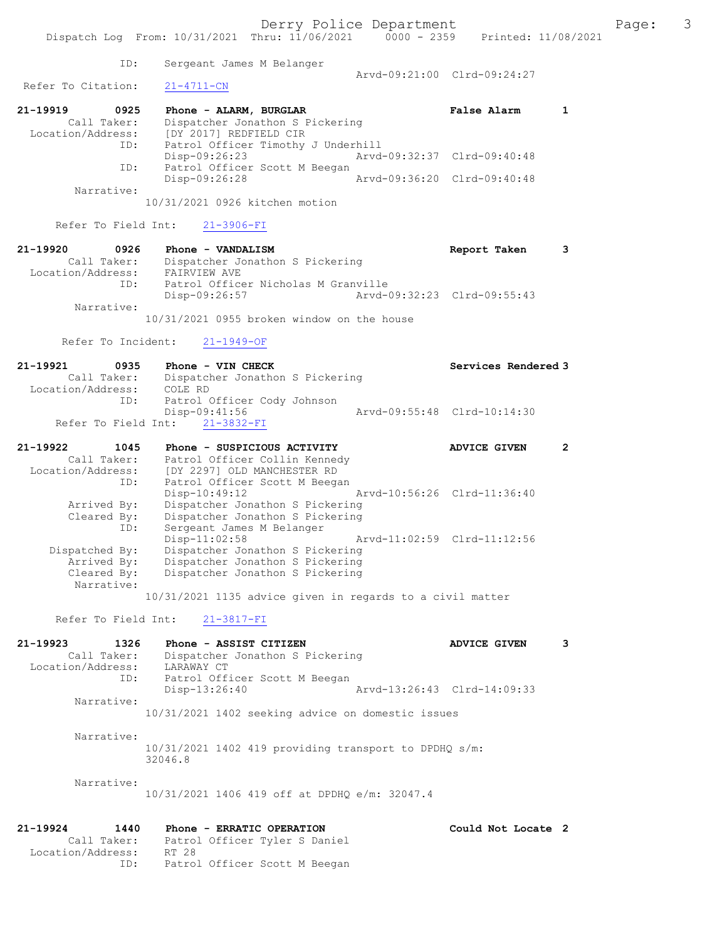Dispatch Log From: 10/31/2021 Thru: 11/06/2021 0000 - 2359 Printed: 11/08/2021 ID: Sergeant James M Belanger Arvd-09:21:00 Clrd-09:24:27<br>21-4711-CN Refer To Citation: 21-19919 0925 Phone - ALARM, BURGLAR False Alarm 1

| ZI-19919 -        | ັບສ∠ລ       | FRONT - ALARM, BURGLAR             |                             | raise Alaim                 |  |
|-------------------|-------------|------------------------------------|-----------------------------|-----------------------------|--|
|                   | Call Taker: | Dispatcher Jonathon S Pickering    |                             |                             |  |
| Location/Address: |             | [DY 2017] REDFIELD CIR             |                             |                             |  |
|                   | ID:         | Patrol Officer Timothy J Underhill |                             |                             |  |
|                   |             | $Disp-09:26:23$                    |                             | Arvd-09:32:37 Clrd-09:40:48 |  |
|                   | ID:         | Patrol Officer Scott M Beegan      |                             |                             |  |
|                   |             | Disp-09:26:28                      | Arvd-09:36:20 Clrd-09:40:48 |                             |  |
|                   | Narrative:  |                                    |                             |                             |  |

10/31/2021 0926 kitchen motion

Refer To Field Int: 21-3906-FI

| 21-19920          | 0926        | Report Taken<br>Phone - VANDALISM            |  |
|-------------------|-------------|----------------------------------------------|--|
|                   | Call Taker: | Dispatcher Jonathon S Pickering              |  |
| Location/Address: |             | FAIRVIEW AVE                                 |  |
|                   | ID:         | Patrol Officer Nicholas M Granville          |  |
|                   |             | Arvd-09:32:23 Clrd-09:55:43<br>Disp-09:26:57 |  |
|                   | Narrative:  |                                              |  |
|                   |             | $10/31/2021$ 0955 broken window on the house |  |

Refer To Incident: 21-1949-OF

| 21-19921          | 0935        |         | Phone - VIN CHECK               |                             | Services Rendered 3 |
|-------------------|-------------|---------|---------------------------------|-----------------------------|---------------------|
|                   | Call Taker: |         | Dispatcher Jonathon S Pickering |                             |                     |
| Location/Address: |             | COLE RD |                                 |                             |                     |
|                   | ID:         |         | Patrol Officer Cody Johnson     |                             |                     |
|                   |             |         | Disp-09:41:56                   | Aryd-09:55:48 Clrd-10:14:30 |                     |
|                   |             |         | Refer To Field Int: 21-3832-FI  |                             |                     |

| 21-19922          | 1045                      | Phone - SUSPICIOUS ACTIVITY     |                             | <b>ADVICE GIVEN</b> | 2 |
|-------------------|---------------------------|---------------------------------|-----------------------------|---------------------|---|
|                   | Call Taker:               | Patrol Officer Collin Kennedy   |                             |                     |   |
| Location/Address: |                           | [DY 2297] OLD MANCHESTER RD     |                             |                     |   |
|                   | ID:                       | Patrol Officer Scott M Beegan   |                             |                     |   |
|                   |                           | Disp-10:49:12                   | Arvd-10:56:26 Clrd-11:36:40 |                     |   |
|                   | Arrived By:               | Dispatcher Jonathon S Pickering |                             |                     |   |
|                   | Cleared By:               | Dispatcher Jonathon S Pickering |                             |                     |   |
| ID:               |                           | Sergeant James M Belanger       |                             |                     |   |
|                   |                           | $Disp-11:02:58$                 | Arvd-11:02:59 Clrd-11:12:56 |                     |   |
| Dispatched By:    |                           | Dispatcher Jonathon S Pickering |                             |                     |   |
|                   | Arrived By:               | Dispatcher Jonathon S Pickering |                             |                     |   |
|                   | Cleared By:<br>Narrative: | Dispatcher Jonathon S Pickering |                             |                     |   |
|                   |                           |                                 |                             |                     |   |

10/31/2021 1135 advice given in regards to a civil matter

Refer To Field Int: 21-3817-FI

| 21-19923          | 1326        | Phone - ASSIST CITIZEN                                | <b>ADVICE GIVEN</b>         |  |
|-------------------|-------------|-------------------------------------------------------|-----------------------------|--|
|                   | Call Taker: | Dispatcher Jonathon S Pickering                       |                             |  |
| Location/Address: |             | LARAWAY CT                                            |                             |  |
|                   | ID:         | Patrol Officer Scott M Beegan                         |                             |  |
|                   |             | Disp-13:26:40                                         | Arvd-13:26:43 Clrd-14:09:33 |  |
|                   | Narrative:  |                                                       |                             |  |
|                   |             | $10/21/2021$ $1402$ cooking odtige on demostic ignues |                             |  |

10/31/2021 1402 seeking advice on domestic issues

 Narrative: 10/31/2021 1402 419 providing transport to DPDHQ s/m: 32046.8

Narrative:

10/31/2021 1406 419 off at DPDHQ e/m: 32047.4

| 21-19924          | 1440        | Phone - ERRATIC OPERATION     | Could Not Locate 2 |  |
|-------------------|-------------|-------------------------------|--------------------|--|
|                   | Call Taker: | Patrol Officer Tyler S Daniel |                    |  |
| Location/Address: |             | RT 28                         |                    |  |
|                   | ID:         | Patrol Officer Scott M Beegan |                    |  |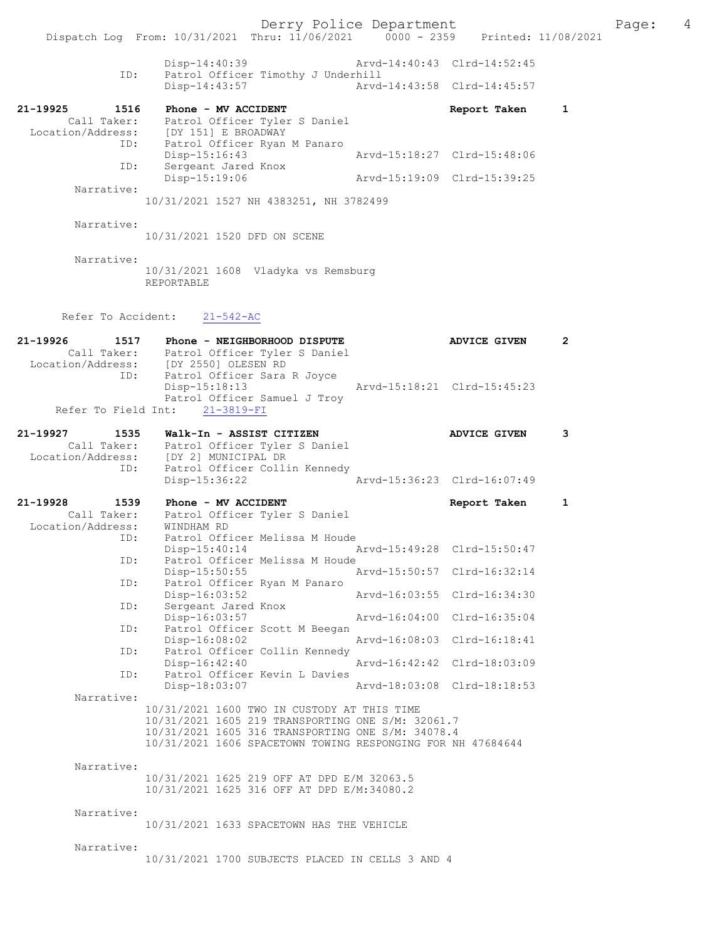Derry Police Department Page: 4 Dispatch Log From: 10/31/2021 Thru: 11/06/2021 0000 - 2359 Disp-14:40:39 Arvd-14:40:43 Clrd-14:52:45 ID: Patrol Officer Timothy J Underhill<br>Disp-14:43:57 Arvd Disp-14:43:57 Arvd-14:43:58 Clrd-14:45:57 21-19925 1516 Phone - MV ACCIDENT Report Taken 1 Call Taker: Patrol Officer Tyler S Daniel Location/Address: [DY 151] E BROADWAY ID: Patrol Officer Ryan M Panaro Disp-15:16:43 Arvd-15:18:27 Clrd-15:48:06 ID: Sergeant Jared Knox Disp-15:19:06 Arvd-15:19:09 Clrd-15:39:25 Narrative: 10/31/2021 1527 NH 4383251, NH 3782499 Narrative: 10/31/2021 1520 DFD ON SCENE Narrative: 10/31/2021 1608 Vladyka vs Remsburg REPORTABLE Refer To Accident: 21-542-AC 21-19926 1517 Phone - NEIGHBORHOOD DISPUTE ADVICE GIVEN 2 Call Taker: Patrol Officer Tyler S Daniel<br>Location/Address: [DY 2550] OLESEN RD Location/Address: [DY 2550] OLESEN RD ID: Patrol Officer Sara R Joyce<br>Disp-15:18:13 Disp-15:18:13 Arvd-15:18:21 Clrd-15:45:23 Patrol Officer Samuel J Troy Refer To Field Int: 21-3819-FI 21-19927 1535 Walk-In - ASSIST CITIZEN ADVICE GIVEN 3 Call Taker: Patrol Officer Tyler S Daniel Location/Address: [DY 2] MUNICIPAL DR ID: Patrol Officer Collin Kennedy Disp-15:36:22 Arvd-15:36:23 Clrd-16:07:49 21-19928 1539 Phone - MV ACCIDENT 1 Report Taken 1 Call Taker: Patrol Officer Tyler S Daniel Location/Address: WINDHAM RD ID: Patrol Officer Melissa M Houde Disp-15:40:14 Arvd-15:49:28 Clrd-15:50:47 ID: Patrol Officer Melissa M Houde<br>Disp-15:50:55 Disp-15:50:55 Arvd-15:50:57 Clrd-16:32:14<br>ID: Patrol Officer Ryan M Panaro Patrol Officer Ryan M Panaro<br>Disp-16:03:52 Disp-16:03:52 Arvd-16:03:55 Clrd-16:34:30 ID: Sergeant Jared Knox<br>Disp-16:03:57 Disp-16:03:57 Arvd-16:04:00 Clrd-16:35:04<br>TD: Patrol Officer Scott M Beegan Patrol Officer Scott M Beegan<br>Disp-16:08:02 Disp-16:08:02 Arvd-16:08:03 Clrd-16:18:41<br>ID: Patrol Officer Collin Kennedy Patrol Officer Collin Kennedy<br>Disp-16:42:40 Disp-16:42:40 Arvd-16:42:42 Clrd-18:03:09<br>ID: Patrol Officer Kevin L Davies Patrol Officer Kevin L Davies<br>Disp-18:03:07 Disp-18:03:07 Arvd-18:03:08 Clrd-18:18:53 Narrative: 10/31/2021 1600 TWO IN CUSTODY AT THIS TIME 10/31/2021 1605 219 TRANSPORTING ONE S/M: 32061.7 10/31/2021 1605 316 TRANSPORTING ONE S/M: 34078.4 10/31/2021 1606 SPACETOWN TOWING RESPONGING FOR NH 47684644 Narrative: 10/31/2021 1625 219 OFF AT DPD E/M 32063.5 10/31/2021 1625 316 OFF AT DPD E/M:34080.2 Narrative: 10/31/2021 1633 SPACETOWN HAS THE VEHICLE Narrative: 10/31/2021 1700 SUBJECTS PLACED IN CELLS 3 AND 4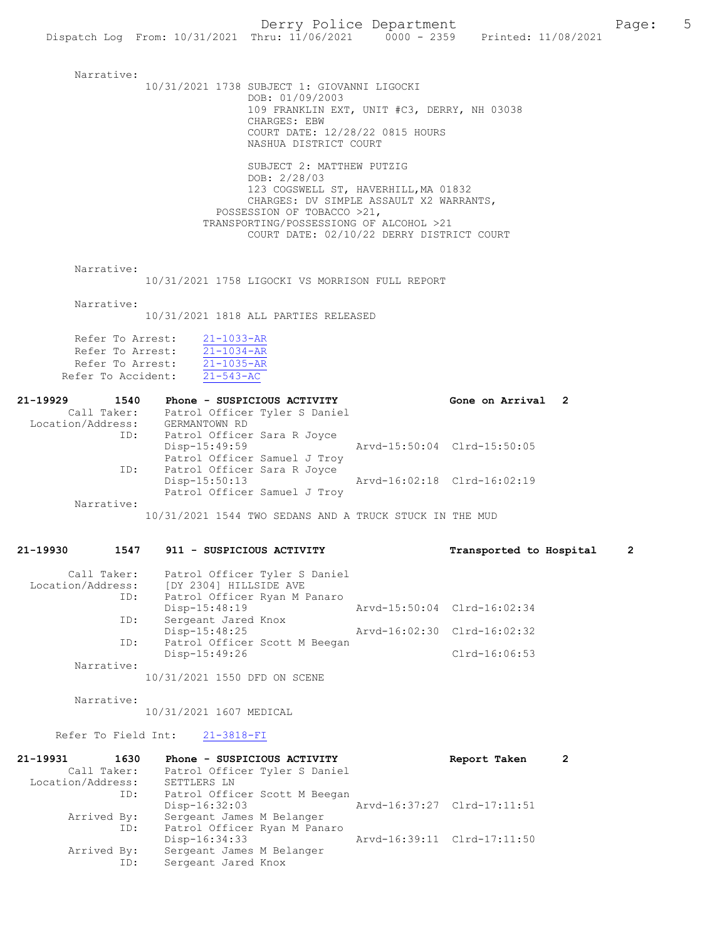Narrative: 10/31/2021 1738 SUBJECT 1: GIOVANNI LIGOCKI DOB: 01/09/2003 109 FRANKLIN EXT, UNIT #C3, DERRY, NH 03038 CHARGES: EBW COURT DATE: 12/28/22 0815 HOURS NASHUA DISTRICT COURT SUBJECT 2: MATTHEW PUTZIG DOB: 2/28/03 123 COGSWELL ST, HAVERHILL,MA 01832 CHARGES: DV SIMPLE ASSAULT X2 WARRANTS, POSSESSION OF TOBACCO >21, TRANSPORTING/POSSESSIONG OF ALCOHOL >21 COURT DATE: 02/10/22 DERRY DISTRICT COURT Narrative: 10/31/2021 1758 LIGOCKI VS MORRISON FULL REPORT Narrative: 10/31/2021 1818 ALL PARTIES RELEASED Refer To Arrest:  $\frac{21-1033-AR}{21-1034-AR}$ Refer To Arrest: 21-1034-AR Refer To Arrest: 21-1035-AR Refer To Accident: 21-543-AC 21-19929 1540 Phone - SUSPICIOUS ACTIVITY Cone on Arrival 2 Call Taker: Patrol Officer Tyler S Daniel Location/Address: GERMANTOWN RD ID: Patrol Officer Sara R Joyce Disp-15:49:59 Arvd-15:50:04 Clrd-15:50:05 Patrol Officer Samuel J Troy<br>ID: Patrol Officer Sara R Joyce Patrol Officer Sara R Joyce<sup>-</sup><br>Disp-15:50:13 Disp-15:50:13 Arvd-16:02:18 Clrd-16:02:19 Patrol Officer Samuel J Troy Narrative: 10/31/2021 1544 TWO SEDANS AND A TRUCK STUCK IN THE MUD 21-19930 1547 911 - SUSPICIOUS ACTIVITY Transported to Hospital 2 Call Taker: Patrol Officer Tyler S Daniel Location/Address ID: Patrol Officer Ryan M Panaro

| LOCALION/AQUIESS: | IDI 2304  HILLSIDE AVE        |                             |                             |
|-------------------|-------------------------------|-----------------------------|-----------------------------|
| ID:               | Patrol Officer Ryan M Panaro  |                             |                             |
|                   | $Disp-15:48:19$               | Arvd-15:50:04 Clrd-16:02:34 |                             |
| ID:               | Sergeant Jared Knox           |                             |                             |
|                   | $Disp-15:48:25$               |                             | Arvd-16:02:30 Clrd-16:02:32 |
| ID:               | Patrol Officer Scott M Beegan |                             |                             |
|                   | $Disp-15:49:26$               |                             | Clrd-16:06:53               |
| Narrative:        |                               |                             |                             |

10/31/2021 1550 DFD ON SCENE

Narrative:

10/31/2021 1607 MEDICAL

#### Refer To Field Int: 21-3818-FI

| 21-19931          | 1630        | Phone - SUSPICIOUS ACTIVITY   | Report Taken                | $\overline{2}$ |
|-------------------|-------------|-------------------------------|-----------------------------|----------------|
|                   | Call Taker: | Patrol Officer Tyler S Daniel |                             |                |
| Location/Address: |             | SETTLERS LN                   |                             |                |
|                   | ID:         | Patrol Officer Scott M Beegan |                             |                |
|                   |             | $Disp-16:32:03$               | Arvd-16:37:27 Clrd-17:11:51 |                |
|                   | Arrived By: | Sergeant James M Belanger     |                             |                |
|                   | ID:         | Patrol Officer Ryan M Panaro  |                             |                |
|                   |             | $Disp-16:34:33$               | Arvd-16:39:11 Clrd-17:11:50 |                |
|                   | Arrived By: | Sergeant James M Belanger     |                             |                |
|                   | ID:         | Sergeant Jared Knox           |                             |                |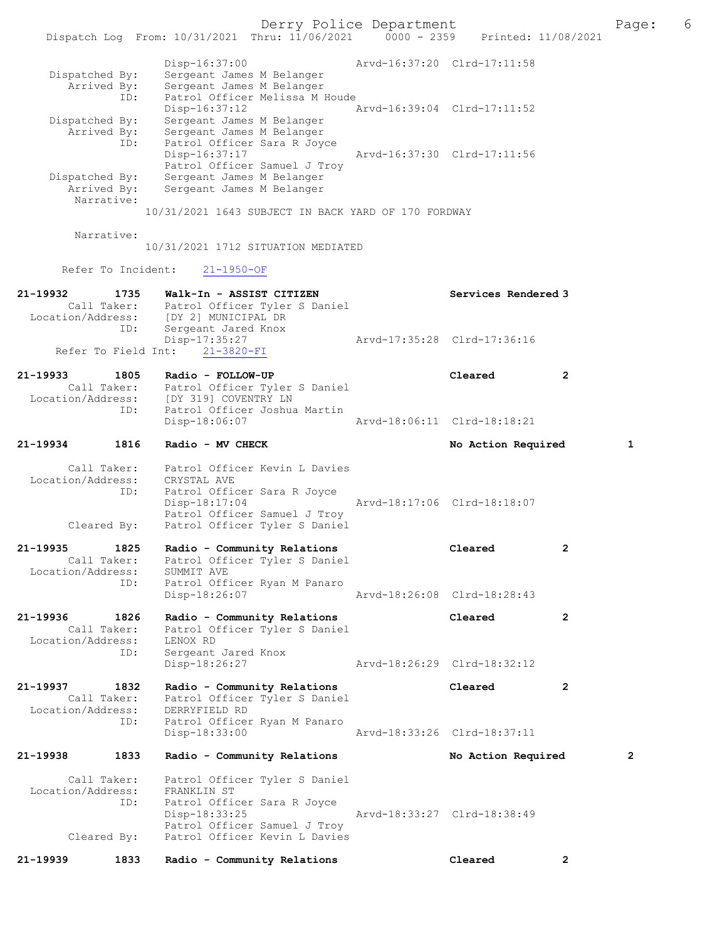| Dispatched By: | Sergeant James M Belanger                           |  |
|----------------|-----------------------------------------------------|--|
| Arrived By:    | Sergeant James M Belanger                           |  |
| ID:            | Patrol Officer Melissa M Houde                      |  |
|                | Arvd-16:39:04 Clrd-17:11:52<br>$Disp-16:37:12$      |  |
| Dispatched By: | Sergeant James M Belanger                           |  |
| Arrived By:    | Sergeant James M Belanger                           |  |
| ID:            | Patrol Officer Sara R Joyce                         |  |
|                | Arvd-16:37:30 Clrd-17:11:56<br>$Disp-16:37:17$      |  |
|                | Patrol Officer Samuel J Troy                        |  |
| Dispatched By: | Sergeant James M Belanger                           |  |
| Arrived By:    | Sergeant James M Belanger                           |  |
| Narrative:     |                                                     |  |
|                | 10/31/2021 1643 SUBJECT IN BACK YARD OF 170 FORDWAY |  |

Narrative:

10/31/2021 1712 SITUATION MEDIATED

Refer To Incident: 21-1950-OF

| 21-19932          | 1735        | Walk-In - ASSIST CITIZEN       | Services Rendered 3         |
|-------------------|-------------|--------------------------------|-----------------------------|
|                   | Call Taker: | Patrol Officer Tyler S Daniel  |                             |
| Location/Address: |             | [DY 2] MUNICIPAL DR            |                             |
|                   | ID:         | Sergeant Jared Knox            |                             |
|                   |             | Disp-17:35:27                  | Arvd-17:35:28 Clrd-17:36:16 |
|                   |             | Refer To Field Int: 21-3820-FI |                             |
|                   |             |                                |                             |

| 21-19933          | 1805        | Radio - FOLLOW-UP                                     | Cleared                     | $\overline{2}$ |
|-------------------|-------------|-------------------------------------------------------|-----------------------------|----------------|
| Location/Address: | Call Taker: | Patrol Officer Tyler S Daniel<br>IDY 3191 COVENTRY LN |                             |                |
|                   | ID:         | Patrol Officer Joshua Martin<br>Disp-18:06:07         | Aryd-18:06:11 Clrd-18:18:21 |                |

# 21-19934 1816 Radio - MV CHECK No Action Required 1

| Call Taker:<br>Location/Address: | Patrol Officer Kevin L Davies<br>CRYSTAL AVE                  |                             |
|----------------------------------|---------------------------------------------------------------|-----------------------------|
| ID:                              | Patrol Officer Sara R Joyce<br>Disp-18:17:04                  | Arvd-18:17:06 Clrd-18:18:07 |
| Cleared By:                      | Patrol Officer Samuel J Troy<br>Patrol Officer Tyler S Daniel |                             |

| 21-19936          | 1826        | Radio - Community Relations                                 | Cleared                     |  |
|-------------------|-------------|-------------------------------------------------------------|-----------------------------|--|
| Location/Address: | ID:         | SUMMIT AVE<br>Patrol Officer Ryan M Panaro<br>Disp-18:26:07 | Arvd-18:26:08 Clrd-18:28:43 |  |
|                   | Call Taker: | Patrol Officer Tyler S Daniel                               |                             |  |
| 21-19935          | 1825        | Radio - Community Relations                                 | Cleared                     |  |

 Call Taker: Patrol Officer Tyler S Daniel Location/Address: LENOX RD ID: Sergeant Jared Knox Disp-18:26:27 Arvd-18:26:29 Clrd-18:32:12

21-19937 1832 Radio - Community Relations Cleared 2 Call Taker: Patrol Officer Tyler S Daniel Location/Address: DERRYFIELD RD ID: Patrol Officer Ryan M Panaro Disp-18:33:00 Arvd-18:33:26 Clrd-18:37:11

21-19938 1833 Radio - Community Relations No Action Required 2 Call Taker: Patrol Officer Tyler S Daniel<br>:ion/Address: FRANKLIN ST Location/Address: ID: Patrol Officer Sara R Joyce Disp-18:33:25 Arvd-18:33:27 Clrd-18:38:49 Patrol Officer Samuel J Troy Cleared By: Patrol Officer Kevin L Davies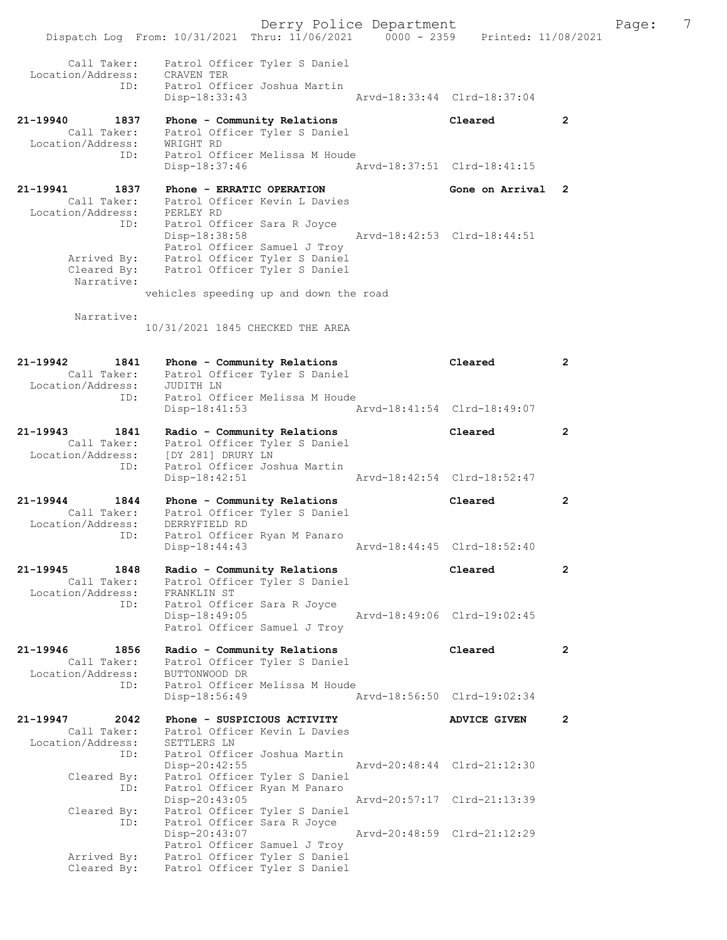Derry Police Department The Page: 7 Dispatch Log From: 10/31/2021 Thru: 11/06/2021 0000 - 2359 Printed: 11/08/2021 Call Taker: Patrol Officer Tyler S Daniel Location/Address: CRAVEN TER ID: Patrol Officer Joshua Martin Disp-18:33:43 Arvd-18:33:44 Clrd-18:37:04 21-19940 1837 Phone - Community Relations Cleared 2 Call Taker: Patrol Officer Tyler S Daniel Location/Address: WRIGHT RD ID: Patrol Officer Melissa M Houde Disp-18:37:46 Arvd-18:37:51 Clrd-18:41:15 21-19941 1837 Phone - ERRATIC OPERATION Gone on Arrival 2 Call Taker: Patrol Officer Kevin L Davies Location/Address: PERLEY RD ID: Patrol Officer Sara R Joyce Disp-18:38:58 Arvd-18:42:53 Clrd-18:44:51 Patrol Officer Samuel J Troy Arrived By: Patrol Officer Tyler S Daniel Cleared By: Patrol Officer Tyler S Daniel Narrative: vehicles speeding up and down the road Narrative: 10/31/2021 1845 CHECKED THE AREA 21-19942 1841 Phone - Community Relations Cleared 2 Call Taker: Patrol Officer Tyler S Daniel Location/Address: JUDITH LN ID: Patrol Officer Melissa M Houde Disp-18:41:53 Arvd-18:41:54 Clrd-18:49:07 21-19943 1841 Radio - Community Relations Cleared 2 Call Taker: Patrol Officer Tyler S Daniel Location/Address: [DY 281] DRURY LN ID: Patrol Officer Joshua Martin Disp-18:42:51 Arvd-18:42:54 Clrd-18:52:47 21-19944 1844 Phone - Community Relations Cleared 2 Call Taker: Patrol Officer Tyler S Daniel Location/Address: DERRYFIELD RD ID: Patrol Officer Ryan M Panaro Disp-18:44:43 Arvd-18:44:45 Clrd-18:52:40 21-19945 1848 Radio - Community Relations Cleared 2 Call Taker: Patrol Officer Tyler S Daniel Location/Address: FRANKLIN ST ID: Patrol Officer Sara R Joyce Disp-18:49:05 Arvd-18:49:06 Clrd-19:02:45 Patrol Officer Samuel J Troy 21-19946 1856 Radio - Community Relations Cleared 2 Call Taker: Patrol Officer Tyler S Daniel Location/Address: BUTTONWOOD DR ID: Patrol Officer Melissa M Houde Disp-18:56:49 Arvd-18:56:50 Clrd-19:02:34 21-19947 2042 Phone - SUSPICIOUS ACTIVITY ADVICE GIVEN 2 Call Taker: Patrol Officer Kevin L Davies Location/Address: SETTLERS LN ID: Patrol Officer Joshua Martin Disp-20:42:55 Arvd-20:48:44 Clrd-21:12:30 Cleared By: Patrol Officer Tyler S Daniel ID: Patrol Officer Ryan M Panaro Disp-20:43:05 Arvd-20:57:17 Clrd-21:13:39 Cleared By: Patrol Officer Tyler S Daniel ID: Patrol Officer Sara R Joyce Disp-20:43:07 Arvd-20:48:59 Clrd-21:12:29 Patrol Officer Samuel J Troy Arrived By: Patrol Officer Tyler S Daniel Cleared By: Patrol Officer Tyler S Daniel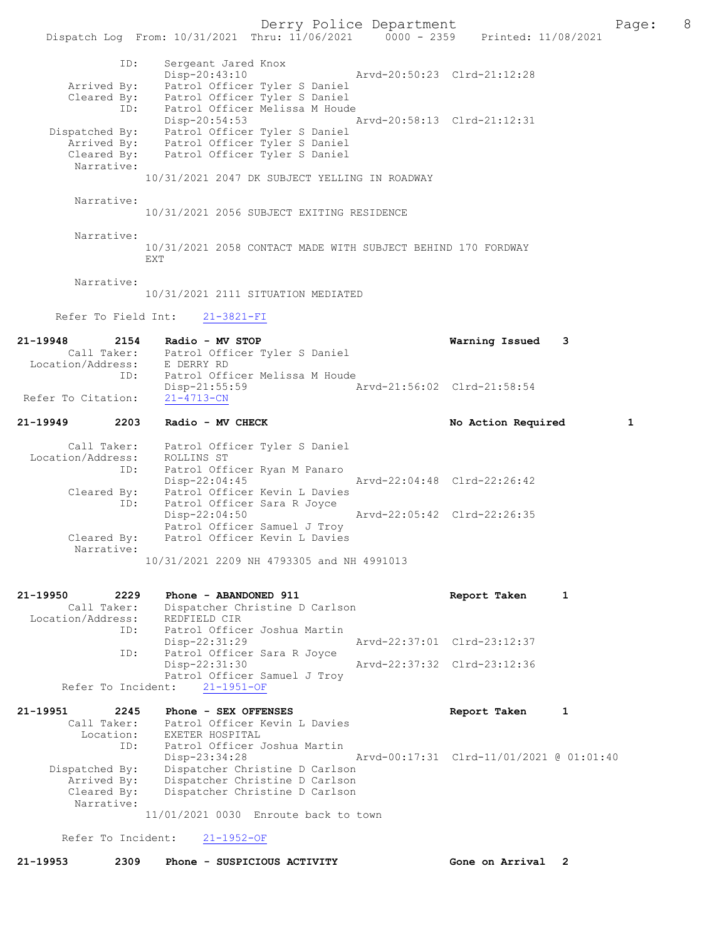ID: Sergeant Jared Knox Disp-20:43:10 Arvd-20:50:23 Clrd-21:12:28 Arrived By: Patrol Officer Tyler S Daniel Cleared By: Patrol Officer Tyler S Daniel ID: Patrol Officer Melissa M Houde Disp-20:54:53 Arvd-20:58:13 Clrd-21:12:31 Dispatched By: Patrol Officer Tyler S Daniel Arrived By: Patrol Officer Tyler S Daniel Cleared By: Patrol Officer Tyler S Daniel Narrative: 10/31/2021 2047 DK SUBJECT YELLING IN ROADWAY Narrative: 10/31/2021 2056 SUBJECT EXITING RESIDENCE Narrative: 10/31/2021 2058 CONTACT MADE WITH SUBJECT BEHIND 170 FORDWAY EXT Narrative: 10/31/2021 2111 SITUATION MEDIATED Refer To Field Int: 21-3821-FI 21-19948 2154 Radio - MV STOP Warning Issued 3 Call Taker: Patrol Officer Tyler S Daniel Location/Address: E DERRY RD ID: Patrol Officer Melissa M Houde<br>Disp-21:55:59 Disp-21:55:59 Arvd-21:56:02 Clrd-21:58:54 Refer To Citation: 21-19949 2203 Radio - MV CHECK No Action Required 1 Call Taker: Patrol Officer Tyler S Daniel Location/Address: ROLLINS ST ID: Patrol Officer Ryan M Panaro Disp-22:04:45 Arvd-22:04:48 Clrd-22:26:42 Cleared By: Patrol Officer Kevin L Davies ID: Patrol Officer Sara R Joyce<br>Disp-22:04:50 Arvd-22:05:42 Clrd-22:26:35 Patrol Officer Samuel J Troy Cleared By: Patrol Officer Kevin L Davies Narrative: 10/31/2021 2209 NH 4793305 and NH 4991013 21-19950 2229 Phone - ABANDONED 911 Report Taken 1 Call Taker: Dispatcher Christine D Carlson Call Taker: Dispatcher Christine D Carlson Location/Address: REDFIELD CIR ID: Patrol Officer Joshua Martin Disp-22:31:29 Arvd-22:37:01 Clrd-23:12:37<br>TD: Patrol Officer Sara R Joyce Patrol Officer Sara R Joyce<br>Disp-22:31:30 Disp-22:31:30 Arvd-22:37:32 Clrd-23:12:36 Patrol Officer Samuel J Troy Refer To Incident: 21-1951-OF 21-19951 2245 Phone - SEX OFFENSES Report Taken 1 Call Taker: Patrol Officer Kevin L Davies Location: EXETER HOSPITAL ID: Patrol Officer Joshua Martin Disp-23:34:28 Arvd-00:17:31 Clrd-11/01/2021 @ 01:01:40 Dispatched By: Dispatcher Christine D Carlson Arrived By: Dispatcher Christine D Carlson Cleared By: Dispatcher Christine D Carlson Narrative: 11/01/2021 0030 Enroute back to town Refer To Incident: 21-1952-OF

21-19953 2309 Phone - SUSPICIOUS ACTIVITY Gone on Arrival 2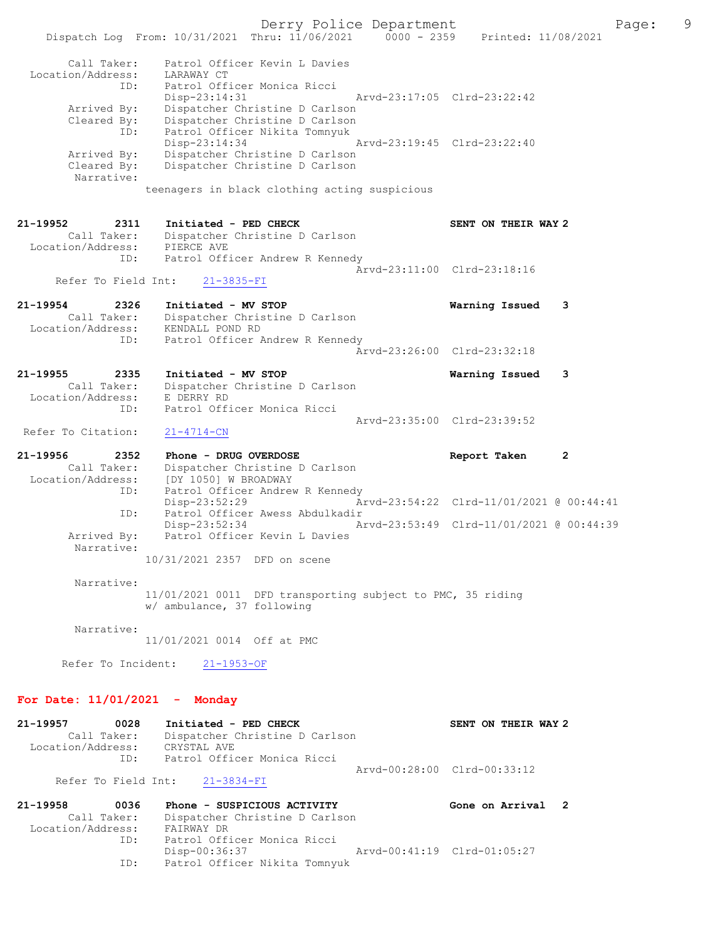Derry Police Department Fage: 9 Dispatch Log From: 10/31/2021 Thru: 11/06/2021 0000 - 2359 Printed: 11/08/2021 Call Taker: Patrol Officer Kevin L Davies Location/Address: LARAWAY CT ID: Patrol Officer Monica Ricci Disp-23:14:31 Arvd-23:17:05 Clrd-23:22:42 Arrived By: Dispatcher Christine D Carlson Cleared By: Dispatcher Christine D Carlson ID: Patrol Officer Nikita Tomnyuk Disp-23:14:34 Arvd-23:19:45 Clrd-23:22:40 Arrived By: Dispatcher Christine D Carlson Cleared By: Dispatcher Christine D Carlson Narrative: teenagers in black clothing acting suspicious 21-19952 2311 Initiated - PED CHECK SENT ON THEIR WAY 2 Call Taker: Dispatcher Christine D Carlson Location/Address: PIERCE AVE ID: Patrol Officer Andrew R Kennedy Arvd-23:11:00 Clrd-23:18:16 Refer To Field Int: 21-3835-FI 21-19954 2326 Initiated - MV STOP Warning Issued 3 Call Taker: Dispatcher Christine D Carlson Location/Address: KENDALL POND RD ID: Patrol Officer Andrew R Kennedy Arvd-23:26:00 Clrd-23:32:18 21-19955 2335 Initiated - MV STOP Warning Issued 3 Call Taker: Dispatcher Christine D Carlson Location/Address: E DERRY RD ID: Patrol Officer Monica Ricci Arvd-23:35:00 Clrd-23:39:52 Refer To Citation: 21-4714-CN 21-19956 2352 Phone - DRUG OVERDOSE Report Taken 2 Call Taker: Dispatcher Christine D Carlson Location/Address: [DY 1050] W BROADWAY ID: Patrol Officer Andrew R Kennedy Disp-23:52:29 Arvd-23:54:22 Clrd-11/01/2021 @ 00:44:41 ID: Patrol Officer Awess Abdulkadir Disp-23:52:34 Arvd-23:53:49 Clrd-11/01/2021 @ 00:44:39 Arrived By: Patrol Officer Kevin L Davies Narrative: 10/31/2021 2357 DFD on scene Narrative: 11/01/2021 0011 DFD transporting subject to PMC, 35 riding w/ ambulance, 37 following Narrative: 11/01/2021 0014 Off at PMC Refer To Incident: 21-1953-OF For Date: 11/01/2021 - Monday 21-19957 0028 Initiated - PED CHECK SENT ON THEIR WAY 2 Call Taker: Dispatcher Christine D Carlson Location/Address: CRYSTAL AVE ID: Patrol Officer Monica Ricci Arvd-00:28:00 Clrd-00:33:12 Refer To Field Int: 21-3834-FI 21-19958 0036 Phone - SUSPICIOUS ACTIVITY Gone on Arrival 2

 Call Taker: Dispatcher Christine D Carlson Location/Address: FAIRWAY DR ID: Patrol Officer Monica Ricci Disp-00:36:37 Arvd-00:41:19 Clrd-01:05:27 ID: Patrol Officer Nikita Tomnyuk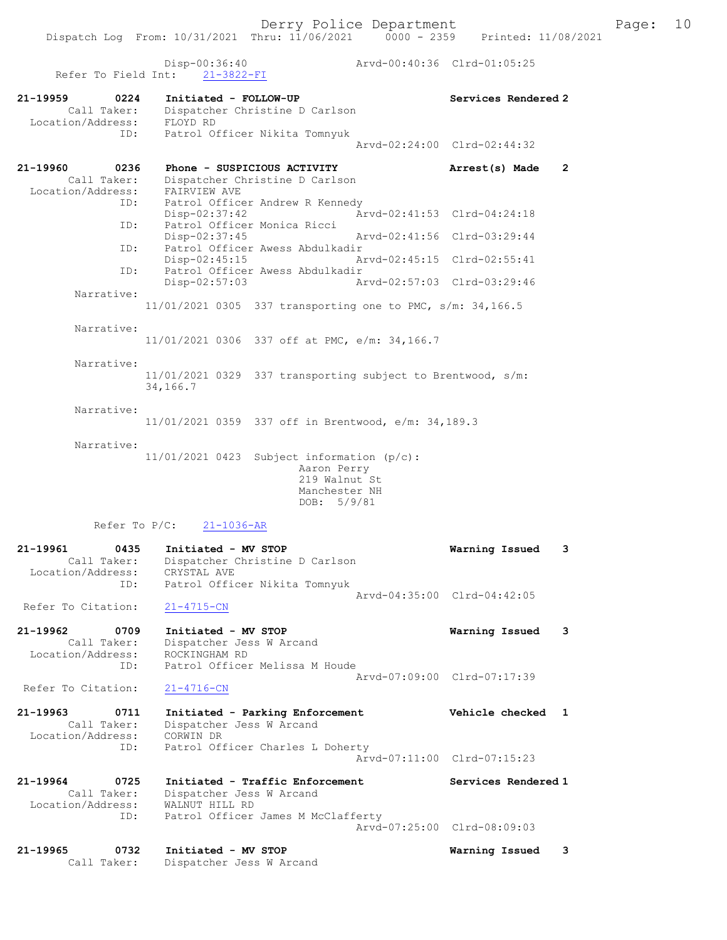Dispatch Log From: 10/31/2021 Thru: 11/06/2021 0000 - 2359 Printed: 11/08/2021 Disp-00:36:40 Arvd-00:40:36 Clrd-01:05:25 Refer To Field Int: 21-3822-FI 21-19959 0224 Initiated - FOLLOW-UP Services Rendered 2 Call Taker: Dispatcher Christine D Carlson Location/Address: FLOYD RD ID: Patrol Officer Nikita Tomnyuk Arvd-02:24:00 Clrd-02:44:32 21-19960 0236 Phone - SUSPICIOUS ACTIVITY Arrest(s) Made 2 Call Taker: Dispatcher Christine D Carlson Location/Address: FAIRVIEW AVE ID: Patrol Officer Andrew R Kennedy Disp-02:37:42 Arvd-02:41:53 Clrd-04:24:18 ID: Patrol Officer Monica Ricci Disp-02:37:45 Arvd-02:41:56 Clrd-03:29:44 ID: Patrol Officer Awess Abdulkadir<br>Disp-02:45:15 Arvd-02:45:15 Clrd-02:55:41  $Disp-02:45:15$  ID: Patrol Officer Awess Abdulkadir Disp-02:57:03 Arvd-02:57:03 Clrd-03:29:46 Narrative: 11/01/2021 0305 337 transporting one to PMC, s/m: 34,166.5 Narrative: 11/01/2021 0306 337 off at PMC, e/m: 34,166.7 Narrative: 11/01/2021 0329 337 transporting subject to Brentwood, s/m: 34,166.7 Narrative: 11/01/2021 0359 337 off in Brentwood, e/m: 34,189.3 Narrative: 11/01/2021 0423 Subject information (p/c): Aaron Perry 219 Walnut St Manchester NH DOB: 5/9/81 Refer To P/C: 21-1036-AR 21-19961 0435 Initiated - MV STOP Warning Issued 3 Call Taker: Dispatcher Christine D Carlson Location/Address: CRYSTAL AVE ID: Patrol Officer Nikita Tomnyuk Arvd-04:35:00 Clrd-04:42:05 Refer To Citation: 21-4715-CN 21-19962 0709 Initiated - MV STOP Warning Issued 3 Call Taker: Dispatcher Jess W Arcand Location/Address: ROCKINGHAM RD ID: Patrol Officer Melissa M Houde Arvd-07:09:00 Clrd-07:17:39<br>21-4716-CN Refer To Citation: 21-19963 0711 Initiated - Parking Enforcement Vehicle checked 1 Call Taker: Dispatcher Jess W Arcand Location/Address: CORWIN DR ID: Patrol Officer Charles L Doherty Arvd-07:11:00 Clrd-07:15:23 21-19964 0725 Initiated - Traffic Enforcement Services Rendered 1 Call Taker: Dispatcher Jess W Arcand Location/Address: WALNUT HILL RD ID: Patrol Officer James M McClafferty Arvd-07:25:00 Clrd-08:09:03 21-19965 0732 Initiated - MV STOP Warning Issued 3 Call Taker: Dispatcher Jess W Arcand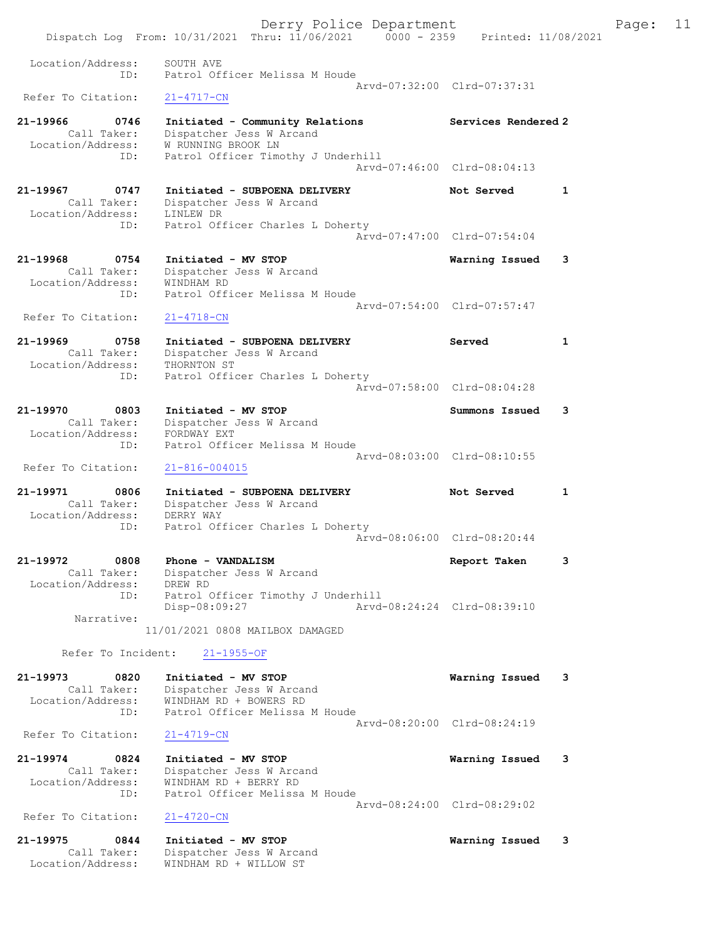Dispatch Log From: 10/31/2021 Thru: 11/06/2021 0000 - 2359 Printed: 11/08/2021 Location/Address: SOUTH AVE ID: Patrol Officer Melissa M Houde Arvd-07:32:00 Clrd-07:37:31<br>21-4717-CN Refer To Citation: 21-19966 0746 Initiated - Community Relations Services Rendered 2 Call Taker: Dispatcher Jess W Arcand Location/Address: W RUNNING BROOK LN ID: Patrol Officer Timothy J Underhill Arvd-07:46:00 Clrd-08:04:13 21-19967 0747 Initiated - SUBPOENA DELIVERY Not Served 1 Call Taker: Dispatcher Jess W Arcand Location/Address: LINLEW DR ID: Patrol Officer Charles L Doherty Arvd-07:47:00 Clrd-07:54:04 21-19968 0754 Initiated - MV STOP Warning Issued 3 Call Taker: Dispatcher Jess W Arcand Location/Address: WINDHAM RD ID: Patrol Officer Melissa M Houde Arvd-07:54:00 Clrd-07:57:47 Refer To Citation:  $21-4718$ -CN 21-19969 0758 Initiated - SUBPOENA DELIVERY Served 1 Call Taker: Dispatcher Jess W Arcand Location/Address: THORNTON ST ID: Patrol Officer Charles L Doherty Arvd-07:58:00 Clrd-08:04:28 21-19970 0803 Initiated - MV STOP Summons Issued 3 Call Taker: Dispatcher Jess W Arcand Location/Address: FORDWAY EXT ID: Patrol Officer Melissa M Houde Arvd-08:03:00 Clrd-08:10:55 Refer To Citation: 21-816-004015 21-19971 0806 Initiated - SUBPOENA DELIVERY Not Served 1 Call Taker: Dispatcher Jess W Arcand Location/Address: DERRY WAY ID: Patrol Officer Charles L Doherty Arvd-08:06:00 Clrd-08:20:44 21-19972 0808 Phone - VANDALISM Report Taken 3 Call Taker: Dispatcher Jess W Arcand Location/Address: DREW RD ID: Patrol Officer Timothy J Underhill Disp-08:09:27 Arvd-08:24:24 Clrd-08:39:10 Narrative: 11/01/2021 0808 MAILBOX DAMAGED Refer To Incident: 21-1955-OF 21-19973 0820 Initiated - MV STOP Warning Issued 3 Call Taker: Dispatcher Jess W Arcand Location/Address: WINDHAM RD + BOWERS RD ID: Patrol Officer Melissa M Houde Arvd-08:20:00 Clrd-08:24:19 Refer To Citation: 21-4719-CN 21-19974 0824 Initiated - MV STOP Warning Issued 3 Call Taker: Dispatcher Jess W Arcand Location/Address: WINDHAM RD + BERRY RD ID: Patrol Officer Melissa M Houde Arvd-08:24:00 Clrd-08:29:02<br>21-4720-CN Refer To Citation: 21-19975 0844 Initiated - MV STOP Warning Issued 3 Call Taker: Dispatcher Jess W Arcand Location/Address: WINDHAM RD + WILLOW ST

Derry Police Department Fage: 11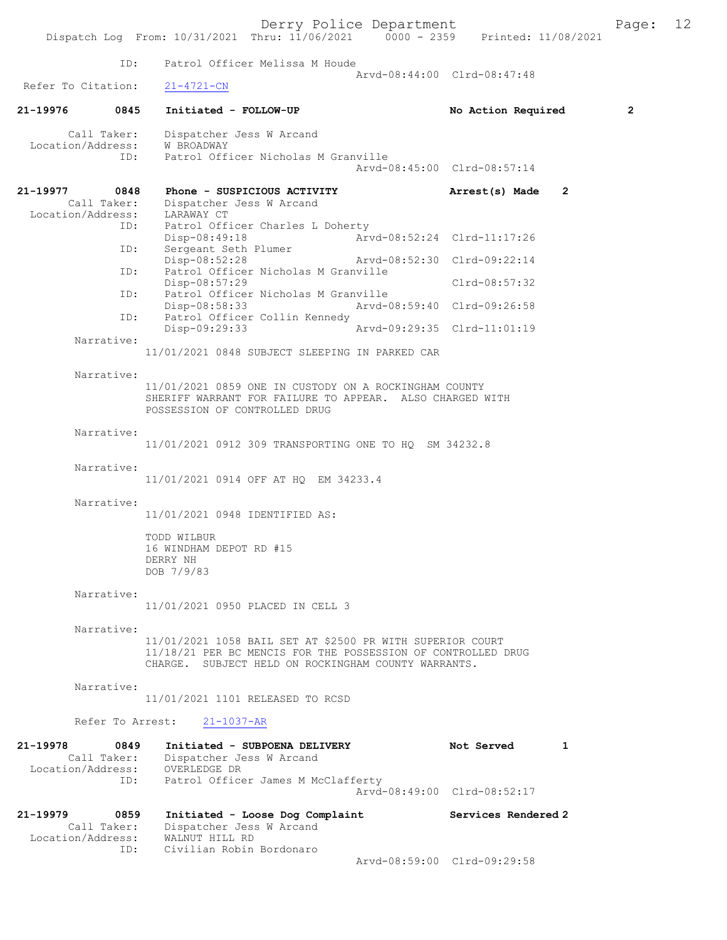|                                                      | Dispatch Log From: 10/31/2021 Thru: 11/06/2021 0000 - 2359 Printed: 11/08/2021                                           | Derry Police Department                                                                                                                                                          |                                              |                | Page:          | 12 |
|------------------------------------------------------|--------------------------------------------------------------------------------------------------------------------------|----------------------------------------------------------------------------------------------------------------------------------------------------------------------------------|----------------------------------------------|----------------|----------------|----|
|                                                      | ID:                                                                                                                      | Patrol Officer Melissa M Houde                                                                                                                                                   |                                              |                |                |    |
| Refer To Citation:                                   | $21 - 4721 - CN$                                                                                                         |                                                                                                                                                                                  | Arvd-08:44:00 Clrd-08:47:48                  |                |                |    |
| 21-19976                                             | 0845<br>Initiated - FOLLOW-UP                                                                                            |                                                                                                                                                                                  | No Action Required                           |                | $\overline{2}$ |    |
| Call Taker:<br>Location/Address:                     | Dispatcher Jess W Arcand<br>W BROADWAY<br>ID:                                                                            | Patrol Officer Nicholas M Granville                                                                                                                                              | Arvd-08:45:00 Clrd-08:57:14                  |                |                |    |
| 21-19977<br>Call Taker:<br>Location/Address:         | 0848<br>Dispatcher Jess W Arcand<br>LARAWAY CT                                                                           | Phone - SUSPICIOUS ACTIVITY                                                                                                                                                      | Arrest(s) Made                               | $\overline{2}$ |                |    |
|                                                      | ID:<br>Disp-08:49:18<br>ID:<br>Sergeant Seth Plumer                                                                      | Patrol Officer Charles L Doherty                                                                                                                                                 | Arvd-08:52:24 Clrd-11:17:26                  |                |                |    |
|                                                      | Disp-08:52:28<br>ID:<br>Disp-08:57:29                                                                                    | Patrol Officer Nicholas M Granville                                                                                                                                              | Arvd-08:52:30 Clrd-09:22:14<br>Clrd-08:57:32 |                |                |    |
|                                                      | ID:<br>Disp-08:58:33<br>ID:                                                                                              | Patrol Officer Nicholas M Granville<br>Patrol Officer Collin Kennedy                                                                                                             | Arvd-08:59:40 Clrd-09:26:58                  |                |                |    |
| Narrative:                                           | Disp-09:29:33                                                                                                            |                                                                                                                                                                                  | Arvd-09:29:35 Clrd-11:01:19                  |                |                |    |
|                                                      |                                                                                                                          | 11/01/2021 0848 SUBJECT SLEEPING IN PARKED CAR                                                                                                                                   |                                              |                |                |    |
| Narrative:                                           | POSSESSION OF CONTROLLED DRUG                                                                                            | 11/01/2021 0859 ONE IN CUSTODY ON A ROCKINGHAM COUNTY<br>SHERIFF WARRANT FOR FAILURE TO APPEAR. ALSO CHARGED WITH                                                                |                                              |                |                |    |
| Narrative:                                           |                                                                                                                          | 11/01/2021 0912 309 TRANSPORTING ONE TO HQ SM 34232.8                                                                                                                            |                                              |                |                |    |
| Narrative:                                           |                                                                                                                          | 11/01/2021 0914 OFF AT HQ EM 34233.4                                                                                                                                             |                                              |                |                |    |
| Narrative:                                           | 11/01/2021 0948 IDENTIFIED AS:                                                                                           |                                                                                                                                                                                  |                                              |                |                |    |
|                                                      | TODD WILBUR<br>16 WINDHAM DEPOT RD #15<br>DERRY NH<br>DOB 7/9/83                                                         |                                                                                                                                                                                  |                                              |                |                |    |
| Narrative:                                           |                                                                                                                          | 11/01/2021 0950 PLACED IN CELL 3                                                                                                                                                 |                                              |                |                |    |
| Narrative:                                           |                                                                                                                          | 11/01/2021 1058 BAIL SET AT \$2500 PR WITH SUPERIOR COURT<br>11/18/21 PER BC MENCIS FOR THE POSSESSION OF CONTROLLED DRUG<br>CHARGE. SUBJECT HELD ON ROCKINGHAM COUNTY WARRANTS. |                                              |                |                |    |
| Narrative:                                           |                                                                                                                          | 11/01/2021 1101 RELEASED TO RCSD                                                                                                                                                 |                                              |                |                |    |
|                                                      | Refer To Arrest: 21-1037-AR                                                                                              |                                                                                                                                                                                  |                                              |                |                |    |
| 21-19978                                             | 0849<br>Call Taker: Dispatcher Jess W Arcand<br>Location/Address: OVERLEDGE DR<br>ID: Patrol Officer James M McClafferty | Initiated - SUBPOENA DELIVERY                                                                                                                                                    | Not Served                                   | 1              |                |    |
|                                                      |                                                                                                                          |                                                                                                                                                                                  | Arvd-08:49:00 Clrd-08:52:17                  |                |                |    |
| 21–19979<br>0859<br>Call Taker:<br>Location/Address: | Dispatcher Jess W Arcand<br>WALNUT HILL RD<br>Civilian Robin Bordonaro<br>ID:                                            | Initiated - Loose Dog Complaint                                                                                                                                                  | Services Rendered 2                          |                |                |    |
|                                                      |                                                                                                                          |                                                                                                                                                                                  | Arvd-08:59:00 Clrd-09:29:58                  |                |                |    |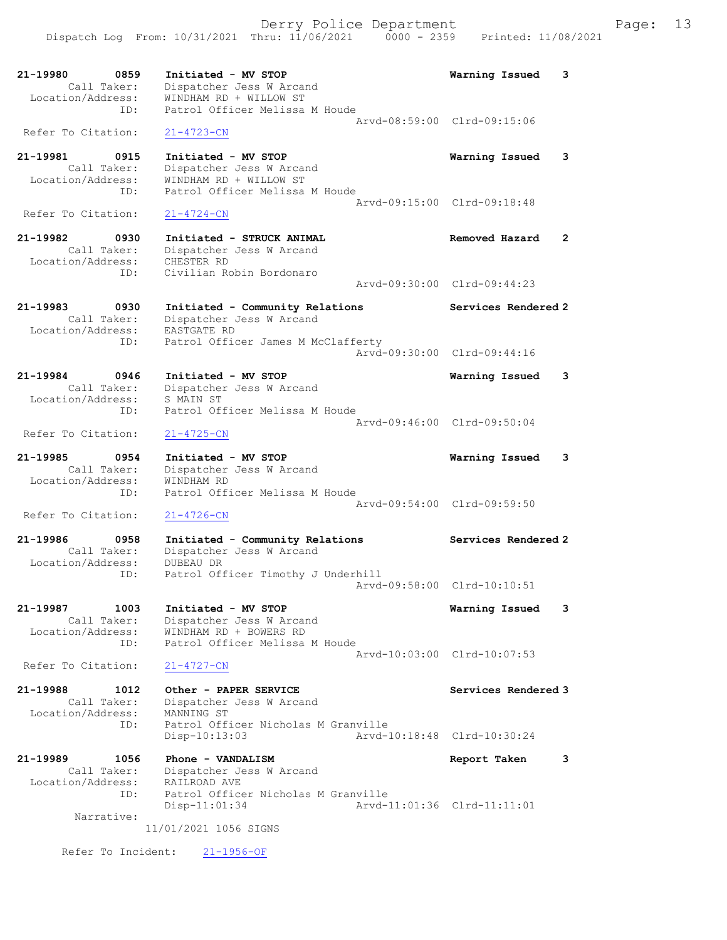

 Call Taker: Dispatcher Jess W Arcand Location/Address: WINDHAM RD ID: Patrol Officer Melissa M Houde Arvd-09:54:00 Clrd-09:59:50 Refer To Citation: 21-4726-CN

21-19986 0958 Initiated - Community Relations Services Rendered 2 Call Taker: Dispatcher Jess W Arcand Location/Address: DUBEAU DR The Morror of the Timothy J Underhill<br>ID: Patrol Officer Timothy J Underhill Arvd-09:58:00 Clrd-10:10:51

21-19987 1003 Initiated - MV STOP Warning Issued 3 Call Taker: Dispatcher Jess W Arcand Location/Address: WINDHAM RD + BOWERS RD ID: Patrol Officer Melissa M Houde Arvd-10:03:00 Clrd-10:07:53<br>21-4727-CN Refer To Citation:

21-19988 1012 Other - PAPER SERVICE Network Services Rendered 3 Call Taker: Dispatcher Jess W Arcand Location/Address: MANNING ST ID: Patrol Officer Nicholas M Granville<br>Disp-10:13:03 Arvd-1 Disp-10:13:03 Arvd-10:18:48 Clrd-10:30:24

21-19989 1056 Phone - VANDALISM Report Taken 3 Call Taker: Dispatcher Jess W Arcand Location/Address: RAILROAD AVE ID: Patrol Officer Nicholas M Granville<br>Disp-11:01:34 Arvd-1 Arvd-11:01:36 Clrd-11:11:01 Narrative:

11/01/2021 1056 SIGNS

Refer To Incident: 21-1956-OF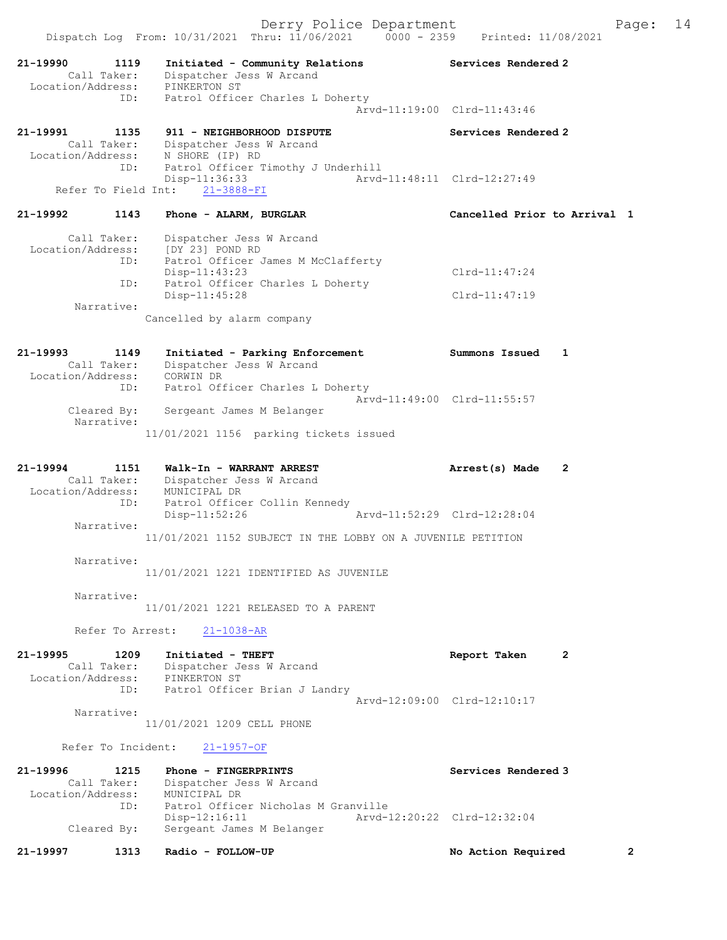| 21-19997                                     | 1313             | Radio - FOLLOW-UP                                                                                                                                                   | $\overline{2}$<br>No Action Required               |    |
|----------------------------------------------|------------------|---------------------------------------------------------------------------------------------------------------------------------------------------------------------|----------------------------------------------------|----|
| 21-19996<br>Location/Address:<br>Cleared By: | 1215<br>ID:      | Phone - FINGERPRINTS<br>Call Taker: Dispatcher Jess W Arcand<br>MUNICIPAL DR<br>Patrol Officer Nicholas M Granville<br>$Disp-12:16:11$<br>Sergeant James M Belanger | Services Rendered 3<br>Arvd-12:20:22 Clrd-12:32:04 |    |
| Refer To Incident:                           |                  | $21 - 1957 - OF$                                                                                                                                                    |                                                    |    |
| Narrative:                                   |                  | 11/01/2021 1209 CELL PHONE                                                                                                                                          |                                                    |    |
| 21-19995                                     | 1209<br>ID:      | Initiated - THEFT<br>Call Taker: Dispatcher Jess W Arcand<br>Location/Address: PINKERTON ST<br>Patrol Officer Brian J Landry                                        | Report Taken<br>2<br>Arvd-12:09:00 Clrd-12:10:17   |    |
|                                              | Refer To Arrest: | $21 - 1038 - AR$                                                                                                                                                    |                                                    |    |
|                                              |                  | 11/01/2021 1221 RELEASED TO A PARENT                                                                                                                                |                                                    |    |
| Narrative:                                   |                  | 11/01/2021 1221 IDENTIFIED AS JUVENILE                                                                                                                              |                                                    |    |
| Narrative:                                   |                  |                                                                                                                                                                     |                                                    |    |
| Narrative:                                   |                  | Disp-11:52:26<br>11/01/2021 1152 SUBJECT IN THE LOBBY ON A JUVENILE PETITION                                                                                        | Arvd-11:52:29 Clrd-12:28:04                        |    |
| 21-19994<br>Call Taker:                      | 1151<br>ID:      | Walk-In - WARRANT ARREST<br>Dispatcher Jess W Arcand<br>Location/Address: MUNICIPAL DR<br>Patrol Officer Collin Kennedy                                             | Arrest(s) Made<br>2                                |    |
| Narrative:                                   |                  | 11/01/2021 1156 parking tickets issued                                                                                                                              |                                                    |    |
| Cleared By:                                  | ID:              | Patrol Officer Charles L Doherty<br>Sergeant James M Belanger                                                                                                       | Arvd-11:49:00 Clrd-11:55:57                        |    |
| 21-19993<br>Location/Address: CORWIN DR      | 1149             | Initiated - Parking Enforcement<br>Call Taker: Dispatcher Jess W Arcand                                                                                             | Summons Issued<br>1                                |    |
|                                              |                  | Cancelled by alarm company                                                                                                                                          |                                                    |    |
| Narrative:                                   |                  | Disp-11:45:28                                                                                                                                                       | $Clrd-11:47:19$                                    |    |
|                                              | ID:              | Disp-11:43:23<br>Patrol Officer Charles L Doherty                                                                                                                   | $Clrd-11:47:24$                                    |    |
| Call Taker:                                  | ID:              | Dispatcher Jess W Arcand<br>Location/Address: [DY 23] POND RD<br>Patrol Officer James M McClafferty                                                                 |                                                    |    |
| 21-19992                                     | 1143             | Phone - ALARM, BURGLAR                                                                                                                                              | Cancelled Prior to Arrival 1                       |    |
| Refer To Field Int:                          | ID:              | Patrol Officer Timothy J Underhill<br>Disp-11:36:33<br>$21 - 3888 - FI$                                                                                             | Arvd-11:48:11 Clrd-12:27:49                        |    |
| 21-19991<br>Location/Address:                | 1135             | 911 - NEIGHBORHOOD DISPUTE<br>Call Taker: Dispatcher Jess W Arcand<br>N SHORE (IP) RD                                                                               | Services Rendered 2                                |    |
|                                              | ID:              | Patrol Officer Charles L Doherty                                                                                                                                    | Arvd-11:19:00 Clrd-11:43:46                        |    |
| 21-19990                                     | 1119             | Initiated - Community Relations<br>Dispatcher Jess W Arcand<br>Call Taker: Dispatcher J<br>Location/Address: PINKERTON ST                                           | Services Rendered 2                                |    |
|                                              |                  | Derry Police Department<br>Dispatch Log From: 10/31/2021 Thru: 11/06/2021 0000 - 2359 Printed: 11/08/2021                                                           | Page:                                              | 14 |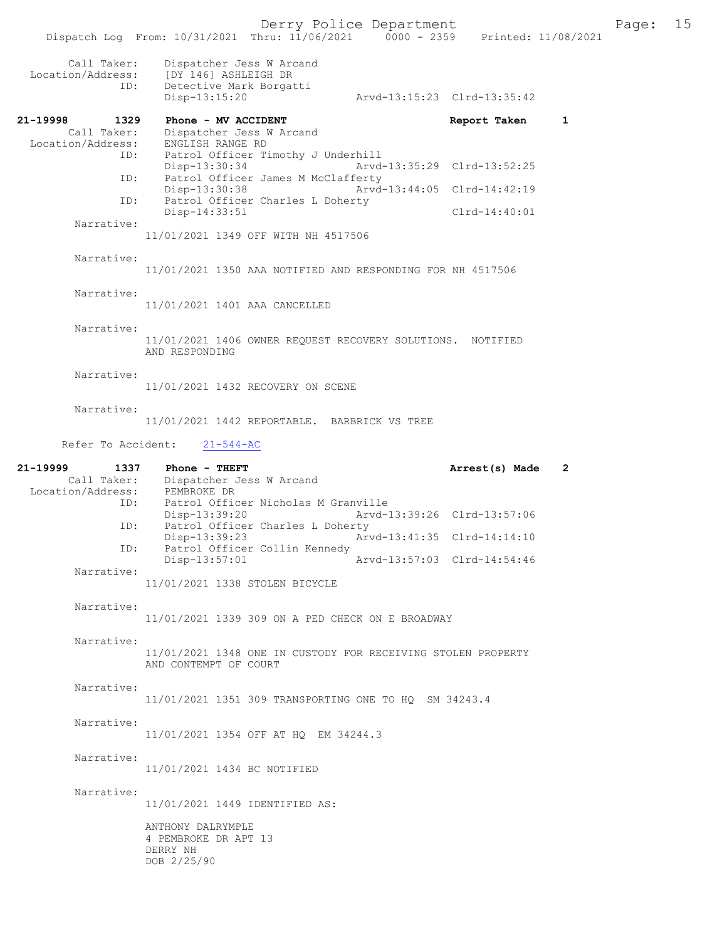|                                                   | Dispatch Log From: 10/31/2021 Thru: 11/06/2021 0000 - 2359 Printed: 11/08/2021               |                             |              |
|---------------------------------------------------|----------------------------------------------------------------------------------------------|-----------------------------|--------------|
| Call Taker:<br>Location/Address:<br>ID:           | Dispatcher Jess W Arcand<br>[DY 146] ASHLEIGH DR<br>Detective Mark Borgatti<br>Disp-13:15:20 | Arvd-13:15:23 Clrd-13:35:42 |              |
| 21-19998<br>1329                                  | Phone - MV ACCIDENT                                                                          | Report Taken                | $\mathbf{1}$ |
| Call Taker:<br>Location/Address:<br>ID:           | Dispatcher Jess W Arcand<br>ENGLISH RANGE RD<br>Patrol Officer Timothy J Underhill           |                             |              |
| ID:                                               | Disp-13:30:34<br>Patrol Officer James M McClafferty                                          | Arvd-13:35:29 Clrd-13:52:25 |              |
| ID:                                               | Disp-13:30:38<br>Patrol Officer Charles L Doherty                                            | Arvd-13:44:05 Clrd-14:42:19 |              |
| Narrative:                                        | Disp-14:33:51                                                                                | $Clrd-14:40:01$             |              |
|                                                   | 11/01/2021 1349 OFF WITH NH 4517506                                                          |                             |              |
| Narrative:                                        | 11/01/2021 1350 AAA NOTIFIED AND RESPONDING FOR NH 4517506                                   |                             |              |
| Narrative:                                        |                                                                                              |                             |              |
|                                                   | 11/01/2021 1401 AAA CANCELLED                                                                |                             |              |
| Narrative:                                        | 11/01/2021 1406 OWNER REQUEST RECOVERY SOLUTIONS. NOTIFIED<br>AND RESPONDING                 |                             |              |
| Narrative:                                        | 11/01/2021 1432 RECOVERY ON SCENE                                                            |                             |              |
| Narrative:                                        | 11/01/2021 1442 REPORTABLE. BARBRICK VS TREE                                                 |                             |              |
| Refer To Accident:                                | $21 - 544 - AC$                                                                              |                             |              |
|                                                   |                                                                                              |                             |              |
| 21-19999<br>1337<br>Location/Address: PEMBROKE DR | Phone - THEFT<br>Call Taker: Dispatcher Jess W Arcand                                        | Arrest(s) Made              | 2            |
| ID:                                               | Patrol Officer Nicholas M Granville<br>Disp-13:39:20                                         | Arvd-13:39:26 Clrd-13:57:06 |              |
| ID:                                               | Patrol Officer Charles L Doherty<br>Disp-13:39:23                                            | Arvd-13:41:35 Clrd-14:14:10 |              |
| ID:                                               | Patrol Officer Collin Kennedy<br>Disp-13:57:01                                               | Arvd-13:57:03 Clrd-14:54:46 |              |
| Narrative:                                        | 11/01/2021 1338 STOLEN BICYCLE                                                               |                             |              |
| Narrative:                                        | 11/01/2021 1339 309 ON A PED CHECK ON E BROADWAY                                             |                             |              |
| Narrative:                                        |                                                                                              |                             |              |
|                                                   | 11/01/2021 1348 ONE IN CUSTODY FOR RECEIVING STOLEN PROPERTY<br>AND CONTEMPT OF COURT        |                             |              |
| Narrative:                                        | 11/01/2021 1351 309 TRANSPORTING ONE TO HO SM 34243.4                                        |                             |              |
| Narrative:                                        | 11/01/2021 1354 OFF AT HQ EM 34244.3                                                         |                             |              |
| Narrative:                                        | 11/01/2021 1434 BC NOTIFIED                                                                  |                             |              |
| Narrative:                                        |                                                                                              |                             |              |
|                                                   | 11/01/2021 1449 IDENTIFIED AS:                                                               |                             |              |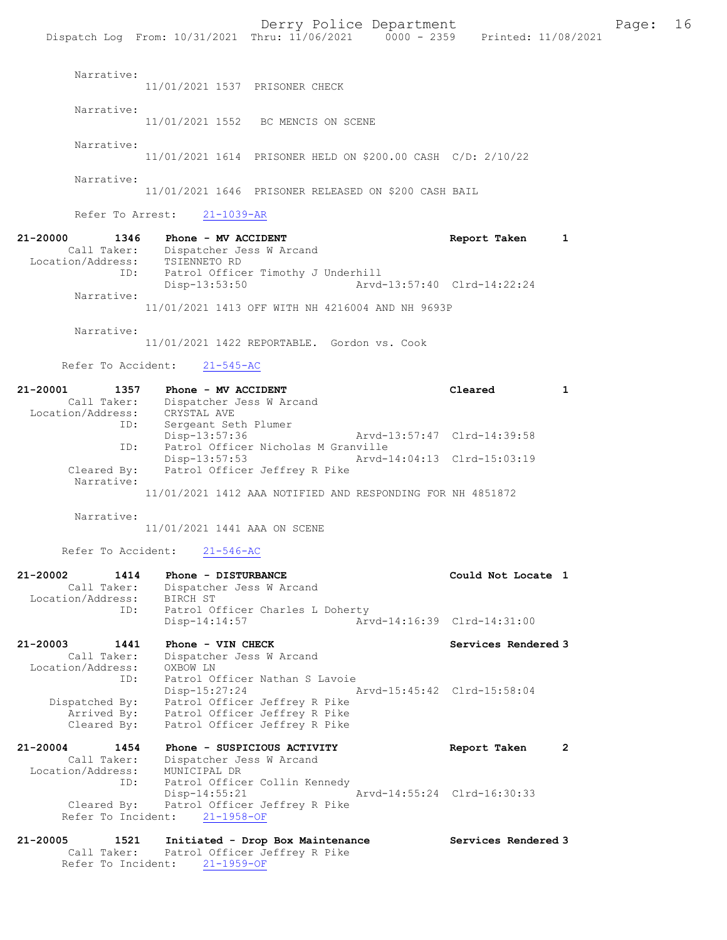Derry Police Department Fage: 16 Dispatch Log From: 10/31/2021 Thru: 11/06/2021 0000 - 2359 Printed: 11/08/2021 Narrative: 11/01/2021 1537 PRISONER CHECK Narrative: 11/01/2021 1552 BC MENCIS ON SCENE Narrative: 11/01/2021 1614 PRISONER HELD ON \$200.00 CASH C/D: 2/10/22 Narrative: 11/01/2021 1646 PRISONER RELEASED ON \$200 CASH BAIL Refer To Arrest: 21-1039-AR 21-20000 1346 Phone - MV ACCIDENT Report Taken 1 Call Taker: Dispatcher Jess W Arcand Location/Address: TSIENNETO RD ID: Patrol Officer Timothy J Underhill Disp-13:53:50 Arvd-13:57:40 Clrd-14:22:24 Narrative: 11/01/2021 1413 OFF WITH NH 4216004 AND NH 9693P Narrative: 11/01/2021 1422 REPORTABLE. Gordon vs. Cook Refer To Accident: 21-545-AC 21-20001 1357 Phone - MV ACCIDENT 1 120001 1 Call Taker: Dispatcher Jess W Arcand Location/Address: CRYSTAL AVE ID: Sergeant Seth Plumer Disp-13:57:36 Arvd-13:57:47 Clrd-14:39:58 ID: Patrol Officer Nicholas M Granville Disp-13:57:53 Arvd-14:04:13 Clrd-15:03:19<br>Cleared By: Patrol Officer Jeffrey R Pike Patrol Officer Jeffrey R Pike Narrative: 11/01/2021 1412 AAA NOTIFIED AND RESPONDING FOR NH 4851872 Narrative: 11/01/2021 1441 AAA ON SCENE Refer To Accident: 21-546-AC 21-20002 1414 Phone - DISTURBANCE Could Not Locate 1 Call Taker: Dispatcher Jess W Arcand Location/Address: BIRCH ST ID: Patrol Officer Charles L Doherty Disp-14:14:57 Arvd-14:16:39 Clrd-14:31:00 21-20003 1441 Phone - VIN CHECK Services Rendered 3 Call Taker: Dispatcher Jess W Arcand Location/Address: OXBOW LN ID: Patrol Officer Nathan S Lavoie Disp-15:27:24 Arvd-15:45:42 Clrd-15:58:04 Dispatched By: Patrol Officer Jeffrey R Pike Arrived By: Patrol Officer Jeffrey R Pike Cleared By: Patrol Officer Jeffrey R Pike 21-20004 1454 Phone - SUSPICIOUS ACTIVITY Report Taken 2 Call Taker: Dispatcher Jess W Arcand Location/Address: MUNICIPAL DR ID: Patrol Officer Collin Kennedy Disp-14:55:21 Arvd-14:55:24 Clrd-16:30:33 Cleared By: Patrol Officer Jeffrey R Pike<br>Refer To Incident: 21-1958-OF Refer To Incident: 21-20005 1521 Initiated - Drop Box Maintenance Services Rendered 3 Call Taker: Patrol Officer Jeffrey R Pike

Refer To Incident: 21-1959-OF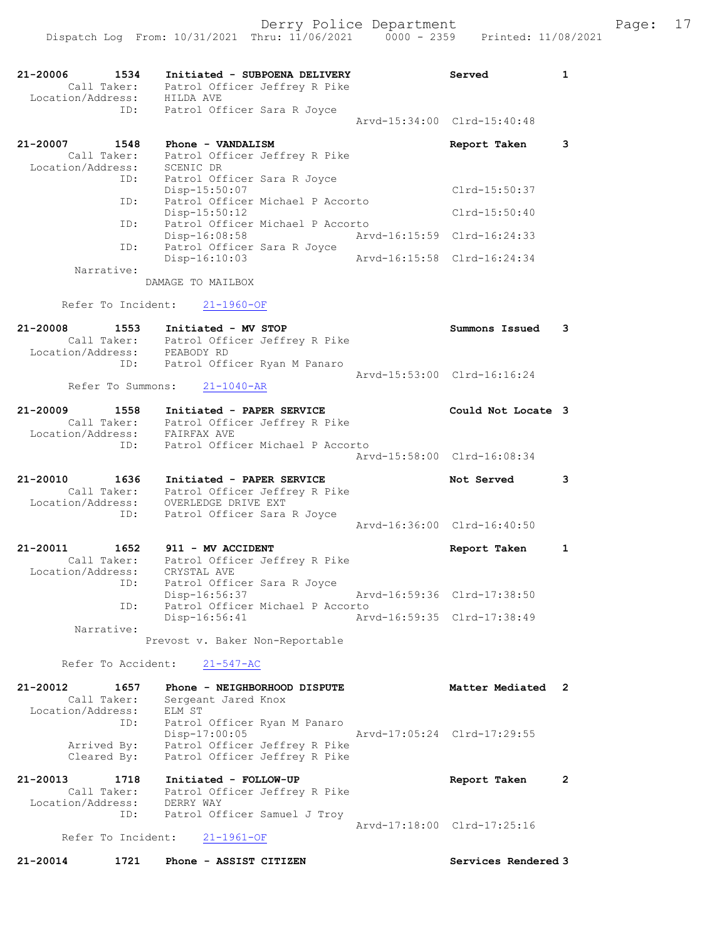Dispatch Log From: 10/31/2021 Thru: 11/06/2021 0000 - 2359 Printed: 11/08/2021 21-20006 1534 Initiated - SUBPOENA DELIVERY Served 1 Call Taker: Patrol Officer Jeffrey R Pike Location/Address: HILDA AVE ID: Patrol Officer Sara R Joyce Arvd-15:34:00 Clrd-15:40:48 21-20007 1548 Phone - VANDALISM Report Taken 3 Call Taker: Patrol Officer Jeffrey R Pike Location/Address: SCENIC DR ID: Patrol Officer Sara R Joyce Disp-15:50:07 Clrd-15:50:37 ID: Patrol Officer Michael P Accorto Disp-15:50:12 Clrd-15:50:40 ID: Patrol Officer Michael P Accorto Disp-16:08:58 Arvd-16:15:59 Clrd-16:24:33 ID: Patrol Officer Sara R Joyce Disp-16:10:03 Arvd-16:15:58 Clrd-16:24:34 Narrative: DAMAGE TO MAILBOX Refer To Incident: 21-1960-OF 21-20008 1553 Initiated - MV STOP Summons Issued 3 Call Taker: Patrol Officer Jeffrey R Pike Location/Address: PEABODY RD ID: Patrol Officer Ryan M Panaro Arvd-15:53:00 Clrd-16:16:24 Refer To Summons: 21-1040-AR 21-20009 1558 Initiated - PAPER SERVICE **12000** Could Not Locate 3 Call Taker: Patrol Officer Jeffrey R Pike Location/Address: FAIRFAX AVE ID: Patrol Officer Michael P Accorto Arvd-15:58:00 Clrd-16:08:34 21-20010 1636 Initiated - PAPER SERVICE Not Served 3 Call Taker: Patrol Officer Jeffrey R Pike Location/Address: OVERLEDGE DRIVE EXT ID: Patrol Officer Sara R Joyce Arvd-16:36:00 Clrd-16:40:50 21-20011 1652 911 - MV ACCIDENT 1 2001 Report Taken 1 Call Taker: Patrol Officer Jeffrey R Pike Location/Address: CRYSTAL AVE ID: Patrol Officer Sara R Joyce Disp-16:56:37 Arvd-16:59:36 Clrd-17:38:50 Arv<br>ID: Patrol Officer Michael P Accorto<br>Disp-16:56:41 Arv Disp-16:56:41 Arvd-16:59:35 Clrd-17:38:49 Narrative: Prevost v. Baker Non-Reportable Refer To Accident: 21-547-AC 21-20012 1657 Phone - NEIGHBORHOOD DISPUTE Matter Mediated 2 Call Taker: Sergeant Jared Knox Location/Address: ELM ST ID: Patrol Officer Ryan M Panaro Disp-17:00:05 Arvd-17:05:24 Clrd-17:29:55 Arrived By: Patrol Officer Jeffrey R Pike Cleared By: Patrol Officer Jeffrey R Pike 21-20013 1718 Initiated - FOLLOW-UP Report Taken 2 Call Taker: Patrol Officer Jeffrey R Pike Location/Address: DERRY WAY ID: Patrol Officer Samuel J Troy Arvd-17:18:00 Clrd-17:25:16 Refer To Incident: 21-1961-OF 21-20014 1721 Phone - ASSIST CITIZEN Services Rendered 3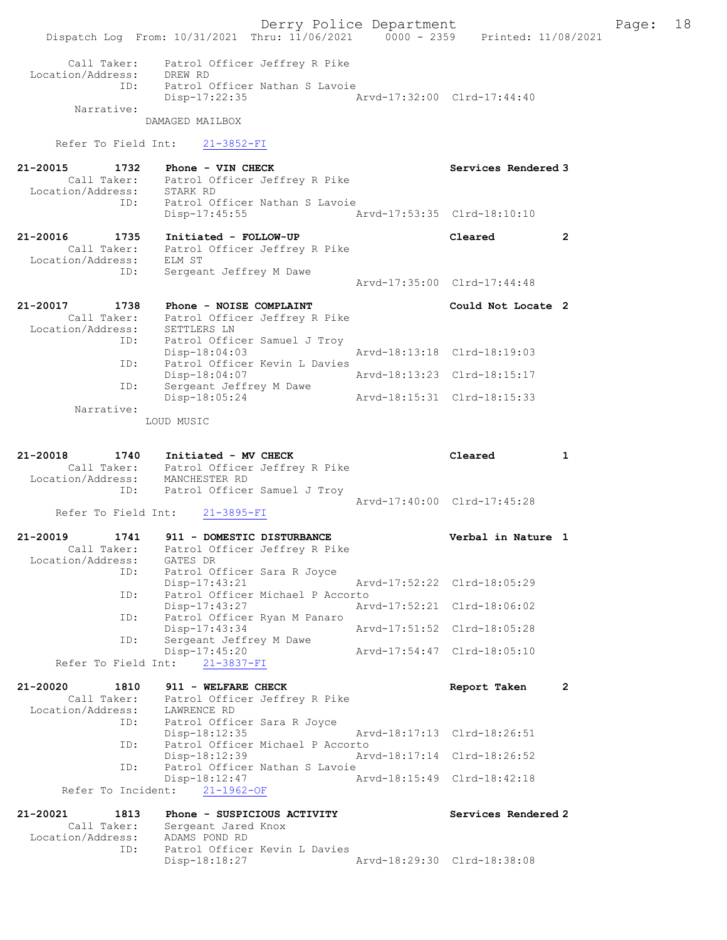Derry Police Department Fage: 18 Dispatch Log From: 10/31/2021 Thru: 11/06/2021 0000 - 2359 Printed: 11/08/2021 Call Taker: Patrol Officer Jeffrey R Pike Location/Address: DREW RD ID: Patrol Officer Nathan S Lavoie Disp-17:22:35 Arvd-17:32:00 Clrd-17:44:40 Narrative: DAMAGED MAILBOX Refer To Field Int: 21-3852-FI 21-20015 1732 Phone - VIN CHECK Services Rendered 3 Call Taker: Patrol Officer Jeffrey R Pike Location/Address: STARK RD ID: Patrol Officer Nathan S Lavoie Disp-17:45:55 Arvd-17:53:35 Clrd-18:10:10 21-20016 1735 Initiated - FOLLOW-UP Cleared 2 Call Taker: Patrol Officer Jeffrey R Pike Location/Address: ELM ST ID: Sergeant Jeffrey M Dawe Arvd-17:35:00 Clrd-17:44:48 21-20017 1738 Phone - NOISE COMPLAINT **12000** Could Not Locate 2 Call Taker: Patrol Officer Jeffrey R Pike Location/Address: SETTLERS LN ID: Patrol Officer Samuel J Troy Disp-18:04:03<br>Patrol Officer Kevin L Davies<br>Patrol Officer Kevin L Davies ID: Patrol Officer Kevin L Davies Disp-18:04:07 Arvd-18:13:23 Clrd-18:15:17 ID: Sergeant Jeffrey M Dawe Disp-18:05:24 Arvd-18:15:31 Clrd-18:15:33 Narrative: LOUD MUSIC 21-20018 1740 Initiated - MV CHECK Cleared 1 Call Taker: Patrol Officer Jeffrey R Pike Location/Address: MANCHESTER RD ID: Patrol Officer Samuel J Troy Arvd-17:40:00 Clrd-17:45:28<br>21-3895-FI Refer To Field Int: 21-20019 1741 911 - DOMESTIC DISTURBANCE Verbal in Nature 1 Call Taker: Patrol Officer Jeffrey R Pike Location/Address: GATES DR ID: Patrol Officer Sara R Joyce<br>Disp-17:43:21 Disp-17:43:21 Arvd-17:52:22 Clrd-18:05:29 ID: Patrol Officer Michael P Accorto Disp-17:43:27 Arvd-17:52:21 Clrd-18:06:02 ID: Patrol Officer Ryan M Panaro Disp-17:43:34 Arvd-17:51:52 Clrd-18:05:28 ID: Sergeant Jeffrey M Dawe Disp-17:45:20 Arvd-17:54:47 Clrd-18:05:10 Refer To Field Int: 21-3837-FI 21-20020 1810 911 - WELFARE CHECK **Report Taken** 2 Call Taker: Patrol Officer Jeffrey R Pike Location/Address: LAWRENCE RD ID: Patrol Officer Sara R Joyce Disp-18:12:35 Arvd-18:17:13 Clrd-18:26:51 ID: Patrol Officer Michael P Accorto Disp-18:12:39 Arvd-18:17:14 Clrd-18:26:52 ID: Patrol Officer Nathan S Lavoie Disp-18:12:47 Arvd-18:15:49 Clrd-18:42:18 Refer To Incident: 21-1962-OF 21-20021 1813 Phone - SUSPICIOUS ACTIVITY Services Rendered 2 Call Taker: Sergeant Jared Knox Location/Address: ADAMS POND RD ID: Patrol Officer Kevin L Davies<br>Disp-18:18:27 Disp-18:18:27 Arvd-18:29:30 Clrd-18:38:08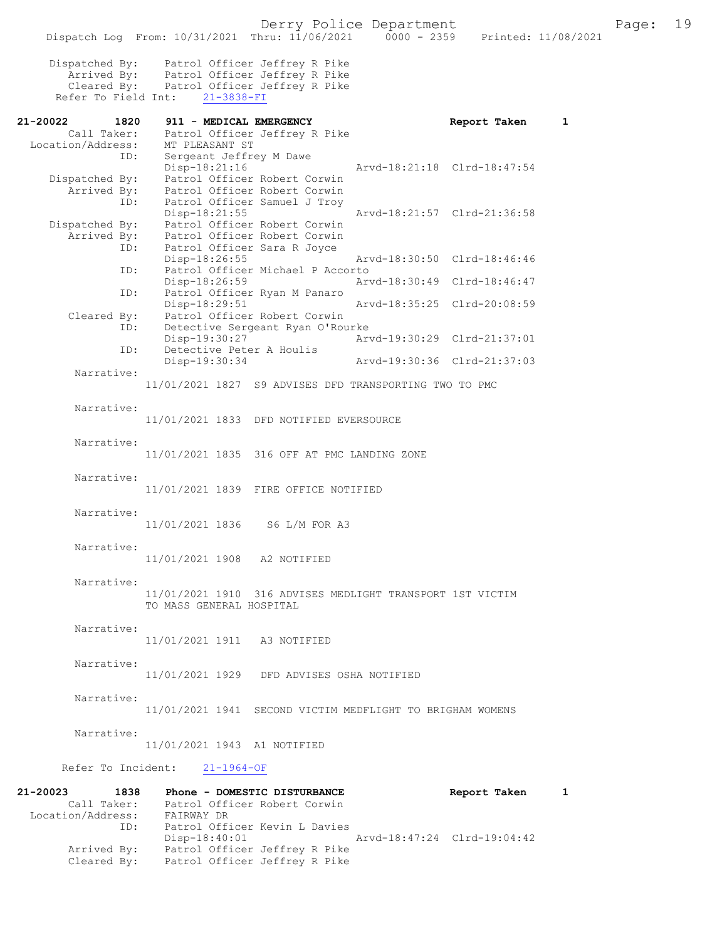|                                          | Dispatch Log From: 10/31/2021 Thru: 11/06/2021                                                             |                                                                  |                             | 0000 - 2359 Printed: 11/08/2021 |   |  |
|------------------------------------------|------------------------------------------------------------------------------------------------------------|------------------------------------------------------------------|-----------------------------|---------------------------------|---|--|
| Dispatched By:<br>Refer To Field Int:    | Arrived By: Patrol Officer Jeffrey R Pike<br>Cleared By: Patrol Officer Jeffrey R Pike<br>$21 - 3838 - FI$ | Patrol Officer Jeffrey R Pike                                    |                             |                                 |   |  |
| 21-20022<br>1820                         | 911 - MEDICAL EMERGENCY                                                                                    |                                                                  |                             | Report Taken                    | 1 |  |
| Call Taker:<br>Location/Address:<br>ID:  | MT PLEASANT ST<br>Sergeant Jeffrey M Dawe                                                                  | Patrol Officer Jeffrey R Pike                                    |                             |                                 |   |  |
| Dispatched By:<br>Arrived By:            | Disp-18:21:16                                                                                              | Patrol Officer Robert Corwin<br>Patrol Officer Robert Corwin     | Arvd-18:21:18 Clrd-18:47:54 |                                 |   |  |
| ID:<br>Dispatched By:                    | $Disp-18:21:55$                                                                                            | Patrol Officer Samuel J Troy<br>Patrol Officer Robert Corwin     | Arvd-18:21:57 Clrd-21:36:58 |                                 |   |  |
| Arrived By:<br>ID:                       | Patrol Officer Sara R Joyce<br>Disp-18:26:55                                                               | Patrol Officer Robert Corwin                                     | Arvd-18:30:50 Clrd-18:46:46 |                                 |   |  |
| ID:                                      | Disp-18:26:59                                                                                              | Patrol Officer Michael P Accorto                                 | Arvd-18:30:49 Clrd-18:46:47 |                                 |   |  |
| ID:                                      | Disp-18:29:51                                                                                              | Patrol Officer Ryan M Panaro                                     | Arvd-18:35:25 Clrd-20:08:59 |                                 |   |  |
| Cleared By:<br>ID:                       |                                                                                                            | Patrol Officer Robert Corwin<br>Detective Sergeant Ryan O'Rourke |                             |                                 |   |  |
| ID:                                      | Disp-19:30:27<br>Detective Peter A Houlis                                                                  |                                                                  | Arvd-19:30:29 Clrd-21:37:01 |                                 |   |  |
| Narrative:                               | Disp-19:30:34                                                                                              |                                                                  | Arvd-19:30:36 Clrd-21:37:03 |                                 |   |  |
|                                          | 11/01/2021 1827 S9 ADVISES DFD TRANSPORTING TWO TO PMC                                                     |                                                                  |                             |                                 |   |  |
| Narrative:                               | 11/01/2021 1833 DFD NOTIFIED EVERSOURCE                                                                    |                                                                  |                             |                                 |   |  |
| Narrative:                               | 11/01/2021 1835 316 OFF AT PMC LANDING ZONE                                                                |                                                                  |                             |                                 |   |  |
| Narrative:                               | 11/01/2021 1839 FIRE OFFICE NOTIFIED                                                                       |                                                                  |                             |                                 |   |  |
| Narrative:                               | 11/01/2021 1836 S6 L/M FOR A3                                                                              |                                                                  |                             |                                 |   |  |
| Narrative:                               | 11/01/2021 1908 A2 NOTIFIED                                                                                |                                                                  |                             |                                 |   |  |
| Narrative:                               | 11/01/2021 1910 316 ADVISES MEDLIGHT TRANSPORT 1ST VICTIM<br>TO MASS GENERAL HOSPITAL                      |                                                                  |                             |                                 |   |  |
| Narrative:                               | 11/01/2021 1911 A3 NOTIFIED                                                                                |                                                                  |                             |                                 |   |  |
| Narrative:                               | 11/01/2021 1929 DFD ADVISES OSHA NOTIFIED                                                                  |                                                                  |                             |                                 |   |  |
| Narrative:                               | 11/01/2021 1941 SECOND VICTIM MEDFLIGHT TO BRIGHAM WOMENS                                                  |                                                                  |                             |                                 |   |  |
| Narrative:                               | 11/01/2021 1943 A1 NOTIFIED                                                                                |                                                                  |                             |                                 |   |  |
|                                          | Refer To Incident: 21-1964-OF                                                                              |                                                                  |                             |                                 |   |  |
| 21-20023<br>Location/Address: FAIRWAY DR | 1838 Phone - DOMESTIC DISTURBANCE<br>Call Taker: Patrol Officer Robert Corwin                              |                                                                  |                             | Report Taken 1                  |   |  |
| ID:                                      | Patrol Officer Kevin L Davies<br>Disp-18:40:01                                                             |                                                                  | Arvd-18:47:24 Clrd-19:04:42 |                                 |   |  |

 Arrived By: Patrol Officer Jeffrey R Pike Cleared By: Patrol Officer Jeffrey R Pike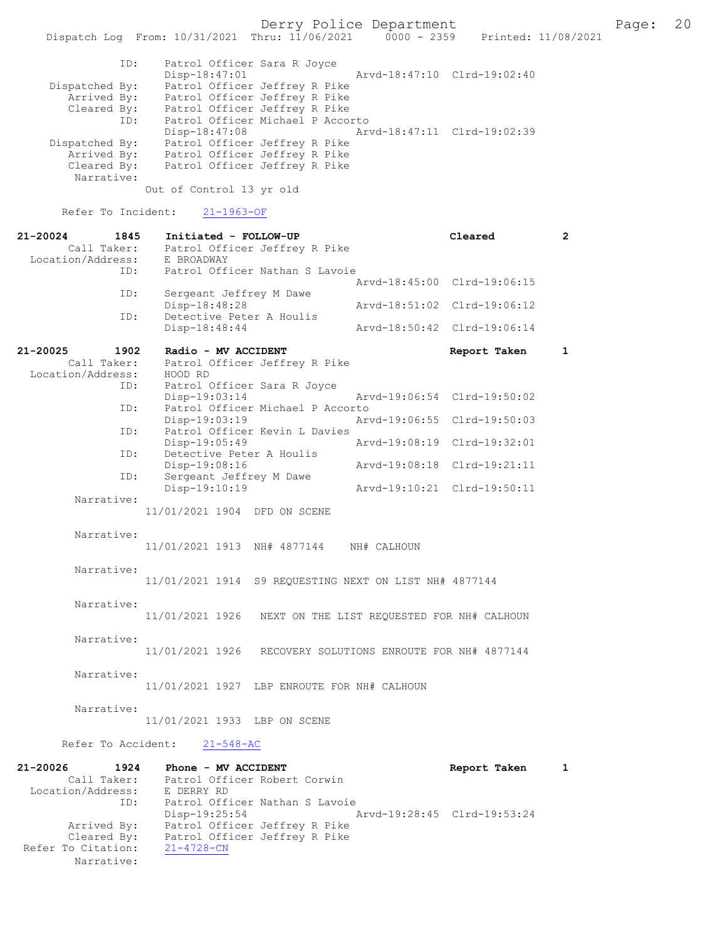Derry Police Department Fage: 20

 Dispatch Log From: 10/31/2021 Thru: 11/06/2021 0000 - 2359 Printed: 11/08/2021 ID: Patrol Officer Sara R Joyce Disp-18:47:01 Arvd-18:47:10 Clrd-19:02:40 Dispatched By: Patrol Officer Jeffrey R Pike Arrived By: Patrol Officer Jeffrey R Pike Cleared By: Patrol Officer Jeffrey R Pike ID: Patrol Officer Michael P Accorto Disp-18:47:08 Arvd-18:47:11 Clrd-19:02:39 Dispatched By: Patrol Officer Jeffrey R Pike Arrived By: Patrol Officer Jeffrey R Pike Cleared By: Patrol Officer Jeffrey R Pike Narrative: Out of Control 13 yr old

Refer To Incident: 21-1963-OF

| 21-20024<br>1845     | Initiated - FOLLOW-UP                                      |                                            | Cleared                     | $\mathbf{2}$ |
|----------------------|------------------------------------------------------------|--------------------------------------------|-----------------------------|--------------|
| Call Taker:          | Patrol Officer Jeffrey R Pike                              |                                            |                             |              |
| Location/Address:    | E BROADWAY                                                 |                                            |                             |              |
| ID:                  | Patrol Officer Nathan S Lavoie                             |                                            |                             |              |
|                      |                                                            |                                            | Arvd-18:45:00 Clrd-19:06:15 |              |
| ID:                  | Sergeant Jeffrey M Dawe                                    |                                            |                             |              |
|                      | Disp-18:48:28                                              |                                            | Arvd-18:51:02 Clrd-19:06:12 |              |
| ID:                  | Detective Peter A Houlis                                   |                                            |                             |              |
|                      | Disp-18:48:44                                              |                                            | Arvd-18:50:42 Clrd-19:06:14 |              |
|                      |                                                            |                                            |                             |              |
| 21-20025<br>1902     | Radio - MV ACCIDENT                                        |                                            | Report Taken                | $\mathbf{1}$ |
| Call Taker:          | Patrol Officer Jeffrey R Pike                              |                                            |                             |              |
| Location/Address:    | HOOD RD                                                    |                                            |                             |              |
| ID:                  | Patrol Officer Sara R Joyce                                |                                            |                             |              |
|                      | $Disp-19:03:14$                                            |                                            | Arvd-19:06:54 Clrd-19:50:02 |              |
| ID:                  | Patrol Officer Michael P Accorto                           |                                            |                             |              |
|                      | $Disp-19:03:19$                                            |                                            | Arvd-19:06:55 Clrd-19:50:03 |              |
| ID:                  | Patrol Officer Kevin L Davies                              |                                            |                             |              |
|                      | $Disp-19:05:49$                                            |                                            | Arvd-19:08:19 Clrd-19:32:01 |              |
| ID:                  | Detective Peter A Houlis                                   |                                            |                             |              |
|                      | Disp-19:08:16                                              |                                            | Arvd-19:08:18 Clrd-19:21:11 |              |
| ID:                  | Sergeant Jeffrey M Dawe                                    |                                            |                             |              |
|                      | Disp-19:10:19                                              |                                            | Arvd-19:10:21 Clrd-19:50:11 |              |
| Narrative:           |                                                            |                                            |                             |              |
|                      | 11/01/2021 1904 DFD ON SCENE                               |                                            |                             |              |
|                      |                                                            |                                            |                             |              |
| Narrative:           |                                                            |                                            |                             |              |
|                      | 11/01/2021 1913 NH# 4877144 NH# CALHOUN                    |                                            |                             |              |
|                      |                                                            |                                            |                             |              |
| Narrative:           |                                                            |                                            |                             |              |
|                      | 11/01/2021 1914 S9 REQUESTING NEXT ON LIST NH# 4877144     |                                            |                             |              |
|                      |                                                            |                                            |                             |              |
| Narrative:           |                                                            |                                            |                             |              |
|                      | 11/01/2021 1926 NEXT ON THE LIST REQUESTED FOR NH# CALHOUN |                                            |                             |              |
|                      |                                                            |                                            |                             |              |
| Narrative:           |                                                            |                                            |                             |              |
|                      | 11/01/2021 1926                                            | RECOVERY SOLUTIONS ENROUTE FOR NH# 4877144 |                             |              |
|                      |                                                            |                                            |                             |              |
| Narrative:           |                                                            |                                            |                             |              |
|                      | 11/01/2021 1927 LBP ENROUTE FOR NH# CALHOUN                |                                            |                             |              |
|                      |                                                            |                                            |                             |              |
| Narrative:           |                                                            |                                            |                             |              |
|                      | 11/01/2021 1933 LBP ON SCENE                               |                                            |                             |              |
|                      |                                                            |                                            |                             |              |
| Refer To Accident:   | $21 - 548 - AC$                                            |                                            |                             |              |
|                      |                                                            |                                            |                             |              |
| $21 - 20026$<br>1924 | Phone - MV ACCIDENT                                        |                                            | Report Taken                | $\mathbf{1}$ |
| Call Taker:          | Patrol Officer Robert Corwin                               |                                            |                             |              |
| Location/Address:    | E DERRY RD                                                 |                                            |                             |              |
| ID:                  | Patrol Officer Nathan S Lavoie                             |                                            |                             |              |
|                      |                                                            |                                            |                             |              |

 Disp-19:25:54 Arvd-19:28:45 Clrd-19:53:24 Arrived By: Patrol Officer Jeffrey R Pike Cleared By: Patrol Officer Jeffrey R Pike Refer To Citation: 21-4728-CN Narrative: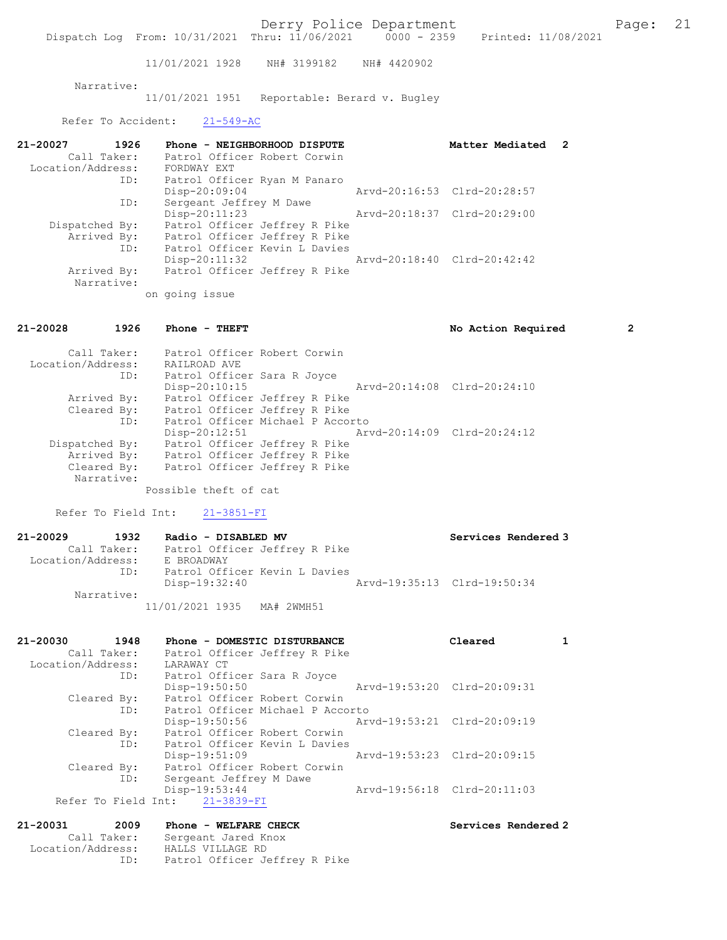Derry Police Department Fage: 21

Dispatch Log From: 10/31/2021 Thru: 11/06/2021 0000 - 2359 Printed: 11/08/2021

11/01/2021 1928 NH# 3199182 NH# 4420902

Narrative:

11/01/2021 1951 Reportable: Berard v. Bugley

Refer To Accident: 21-549-AC

| 21-20027<br>1926  | Phone - NEIGHBORHOOD DISPUTE  | Matter Mediated 2           |  |
|-------------------|-------------------------------|-----------------------------|--|
| Call Taker:       | Patrol Officer Robert Corwin  |                             |  |
| Location/Address: | FORDWAY EXT                   |                             |  |
| ID:               | Patrol Officer Ryan M Panaro  |                             |  |
|                   | Disp-20:09:04                 | Arvd-20:16:53 Clrd-20:28:57 |  |
| ID:               | Sergeant Jeffrey M Dawe       |                             |  |
|                   | $Disp-20:11:23$               | Arvd-20:18:37 Clrd-20:29:00 |  |
| Dispatched By:    | Patrol Officer Jeffrey R Pike |                             |  |
| Arrived By:       | Patrol Officer Jeffrey R Pike |                             |  |
| ID:               | Patrol Officer Kevin L Davies |                             |  |
|                   | $Disp-20:11:32$               | Arvd-20:18:40 Clrd-20:42:42 |  |
| Arrived By:       | Patrol Officer Jeffrey R Pike |                             |  |
| Narrative:        |                               |                             |  |
|                   | on going issue                |                             |  |

21-20028 1926 Phone - THEFT No Action Required 2

| Call Taker:<br>Location/Address: | Patrol Officer Robert Corwin<br>RAILROAD AVE   |  |
|----------------------------------|------------------------------------------------|--|
| ID:                              | Patrol Officer Sara R Joyce                    |  |
|                                  | Aryd-20:14:08 Clrd-20:24:10<br>Disp-20:10:15   |  |
| Arrived By:                      | Patrol Officer Jeffrey R Pike                  |  |
| Cleared By:                      | Patrol Officer Jeffrey R Pike                  |  |
| ID:                              | Patrol Officer Michael P Accorto               |  |
|                                  | Arvd-20:14:09 Clrd-20:24:12<br>$Disp-20:12:51$ |  |
| Dispatched By:                   | Patrol Officer Jeffrey R Pike                  |  |
| Arrived By:                      | Patrol Officer Jeffrey R Pike                  |  |
| Cleared By:                      | Patrol Officer Jeffrey R Pike                  |  |
| Narrative:                       |                                                |  |
|                                  | Possible theft of cat                          |  |

Refer To Field Int: 21-3851-FI

| 21-20029          | 1932        | Radio - DISABLED MV           | Services Rendered 3         |
|-------------------|-------------|-------------------------------|-----------------------------|
|                   | Call Taker: | Patrol Officer Jeffrey R Pike |                             |
| Location/Address: |             | E BROADWAY                    |                             |
|                   | ID:         | Patrol Officer Kevin L Davies |                             |
|                   |             | Disp-19:32:40                 | Arvd-19:35:13 Clrd-19:50:34 |
|                   | Narrative:  |                               |                             |
|                   |             | 11/01/2021 1935 MA# 2WMH51    |                             |

| 21-20030          | 1948        | Phone - DOMESTIC DISTURBANCE     | Cleared                     |  |
|-------------------|-------------|----------------------------------|-----------------------------|--|
|                   | Call Taker: | Patrol Officer Jeffrey R Pike    |                             |  |
| Location/Address: |             | LARAWAY CT                       |                             |  |
|                   | ID:         | Patrol Officer Sara R Joyce      |                             |  |
|                   |             | Disp-19:50:50                    | Arvd-19:53:20 Clrd-20:09:31 |  |
|                   | Cleared By: | Patrol Officer Robert Corwin     |                             |  |
|                   | ID:         | Patrol Officer Michael P Accorto |                             |  |
|                   |             | Disp-19:50:56                    | Arvd-19:53:21 Clrd-20:09:19 |  |
|                   | Cleared By: | Patrol Officer Robert Corwin     |                             |  |
|                   | ID:         | Patrol Officer Kevin L Davies    |                             |  |
|                   |             | $Disp-19:51:09$                  | Arvd-19:53:23 Clrd-20:09:15 |  |
|                   | Cleared By: | Patrol Officer Robert Corwin     |                             |  |
|                   | ID:         | Sergeant Jeffrey M Dawe          |                             |  |
|                   |             | Disp-19:53:44                    | Arvd-19:56:18 Clrd-20:11:03 |  |
|                   |             | Refer To Field Int: 21-3839-FI   |                             |  |
|                   |             |                                  |                             |  |

## 21-20031 2009 Phone - WELFARE CHECK Services Rendered 2 Call Taker: Sergeant Jared Knox Location/Address: HALLS VILLAGE RD ID: Patrol Officer Jeffrey R Pike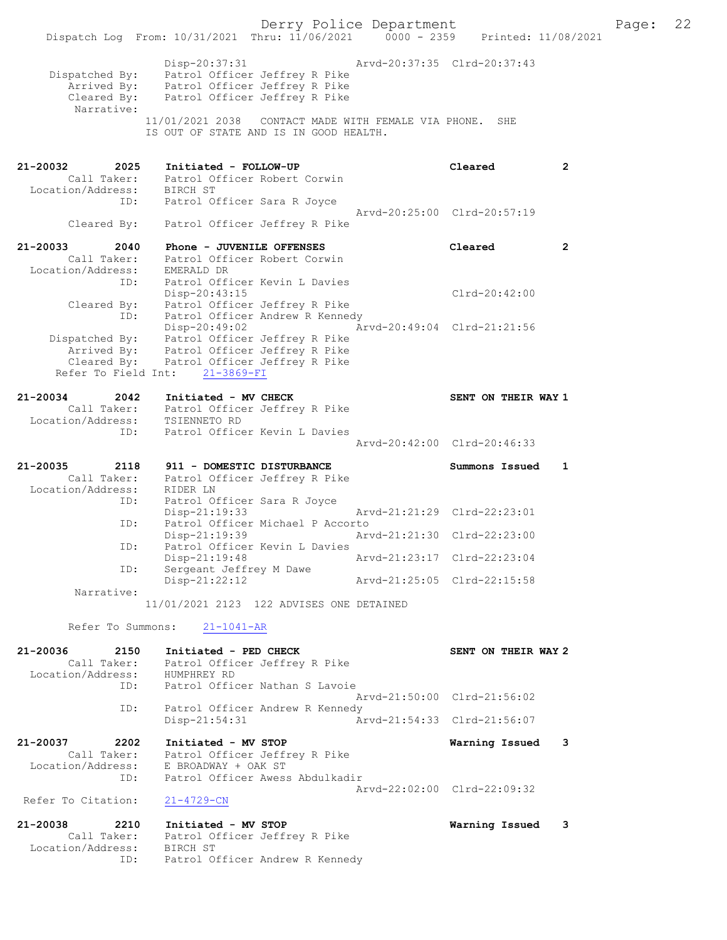Derry Police Department Fage: 22 Dispatch Log From: 10/31/2021 Thru: 11/06/2021 0000 - 2359 Printed: 11/08/2021 Disp-20:37:31 Arvd-20:37:35 Clrd-20:37:43 Dispatched By: Patrol Officer Jeffrey R Pike Arrived By: Patrol Officer Jeffrey R Pike Cleared By: Patrol Officer Jeffrey R Pike Narrative: 11/01/2021 2038 CONTACT MADE WITH FEMALE VIA PHONE. SHE IS OUT OF STATE AND IS IN GOOD HEALTH. 21-20032 2025 Initiated - FOLLOW-UP Cleared 2 Call Taker: Patrol Officer Robert Corwin Location/Address: BIRCH ST ID: Patrol Officer Sara R Joyce Arvd-20:25:00 Clrd-20:57:19 Cleared By: Patrol Officer Jeffrey R Pike 21-20033 2040 Phone - JUVENILE OFFENSES Cleared 2 Call Taker: Patrol Officer Robert Corwin Location/Address: EMERALD DR ID: Patrol Officer Kevin L Davies Disp-20:43:15 Clrd-20:42:00 Cleared By: Patrol Officer Jeffrey R Pike ID: Patrol Officer Andrew R Kennedy Disp-20:49:02 Arvd-20:49:04 Clrd-21:21:56 Dispatched By: Patrol Officer Jeffrey R Pike Arrived By: Patrol Officer Jeffrey R Pike Cleared By: Patrol Officer Jeffrey R Pike Refer To Field Int: 21-3869-FI 21-20034 2042 Initiated - MV CHECK SENT ON THEIR WAY 1 Call Taker: Patrol Officer Jeffrey R Pike Location/Address: TSIENNETO RD ID: Patrol Officer Kevin L Davies Arvd-20:42:00 Clrd-20:46:33 21-20035 2118 911 - DOMESTIC DISTURBANCE Summons Issued 1 Call Taker: Patrol Officer Jeffrey R Pike Location/Address: RIDER LN ID: Patrol Officer Sara R Joyce Disp-21:19:33 Arvd-21:21:29 Clrd-22:23:01 ID: Patrol Officer Michael P Accorto<br>Disp-21:19:39 Arv Disp-21:19:39 Arvd-21:21:30 Clrd-22:23:00 ID: Patrol Officer Kevin L Davies Disp-21:19:48 Arvd-21:23:17 Clrd-22:23:04 ID: Sergeant Jeffrey M Dawe Disp-21:22:12 Arvd-21:25:05 Clrd-22:15:58 Narrative: 11/01/2021 2123 122 ADVISES ONE DETAINED Refer To Summons: 21-1041-AR 21-20036 2150 Initiated - PED CHECK SENT ON THEIR WAY 2 Call Taker: Patrol Officer Jeffrey R Pike Location/Address: HUMPHREY RD ID: Patrol Officer Nathan S Lavoie Arvd-21:50:00 Clrd-21:56:02 ID: Patrol Officer Andrew R Kennedy<br>Disp-21:54:31 Ar Disp-21:54:31 Arvd-21:54:33 Clrd-21:56:07 21-20037 2202 Initiated - MV STOP Warning Issued 3 Call Taker: Patrol Officer Jeffrey R Pike Location/Address: E BROADWAY + OAK ST ID: Patrol Officer Awess Abdulkadir Arvd-22:02:00 Clrd-22:09:32<br>21-4729-CN Refer To Citation: 21-20038 2210 Initiated - MV STOP Warning Issued 3 Call Taker: Patrol Officer Jeffrey R Pike Location/Address: BIRCH ST ID: Patrol Officer Andrew R Kennedy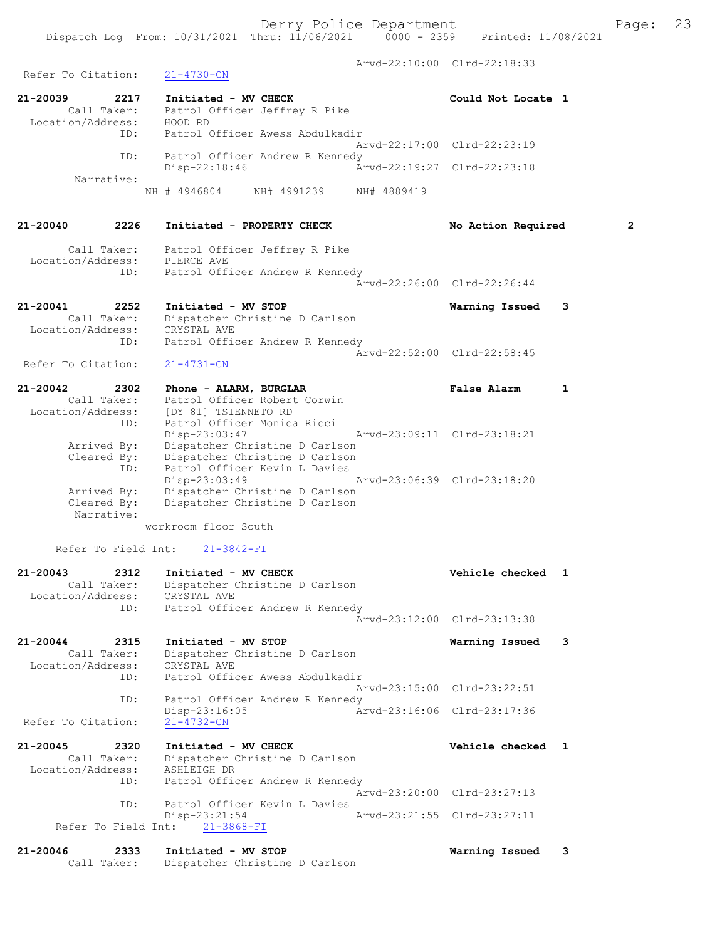Arvd-22:10:00 Clrd-22:18:33 Refer To Citation: 21-4730-CN 21-20039 2217 Initiated - MV CHECK Could Not Locate 1 Call Taker: Patrol Officer Jeffrey R Pike Location/Address: HOOD RD ID: Patrol Officer Awess Abdulkadir Arvd-22:17:00 Clrd-22:23:19 ID: Patrol Officer Andrew R Kennedy<br>Disp-22:18:46 Ar Disp-22:18:46 Arvd-22:19:27 Clrd-22:23:18 Narrative: NH # 4946804 NH# 4991239 NH# 4889419 21-20040 2226 Initiated - PROPERTY CHECK No Action Required 2 Call Taker: Patrol Officer Jeffrey R Pike Location/Address: PIERCE AVE ID: Patrol Officer Andrew R Kennedy Arvd-22:26:00 Clrd-22:26:44 21-20041 2252 Initiated - MV STOP Warning Issued 3 Call Taker: Dispatcher Christine D Carlson Location/Address: CRYSTAL AVE ID: Patrol Officer Andrew R Kennedy Arvd-22:52:00 Clrd-22:58:45 Refer To Citation: 21-4731-CN 21-20042 2302 Phone - ALARM, BURGLAR False Alarm 1 Call Taker: Patrol Officer Robert Corwin Location/Address: [DY 81] TSIENNETO RD ID: Patrol Officer Monica Ricci Disp-23:03:47 Arvd-23:09:11 Clrd-23:18:21 Arrived By: Dispatcher Christine D Carlson Cleared By: Dispatcher Christine D Carlson ID: Patrol Officer Kevin L Davies Disp-23:03:49 Arvd-23:06:39 Clrd-23:18:20 Arrived By: Dispatcher Christine D Carlson Cleared By: Dispatcher Christine D Carlson Narrative: workroom floor South Refer To Field Int: 21-3842-FI 21-20043 2312 Initiated - MV CHECK 21 Vehicle checked 1 Call Taker: Dispatcher Christine D Carlson Location/Address: CRYSTAL AVE ID: Patrol Officer Andrew R Kennedy Arvd-23:12:00 Clrd-23:13:38 21-20044 2315 Initiated - MV STOP Warning Issued 3 Call Taker: Dispatcher Christine D Carlson Location/Address: CRYSTAL AVE ID: Patrol Officer Awess Abdulkadir Arvd-23:15:00 Clrd-23:22:51 ID: Patrol Officer Andrew R Kennedy Disp-23:16:05 Arvd-23:16:06 Clrd-23:17:36 Refer To Citation: 21-4732-CN 21-20045 2320 Initiated - MV CHECK Vehicle checked 1 Call Taker: Dispatcher Christine D Carlson Location/Address: ASHLEIGH DR ID: Patrol Officer Andrew R Kennedy Arvd-23:20:00 Clrd-23:27:13 ID: Patrol Officer Kevin L Davies Disp-23:21:54 Arvd-23:21:55 Clrd-23:27:11 Refer To Field Int: 21-3868-FI 21-20046 2333 Initiated - MV STOP Warning Issued 3 Call Taker: Dispatcher Christine D Carlson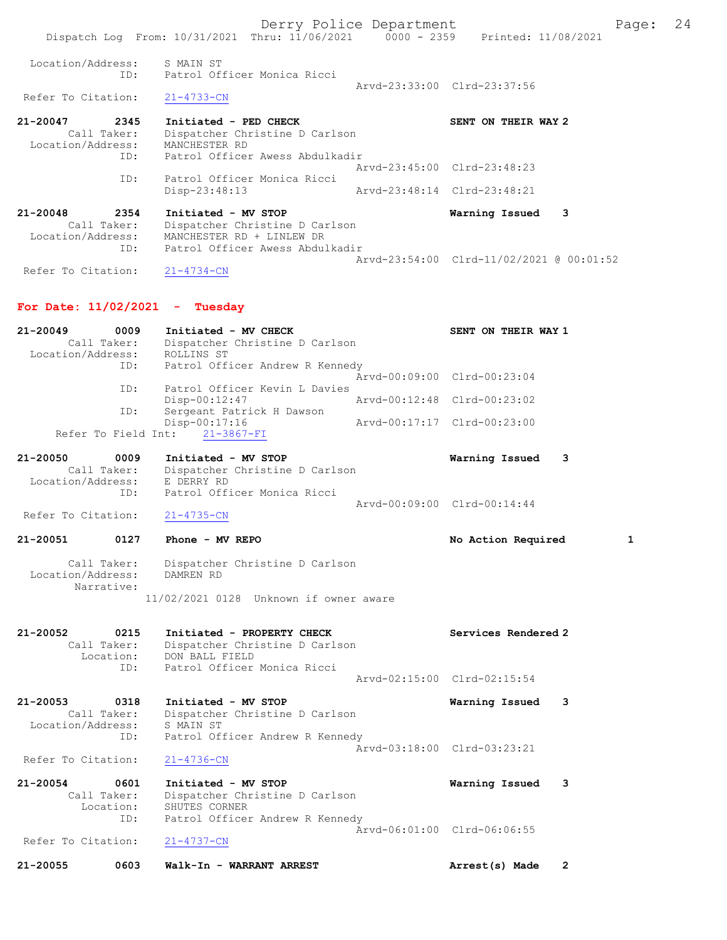Derry Police Department Fage: 24 Dispatch Log From: 10/31/2021 Thru: 11/06/2021 0000 - 2359 Printed: 11/08/2021 Location/Address: S MAIN ST ID: Patrol Officer Monica Ricci Arvd-23:33:00 Clrd-23:37:56<br>21-4733-CN Refer To Citation: 21-20047 2345 Initiated - PED CHECK SENT ON THEIR WAY 2 Call Taker: Dispatcher Christine D Carlson Location/Address: MANCHESTER RD ID: Patrol Officer Awess Abdulkadir Arvd-23:45:00 Clrd-23:48:23 ID: Patrol Officer Monica Ricci Disp-23:48:13 Arvd-23:48:14 Clrd-23:48:21 21-20048 2354 Initiated - MV STOP Warning Issued 3 Call Taker: Dispatcher Christine D Carlson Location/Address: MANCHESTER RD + LINLEW DR ID: Patrol Officer Awess Abdulkadir Arvd-23:54:00 Clrd-11/02/2021 @ 00:01:52

## For Date: 11/02/2021 - Tuesday

Refer To Citation: 21-4734-CN

| $21 - 20049$      | 0009        |            | Initiated - MV CHECK           |                                 |                             | SENT ON THEIR WAY 1 |  |
|-------------------|-------------|------------|--------------------------------|---------------------------------|-----------------------------|---------------------|--|
|                   | Call Taker: |            |                                | Dispatcher Christine D Carlson  |                             |                     |  |
| Location/Address: |             | ROLLINS ST |                                |                                 |                             |                     |  |
|                   | ID:         |            |                                | Patrol Officer Andrew R Kennedy |                             |                     |  |
|                   |             |            |                                |                                 | Arvd-00:09:00 Clrd-00:23:04 |                     |  |
|                   | ID:         |            |                                | Patrol Officer Kevin L Davies   |                             |                     |  |
|                   |             |            | $Disp-00:12:47$                |                                 | Arvd-00:12:48 Clrd-00:23:02 |                     |  |
|                   | ID:         |            | Sergeant Patrick H Dawson      |                                 |                             |                     |  |
|                   |             |            | Disp-00:17:16                  |                                 | Arvd-00:17:17 Clrd-00:23:00 |                     |  |
|                   |             |            | Refer To Field Int: 21-3867-FI |                                 |                             |                     |  |
| 21.20050          | nnnn.       |            | TAILIALAJ ART OMOD             |                                 |                             | Manning Taccool     |  |

| 21-20090          | , vvv b     | $1111$ claced $-$ MV SIOP      | warning issued              | . ت |
|-------------------|-------------|--------------------------------|-----------------------------|-----|
|                   | Call Taker: | Dispatcher Christine D Carlson |                             |     |
| Location/Address: |             | E DERRY RD                     |                             |     |
|                   | TD:         | Patrol Officer Monica Ricci    |                             |     |
|                   |             |                                | Aryd-00:09:00 Clrd-00:14:44 |     |

Refer To Citation: 21-4735-CN

### 21-20051 0127 Phone - MV REPO No Action Required 1

## Call Taker: Dispatcher Christine D Carlson Location/Address: DAMREN RD Narrative:

11/02/2021 0128 Unknown if owner aware

### 21-20052 0215 Initiated - PROPERTY CHECK Services Rendered 2 Call Taker: Dispatcher Christine D Carlson Location: DON BALL FIELD ID: Patrol Officer Monica Ricci

 Arvd-02:15:00 Clrd-02:15:54 21-20053 0318 Initiated - MV STOP Warning Issued 3 Call Taker: Dispatcher Christine D Carlson Location/Address: S MAIN ST

#### ID: Patrol Officer Andrew R Kennedy Arvd-03:18:00 Clrd-03:23:21 Refer To Citation: 21-4736-CN

| 21-20054           | 0601        | Initiated - MV STOP             | Warning Issued 3            |  |
|--------------------|-------------|---------------------------------|-----------------------------|--|
|                    | Call Taker: | Dispatcher Christine D Carlson  |                             |  |
|                    | Location:   | SHUTES CORNER                   |                             |  |
|                    | ID:         | Patrol Officer Andrew R Kennedy |                             |  |
|                    |             |                                 | Aryd-06:01:00 Clrd-06:06:55 |  |
| Refer To Citation: |             | 21-4737-CN                      |                             |  |

21-20055 0603 Walk-In - WARRANT ARREST Arrest(s) Made 2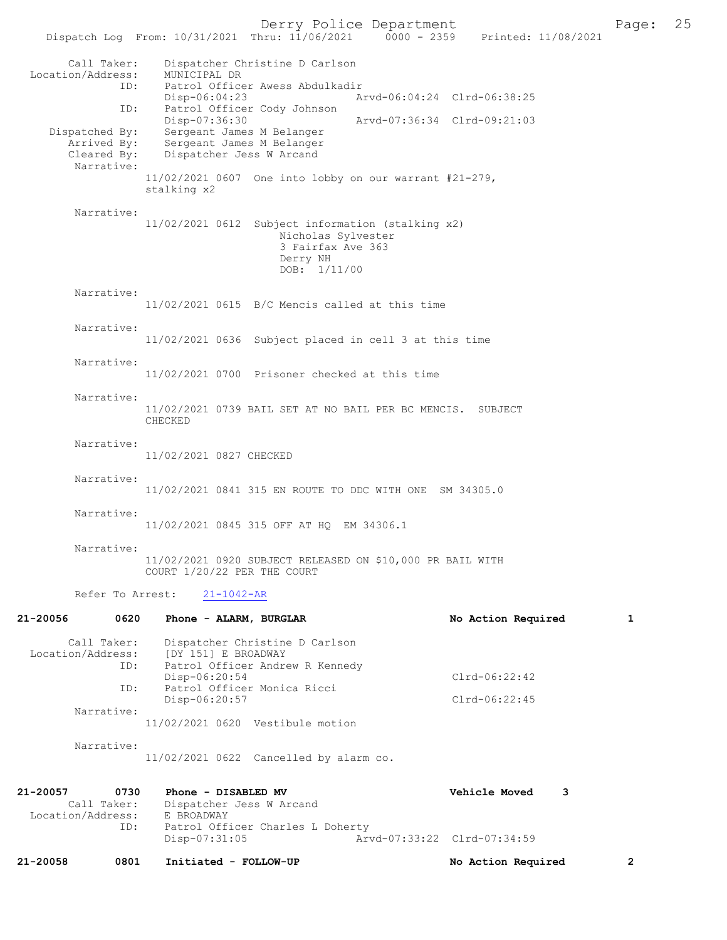Derry Police Department<br>
Page: 25 Printed: 11/08/2021 0000 - 2359 Printed: 11/08/2021 Dispatch Log From: 10/31/2021 Thru: 11/06/2021 Call Taker: Dispatcher Christine D Carlson<br>.on/Address: MUNICIPAL DR Location/Address:<br>ID: Patrol Officer Awess Abdulkadir<br>Disp-06:04:23 A Disp-06:04:23 Arvd-06:04:24 Clrd-06:38:25 ID: Patrol Officer Cody Johnson Disp-07:36:30 Arvd-07:36:34 Clrd-09:21:03<br>Dispatched By: Sergeant James M Belanger Dispatched By: Sergeant James M Belanger Arrived By: Sergeant James M Belanger Cleared By: Dispatcher Jess W Arcand Narrative: 11/02/2021 0607 One into lobby on our warrant #21-279, stalking x2 Narrative: 11/02/2021 0612 Subject information (stalking x2) Nicholas Sylvester 3 Fairfax Ave 363 Derry NH DOB: 1/11/00 Narrative: 11/02/2021 0615 B/C Mencis called at this time Narrative: 11/02/2021 0636 Subject placed in cell 3 at this time Narrative: 11/02/2021 0700 Prisoner checked at this time Narrative: 11/02/2021 0739 BAIL SET AT NO BAIL PER BC MENCIS. SUBJECT CHECKED Narrative: 11/02/2021 0827 CHECKED Narrative: 11/02/2021 0841 315 EN ROUTE TO DDC WITH ONE SM 34305.0 Narrative: 11/02/2021 0845 315 OFF AT HQ EM 34306.1 Narrative: 11/02/2021 0920 SUBJECT RELEASED ON \$10,000 PR BAIL WITH COURT 1/20/22 PER THE COURT Refer To Arrest: 21-1042-AR 21-20056 0620 Phone - ALARM, BURGLAR No No Action Required 1 Call Taker: Dispatcher Christine D Carlson Location/Address: [DY 151] E BROADWAY<br>ID: Patrol Officer Andre Patrol Officer Andrew R Kennedy Disp-06:20:54 Clrd-06:22:42 ID: Patrol Officer Monica Ricci Disp-06:20:57 Clrd-06:22:45 Narrative: 11/02/2021 0620 Vestibule motion Narrative: 11/02/2021 0622 Cancelled by alarm co.

| 21-20058          | 0801        | Initiated - FOLLOW-UP                             | No Action Required          | $\overline{2}$ |
|-------------------|-------------|---------------------------------------------------|-----------------------------|----------------|
|                   | ID:         | Patrol Officer Charles L Doherty<br>Disp-07:31:05 | Arvd-07:33:22 Clrd-07:34:59 |                |
| Location/Address: | Call Taker: | Dispatcher Jess W Arcand<br>E BROADWAY            |                             |                |
| 21-20057          | 0730        | Phone - DISABLED MV                               | Vehicle Moved               |                |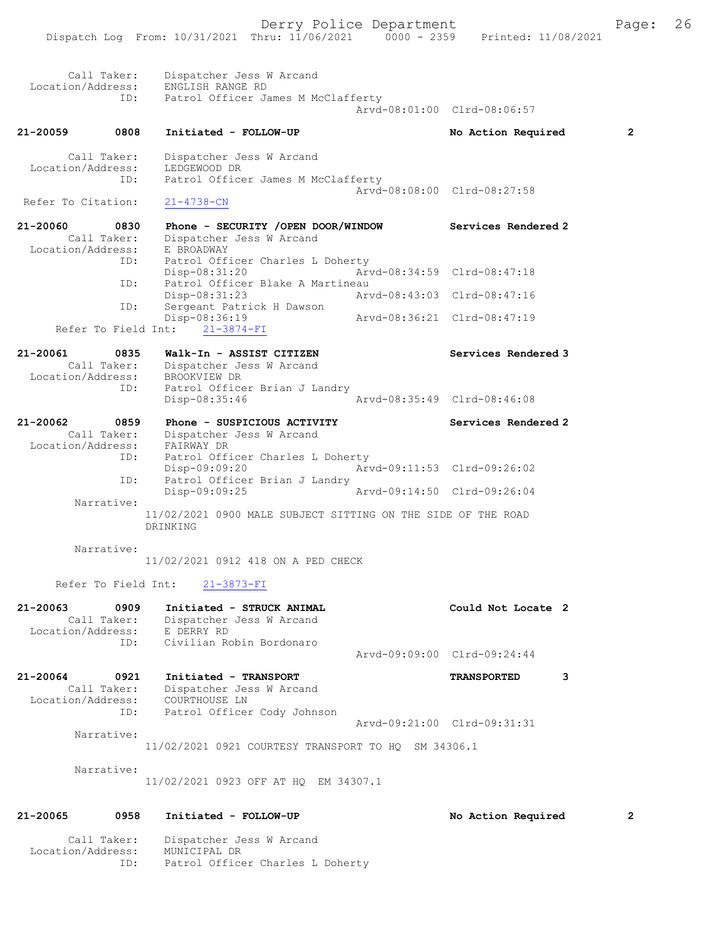| 21-20065<br>Location/Address: | 0958<br>Call Taker: | Initiated - FOLLOW-UP<br>Dispatcher Jess W Arcand<br>MUNICIPAL DR                              |                             | No Action Required          | 2              |
|-------------------------------|---------------------|------------------------------------------------------------------------------------------------|-----------------------------|-----------------------------|----------------|
|                               | Narrative:          | 11/02/2021 0923 OFF AT HQ EM 34307.1                                                           |                             |                             |                |
|                               | Narrative:          | 11/02/2021 0921 COURTESY TRANSPORT TO HQ SM 34306.1                                            |                             |                             |                |
| Location/Address:             | ID:                 | COURTHOUSE LN<br>Patrol Officer Cody Johnson                                                   |                             | Arvd-09:21:00 Clrd-09:31:31 |                |
| 21-20064                      | 0921<br>Call Taker: | Initiated - TRANSPORT<br>Dispatcher Jess W Arcand                                              |                             | <b>TRANSPORTED</b>          | 3              |
|                               | ID:                 | Civilian Robin Bordonaro                                                                       |                             | Arvd-09:09:00 Clrd-09:24:44 |                |
| 21-20063<br>Location/Address: | 0909<br>Call Taker: | Initiated - STRUCK ANIMAL<br>Dispatcher Jess W Arcand<br>E DERRY RD                            |                             | Could Not Locate 2          |                |
|                               | Refer To Field Int: | 21-3873-FI                                                                                     |                             |                             |                |
|                               | Narrative:          | 11/02/2021 0912 418 ON A PED CHECK                                                             |                             |                             |                |
|                               |                     | 11/02/2021 0900 MALE SUBJECT SITTING ON THE SIDE OF THE ROAD<br>DRINKING                       |                             |                             |                |
|                               | ID:<br>Narrative:   | Patrol Officer Brian J Landry<br>Disp-09:09:25                                                 |                             | Arvd-09:14:50 Clrd-09:26:04 |                |
| Location/Address:             | Call Taker:<br>ID:  | Dispatcher Jess W Arcand<br>FAIRWAY DR<br>Patrol Officer Charles L Doherty<br>Disp-09:09:20    |                             | Arvd-09:11:53 Clrd-09:26:02 |                |
| 21-20062                      | 0859                | Phone - SUSPICIOUS ACTIVITY                                                                    |                             | Services Rendered 2         |                |
| Location/Address:             | ID:                 | BROOKVIEW DR<br>Patrol Officer Brian J Landry<br>$Disp-08:35:46$                               |                             | Arvd-08:35:49 Clrd-08:46:08 |                |
| 21-20061                      | 0835<br>Call Taker: | Walk-In - ASSIST CITIZEN<br>Dispatcher Jess W Arcand                                           |                             | Services Rendered 3         |                |
|                               |                     | Disp-08:36:19<br>Refer To Field Int:<br>$21 - 3874 - FI$                                       |                             | Arvd-08:36:21 Clrd-08:47:19 |                |
|                               | ID:                 | Disp-08:31:23<br>Sergeant Patrick H Dawson                                                     | Arvd-08:43:03 Clrd-08:47:16 |                             |                |
|                               | ID:<br>ID:          | Patrol Officer Charles L Doherty<br>Disp-08:31:20<br>Patrol Officer Blake A Martineau          |                             | Arvd-08:34:59 Clrd-08:47:18 |                |
| 21-20060                      | 0830<br>Call Taker: | Phone - SECURITY /OPEN DOOR/WINDOW<br>Dispatcher Jess W Arcand<br>Location/Address: E BROADWAY |                             | <b>Services Rendered 2</b>  |                |
| Refer To Citation:            |                     | $21 - 4738 - CN$                                                                               |                             |                             |                |
| Location/Address:             | Call Taker:<br>ID:  | Dispatcher Jess W Arcand<br>LEDGEWOOD DR<br>Patrol Officer James M McClafferty                 |                             | Arvd-08:08:00 Clrd-08:27:58 |                |
| 21-20059                      | 0808                | Initiated - FOLLOW-UP                                                                          |                             | No Action Required          | $\overline{2}$ |
| Location/Address:             | Call Taker:<br>ID:  | Dispatcher Jess W Arcand<br>ENGLISH RANGE RD<br>Patrol Officer James M McClafferty             |                             | Aryd-08:01:00 Clrd-08:06:57 |                |
|                               |                     |                                                                                                |                             |                             |                |

ID: Patrol Officer Charles L Doherty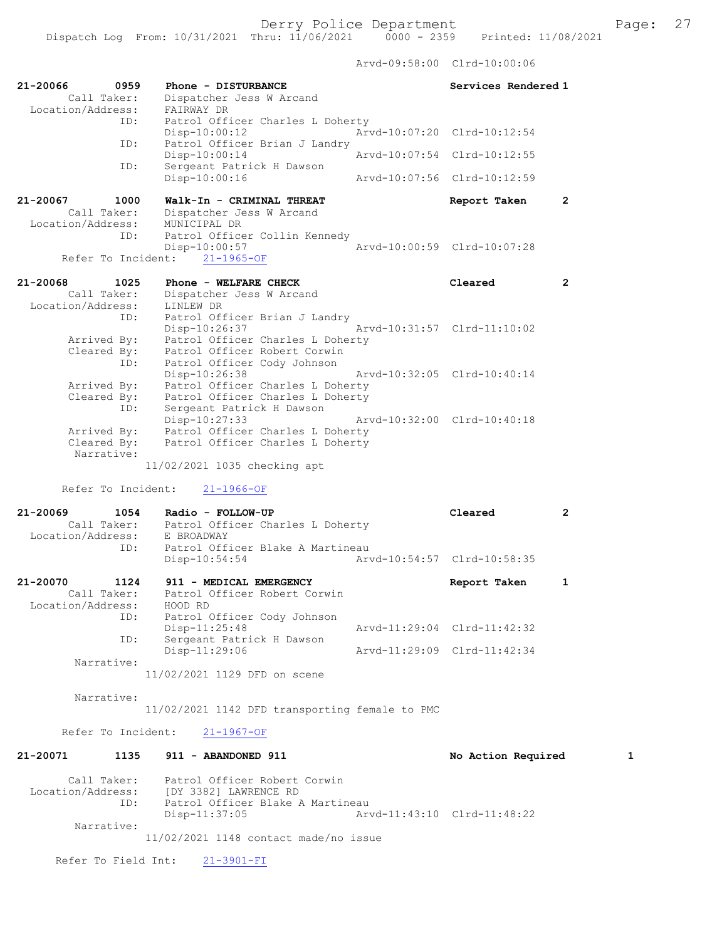Arvd-09:58:00 Clrd-10:00:06

| 21-20066<br>0959<br>Call Taker:<br>Location/Address: | Phone - DISTURBANCE<br>Dispatcher Jess W Arcand<br>FAIRWAY DR                                                        | Services Rendered 1         |              |
|------------------------------------------------------|----------------------------------------------------------------------------------------------------------------------|-----------------------------|--------------|
| ID:                                                  | Patrol Officer Charles L Doherty                                                                                     |                             |              |
| ID:                                                  | $Disp-10:00:12$<br>Patrol Officer Brian J Landry                                                                     | Arvd-10:07:20 Clrd-10:12:54 |              |
|                                                      | $Disp-10:00:14$                                                                                                      | Arvd-10:07:54 Clrd-10:12:55 |              |
| ID:                                                  | Sergeant Patrick H Dawson<br>Disp-10:00:16                                                                           | Arvd-10:07:56 Clrd-10:12:59 |              |
| 21-20067<br>1000<br>Call Taker:<br>Location/Address: | Walk-In - CRIMINAL THREAT<br>Dispatcher Jess W Arcand<br>MUNICIPAL DR                                                | Report Taken                | 2            |
| ID:                                                  | Patrol Officer Collin Kennedy<br>$Disp-10:00:57$                                                                     | Arvd-10:00:59 Clrd-10:07:28 |              |
| Refer To Incident:                                   | $21 - 1965 - OF$                                                                                                     |                             |              |
| 21-20068<br>1025<br>Call Taker:<br>Location/Address: | Phone - WELFARE CHECK<br>Dispatcher Jess W Arcand<br>LINLEW DR                                                       | Cleared                     | $\mathbf{2}$ |
| ID:<br>Arrived By:<br>Cleared By:                    | Patrol Officer Brian J Landry<br>Disp-10:26:37<br>Patrol Officer Charles L Doherty<br>Patrol Officer Robert Corwin   | Arvd-10:31:57 Clrd-11:10:02 |              |
| ID:<br>Arrived By:<br>Cleared By:                    | Patrol Officer Cody Johnson<br>Disp-10:26:38<br>Patrol Officer Charles L Doherty<br>Patrol Officer Charles L Doherty | Arvd-10:32:05 Clrd-10:40:14 |              |
| ID:<br>Arrived By:<br>Cleared By:                    | Sergeant Patrick H Dawson<br>$Disp-10:27:33$<br>Patrol Officer Charles L Doherty<br>Patrol Officer Charles L Doherty | Arvd-10:32:00 Clrd-10:40:18 |              |
| Narrative:                                           | 11/02/2021 1035 checking apt                                                                                         |                             |              |
| Refer To Incident:                                   | $21 - 1966 - OF$                                                                                                     |                             |              |
| 21-20069                                             | 1054<br>Radio - FOLLOW-UP                                                                                            | Cleared                     | $\mathbf{2}$ |
| Call Taker:                                          | Patrol Officer Charles L Doherty                                                                                     |                             |              |
| Location/Address:<br>ID:                             | E BROADWAY<br>Patrol Officer Blake A Martineau                                                                       |                             |              |
|                                                      | $Disp-10:54:54$                                                                                                      | Arvd-10:54:57 Clrd-10:58:35 |              |
| 21-20070<br>1124<br>Call Taker:<br>Location/Address: | 911 - MEDICAL EMERGENCY<br>Patrol Officer Robert Corwin<br>HOOD RD                                                   | Report Taken                | 1            |
| ID:                                                  | Patrol Officer Cody Johnson<br>Disp-11:25:48                                                                         | Arvd-11:29:04 Clrd-11:42:32 |              |
| ID:                                                  | Sergeant Patrick H Dawson<br>Disp-11:29:06                                                                           | Arvd-11:29:09 Clrd-11:42:34 |              |
| Narrative:                                           | 11/02/2021 1129 DFD on scene                                                                                         |                             |              |
| Narrative:                                           | 11/02/2021 1142 DFD transporting female to PMC                                                                       |                             |              |
| Refer To Incident:                                   | 21-1967-OF                                                                                                           |                             |              |
| 21-20071<br>1135                                     | 911 - ABANDONED 911                                                                                                  | No Action Required          | 1            |
| Call Taker:<br>Location/Address:<br>ID:              | Patrol Officer Robert Corwin<br>[DY 3382] LAWRENCE RD<br>Patrol Officer Blake A Martineau<br>$Disp-11:37:05$         | Arvd-11:43:10 Clrd-11:48:22 |              |
| Narrative:                                           | 11/02/2021 1148 contact made/no issue                                                                                |                             |              |
| Refer To Field Int:                                  | $21 - 3901 - FI$                                                                                                     |                             |              |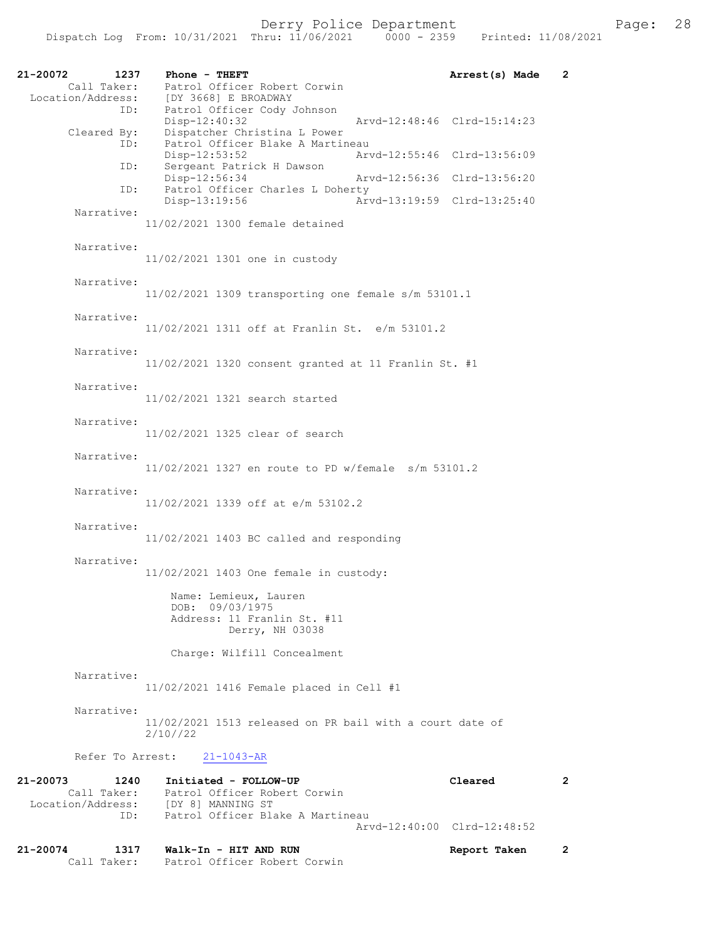| 21-20072<br>1237<br>Call Taker:                      | Phone - THEFT<br>Patrol Officer Robert Corwin                                                                               | Arrest(s) Made              | 2 |
|------------------------------------------------------|-----------------------------------------------------------------------------------------------------------------------------|-----------------------------|---|
| Location/Address:<br>ID:<br>Cleared By:              | [DY 3668] E BROADWAY<br>Patrol Officer Cody<br>Patrol Officer Cody Johnson<br>Disp-12:40:32<br>Dispatcher Christina L Power | Arvd-12:48:46 Clrd-15:14:23 |   |
| ID:<br>ID:                                           | Patrol Officer Blake A Martineau<br>Disp-12:53:52<br>Sergeant Patrick H Dawson                                              | Arvd-12:55:46 Clrd-13:56:09 |   |
| ID:                                                  | Disp-12:56:34<br>Arvd-12:56:36 Clrd-13:56:20<br>Patrol Officer Charles L Doherty<br>Disp-13:19:56                           | Arvd-13:19:59 Clrd-13:25:40 |   |
| Narrative:                                           | 11/02/2021 1300 female detained                                                                                             |                             |   |
| Narrative:                                           | 11/02/2021 1301 one in custody                                                                                              |                             |   |
| Narrative:                                           | 11/02/2021 1309 transporting one female s/m 53101.1                                                                         |                             |   |
| Narrative:                                           | 11/02/2021 1311 off at Franlin St. e/m 53101.2                                                                              |                             |   |
| Narrative:                                           | 11/02/2021 1320 consent granted at 11 Franlin St. #1                                                                        |                             |   |
| Narrative:                                           | 11/02/2021 1321 search started                                                                                              |                             |   |
| Narrative:                                           | 11/02/2021 1325 clear of search                                                                                             |                             |   |
| Narrative:                                           | $11/02/2021$ 1327 en route to PD w/female s/m 53101.2                                                                       |                             |   |
| Narrative:                                           | 11/02/2021 1339 off at e/m 53102.2                                                                                          |                             |   |
| Narrative:                                           | $11/02/2021$ 1403 BC called and responding                                                                                  |                             |   |
| Narrative:                                           | 11/02/2021 1403 One female in custody:                                                                                      |                             |   |
|                                                      | Name: Lemieux, Lauren<br>DOB: 09/03/1975<br>Address: 11 Franlin St. #11<br>Derry, NH 03038                                  |                             |   |
|                                                      | Charge: Wilfill Concealment                                                                                                 |                             |   |
| Narrative:                                           | 11/02/2021 1416 Female placed in Cell #1                                                                                    |                             |   |
| Narrative:                                           | 11/02/2021 1513 released on PR bail with a court date of<br>2/10//22                                                        |                             |   |
| Refer To Arrest:                                     | $21 - 1043 - AR$                                                                                                            |                             |   |
| 21-20073<br>1240<br>Call Taker:<br>Location/Address: | Initiated - FOLLOW-UP<br>Patrol Officer Robert Corwin<br>[DY 8] MANNING ST                                                  | Cleared                     | 2 |
| ID:                                                  | Patrol Officer Blake A Martineau                                                                                            | Arvd-12:40:00 Clrd-12:48:52 |   |
| 21-20074<br>1317<br>Call Taker:                      | Walk-In - HIT AND RUN<br>Patrol Officer Robert Corwin                                                                       | Report Taken                | 2 |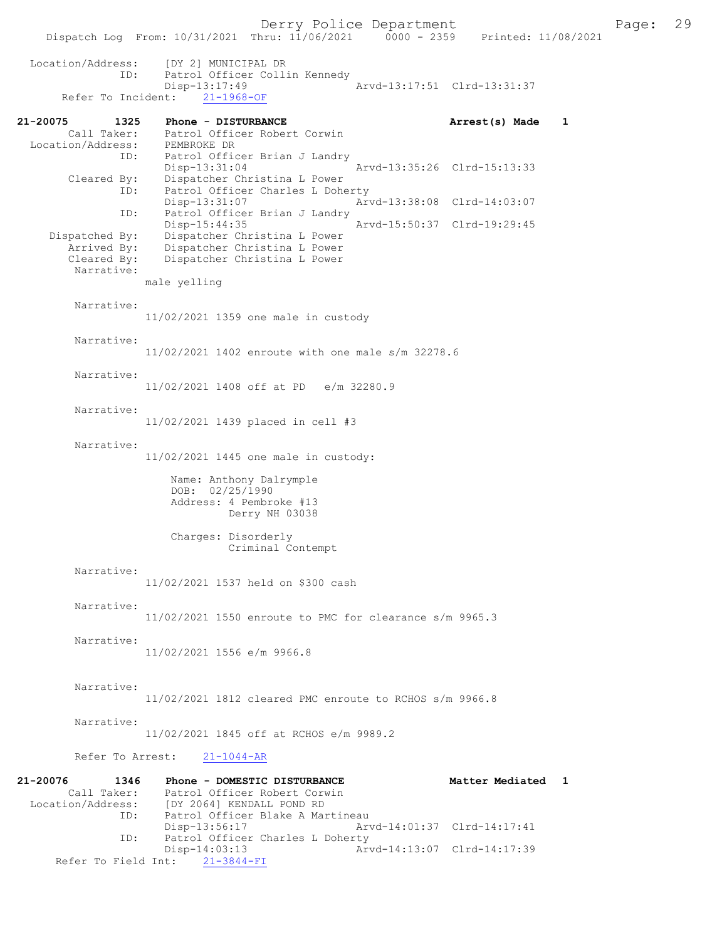Dispatch Log From: 10/31/2021 Thru: 11/06/2021 0000 - 2359 Location/Address: [DY 2] MUNICIPAL DR ID: Patrol Officer Collin Kennedy<br>Disp-13:17:49 -13:17:49 <br>
21-1968-OF <br>
Arvd-13:17:51 Clrd-13:31:37 Refer To Incident: 21-20075 1325 Phone - DISTURBANCE Arrest(s) Made 1 Call Taker: Patrol Officer Robert Corwin Location/Address: PEMBROKE DR ID: Patrol Officer Brian J Landry Disp-13:31:04 Arvd-13:35:26 Clrd-15:13:33 Cleared By: Dispatcher Christina L Power ID: Patrol Officer Charles L Doherty<br>Disp-13:31:07 Ar Disp-13:31:07 <br>D: Patrol Officer Brian J Landry Patrol Officer Brian J Landry<br>Disp-15:44:35 Arvd-15:50:37 Clrd-19:29:45 Dispatched By: Dispatcher Christina L Power Arrived By: Dispatcher Christina L Power Cleared By: Dispatcher Christina L Power Narrative: male yelling Narrative: 11/02/2021 1359 one male in custody Narrative: 11/02/2021 1402 enroute with one male s/m 32278.6 Narrative: 11/02/2021 1408 off at PD e/m 32280.9 Narrative: 11/02/2021 1439 placed in cell #3 Narrative: 11/02/2021 1445 one male in custody: Name: Anthony Dalrymple DOB: 02/25/1990 Address: 4 Pembroke #13 Derry NH 03038 Charges: Disorderly Criminal Contempt Narrative: 11/02/2021 1537 held on \$300 cash Narrative: 11/02/2021 1550 enroute to PMC for clearance s/m 9965.3 Narrative: 11/02/2021 1556 e/m 9966.8 Narrative: 11/02/2021 1812 cleared PMC enroute to RCHOS s/m 9966.8 Narrative: 11/02/2021 1845 off at RCHOS e/m 9989.2 Refer To Arrest: 21-1044-AR 21-20076 1346 Phone - DOMESTIC DISTURBANCE Matter Mediated 1 Call Taker: Patrol Officer Robert Corwin<br>Location/Address: [DY 2064] KENDALL POND RD ess: [DY 2064] KENDALL POND RD<br>ID: Patrol Officer Blake A Mai Patrol Officer Blake A Martineau Disp-13:56:17 Arvd-14:01:37 Clrd-14:17:41 ID: Patrol Officer Charles L Doherty<br>Disp-14:03:13 Art

-14:03:13<br>
21-3844-FI<br>
21-3844-FI Refer To Field Int: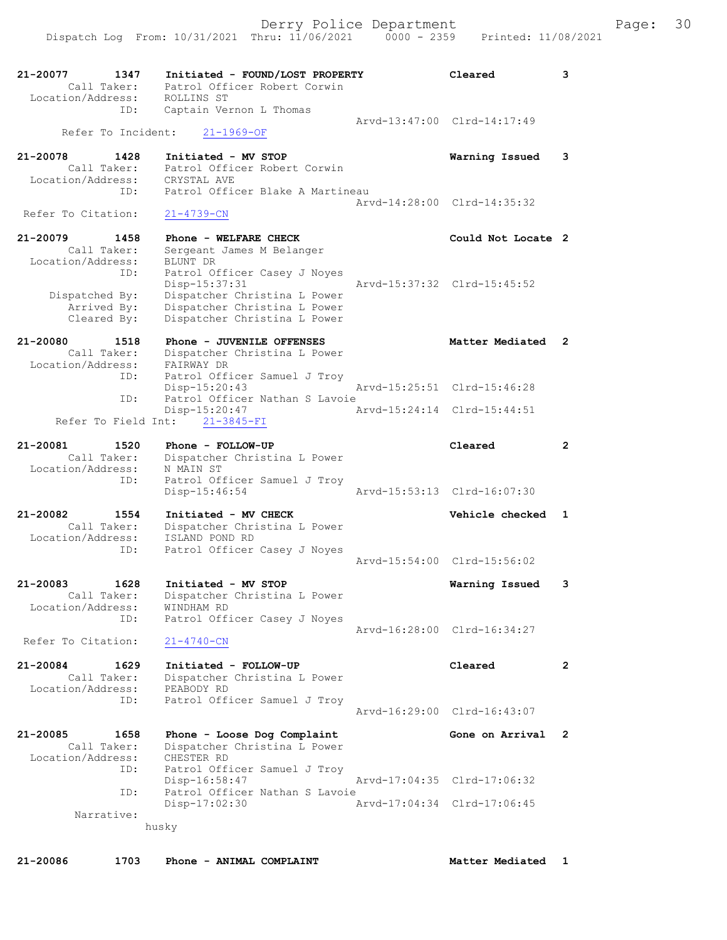| 21-20077<br>Call Taker:          | 1347 | Patrol Officer Robert Corwin                                 | Initiated - FOUND/LOST PROPERTY  | Cleared                     | 3                     |
|----------------------------------|------|--------------------------------------------------------------|----------------------------------|-----------------------------|-----------------------|
| Location/Address:                | ID:  | ROLLINS ST<br>Captain Vernon L Thomas                        |                                  |                             |                       |
| Refer To Incident:               |      |                                                              |                                  | Arvd-13:47:00 Clrd-14:17:49 |                       |
|                                  |      | $21 - 1969 - OF$                                             |                                  |                             |                       |
| 21-20078                         | 1428 | Initiated - MV STOP                                          |                                  | Warning Issued              | 3                     |
| Call Taker:<br>Location/Address: |      | Patrol Officer Robert Corwin<br>CRYSTAL AVE                  |                                  |                             |                       |
|                                  | ID:  |                                                              | Patrol Officer Blake A Martineau |                             |                       |
|                                  |      |                                                              |                                  | Arvd-14:28:00 Clrd-14:35:32 |                       |
| Refer To Citation:               |      | 21-4739-CN                                                   |                                  |                             |                       |
| 21-20079                         | 1458 | Phone - WELFARE CHECK                                        |                                  | Could Not Locate 2          |                       |
| Call Taker:<br>Location/Address: |      | Sergeant James M Belanger<br>BLUNT DR                        |                                  |                             |                       |
|                                  | ID:  | Patrol Officer Casey J Noyes                                 |                                  |                             |                       |
|                                  |      | Disp-15:37:31                                                |                                  | Arvd-15:37:32 Clrd-15:45:52 |                       |
| Dispatched By:                   |      | Dispatcher Christina L Power                                 |                                  |                             |                       |
| Arrived By:<br>Cleared By:       |      | Dispatcher Christina L Power<br>Dispatcher Christina L Power |                                  |                             |                       |
|                                  |      |                                                              |                                  |                             |                       |
| 21-20080                         | 1518 | Phone - JUVENILE OFFENSES                                    |                                  | Matter Mediated             | 2                     |
| Call Taker:                      |      | Dispatcher Christina L Power                                 |                                  |                             |                       |
| Location/Address:                | ID:  | FAIRWAY DR<br>Patrol Officer Samuel J Troy                   |                                  |                             |                       |
|                                  |      | Disp-15:20:43                                                |                                  | Arvd-15:25:51 Clrd-15:46:28 |                       |
|                                  | ID:  |                                                              | Patrol Officer Nathan S Lavoie   |                             |                       |
|                                  |      | Disp-15:20:47                                                |                                  | Arvd-15:24:14 Clrd-15:44:51 |                       |
| Refer To Field Int:              |      | $21 - 3845 - FI$                                             |                                  |                             |                       |
| 21-20081                         | 1520 | Phone - FOLLOW-UP                                            |                                  | Cleared                     | $\overline{2}$        |
| Call Taker:                      |      | Dispatcher Christina L Power                                 |                                  |                             |                       |
| Location/Address:                |      | N MAIN ST                                                    |                                  |                             |                       |
|                                  | ID:  | Patrol Officer Samuel J Troy<br>Disp-15:46:54                |                                  | Arvd-15:53:13 Clrd-16:07:30 |                       |
|                                  |      |                                                              |                                  |                             |                       |
| 21-20082                         | 1554 | Initiated - MV CHECK                                         |                                  | Vehicle checked             | 1                     |
| Call Taker:                      |      | Dispatcher Christina L Power                                 |                                  |                             |                       |
| Location/Address:                | ID:  | ISLAND POND RD<br>Patrol Officer Casey J Noyes               |                                  |                             |                       |
|                                  |      |                                                              |                                  | Arvd-15:54:00 Clrd-15:56:02 |                       |
|                                  |      |                                                              |                                  |                             |                       |
| $21 - 20083$                     | 1628 | Initiated - MV STOP                                          |                                  | Warning Issued              | 3                     |
| Call Taker:<br>Location/Address: |      | Dispatcher Christina L Power<br>WINDHAM RD                   |                                  |                             |                       |
|                                  | ID:  | Patrol Officer Casey J Noyes                                 |                                  |                             |                       |
|                                  |      |                                                              |                                  | Arvd-16:28:00 Clrd-16:34:27 |                       |
| Refer To Citation:               |      | $21 - 4740 - CN$                                             |                                  |                             |                       |
| 21-20084                         | 1629 | Initiated - FOLLOW-UP                                        |                                  | Cleared                     | $\mathbf{2}^{\prime}$ |
| Call Taker:                      |      | Dispatcher Christina L Power                                 |                                  |                             |                       |
| Location/Address:                |      | PEABODY RD                                                   |                                  |                             |                       |
|                                  | ID:  | Patrol Officer Samuel J Troy                                 |                                  |                             |                       |
|                                  |      |                                                              |                                  | Arvd-16:29:00 Clrd-16:43:07 |                       |
| 21-20085                         | 1658 | Phone - Loose Dog Complaint                                  |                                  | Gone on Arrival             | 2                     |
| Call Taker:                      |      | Dispatcher Christina L Power                                 |                                  |                             |                       |
| Location/Address:                |      | CHESTER RD                                                   |                                  |                             |                       |
|                                  | ID:  | Patrol Officer Samuel J Troy<br>Disp-16:58:47                |                                  | Arvd-17:04:35 Clrd-17:06:32 |                       |
|                                  | ID:  |                                                              | Patrol Officer Nathan S Lavoie   |                             |                       |
|                                  |      | Disp-17:02:30                                                |                                  | Arvd-17:04:34 Clrd-17:06:45 |                       |
| Narrative:                       |      |                                                              |                                  |                             |                       |
|                                  |      | husky                                                        |                                  |                             |                       |
|                                  |      |                                                              |                                  |                             |                       |
| 21-20086                         | 1703 | Phone - ANIMAL COMPLAINT                                     |                                  | Matter Mediated             | 1                     |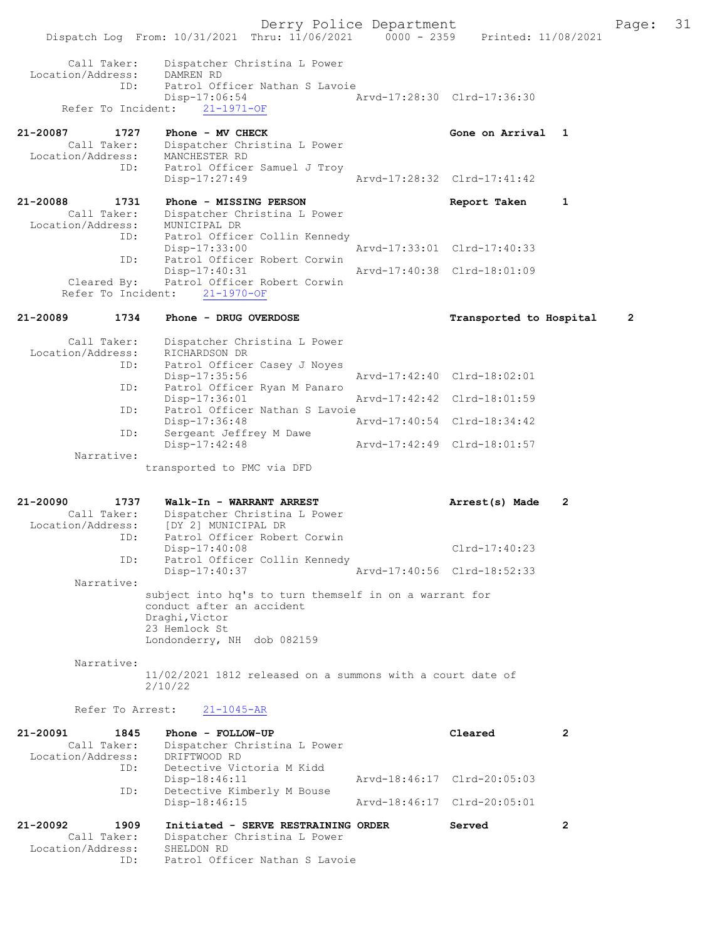Derry Police Department Fage: 31 Dispatch Log From: 10/31/2021 Thru: 11/06/2021 0000 - 2359 Printed: 11/08/2021 Call Taker: Dispatcher Christina L Power Location/Address: DAMREN RD<br>ID: Patrol Of ID: Patrol Officer Nathan S Lavoie Disp-17:06:54 Arvd-17:28:30 Clrd-17:36:30 Refer To Incident: 21-1971-OF 21-20087 1727 Phone - MV CHECK CHECH Cone on Arrival 1 Call Taker: Dispatcher Christina L Power Location/Address: MANCHESTER RD ID: Patrol Officer Samuel J Troy Disp-17:27:49 Arvd-17:28:32 Clrd-17:41:42 21-20088 1731 Phone - MISSING PERSON Report Taken 1 Call Taker: Dispatcher Christina L Power Location/Address: MUNICIPAL DR ID: Patrol Officer Collin Kennedy Disp-17:33:00 Arvd-17:33:01 Clrd-17:40:33 ID: Patrol Officer Robert Corwin Disp-17:40:31 Arvd-17:40:38 Clrd-18:01:09 Cleared By: Patrol Officer Robert Corwin Refer To Incident: 21-1970-OF 21-20089 1734 Phone - DRUG OVERDOSE Transported to Hospital 2 Call Taker: Dispatcher Christina L Power Location/Address: RICHARDSON DR ID: Patrol Officer Casey J Noyes<br>Disp-17:35:56 Disp-17:35:56 Arvd-17:42:40 Clrd-18:02:01 ID: Patrol Officer Ryan M Panaro<br>Disp-17:36:01 Disp-17:36:01 Arvd-17:42:42 Clrd-18:01:59 ID: Patrol Officer Nathan S Lavoie<br>Disp-17:36:48 Arvd-17:40:54 Clrd-18:34:42 Disp-17:36:48<br>ID: Sergeant Jeffrey M Dawe Sergeant Jeffrey M Dawe<br>Disp-17:42:48 Disp-17:42:48 Arvd-17:42:49 Clrd-18:01:57 Narrative: transported to PMC via DFD 21-20090 1737 Walk-In - WARRANT ARREST Arrest(s) Made 2 Call Taker: Dispatcher Christina L Power Location/Address: [DY 2] MUNICIPAL DR ID: Patrol Officer Robert Corwin Disp-17:40:08 Clrd-17:40:23 ID: Patrol Officer Collin Kennedy<br>Disp-17:40:37 Disp-17:40:37 Arvd-17:40:56 Clrd-18:52:33 Narrative: subject into hq's to turn themself in on a warrant for conduct after an accident Draghi,Victor 23 Hemlock St Londonderry, NH dob 082159 Narrative: 11/02/2021 1812 released on a summons with a court date of 2/10/22 Refer To Arrest: 21-1045-AR 21-20091 1845 Phone - FOLLOW-UP Cleared 2<br>Call Taker: Dispatcher Christina L Power Cleared 2 Call Taker: Dispatcher Christina L Power Location/Address: DRIFTWOOD RD ID: Detective Victoria M Kidd<br>Disp-18:46:11 Disp-18:46:11 Arvd-18:46:17 Clrd-20:05:03<br>ID: Detective Kimberly M Bouse Detective Kimberly M Bouse<br>Disp-18:46:15 Disp-18:46:15 Arvd-18:46:17 Clrd-20:05:01 21-20092 1909 Initiated - SERVE RESTRAINING ORDER Served 2 Call Taker: Dispatcher Christina L Power Location/Address: SHELDON RD ID: Patrol Officer Nathan S Lavoie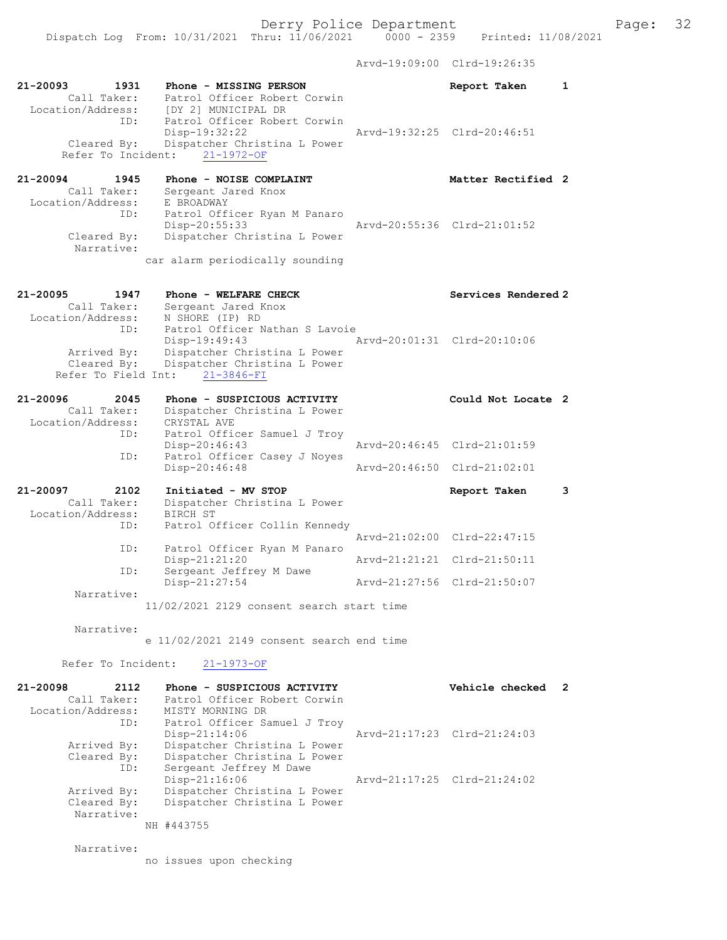Dispatch Log From: 10/31/2021 Thru: 11/06/2021 0000 - 2359 Printed: 11/08/2021

Arvd-19:09:00 Clrd-19:26:35

| 21-20093<br>1931<br>Call Taker:<br>Location/Address: | Phone - MISSING PERSON<br>Patrol Officer Robert Corwin<br>[DY 2] MUNICIPAL DR                  | Report Taken                | 1 |
|------------------------------------------------------|------------------------------------------------------------------------------------------------|-----------------------------|---|
| ID:                                                  | Patrol Officer Robert Corwin<br>Disp-19:32:22                                                  | Arvd-19:32:25 Clrd-20:46:51 |   |
| Cleared By:<br>Refer To Incident:                    | Dispatcher Christina L Power<br>$21 - 1972 - OF$                                               |                             |   |
| 21-20094<br>1945<br>Call Taker:<br>Location/Address: | Phone - NOISE COMPLAINT<br>Sergeant Jared Knox<br>E BROADWAY                                   | Matter Rectified 2          |   |
| ID:                                                  | Patrol Officer Ryan M Panaro<br>$Disp-20:55:33$                                                | Arvd-20:55:36 Clrd-21:01:52 |   |
| Cleared By:<br>Narrative:                            | Dispatcher Christina L Power<br>car alarm periodically sounding                                |                             |   |
|                                                      |                                                                                                |                             |   |
| 21-20095<br>1947<br>Call Taker:                      | Phone - WELFARE CHECK<br>Sergeant Jared Knox                                                   | Services Rendered 2         |   |
| Location/Address:<br>ID:                             | N SHORE (IP) RD<br>Patrol Officer Nathan S Lavoie<br>Disp-19:49:43                             | Arvd-20:01:31 Clrd-20:10:06 |   |
| Arrived By:<br>Cleared By:                           | Dispatcher Christina L Power<br>Dispatcher Christina L Power<br>Refer To Field Int: 21-3846-FI |                             |   |
| 21-20096<br>2045                                     | Phone - SUSPICIOUS ACTIVITY                                                                    | Could Not Locate 2          |   |
| Call Taker:                                          | Dispatcher Christina L Power                                                                   |                             |   |
| Location/Address:<br>ID:                             | CRYSTAL AVE<br>Patrol Officer Samuel J Troy                                                    |                             |   |
| ID:                                                  | Disp-20:46:43<br>Patrol Officer Casey J Noyes                                                  | Arvd-20:46:45 Clrd-21:01:59 |   |
|                                                      | Disp-20:46:48                                                                                  | Arvd-20:46:50 Clrd-21:02:01 |   |
| 21-20097<br>2102<br>Call Taker:                      | Initiated - MV STOP<br>Dispatcher Christina L Power                                            | Report Taken                | 3 |
| Location/Address:<br>ID:                             | <b>BIRCH ST</b><br>Patrol Officer Collin Kennedy                                               | Arvd-21:02:00 Clrd-22:47:15 |   |
| ID:                                                  | Patrol Officer Ryan M Panaro<br>Disp-21:21:20                                                  | Arvd-21:21:21 Clrd-21:50:11 |   |
| ID:                                                  | Sergeant Jeffrey M Dawe<br>Disp-21:27:54                                                       | Arvd-21:27:56 Clrd-21:50:07 |   |
| Narrative:                                           | 11/02/2021 2129 consent search start time                                                      |                             |   |
| Narrative:                                           |                                                                                                |                             |   |
|                                                      | e 11/02/2021 2149 consent search end time                                                      |                             |   |
| Refer To Incident:                                   | $21 - 1973 - OF$                                                                               |                             |   |
| 21-20098<br>2112<br>Call Taker:                      | Phone - SUSPICIOUS ACTIVITY<br>Patrol Officer Robert Corwin                                    | Vehicle checked             | 2 |
| Location/Address:<br>ID:                             | MISTY MORNING DR<br>Patrol Officer Samuel J Troy                                               |                             |   |
| Arrived By:<br>Cleared By:                           | $Disp-21:14:06$<br>Dispatcher Christina L Power<br>Dispatcher Christina L Power                | Aryd-21:17:23 Clrd-21:24:03 |   |
| ID:<br>Arrived By:                                   | Sergeant Jeffrey M Dawe<br>Disp-21:16:06<br>Dispatcher Christina L Power                       | Arvd-21:17:25 Clrd-21:24:02 |   |
| Cleared By:<br>Narrative:                            | Dispatcher Christina L Power                                                                   |                             |   |
|                                                      | NH #443755                                                                                     |                             |   |
| Narrative:                                           |                                                                                                |                             |   |
|                                                      | no issues upon checking                                                                        |                             |   |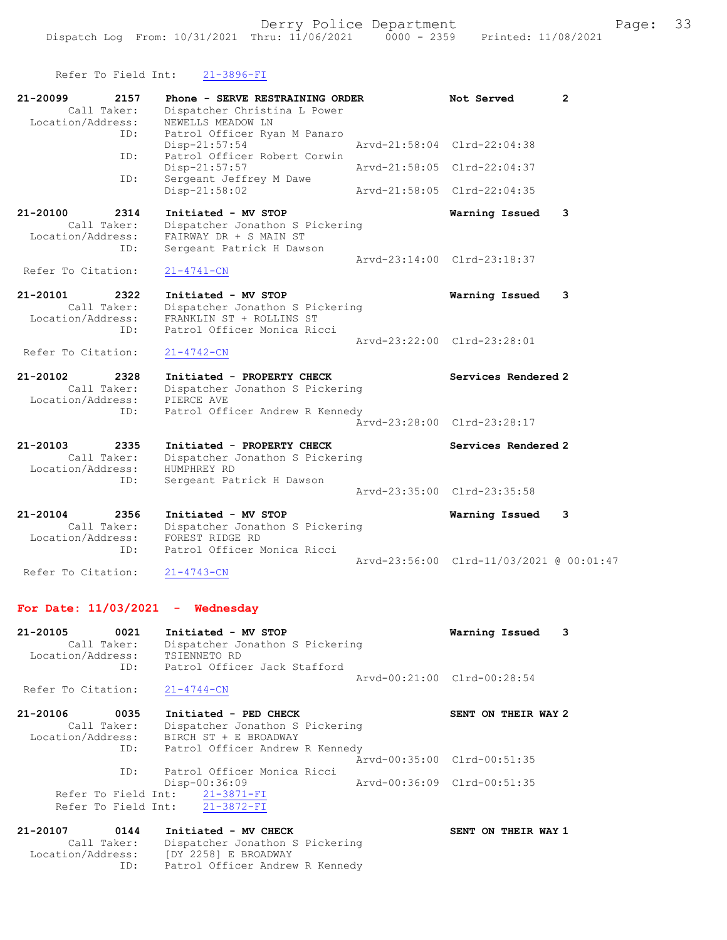| Refer To Field Int:                                         | $21 - 3896 - FI$                                                                                                     |                                                            |
|-------------------------------------------------------------|----------------------------------------------------------------------------------------------------------------------|------------------------------------------------------------|
| 21-20099<br>2157<br>Call Taker:<br>Location/Address:        | Phone - SERVE RESTRAINING ORDER<br>Dispatcher Christina L Power<br>NEWELLS MEADOW LN                                 | Not Served<br>2                                            |
| ID:                                                         | Patrol Officer Ryan M Panaro<br>$Disp-21:57:54$                                                                      | Arvd-21:58:04 Clrd-22:04:38                                |
| ID:                                                         | Patrol Officer Robert Corwin<br>Disp-21:57:57                                                                        | Arvd-21:58:05 Clrd-22:04:37                                |
| ID:                                                         | Sergeant Jeffrey M Dawe<br>Disp-21:58:02                                                                             | Aryd-21:58:05 Clrd-22:04:35                                |
| 21-20100<br>2314<br>Call Taker:<br>Location/Address:<br>ID: | Initiated - MV STOP<br>Dispatcher Jonathon S Pickering<br>FAIRWAY DR + S MAIN ST<br>Sergeant Patrick H Dawson        | Warning Issued<br>3                                        |
| Refer To Citation:                                          | $21 - 4741 - CN$                                                                                                     | Arvd-23:14:00 Clrd-23:18:37                                |
| 21-20101<br>2322<br>Call Taker:<br>Location/Address:<br>ID: | Initiated - MV STOP<br>Dispatcher Jonathon S Pickering<br>FRANKLIN ST + ROLLINS ST<br>Patrol Officer Monica Ricci    | Warning Issued<br>3                                        |
| Refer To Citation:                                          | $21 - 4742 - CN$                                                                                                     | Aryd-23:22:00 Clrd-23:28:01                                |
| 21-20102<br>2328<br>Call Taker:<br>Location/Address:<br>ID: | Initiated - PROPERTY CHECK<br>Dispatcher Jonathon S Pickering<br>PIERCE AVE<br>Patrol Officer Andrew R Kennedy       | Services Rendered 2                                        |
|                                                             |                                                                                                                      | Arvd-23:28:00 Clrd-23:28:17                                |
| 21-20103<br>2335<br>Call Taker:<br>Location/Address:<br>ID: | Initiated - PROPERTY CHECK<br>Dispatcher Jonathon S Pickering<br>HUMPHREY RD<br>Sergeant Patrick H Dawson            | Services Rendered 2<br>Arvd-23:35:00 Clrd-23:35:58         |
| 21-20104<br>2356<br>Call Taker:<br>Location/Address:<br>ID: | Initiated - MV STOP<br>Dispatcher Jonathon S Pickering<br>FOREST RIDGE RD<br>Patrol Officer Monica Ricci             | Warning Issued<br>3                                        |
| Refer To Citation:                                          | $21 - 4743 - CN$                                                                                                     | Arvd-23:56:00 Clrd-11/03/2021 @ 00:01:47                   |
| For Date: $11/03/2021$ - Wednesday                          |                                                                                                                      |                                                            |
| 21-20105<br>0021<br>Call Taker:<br>Location/Address:<br>ID: | Initiated - MV STOP<br>Dispatcher Jonathon S Pickering<br>TSIENNETO RD<br>Patrol Officer Jack Stafford               | Warning Issued<br>3                                        |
| Refer To Citation:                                          | $21 - 4744 - CN$                                                                                                     | Aryd-00:21:00 Clrd-00:28:54                                |
| 21-20106<br>0035<br>Call Taker:<br>Location/Address:<br>ID: | Initiated - PED CHECK<br>Dispatcher Jonathon S Pickering<br>BIRCH ST + E BROADWAY<br>Patrol Officer Andrew R Kennedy | SENT ON THEIR WAY 2                                        |
| ID:<br>Refer To Field Int:<br>Refer To Field Int:           | Patrol Officer Monica Ricci<br>Disp-00:36:09<br>$21 - 3871 - FI$<br>$21 - 3872 - FI$                                 | Arvd-00:35:00 Clrd-00:51:35<br>Arvd-00:36:09 Clrd-00:51:35 |
| 21-20107<br>0144                                            | Initiated - MV CHECK                                                                                                 | SENT ON THEIR WAY 1                                        |

| 21-20107          | 0144        | Initiated - MV CHECK            |
|-------------------|-------------|---------------------------------|
|                   | Call Taker: | Dispatcher Jonathon S Pickering |
| Location/Address: |             | [DY 2258] E BROADWAY            |
|                   | TD:         | Patrol Officer Andrew R Kennedy |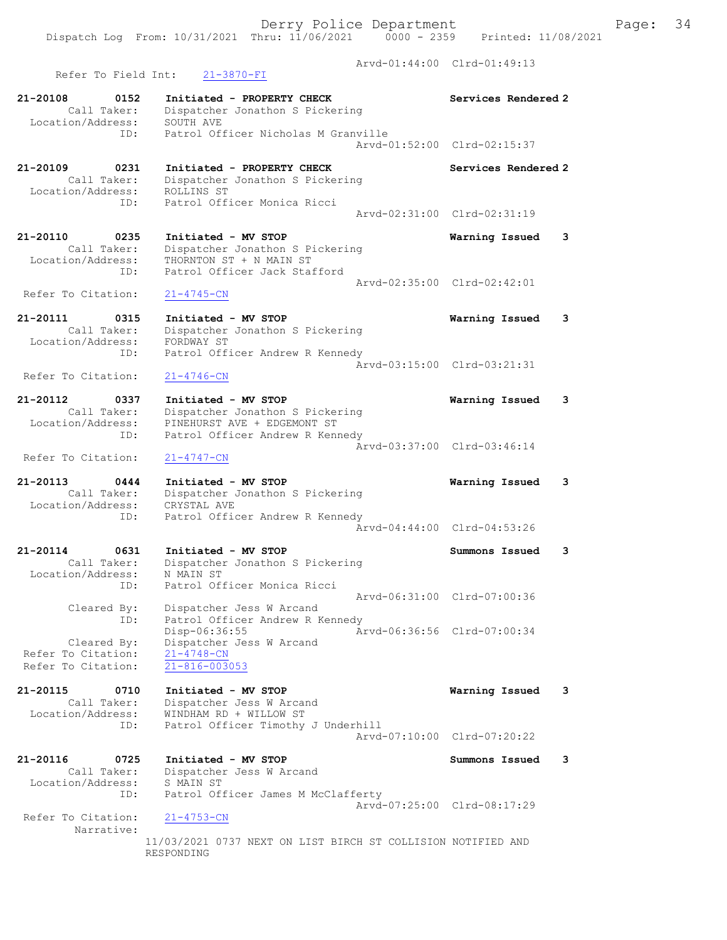Arvd-01:44:00 Clrd-01:49:13 Refer To Field Int: 21-3870-FI 21-20108 0152 Initiated - PROPERTY CHECK Services Rendered 2 Call Taker: Dispatcher Jonathon S Pickering Location/Address: SOUTH AVE ID: Patrol Officer Nicholas M Granville Arvd-01:52:00 Clrd-02:15:37 21-20109 0231 Initiated - PROPERTY CHECK Services Rendered 2 Call Taker: Dispatcher Jonathon S Pickering Location/Address: ROLLINS ST ID: Patrol Officer Monica Ricci Arvd-02:31:00 Clrd-02:31:19 21-20110 0235 Initiated - MV STOP Warning Issued 3 Call Taker: Dispatcher Jonathon S Pickering Location/Address: THORNTON ST + N MAIN ST ID: Patrol Officer Jack Stafford Arvd-02:35:00 Clrd-02:42:01 Refer To Citation: 21-4745-CN 21-20111 0315 Initiated - MV STOP Warning Issued 3 Call Taker: Dispatcher Jonathon S Pickering Location/Address: FORDWAY ST ID: Patrol Officer Andrew R Kennedy  $\bar{A}rvd-03:15:00$  Clrd-03:21:31<br>21-4746-CN Refer To Citation: 21-20112 0337 Initiated - MV STOP Warning Issued 3 Call Taker: Dispatcher Jonathon S Pickering Location/Address: PINEHURST AVE + EDGEMONT ST ID: Patrol Officer Andrew R Kennedy Arvd-03:37:00 Clrd-03:46:14 Refer To Citation: 21-4747-CN 21-20113 0444 Initiated - MV STOP Warning Issued 3 Call Taker: Dispatcher Jonathon S Pickering Location/Address: CRYSTAL AVE ID: Patrol Officer Andrew R Kennedy Arvd-04:44:00 Clrd-04:53:26 21-20114 0631 Initiated - MV STOP Summons Issued 3 Call Taker: Dispatcher Jonathon S Pickering Location/Address: N MAIN ST ID: Patrol Officer Monica Ricci Arvd-06:31:00 Clrd-07:00:36 Cleared By: Dispatcher Jess W Arcand ID: Patrol Officer Andrew R Kennedy Disp-06:36:55 Arvd-06:36:56 Clrd-07:00:34 Cleared By: Dispatcher Jess W Arcand Refer To Citation: 21-4748-CN Refer To Citation: 21-816-003053 21-20115 0710 Initiated - MV STOP Warning Issued 3 Call Taker: Dispatcher Jess W Arcand Location/Address: WINDHAM RD + WILLOW ST ID: Patrol Officer Timothy J Underhill Arvd-07:10:00 Clrd-07:20:22 21-20116 0725 Initiated - MV STOP Summons Issued 3 Call Taker: Dispatcher Jess W Arcand Location/Address: S MAIN ST ID: Patrol Officer James M McClafferty Arvd-07:25:00 Clrd-08:17:29 Refer To Citation: 21-4753-CN Narrative: 11/03/2021 0737 NEXT ON LIST BIRCH ST COLLISION NOTIFIED AND RESPONDING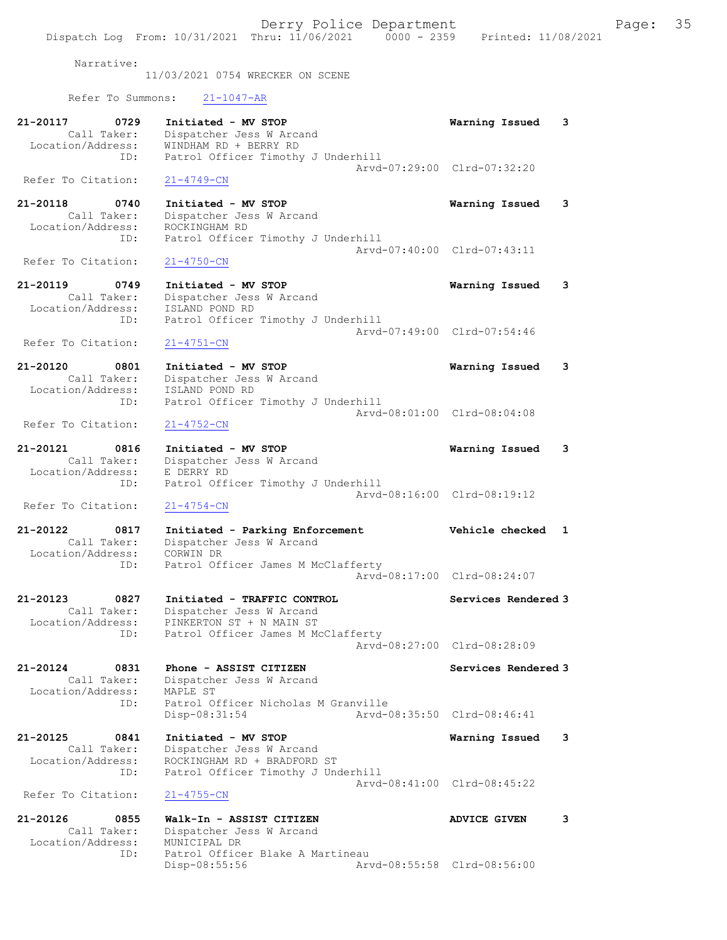Narrative:

11/03/2021 0754 WRECKER ON SCENE

Refer To Summons: 21-1047-AR

| 21-20117<br>0729<br>Call Taker:<br>Location/Address:            | Initiated - MV STOP<br>Dispatcher Jess W Arcand<br>WINDHAM RD + BERRY RD                                             | 3<br>Warning Issued         |
|-----------------------------------------------------------------|----------------------------------------------------------------------------------------------------------------------|-----------------------------|
| ID:                                                             | Patrol Officer Timothy J Underhill                                                                                   |                             |
| Refer To Citation:                                              | $21 - 4749 - CN$                                                                                                     | Arvd-07:29:00 Clrd-07:32:20 |
| 21-20118<br>0740<br>Call Taker:                                 | Initiated - MV STOP<br>Dispatcher Jess W Arcand                                                                      | Warning Issued<br>3         |
| Location/Address:<br>ID:                                        | ROCKINGHAM RD<br>Patrol Officer Timothy J Underhill                                                                  | Arvd-07:40:00 Clrd-07:43:11 |
| Refer To Citation:                                              | $21 - 4750 - CN$                                                                                                     |                             |
| 21-20119<br>0749<br>Call Taker:<br>Location/Address:<br>ID:     | Initiated - MV STOP<br>Dispatcher Jess W Arcand<br>ISLAND POND RD<br>Patrol Officer Timothy J Underhill              | 3<br>Warning Issued         |
| Refer To Citation:                                              | $21 - 4751 - CN$                                                                                                     | Arvd-07:49:00 Clrd-07:54:46 |
| 21-20120<br>0801<br>Call Taker:                                 | Initiated - MV STOP<br>Dispatcher Jess W Arcand                                                                      | Warning Issued<br>3         |
| Location/Address:<br>ID:                                        | ISLAND POND RD<br>Patrol Officer Timothy J Underhill                                                                 | Arvd-08:01:00 Clrd-08:04:08 |
| Refer To Citation:                                              | $21 - 4752 - CN$                                                                                                     |                             |
| 21-20121<br>0816<br>Call Taker:                                 | Initiated - MV STOP<br>Dispatcher Jess W Arcand                                                                      | 3<br>Warning Issued         |
| Location/Address:<br>ID:                                        | E DERRY RD<br>Patrol Officer Timothy J Underhill                                                                     | Arvd-08:16:00 Clrd-08:19:12 |
| Refer To Citation:                                              | $21 - 4754 - CN$                                                                                                     |                             |
| 21-20122<br>0817<br>Call Taker:<br>Location/Address:<br>ID:     | Initiated - Parking Enforcement<br>Dispatcher Jess W Arcand<br>CORWIN DR<br>Patrol Officer James M McClafferty       | Vehicle checked<br>1        |
|                                                                 |                                                                                                                      | Arvd-08:17:00 Clrd-08:24:07 |
| 21-20123<br>0827<br>Call Taker:<br>Location/Address:            | Initiated - TRAFFIC CONTROL<br>Dispatcher Jess W Arcand<br>PINKERTON ST + N MAIN ST                                  | Services Rendered 3         |
| ID:                                                             | Patrol Officer James M McClafferty<br>Arvd-08:27:00 Clrd-08:28:09                                                    |                             |
| 21-20124<br>0831                                                | Phone - ASSIST CITIZEN                                                                                               | Services Rendered 3         |
| Call Taker:<br>Location/Address:<br>ID:                         | Dispatcher Jess W Arcand<br>MAPLE ST<br>Patrol Officer Nicholas M Granville                                          |                             |
|                                                                 | Disp-08:31:54                                                                                                        | Arvd-08:35:50 Clrd-08:46:41 |
| $21 - 20125$<br>0841<br>Call Taker:<br>Location/Address:<br>ID: | Initiated - MV STOP<br>Dispatcher Jess W Arcand<br>ROCKINGHAM RD + BRADFORD ST<br>Patrol Officer Timothy J Underhill | Warning Issued<br>3         |
|                                                                 |                                                                                                                      | Arvd-08:41:00 Clrd-08:45:22 |
| Refer To Citation:                                              | $21 - 4755 - CN$                                                                                                     |                             |
| 21-20126<br>0855<br>Call Taker:<br>Location/Address:            | Walk-In - ASSIST CITIZEN<br>Dispatcher Jess W Arcand<br>MUNICIPAL DR                                                 | 3<br><b>ADVICE GIVEN</b>    |
| ID:                                                             | Patrol Officer Blake A Martineau<br>Disp-08:55:56                                                                    | Arvd-08:55:58 Clrd-08:56:00 |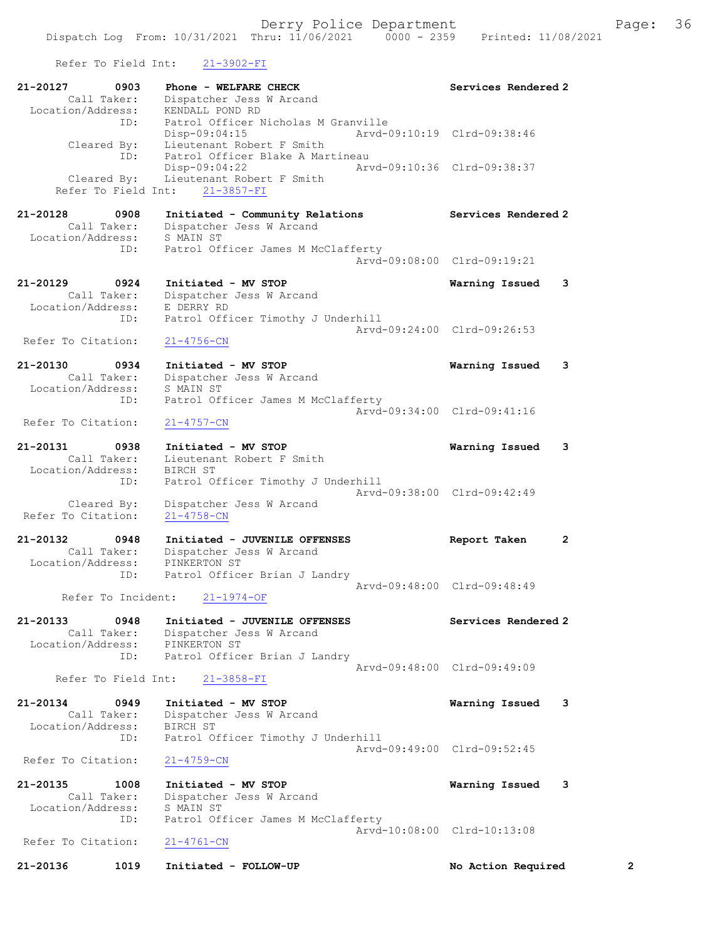Refer To Field Int: 21-3902-FI

| 21-20127<br>0903<br>Call Taker:<br>Location/Address:     | Phone - WELFARE CHECK<br>Dispatcher Jess W Arcand<br>KENDALL POND RD                               | Services Rendered 2            |
|----------------------------------------------------------|----------------------------------------------------------------------------------------------------|--------------------------------|
| ID:<br>Cleared By:                                       | Patrol Officer Nicholas M Granville<br>Disp-09:04:15<br>Lieutenant Robert F Smith                  | Arvd-09:10:19 Clrd-09:38:46    |
| ID:<br>Cleared By:<br>Refer To Field Int:                | Patrol Officer Blake A Martineau<br>Disp-09:04:22<br>Lieutenant Robert F Smith<br>$21 - 3857 - FI$ | Arvd-09:10:36 Clrd-09:38:37    |
| 21-20128<br>0908<br>Call Taker:<br>Location/Address:     | Initiated - Community Relations<br>Dispatcher Jess W Arcand<br>S MAIN ST                           | Services Rendered 2            |
| ID:                                                      | Patrol Officer James M McClafferty                                                                 | Arvd-09:08:00 Clrd-09:19:21    |
| 21-20129<br>0924<br>Call Taker:<br>Location/Address:     | Initiated - MV STOP<br>Dispatcher Jess W Arcand<br>E DERRY RD                                      | Warning Issued<br>3            |
| ID:<br>Refer To Citation:                                | Patrol Officer Timothy J Underhill<br>$21 - 4756 - CN$                                             | Arvd-09:24:00 Clrd-09:26:53    |
| $21 - 20130$<br>0934<br>Call Taker:<br>Location/Address: | Initiated - MV STOP<br>Dispatcher Jess W Arcand<br>S MAIN ST                                       | Warning Issued<br>3            |
| ID:<br>Refer To Citation:                                | Patrol Officer James M McClafferty<br>$21 - 4757 - CN$                                             | Arvd-09:34:00 Clrd-09:41:16    |
| 21-20131<br>0938<br>Call Taker:<br>Location/Address:     | Initiated - MV STOP<br>Lieutenant Robert F Smith<br>BIRCH ST                                       | Warning Issued<br>3            |
| ID:<br>Cleared By:<br>Refer To Citation:                 | Patrol Officer Timothy J Underhill<br>Dispatcher Jess W Arcand<br>$21 - 4758 - CN$                 | Arvd-09:38:00 Clrd-09:42:49    |
| 21-20132<br>0948<br>Call Taker:<br>Location/Address:     | Initiated - JUVENILE OFFENSES<br>Dispatcher Jess W Arcand<br>PINKERTON ST                          | $\overline{2}$<br>Report Taken |
| ID:<br>Refer To Incident:                                | Patrol Officer Brian J Landry<br>$21 - 1974 - OF$                                                  | Arvd-09:48:00 Clrd-09:48:49    |
| 21-20133<br>0948<br>Call Taker:<br>Location/Address:     | Initiated - JUVENILE OFFENSES<br>Dispatcher Jess W Arcand<br>PINKERTON ST                          | Services Rendered 2            |
| ID:<br>Refer To Field Int:                               | Patrol Officer Brian J Landry<br>$21 - 3858 - FI$                                                  | Aryd-09:48:00 Clrd-09:49:09    |
| 21-20134<br>0949<br>Call Taker:<br>Location/Address:     | Initiated - MV STOP<br>Dispatcher Jess W Arcand<br>BIRCH ST                                        | Warning Issued<br>3            |
| ID:<br>Refer To Citation:                                | Patrol Officer Timothy J Underhill<br>$21 - 4759 - CN$                                             | Aryd-09:49:00 Clrd-09:52:45    |
| 21-20135<br>1008<br>Call Taker:<br>Location/Address:     | Initiated - MV STOP<br>Dispatcher Jess W Arcand<br>S MAIN ST                                       | Warning Issued<br>3            |
| ID:<br>Refer To Citation:                                | Patrol Officer James M McClafferty<br>$21 - 4761 - CN$                                             | Arvd-10:08:00 Clrd-10:13:08    |
| 21-20136<br>1019                                         | Initiated - FOLLOW-UP                                                                              | No Action Required<br>2        |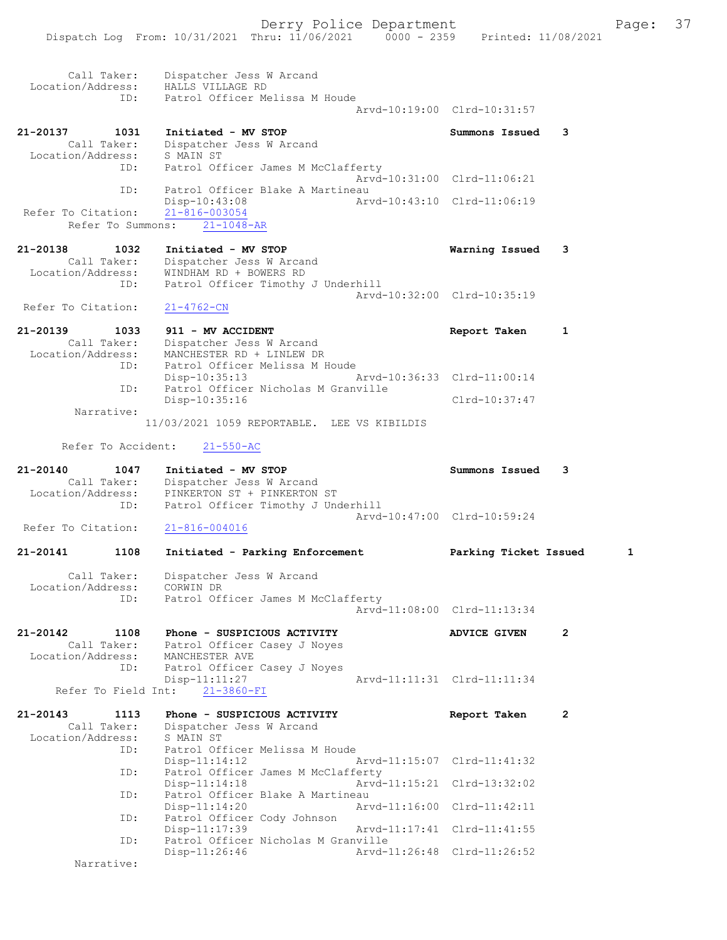Dispatch Log From: 10/31/2021 Thru: 11/06/2021 0000 - 2359 Printed: 11/08/2021

 Call Taker: Dispatcher Jess W Arcand Location/Address: HALLS VILLAGE RD ID: Patrol Officer Melissa M Houde Arvd-10:19:00 Clrd-10:31:57 21-20137 1031 Initiated - MV STOP Summons Issued 3 Call Taker: Dispatcher Jess W Arcand Location/Address: S MAIN ST ID: Patrol Officer James M McClafferty Arvd-10:31:00 Clrd-11:06:21 ID: Patrol Officer Blake A Martineau<br>Disp-10:43:08 Martine10:43:10 Clrd-11:06:19 Disp-10:43:08<br>21-816-003054 Refer To Citation: Refer To Summons: 21-1048-AR 21-20138 1032 Initiated - MV STOP Warning Issued 3 Call Taker: Dispatcher Jess W Arcand Location/Address: WINDHAM RD + BOWERS RD ID: Patrol Officer Timothy J Underhill Arvd-10:32:00 Clrd-10:35:19 Refer To Citation: 21-4762-CN 21-20139 1033 911 - MV ACCIDENT Report Taken 1 Call Taker: Dispatcher Jess W Arcand Location/Address: MANCHESTER RD + LINLEW DR ID: Patrol Officer Melissa M Houde Disp-10:35:13 Arvd-10:36:33 Clrd-11:00:14<br>ID: Patrol Officer Nicholas M Granville Patrol Officer Nicholas M Granville Disp-10:35:16 Clrd-10:37:47 Narrative: 11/03/2021 1059 REPORTABLE. LEE VS KIBILDIS Refer To Accident: 21-550-AC 21-20140 1047 Initiated - MV STOP Summons Issued 3 Call Taker: Dispatcher Jess W Arcand Location/Address: PINKERTON ST + PINKERTON ST ID: Patrol Officer Timothy J Underhill Arvd-10:47:00 Clrd-10:59:24<br>21-816-004016 Refer To Citation: 21-20141 1108 Initiated - Parking Enforcement Parking Ticket Issued 1 Call Taker: Dispatcher Jess W Arcand Location/Address: CORWIN DR ID: Patrol Officer James M McClafferty Arvd-11:08:00 Clrd-11:13:34 21-20142 1108 Phone - SUSPICIOUS ACTIVITY ADVICE GIVEN 2 Call Taker: Patrol Officer Casey J Noyes Location/Address: MANCHESTER AVE ID: Patrol Officer Casey J Noyes<br>Disp-11:11:27 Arvd-11:11:31 Clrd-11:11:34  $Disp-11:11:27$  Refer To Field Int: 21-3860-FI 21-20143 1113 Phone - SUSPICIOUS ACTIVITY Report Taken 2 Call Taker: Dispatcher Jess W Arcand Location/Address: S MAIN ST ID: Patrol Officer Melissa M Houde Disp-11:14:12 Arvd-11:15:07 Clrd-11:41:32 ID: Patrol Officer James M McClafferty<br>Disp-11:14:18 Arvd- Disp-11:14:18 Arvd-11:15:21 Clrd-13:32:02 ID: Patrol Officer Blake A Martineau<br>Disp-11:14:20 Art Arvd-11:16:00 Clrd-11:42:11 ID: Patrol Officer Cody Johnson Disp-11:17:39 Arvd-11:17:41 Clrd-11:41:55<br>TD: Patrol Officer Nicholas M Granville Patrol Officer Nicholas M Granville<br>Disp-11:26:46 <br>Arvd-11:26:48 Clrd-11:26:52 Disp-11:26:46

Narrative: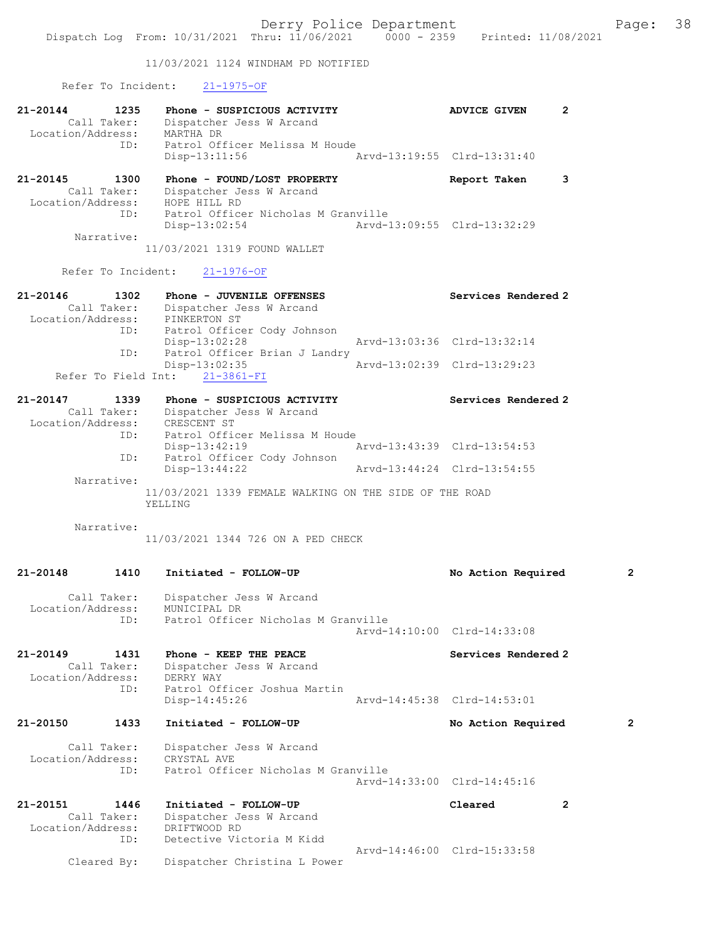11/03/2021 1124 WINDHAM PD NOTIFIED

Refer To Incident: 21-1975-OF

| 21-20144<br>1235<br>Call Taker:<br>Location/Address:        | Phone - SUSPICIOUS ACTIVITY<br>Dispatcher Jess W Arcand<br>MARTHA DR                                                              | 2<br><b>ADVICE GIVEN</b>                           |                |
|-------------------------------------------------------------|-----------------------------------------------------------------------------------------------------------------------------------|----------------------------------------------------|----------------|
| ID:                                                         | Patrol Officer Melissa M Houde<br>$Disp-13:11:56$                                                                                 | Arvd-13:19:55 Clrd-13:31:40                        |                |
| 21-20145<br>1300<br>Call Taker:<br>Location/Address:<br>ID: | Phone - FOUND/LOST PROPERTY<br>Dispatcher Jess W Arcand<br>HOPE HILL RD<br>Patrol Officer Nicholas M Granville<br>$Disp-13:02:54$ | Report Taken<br>3<br>Arvd-13:09:55 Clrd-13:32:29   |                |
| Narrative:                                                  | 11/03/2021 1319 FOUND WALLET                                                                                                      |                                                    |                |
| Refer To Incident:                                          | $21 - 1976 - OF$                                                                                                                  |                                                    |                |
| 21-20146<br>1302<br>Call Taker:<br>Location/Address:<br>ID: | Phone - JUVENILE OFFENSES<br>Dispatcher Jess W Arcand<br>PINKERTON ST<br>Patrol Officer Cody Johnson<br>Disp-13:02:28             | Services Rendered 2<br>Arvd-13:03:36 Clrd-13:32:14 |                |
| ID:                                                         | Patrol Officer Brian J Landry<br>$Disp-13:02:35$<br>Refer To Field Int: 21-3861-FI                                                | Arvd-13:02:39 Clrd-13:29:23                        |                |
| $21 - 20147$<br>1339<br>Location/Address:                   | Phone - SUSPICIOUS ACTIVITY<br>Call Taker: Dispatcher Jess W Arcand<br>CRESCENT ST                                                | Services Rendered 2                                |                |
| ID:<br>ID:                                                  | Patrol Officer Melissa M Houde<br>$Disp-13:42:19$<br>Patrol Officer Cody Johnson                                                  | Arvd-13:43:39 Clrd-13:54:53                        |                |
| Narrative:                                                  | $Disp-13:44:22$                                                                                                                   | Arvd-13:44:24 Clrd-13:54:55                        |                |
|                                                             | 11/03/2021 1339 FEMALE WALKING ON THE SIDE OF THE ROAD<br>YELLING                                                                 |                                                    |                |
| Narrative:                                                  | 11/03/2021 1344 726 ON A PED CHECK                                                                                                |                                                    |                |
| 21-20148<br>1410                                            | Initiated - FOLLOW-UP                                                                                                             | No Action Required                                 | $\overline{2}$ |
| Call Taker:<br>Location/Address:<br>ID:                     | Dispatcher Jess W Arcand<br>MUNICIPAL DR<br>Patrol Officer Nicholas M Granville                                                   |                                                    |                |
|                                                             |                                                                                                                                   | Arvd-14:10:00 Clrd-14:33:08                        |                |
| 21-20149<br>1431<br>Call Taker:<br>Location/Address:        | Phone - KEEP THE PEACE<br>Dispatcher Jess W Arcand<br>DERRY WAY                                                                   | Services Rendered 2                                |                |
| ID:                                                         | Patrol Officer Joshua Martin<br>$Disp-14:45:26$                                                                                   | Arvd-14:45:38 Clrd-14:53:01                        |                |
| 21-20150<br>1433                                            | Initiated - FOLLOW-UP                                                                                                             | No Action Required                                 | 2              |
| Call Taker:<br>Location/Address:<br>ID:                     | Dispatcher Jess W Arcand<br>CRYSTAL AVE<br>Patrol Officer Nicholas M Granville                                                    | Arvd-14:33:00 Clrd-14:45:16                        |                |
| 21-20151<br>1446                                            | Initiated - FOLLOW-UP                                                                                                             | Cleared<br>$\overline{2}$                          |                |
| Call Taker:<br>Location/Address:<br>ID:                     | Dispatcher Jess W Arcand<br>DRIFTWOOD RD<br>Detective Victoria M Kidd                                                             |                                                    |                |
| Cleared By:                                                 | Dispatcher Christina L Power                                                                                                      | Arvd-14:46:00 Clrd-15:33:58                        |                |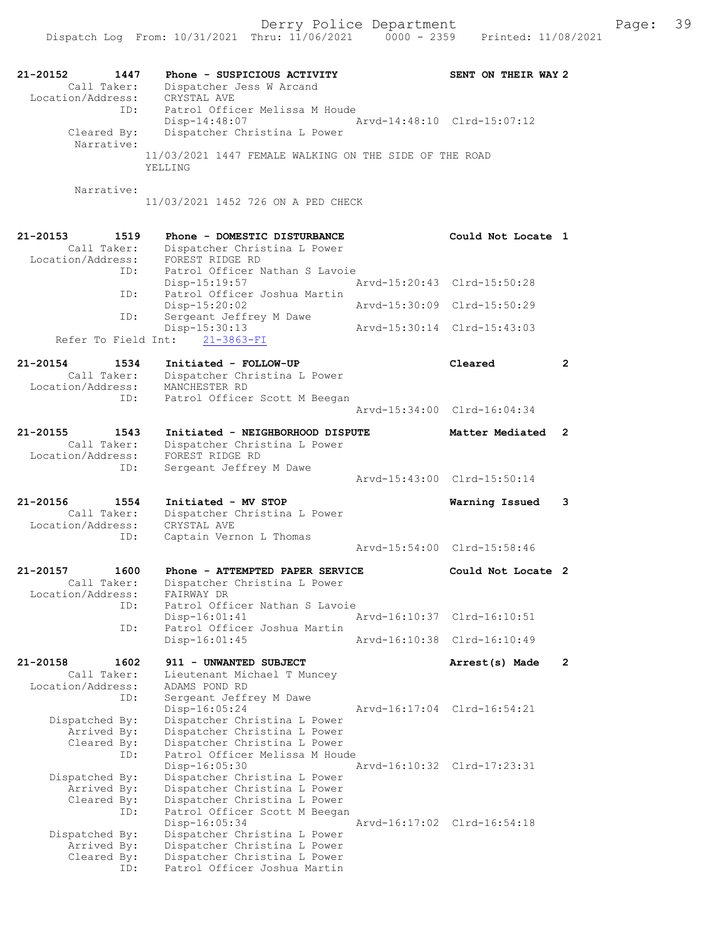21-20152 1447 Phone - SUSPICIOUS ACTIVITY SENT ON THEIR WAY 2 Call Taker: Dispatcher Jess W Arcand Location/Address: CRYSTAL AVE ID: Patrol Officer Melissa M Houde Disp-14:48:07 Arvd-14:48:10 Clrd-15:07:12 Cleared By: Dispatcher Christina L Power Narrative: 11/03/2021 1447 FEMALE WALKING ON THE SIDE OF THE ROAD YELLING Narrative: 11/03/2021 1452 726 ON A PED CHECK 21-20153 1519 Phone - DOMESTIC DISTURBANCE Could Not Locate 1 Call Taker: Dispatcher Christina L Power Location/Address: FOREST RIDGE RD ID: Patrol Officer Nathan S Lavoie<br>Disp-15:19:57 Disp-15:19:57 Arvd-15:20:43 Clrd-15:50:28 ID: Patrol Officer Joshua Martin<br>Disp-15:20:02 Disp-15:20:02 Arvd-15:30:09 Clrd-15:50:29 ID: Sergeant Jeffrey M Dawe Disp-15:30:13 Arvd-15:30:14 Clrd-15:43:03 Refer To Field Int: 21-3863-FI 21-20154 1534 Initiated - FOLLOW-UP Cleared 2 Call Taker: Dispatcher Christina L Power Location/Address: MANCHESTER RD ID: Patrol Officer Scott M Beegan Arvd-15:34:00 Clrd-16:04:34 21-20155 1543 Initiated - NEIGHBORHOOD DISPUTE Matter Mediated 2 Call Taker: Dispatcher Christina L Power Location/Address: FOREST RIDGE RD ID: Sergeant Jeffrey M Dawe Arvd-15:43:00 Clrd-15:50:14 21-20156 1554 Initiated - MV STOP Warning Issued 3 Call Taker: Dispatcher Christina L Power Location/Address: CRYSTAL AVE ID: Captain Vernon L Thomas Arvd-15:54:00 Clrd-15:58:46 21-20157 1600 Phone - ATTEMPTED PAPER SERVICE Could Not Locate 2 Call Taker: Dispatcher Christina L Power Call Taker: Dispatcher<br>Location/Address: FAIRWAY DR ID: Patrol Officer Nathan S Lavoie<br>Disp-16:01:41 Disp-16:01:41 Arvd-16:10:37 Clrd-16:10:51 ID: Patrol Officer Joshua Martin Disp-16:01:45 Arvd-16:10:38 Clrd-16:10:49 21-20158 1602 911 - UNWANTED SUBJECT 2 Arrest(s) Made 2 Call Taker: Lieutenant Michael T Muncey Location/Address: ADAMS POND RD ID: Sergeant Jeffrey M Dawe Disp-16:05:24 Arvd-16:17:04 Clrd-16:54:21 Dispatched By: Dispatcher Christina L Power Arrived By: Dispatcher Christina L Power Cleared By: Dispatcher Christina L Power ID: Patrol Officer Melissa M Houde<br>Disp-16:05:30 Disp-16:05:30 Arvd-16:10:32 Clrd-17:23:31 Dispatched By: Dispatcher Christina L Power Arrived By: Dispatcher Christina L Power Cleared By: Dispatcher Christina L Power ID: Patrol Officer Scott M Beegan Disp-16:05:34 Arvd-16:17:02 Clrd-16:54:18 Dispatched By: Dispatcher Christina L Power Arrived By: Dispatcher Christina L Power Cleared By: Dispatcher Christina L Power ID: Patrol Officer Joshua Martin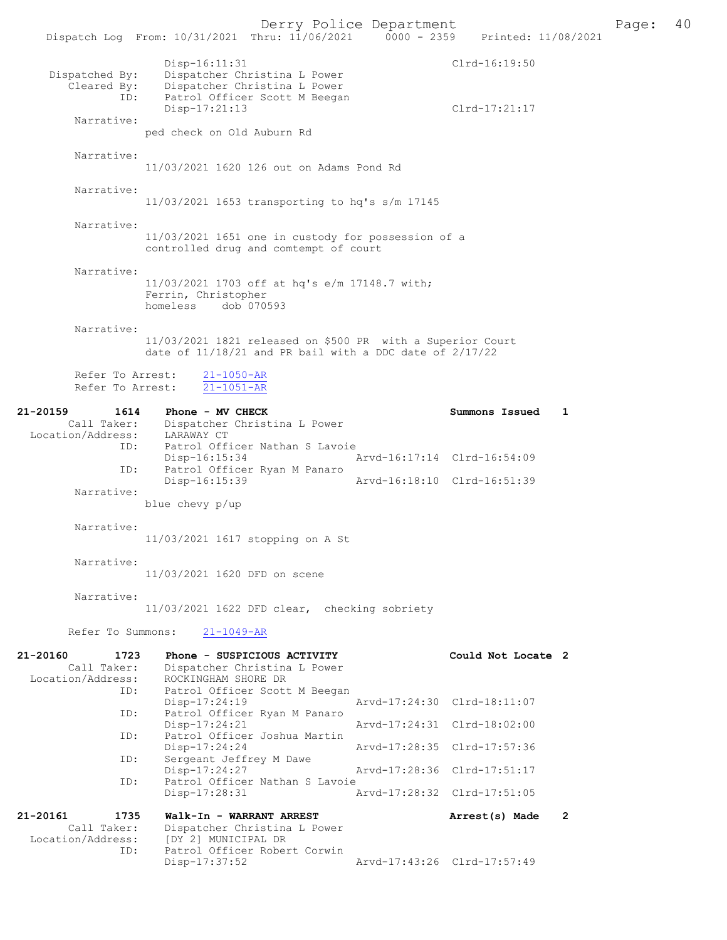Derry Police Department **Page: 40**<br>Phru: 11/06/2021 0000 - 2359 Printed: 11/08/2021 Dispatch Log From: 10/31/2021 Thru: 11/06/2021 0000 - 2359 Disp-16:11:31 Clrd-16:19:50 Dispatched By: Dispatcher Christina L Power<br>Cleared By: Dispatcher Christina L Power py: The Christina L Power<br>
By: Dispatcher Christina L Power<br>
ID: Patrol Officer Scott M Beegar Patrol Officer Scott M Beegan Disp-17:21:13 Clrd-17:21:17 Narrative: ped check on Old Auburn Rd Narrative: 11/03/2021 1620 126 out on Adams Pond Rd Narrative: 11/03/2021 1653 transporting to hq's s/m 17145 Narrative: 11/03/2021 1651 one in custody for possession of a controlled drug and comtempt of court Narrative: 11/03/2021 1703 off at hq's e/m 17148.7 with; Ferrin, Christopher homeless dob 070593 Narrative: 11/03/2021 1821 released on \$500 PR with a Superior Court date of 11/18/21 and PR bail with a DDC date of 2/17/22 Refer To Arrest:  $\frac{21-1050-AR}{21-1051-AR}$ Refer To Arrest: 21-20159 1614 Phone - MV CHECK Summons Issued 1 Call Taker: Dispatcher Christina L Power Location/Address: LARAWAY CT ID: Patrol Officer Nathan S Lavoie<br>Disp-16:15:34 Disp-16:15:34 Arvd-16:17:14 Clrd-16:54:09<br>ID: Patrol Officer Ryan M Panaro Patrol Officer Ryan M Panaro<br>Disp-16:15:39 Arvd-16:18:10 Clrd-16:51:39 Narrative: blue chevy p/up Narrative: 11/03/2021 1617 stopping on A St Narrative: 11/03/2021 1620 DFD on scene Narrative: 11/03/2021 1622 DFD clear, checking sobriety Refer To Summons: 21-1049-AR 21-20160 1723 Phone - SUSPICIOUS ACTIVITY Could Not Locate 2 Call Taker: Dispatcher Christina L Power Location/Address: ROCKINGHAM SHORE DR Patrol Officer Scott M Beegan<br>Disp-17:24:19 Disp-17:24:19 Arvd-17:24:30 Clrd-18:11:07 ID: Patrol Officer Ryan M Panaro Disp-17:24:21 Arvd-17:24:31 Clrd-18:02:00 ID: Patrol Officer Joshua Martin Disp-17:24:24 Arvd-17:28:35 Clrd-17:57:36 Sergeant Jeffrey M Dawe<br>Disp-17:24:27 Disp-17:24:27 Arvd-17:28:36 Clrd-17:51:17<br>TD: Patrol Officer Nathan S Lavoie Patrol Officer Nathan S Lavoie Disp-17:28:31 Arvd-17:28:32 Clrd-17:51:05 21-20161 1735 Walk-In - WARRANT ARREST 2 Call Taker: Dispatcher Christina L Power Location/Address: [DY 2] MUNICIPAL DR ID: Patrol Officer Robert Corwin<br>Disp-17:37:52

Disp-17:37:52 Arvd-17:43:26 Clrd-17:57:49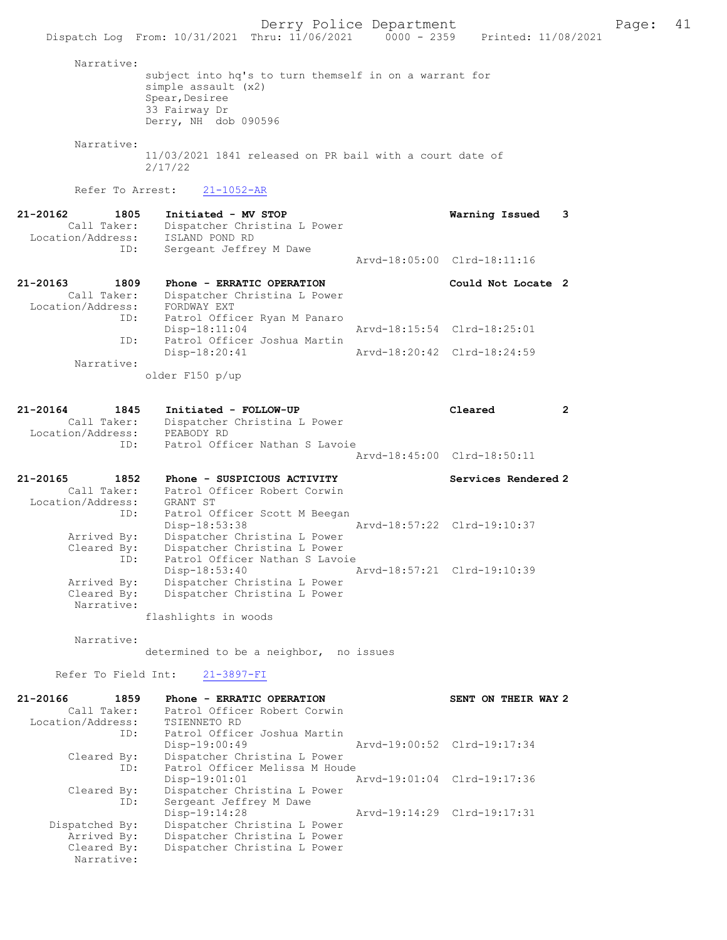Narrative: subject into hq's to turn themself in on a warrant for simple assault (x2) Spear, Desiree 33 Fairway Dr Derry, NH dob 090596 Narrative: 11/03/2021 1841 released on PR bail with a court date of 2/17/22 Refer To Arrest: 21-1052-AR 21-20162 1805 Initiated - MV STOP Warning Issued 3 Call Taker: Dispatcher Christina L Power<br>ion/Address: ISLAND POND RD Location/Address:<br>ID: Sergeant Jeffrey M Dawe Arvd-18:05:00 Clrd-18:11:16 21-20163 1809 Phone - ERRATIC OPERATION Could Not Locate 2 Call Taker: Dispatcher Christina L Power Location/Address: FORDWAY EXT ID: Patrol Officer Ryan M Panaro Disp-18:11:04 Arvd-18:15:54 Clrd-18:25:01<br>ID: Patrol Officer Joshua Martin Patrol Officer Joshua Martin<br>Disp-18:20:41 Disp-18:20:41 Arvd-18:20:42 Clrd-18:24:59 Narrative: older F150 p/up 21-20164 1845 Initiated - FOLLOW-UP Cleared 2 Call Taker: Dispatcher Christina L Power<br>ion/Address: PEABODY RD Location/Address:<br>TD: Patrol Officer Nathan S Lavoie Arvd-18:45:00 Clrd-18:50:11 21-20165 1852 Phone - SUSPICIOUS ACTIVITY Services Rendered 2 Call Taker: Patrol Officer Robert Corwin Location/Address: GRANT ST ID: Patrol Officer Scott M Beegan Disp-18:53:38 Arvd-18:57:22 Clrd-19:10:37 Arrived By: Dispatcher Christina L Power Cleared By: Dispatcher Christina L Power ID: Patrol Officer Nathan S Lavoie Disp-18:53:40 Arvd-18:57:21 Clrd-19:10:39 Arrived By: Dispatcher Christina L Power Cleared By: Dispatcher Christina L Power Narrative: flashlights in woods Narrative: determined to be a neighbor, no issues Refer To Field Int: 21-3897-FI 21-20166 1859 Phone - ERRATIC OPERATION SENT ON THEIR WAY 2 Call Taker: Patrol Officer Robert Corwin<br>.on/Address: TSIENNETO RD Location/Address:<br>ID: Patrol Officer Joshua Martin<br>Disp-19:00:49 Disp-19:00:49 Arvd-19:00:52 Clrd-19:17:34<br>Cleared By: Dispatcher Christina L Power Dispatcher Christina L Power ID: Patrol Officer Melissa M Houde<br>Disp-19:01:01 Disp-19:01:01 Arvd-19:01:04 Cleared By: Dispatcher Christina L Power By: Dispatcher Christina L Power<br>ID: Sergeant Jeffrey M Dawe Sergeant Jeffrey M Dawe<br>Disp-19:14:28 Disp-19:14:28 Arvd-19:14:29 Clrd-19:17:31<br>Dispatched By: Dispatcher Christina L Power spatched By: Dispatcher Christina L Power<br>Arrived By: Dispatcher Christina L Power Arrived By: Dispatcher Christina L Power<br>Cleared By: Dispatcher Christina L Power Dispatcher Christina L Power Narrative: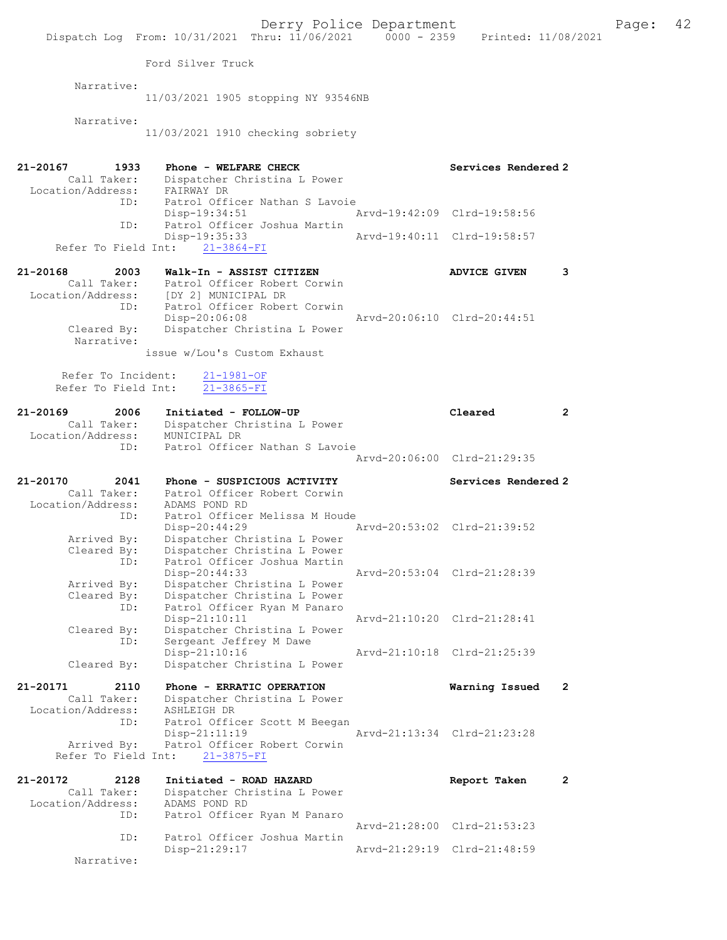|                                     |                                                                                | Derry Police Department     |                             |              |
|-------------------------------------|--------------------------------------------------------------------------------|-----------------------------|-----------------------------|--------------|
|                                     | Dispatch Log From: 10/31/2021 Thru: 11/06/2021 0000 - 2359 Printed: 11/08/2021 |                             |                             |              |
|                                     | Ford Silver Truck                                                              |                             |                             |              |
| Narrative:                          |                                                                                |                             |                             |              |
|                                     | 11/03/2021 1905 stopping NY 93546NB                                            |                             |                             |              |
| Narrative:                          | 11/03/2021 1910 checking sobriety                                              |                             |                             |              |
|                                     |                                                                                |                             |                             |              |
| 21-20167<br>1933<br>Call Taker:     | Phone - WELFARE CHECK                                                          |                             | Services Rendered 2         |              |
| Location/Address: FAIRWAY DR        | Dispatcher Christina L Power                                                   |                             |                             |              |
| ID:                                 | Patrol Officer Nathan S Lavoie<br>Disp-19:34:51                                |                             | Arvd-19:42:09 Clrd-19:58:56 |              |
| ID:                                 | Patrol Officer Joshua Martin                                                   |                             |                             |              |
| Refer To Field Int:                 | $Disp-19:35:33$<br>$21 - 3864 - FI$                                            | Arvd-19:40:11 Clrd-19:58:57 |                             |              |
|                                     |                                                                                |                             |                             |              |
| $21 - 20168$<br>2003<br>Call Taker: | Walk-In - ASSIST CITIZEN<br>Patrol Officer Robert Corwin                       |                             | <b>ADVICE GIVEN</b>         | 3            |
| Location/Address:<br>ID:            | [DY 2] MUNICIPAL DR<br>Patrol Officer Robert Corwin                            |                             |                             |              |
|                                     | Disp-20:06:08                                                                  |                             | Arvd-20:06:10 Clrd-20:44:51 |              |
| Cleared By:<br>Narrative:           | Dispatcher Christina L Power                                                   |                             |                             |              |
|                                     | issue w/Lou's Custom Exhaust                                                   |                             |                             |              |
| Refer To Incident:                  | $21 - 1981 - OF$                                                               |                             |                             |              |
| Refer To Field Int:                 | $21 - 3865 - FI$                                                               |                             |                             |              |
| 21-20169<br>2006                    | Initiated - FOLLOW-UP                                                          |                             | Cleared                     | $\mathbf{2}$ |
| Call Taker:<br>Location/Address:    | Dispatcher Christina L Power<br>MUNICIPAL DR                                   |                             |                             |              |
| ID:                                 | Patrol Officer Nathan S Lavoie                                                 |                             | Arvd-20:06:00 Clrd-21:29:35 |              |
|                                     |                                                                                |                             |                             |              |
| 21-20170<br>2041<br>Call Taker:     | Phone - SUSPICIOUS ACTIVITY<br>Patrol Officer Robert Corwin                    |                             | Services Rendered 2         |              |
| Location/Address:                   | ADAMS POND RD                                                                  |                             |                             |              |
| ID:                                 | Patrol Officer Melissa M Houde<br>$Disp-20:44:29$                              |                             | Arvd-20:53:02 Clrd-21:39:52 |              |
| Arrived By:<br>Cleared By:          | Dispatcher Christina L Power<br>Dispatcher Christina L Power                   |                             |                             |              |
| ID:                                 | Patrol Officer Joshua Martin                                                   |                             |                             |              |
| Arrived By:                         | Disp-20:44:33<br>Dispatcher Christina L Power                                  |                             | Arvd-20:53:04 Clrd-21:28:39 |              |
| Cleared By:                         | Dispatcher Christina L Power                                                   |                             |                             |              |
| ID:                                 | Patrol Officer Ryan M Panaro<br>$Disp-21:10:11$                                |                             | Arvd-21:10:20 Clrd-21:28:41 |              |
| Cleared By:<br>ID:                  | Dispatcher Christina L Power<br>Sergeant Jeffrey M Dawe                        |                             |                             |              |
|                                     | $Disp-21:10:16$                                                                |                             | Arvd-21:10:18 Clrd-21:25:39 |              |
| Cleared By:                         | Dispatcher Christina L Power                                                   |                             |                             |              |
| 21-20171<br>2110                    | Phone - ERRATIC OPERATION                                                      |                             | Warning Issued              | 2            |
| Call Taker:<br>Location/Address:    | Dispatcher Christina L Power<br>ASHLEIGH DR                                    |                             |                             |              |
| ID:                                 | Patrol Officer Scott M Beegan<br>Disp-21:11:19                                 |                             | Arvd-21:13:34 Clrd-21:23:28 |              |
| Arrived By:                         | Patrol Officer Robert Corwin                                                   |                             |                             |              |
| Refer To Field Int:                 | $21 - 3875 - FI$                                                               |                             |                             |              |
| 21-20172<br>2128                    | Initiated - ROAD HAZARD                                                        |                             | Report Taken                | $\mathbf{2}$ |
| Call Taker:<br>Location/Address:    | Dispatcher Christina L Power<br>ADAMS POND RD                                  |                             |                             |              |
| ID:                                 | Patrol Officer Ryan M Panaro                                                   |                             | Arvd-21:28:00 Clrd-21:53:23 |              |
| ID:                                 | Patrol Officer Joshua Martin<br>Disp-21:29:17                                  |                             | Arvd-21:29:19 Clrd-21:48:59 |              |
|                                     |                                                                                |                             |                             |              |

Page:  $42$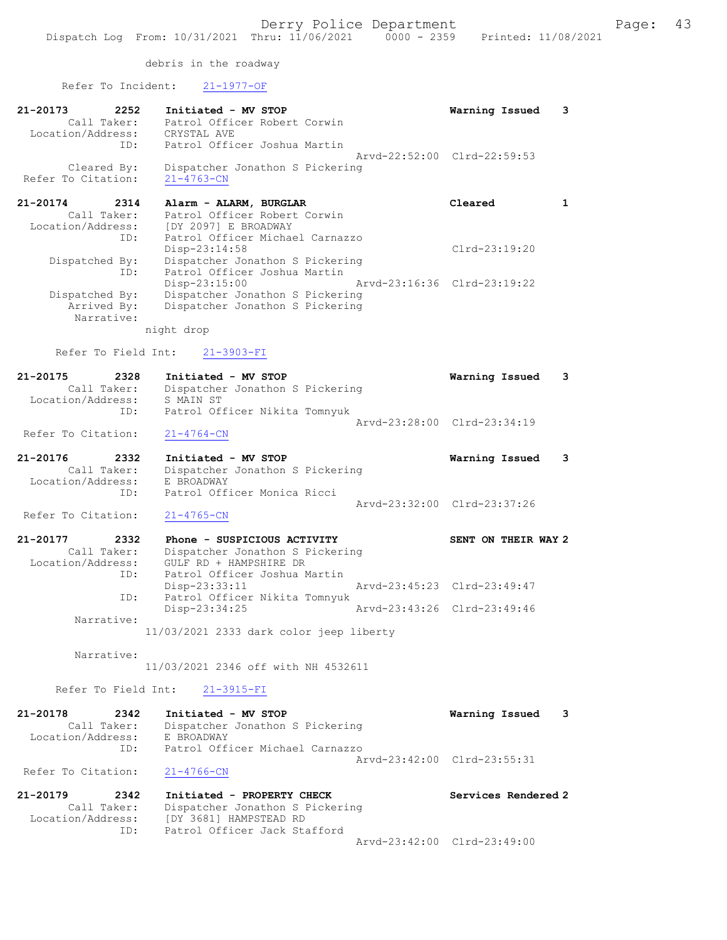debris in the roadway

Refer To Incident: 21-1977-OF

| 21-20173                          | 2252<br>Call Taker:       | Initiated - MV STOP<br>Patrol Officer Robert Corwin<br>Location/Address: CRYSTAL AVE                      | Warning Issued              | 3 |
|-----------------------------------|---------------------------|-----------------------------------------------------------------------------------------------------------|-----------------------------|---|
|                                   |                           | ID: Patrol Officer Joshua Martin                                                                          | Arvd-22:52:00 Clrd-22:59:53 |   |
| Cleared By:<br>Refer To Citation: |                           | Dispatcher Jonathon S Pickering<br>$21 - 4763 - CN$                                                       |                             |   |
| 21-20174                          | 2314                      | Alarm - ALARM, BURGLAR                                                                                    | Cleared                     |   |
|                                   | Call Taker:<br>ID:        | Patrol Officer Robert Corwin<br>Location/Address: [DY 2097] E BROADWAY<br>Patrol Officer Michael Carnazzo |                             |   |
|                                   |                           | $Disp-23:14:58$                                                                                           | $Clrd-23:19:20$             |   |
| Dispatched By:                    | ID:                       | Dispatcher Jonathon S Pickering<br>Patrol Officer Joshua Martin                                           |                             |   |
| Dispatched By:                    |                           | Disp-23:15:00<br>Dispatcher Jonathon S Pickering                                                          | Arvd-23:16:36 Clrd-23:19:22 |   |
|                                   | Arrived By:<br>Narrative: | Dispatcher Jonathon S Pickering                                                                           |                             |   |

night drop

#### Refer To Field Int: 21-3903-FI

| 21-20175           | 2328        | Initiated - MV STOP             | Warning Issued              | $\overline{\mathbf{3}}$ |
|--------------------|-------------|---------------------------------|-----------------------------|-------------------------|
|                    | Call Taker: | Dispatcher Jonathon S Pickering |                             |                         |
| Location/Address:  |             | S MAIN ST                       |                             |                         |
|                    | ID:         | Patrol Officer Nikita Tomnyuk   |                             |                         |
|                    |             |                                 | Aryd-23:28:00 Clrd-23:34:19 |                         |
| Refer To Citation: |             | 21-4764-CN                      |                             |                         |

| 21-20176          | 2332        | Initiated - MV STOP             | Warning Issued 3            |  |
|-------------------|-------------|---------------------------------|-----------------------------|--|
|                   | Call Taker: | Dispatcher Jonathon S Pickering |                             |  |
| Location/Address: |             | E BROADWAY                      |                             |  |
|                   | TD:         | Patrol Officer Monica Ricci     |                             |  |
|                   |             |                                 | Arvd-23:32:00 Clrd-23:37:26 |  |

#### Refer To Citation: 21-4765-CN

| 21-20177          | 2332        | Phone - SUSPICIOUS ACTIVITY                             |                             | SENT ON THEIR WAY 2 |  |
|-------------------|-------------|---------------------------------------------------------|-----------------------------|---------------------|--|
|                   | Call Taker: | Dispatcher Jonathon S Pickering                         |                             |                     |  |
| Location/Address: |             | GULF RD + HAMPSHIRE DR                                  |                             |                     |  |
|                   | ID:         | Patrol Officer Joshua Martin                            |                             |                     |  |
|                   |             | $Disp-23:33:11$                                         | Arvd-23:45:23 Clrd-23:49:47 |                     |  |
|                   | ID:         | Patrol Officer Nikita Tomnyuk                           |                             |                     |  |
|                   |             | $Disp-23:34:25$                                         | Arvd-23:43:26 Clrd-23:49:46 |                     |  |
|                   | Narrative:  |                                                         |                             |                     |  |
|                   |             | $11/00/001$ $0.222$ $0.441$ $0.15$ $0.15$ $0.15$ $0.15$ |                             |                     |  |

11/03/2021 2333 dark color jeep liberty

## Narrative:

11/03/2021 2346 off with NH 4532611

#### Refer To Field Int: 21-3915-FI

| 21-20178           | 2342        | Initiated - MV STOP             | Warning Issued 3 |  |
|--------------------|-------------|---------------------------------|------------------|--|
|                    | Call Taker: | Dispatcher Jonathon S Pickering |                  |  |
| Location/Address:  |             | E BROADWAY                      |                  |  |
|                    | ID:         | Patrol Officer Michael Carnazzo |                  |  |
|                    |             | Arvd-23:42:00 Clrd-23:55:31     |                  |  |
| Refer To Citation: |             | $21 - 4766 - CN$                |                  |  |

| 21-20179          | 2342        | Initiated - PROPERTY CHECK      | Services Rendered 2         |
|-------------------|-------------|---------------------------------|-----------------------------|
|                   | Call Taker: | Dispatcher Jonathon S Pickering |                             |
| Location/Address: |             | [DY 3681] HAMPSTEAD RD          |                             |
|                   | TD:         | Patrol Officer Jack Stafford    |                             |
|                   |             |                                 | Arvd-23:42:00 Clrd-23:49:00 |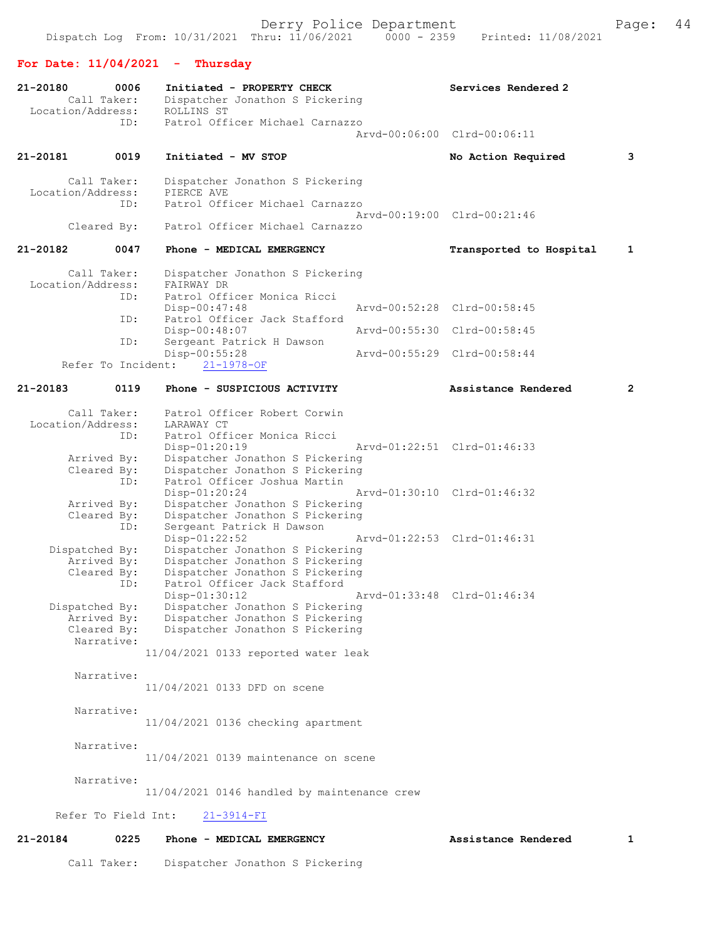## For Date: 11/04/2021 - Thursday

| 21-20180          | 0006<br>Call Taker:           | Initiated - PROPERTY CHECK<br>Dispatcher Jonathon S Pickering      | Services Rendered 2         |              |
|-------------------|-------------------------------|--------------------------------------------------------------------|-----------------------------|--------------|
| Location/Address: | ID:                           | ROLLINS ST<br>Patrol Officer Michael Carnazzo                      |                             |              |
|                   |                               |                                                                    | Arvd-00:06:00 Clrd-00:06:11 |              |
| 21-20181          | 0019                          | Initiated - MV STOP                                                | No Action Required          | 3            |
| Location/Address: | Call Taker:                   | Dispatcher Jonathon S Pickering<br>PIERCE AVE                      |                             |              |
|                   | ID:                           | Patrol Officer Michael Carnazzo                                    | Arvd-00:19:00 Clrd-00:21:46 |              |
|                   | Cleared By:                   | Patrol Officer Michael Carnazzo                                    |                             |              |
| 21-20182          | 0047                          | Phone - MEDICAL EMERGENCY                                          | Transported to Hospital     | 1            |
|                   | Call Taker:                   | Dispatcher Jonathon S Pickering                                    |                             |              |
| Location/Address: |                               | FAIRWAY DR<br>Patrol Officer Monica Ricci                          |                             |              |
|                   | ID:<br>ID:                    | $Disp-00:47:48$<br>Patrol Officer Jack Stafford                    | Arvd-00:52:28 Clrd-00:58:45 |              |
|                   |                               | Disp-00:48:07                                                      | Arvd-00:55:30 Clrd-00:58:45 |              |
|                   | ID:<br>Refer To Incident:     | Sergeant Patrick H Dawson<br>$Disp-00:55:28$<br>$21 - 1978 - OF$   | Aryd-00:55:29 Clrd-00:58:44 |              |
| 21-20183          | 0119                          | Phone - SUSPICIOUS ACTIVITY                                        | Assistance Rendered         | $\mathbf{2}$ |
|                   | Call Taker:                   | Patrol Officer Robert Corwin                                       |                             |              |
| Location/Address: |                               | LARAWAY CT                                                         |                             |              |
|                   | ID:                           | Patrol Officer Monica Ricci                                        |                             |              |
|                   | Arrived By:                   | Disp-01:20:19<br>Dispatcher Jonathon S Pickering                   | Arvd-01:22:51 Clrd-01:46:33 |              |
|                   | Cleared By:                   | Dispatcher Jonathon S Pickering                                    |                             |              |
|                   | ID:                           | Patrol Officer Joshua Martin                                       |                             |              |
|                   |                               | $Disp-01:20:24$                                                    | Arvd-01:30:10 Clrd-01:46:32 |              |
|                   | Arrived By:<br>Cleared By:    | Dispatcher Jonathon S Pickering<br>Dispatcher Jonathon S Pickering |                             |              |
|                   | ID:                           | Sergeant Patrick H Dawson                                          |                             |              |
|                   |                               | Disp-01:22:52                                                      | Arvd-01:22:53 Clrd-01:46:31 |              |
|                   | Dispatched By:<br>Arrived By: | Dispatcher Jonathon S Pickering<br>Dispatcher Jonathon S Pickering |                             |              |
|                   | Cleared By:                   | Dispatcher Jonathon S Pickering                                    |                             |              |
|                   | ID:                           | Patrol Officer Jack Stafford                                       |                             |              |
|                   |                               | $Disp-01:30:12$                                                    | Arvd-01:33:48 Clrd-01:46:34 |              |
|                   | Dispatched By:<br>Arrived By: | Dispatcher Jonathon S Pickering<br>Dispatcher Jonathon S Pickering |                             |              |
|                   | Cleared By:                   | Dispatcher Jonathon S Pickering                                    |                             |              |
|                   | Narrative:                    |                                                                    |                             |              |
|                   |                               | 11/04/2021 0133 reported water leak                                |                             |              |
|                   | Narrative:                    | 11/04/2021 0133 DFD on scene                                       |                             |              |
|                   |                               |                                                                    |                             |              |
|                   | Narrative:                    | 11/04/2021 0136 checking apartment                                 |                             |              |
|                   | Narrative:                    | $11/04/2021$ 0139 maintenance on scene                             |                             |              |
|                   | Narrative:                    |                                                                    |                             |              |
|                   |                               | 11/04/2021 0146 handled by maintenance crew                        |                             |              |
|                   | Refer To Field Int:           | $21 - 3914 - FI$                                                   |                             |              |
| 21-20184          | 0225                          | Phone - MEDICAL EMERGENCY                                          | Assistance Rendered         | 1            |

Call Taker: Dispatcher Jonathon S Pickering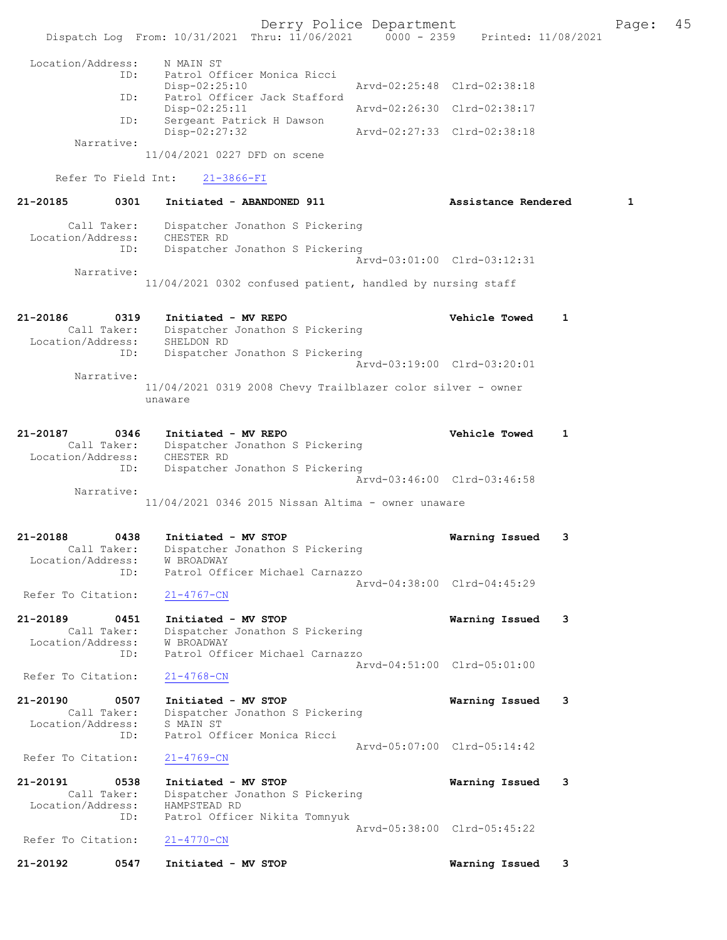Derry Police Department The Page: 45 Dispatch Log From: 10/31/2021 Thru: 11/06/2021 0000 - 2359 Printed: 11/08/2021 Location/Address: N MAIN ST ID: Patrol Officer Monica Ricci<br>Disp-02:25:10 Disp-02:25:10 Arvd-02:25:48 Clrd-02:38:18 ID: Patrol Officer Jack Stafford Disp-02:25:11 Arvd-02:26:30 Clrd-02:38:17<br>ID: Sergeant Patrick H Dawson Sergeant Patrick H Dawson Disp-02:27:32 Arvd-02:27:33 Clrd-02:38:18 Narrative: 11/04/2021 0227 DFD on scene Refer To Field Int: 21-3866-FI 21-20185 0301 Initiated - ABANDONED 911 Assistance Rendered 1 Call Taker: Dispatcher Jonathon S Pickering Location/Address: CHESTER RD ID: Dispatcher Jonathon S Pickering Arvd-03:01:00 Clrd-03:12:31 Narrative: 11/04/2021 0302 confused patient, handled by nursing staff 21-20186 0319 Initiated - MV REPO Vehicle Towed 1 Call Taker: Dispatcher Jonathon S Pickering Location/Address: SHELDON RD ID: Dispatcher Jonathon S Pickering Arvd-03:19:00 Clrd-03:20:01 Narrative: 11/04/2021 0319 2008 Chevy Trailblazer color silver - owner unaware 21-20187 0346 Initiated - MV REPO Vehicle Towed 1 Call Taker: Dispatcher Jonathon S Pickering Location/Address: CHESTER RD ID: Dispatcher Jonathon S Pickering Arvd-03:46:00 Clrd-03:46:58 Narrative: 11/04/2021 0346 2015 Nissan Altima - owner unaware 21-20188 0438 Initiated - MV STOP Warning Issued 3 Call Taker: Dispatcher Jonathon S Pickering Location/Address: W BROADWAY ID: Patrol Officer Michael Carnazzo Arvd-04:38:00 Clrd-04:45:29 Refer To Citation: 21-4767-CN 21-20189 0451 Initiated - MV STOP Warning Issued 3 Call Taker: Dispatcher Jonathon S Pickering Location/Address: W BROADWAY ID: Patrol Officer Michael Carnazzo Arvd-04:51:00 Clrd-05:01:00<br>21-4768-CN Refer To Citation: 21-20190 0507 Initiated - MV STOP 1999 Warning Issued 3<br>Call Taker: Dispatcher Jonathon S Pickering Dispatcher Jonathon S Pickering Location/Address: S MAIN ST<br>TD: Patrol Of: Patrol Officer Monica Ricci Arvd-05:07:00 Clrd-05:14:42 Refer To Citation: 21-4769-CN 21-20191 0538 Initiated - MV STOP Warning Issued 3 Call Taker: Dispatcher Jonathon S Pickering Location/Address: HAMPSTEAD RD ID: Patrol Officer Nikita Tomnyuk Arvd-05:38:00 Clrd-05:45:22<br>21-4770-CN Refer To Citation: 21-20192 0547 Initiated - MV STOP Warning Issued 3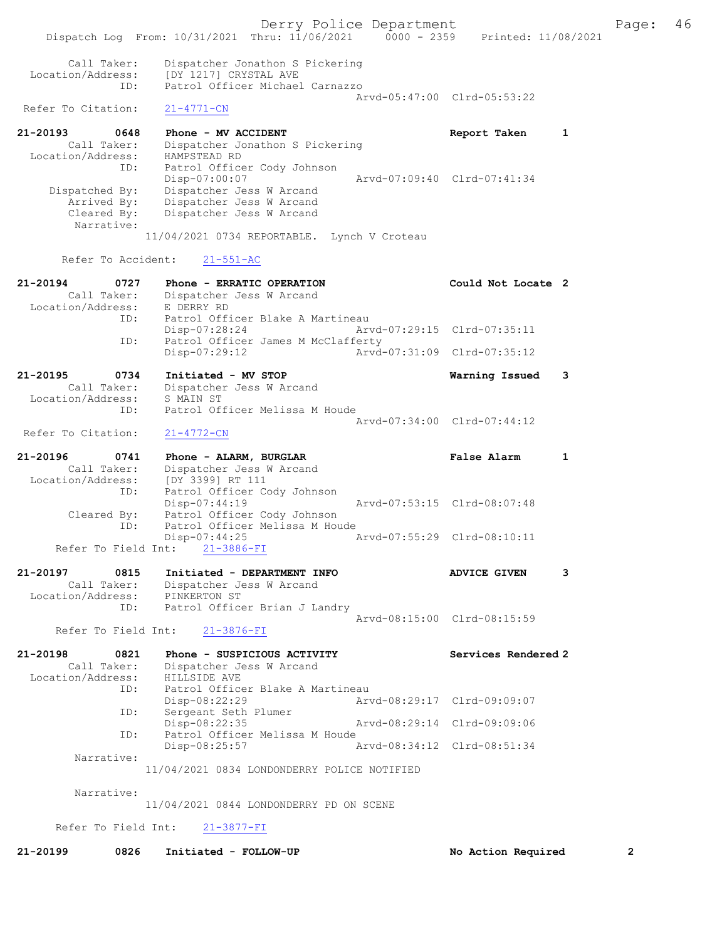Derry Police Department Fage: 46 Dispatch Log From: 10/31/2021 Thru: 11/06/2021 0000 - 2359 Printed: 11/08/2021 Call Taker: Dispatcher Jonathon S Pickering Location/Address: [DY 1217] CRYSTAL AVE ID: Patrol Officer Michael Carnazzo Arvd-05:47:00 Clrd-05:53:22<br>
21-4771-CN Refer To Citation: 21-20193 0648 Phone - MV ACCIDENT Report Taken 1 Call Taker: Dispatcher Jonathon S Pickering Location/Address: HAMPSTEAD RD ID: Patrol Officer Cody Johnson Disp-07:00:07 Arvd-07:09:40 Clrd-07:41:34 Dispatched By: Dispatcher Jess W Arcand Arrived By: Dispatcher Jess W Arcand Cleared By: Dispatcher Jess W Arcand Narrative: 11/04/2021 0734 REPORTABLE. Lynch V Croteau Refer To Accident: 21-551-AC 21-20194 0727 Phone - ERRATIC OPERATION Could Not Locate 2 Call Taker: Dispatcher Jess W Arcand Location/Address: E DERRY RD ID: Patrol Officer Blake A Martineau Disp-07:28:24 Arvd-07:29:15 Clrd-07:35:11 ID: Patrol Officer James M McClafferty<br>Disp-07:29:12 Arvd- Disp-07:29:12 Arvd-07:31:09 Clrd-07:35:12 21-20195 0734 Initiated - MV STOP Warning Issued 3 Call Taker: Dispatcher Jess W Arcand Location/Address: S MAIN ST ID: Patrol Officer Melissa M Houde Arvd-07:34:00 Clrd-07:44:12 Refer To Citation: 21-4772-CN 21-20196 0741 Phone - ALARM, BURGLAR False Alarm 1 Call Taker: Dispatcher Jess W Arcand Location/Address: [DY 3399] RT 111 ID: Patrol Officer Cody Johnson<br>Disp-07:44:19 Disp-07:44:19 Arvd-07:53:15 Clrd-08:07:48 Cleared By: Patrol Officer Cody Johnson ID: Patrol Officer Melissa M Houde Disp-07:44:25 Arvd-07:55:29 Clrd-08:10:11 Refer To Field Int: 21-3886-FI 21-20197 0815 Initiated - DEPARTMENT INFO ADVICE GIVEN 3 Call Taker: Dispatcher Jess W Arcand Location/Address: PINKERTON ST ID: Patrol Officer Brian J Landry Arvd-08:15:00 Clrd-08:15:59 Refer To Field Int: 21-3876-FI 21-20198 0821 Phone - SUSPICIOUS ACTIVITY Services Rendered 2 Call Taker: Dispatcher Jess W Arcand Location/Address: HILLSIDE AVE ID: Patrol Officer Blake A Martineau<br>Disp-08:22:29 Art Disp-08:22:29 Arvd-08:29:17 Clrd-09:09:07 ID: Sergeant Seth Plumer Disp-08:22:35 Arvd-08:29:14 Clrd-09:09:06 ID: Patrol Officer Melissa M Houde Disp-08:25:57 Arvd-08:34:12 Clrd-08:51:34 Narrative: 11/04/2021 0834 LONDONDERRY POLICE NOTIFIED Narrative: 11/04/2021 0844 LONDONDERRY PD ON SCENE

Refer To Field Int: 21-3877-FI

21-20199 0826 Initiated - FOLLOW-UP No Action Required 2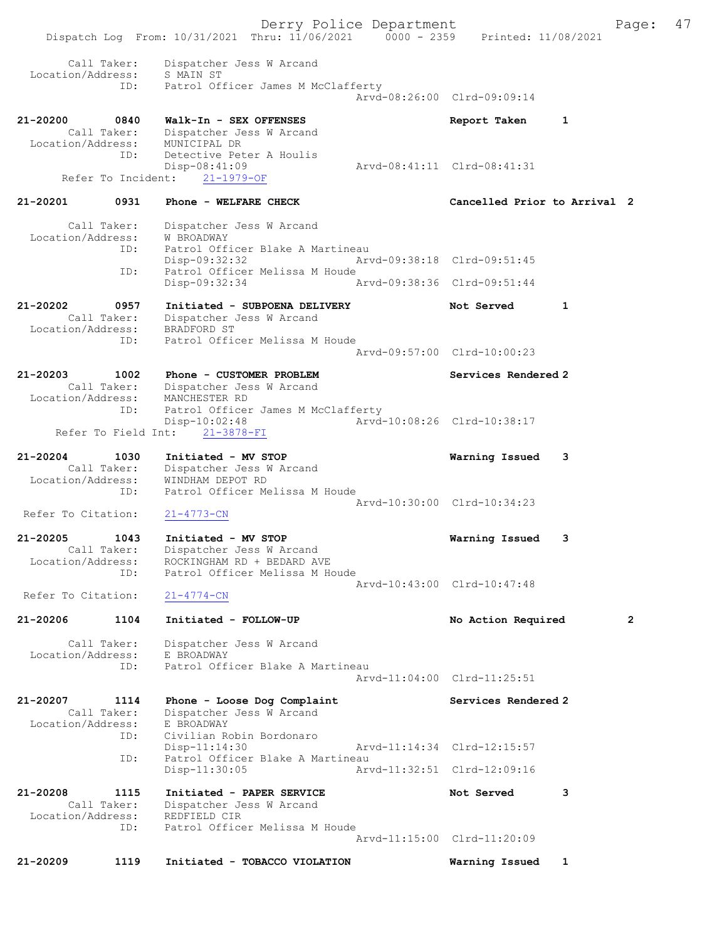Derry Police Department Fage: 47 Dispatch Log From: 10/31/2021 Thru: 11/06/2021 0000 - 2359 Printed: 11/08/2021 Call Taker: Dispatcher Jess W Arcand Location/Address: S MAIN ST ID: Patrol Officer James M McClafferty Arvd-08:26:00 Clrd-09:09:14 21-20200 0840 Walk-In - SEX OFFENSES Report Taken 1 Call Taker: Dispatcher Jess W Arcand Location/Address: MUNICIPAL DR ID: Detective Peter A Houlis Disp-08:41:09 Arvd-08:41:11 Clrd-08:41:31 Refer To Incident: 21-1979-OF 21-20201 0931 Phone - WELFARE CHECK Cancelled Prior to Arrival 2 Call Taker: Dispatcher Jess W Arcand Location/Address: W BROADWAY ID: Patrol Officer Blake A Martineau Disp-09:32:32 Arvd-09:38:18 Clrd-09:51:45 ID: Patrol Officer Melissa M Houde Disp-09:32:34 Arvd-09:38:36 Clrd-09:51:44 21-20202 0957 Initiated - SUBPOENA DELIVERY Not Served 1 Call Taker: Dispatcher Jess W Arcand Location/Address: BRADFORD ST ID: Patrol Officer Melissa M Houde Arvd-09:57:00 Clrd-10:00:23 21-20203 1002 Phone - CUSTOMER PROBLEM Services Rendered 2 Call Taker: Dispatcher Jess W Arcand Location/Address: MANCHESTER RD ID: Patrol Officer James M McClafferty<br>Disp-10:02:48 Arvd- Disp-10:02:48 Arvd-10:08:26 Clrd-10:38:17 Refer To Field Int: 21-3878-FI 21-20204 1030 Initiated - MV STOP Warning Issued 3 Call Taker: Dispatcher Jess W Arcand Location/Address: WINDHAM DEPOT RD ID: Patrol Officer Melissa M Houde Arvd-10:30:00 Clrd-10:34:23<br>
21-4773-CN Refer To Citation: 21-20205 1043 Initiated - MV STOP Warning Issued 3 Call Taker: Dispatcher Jess W Arcand Location/Address: ROCKINGHAM RD + BEDARD AVE ID: Patrol Officer Melissa M Houde Arvd-10:43:00 Clrd-10:47:48 Refer To Citation: 21-4774-CN 21-20206 1104 Initiated - FOLLOW-UP No Action Required 2 Call Taker: Dispatcher Jess W Arcand Location/Address: E BROADWAY ID: Patrol Officer Blake A Martineau Arvd-11:04:00 Clrd-11:25:51 21-20207 1114 Phone - Loose Dog Complaint Services Rendered 2 Call Taker: Dispatcher Jess W Arcand Location/Address: E BROADWAY ID: Civilian Robin Bordonaro Disp-11:14:30 Arvd-11:14:34 Clrd-12:15:57<br>ID: Patrol Officer Blake A Martineau Patrol Officer Blake A Martineau<br>Disp-11:30:05 Arv Disp-11:30:05 Arvd-11:32:51 Clrd-12:09:16 21-20208 1115 Initiated - PAPER SERVICE Not Served 3 Call Taker: Dispatcher Jess W Arcand Location/Address: REDFIELD CIR ID: Patrol Officer Melissa M Houde Arvd-11:15:00 Clrd-11:20:09 21-20209 1119 Initiated - TOBACCO VIOLATION Warning Issued 1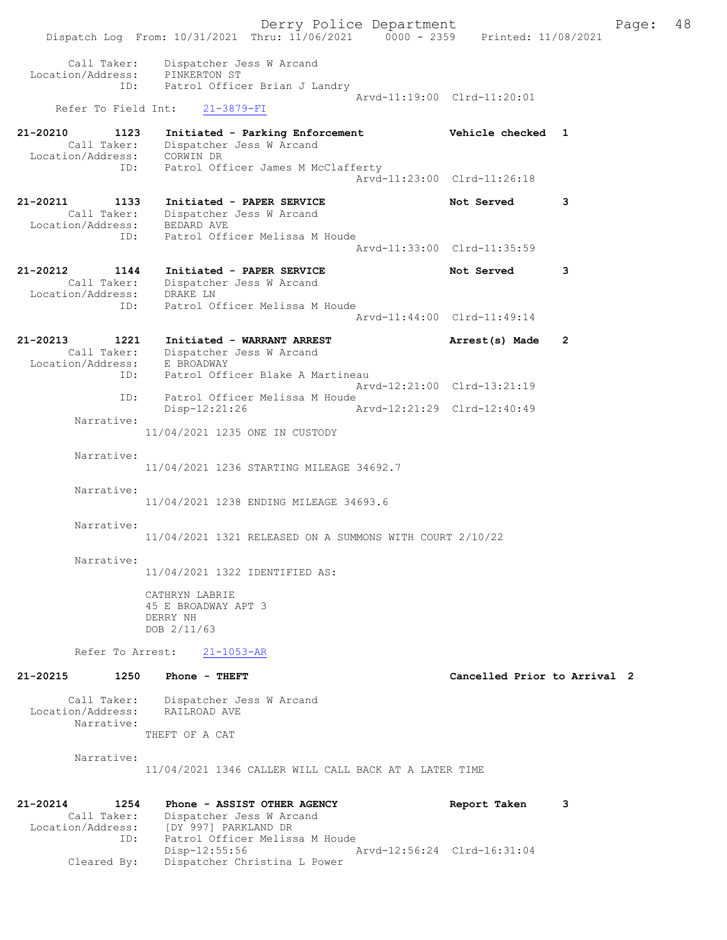Derry Police Department Fage: 48 Dispatch Log From: 10/31/2021 Thru: 11/06/2021 0000 - 2359 Printed: 11/08/2021 Call Taker: Dispatcher Jess W Arcand Location/Address: PINKERTON ST ID: Patrol Officer Brian J Landry Arvd-11:19:00 Clrd-11:20:01 Refer To Field Int: 21-3879-FI 21-20210 1123 Initiated - Parking Enforcement Vehicle checked 1 Call Taker: Dispatcher Jess W Arcand Location/Address: CORWIN DR ID: Patrol Officer James M McClafferty Arvd-11:23:00 Clrd-11:26:18 21-20211 1133 Initiated - PAPER SERVICE 1120 Not Served 3 Call Taker: Dispatcher Jess W Arcand Location/Address: BEDARD AVE ID: Patrol Officer Melissa M Houde Arvd-11:33:00 Clrd-11:35:59 21-20212 1144 Initiated - PAPER SERVICE Not Served 3 Call Taker: Dispatcher Jess W Arcand Location/Address: DRAKE LN ID: Patrol Officer Melissa M Houde Arvd-11:44:00 Clrd-11:49:14 21-20213 1221 Initiated - WARRANT ARREST Arrest(s) Made 2 Call Taker: Dispatcher Jess W Arcand Location/Address: E BROADWAY ID: Patrol Officer Blake A Martineau Arvd-12:21:00 Clrd-13:21:19 ID: Patrol Officer Melissa M Houde Disp-12:21:26 Arvd-12:21:29 Clrd-12:40:49 Narrative: 11/04/2021 1235 ONE IN CUSTODY Narrative: 11/04/2021 1236 STARTING MILEAGE 34692.7 Narrative: 11/04/2021 1238 ENDING MILEAGE 34693.6 Narrative: 11/04/2021 1321 RELEASED ON A SUMMONS WITH COURT 2/10/22 Narrative: 11/04/2021 1322 IDENTIFIED AS: CATHRYN LABRIE 45 E BROADWAY APT 3 DERRY NH DOB 2/11/63 Refer To Arrest: 21-1053-AR 21-20215 1250 Phone - THEFT Cancelled Prior to Arrival 2 Call Taker: Dispatcher Jess W Arcand Location/Address: RAILROAD AVE Narrative: THEFT OF A CAT Narrative: 11/04/2021 1346 CALLER WILL CALL BACK AT A LATER TIME 21-20214 1254 Phone - ASSIST OTHER AGENCY Report Taken 3 Call Taker: Dispatcher Jess W Arcand

Location/Address: [DY 997] PARKLAND DR

ID: Patrol Officer Melissa M Houde

Cleared By: Dispatcher Christina L Power

Disp-12:55:56 Arvd-12:56:24 Clrd-16:31:04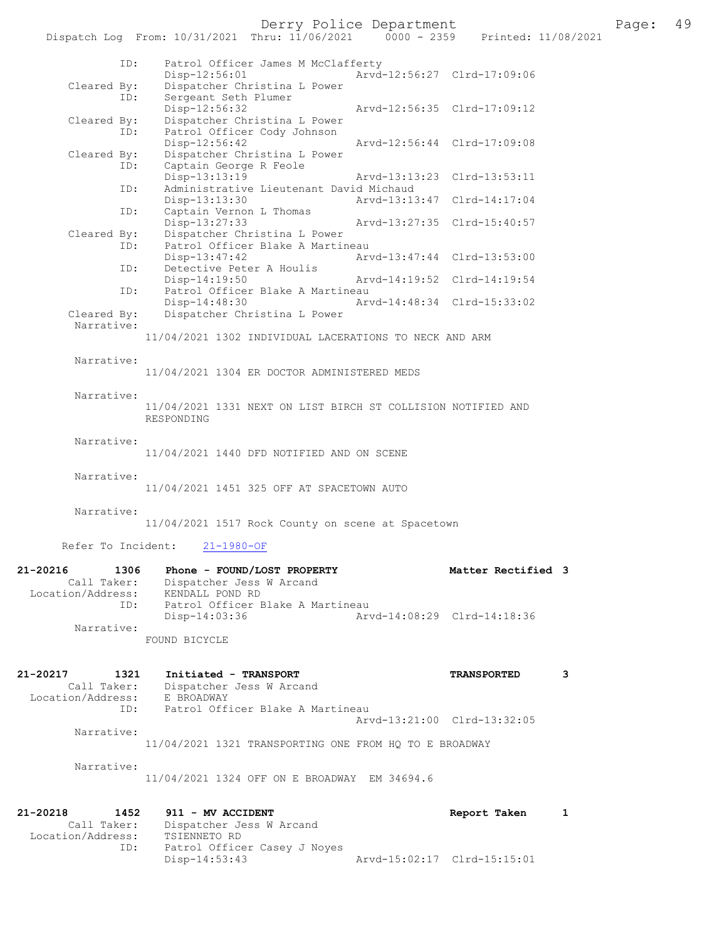Derry Police Department Fage: 49

|                              | Dispatch Log From: 10/31/2021 Thru: 11/06/2021                | $0000 - 2359$ | Printed: 11/08/2021         |   |
|------------------------------|---------------------------------------------------------------|---------------|-----------------------------|---|
| ID:                          | Patrol Officer James M McClafferty<br>Disp-12:56:01           |               | Arvd-12:56:27 Clrd-17:09:06 |   |
| Cleared By:<br>ID:           | Dispatcher Christina L Power<br>Sergeant Seth Plumer          |               |                             |   |
|                              | Disp-12:56:32                                                 |               | Arvd-12:56:35 Clrd-17:09:12 |   |
| Cleared By:                  | Dispatcher Christina L Power                                  |               |                             |   |
| ID:                          | Patrol Officer Cody Johnson                                   |               |                             |   |
| Cleared By:                  | Disp-12:56:42<br>Dispatcher Christina L Power                 |               | Arvd-12:56:44 Clrd-17:09:08 |   |
| ID:                          | Captain George R Feole                                        |               |                             |   |
|                              | Disp-13:13:19                                                 |               | Arvd-13:13:23 Clrd-13:53:11 |   |
| ID:                          | Administrative Lieutenant David Michaud                       |               |                             |   |
| ID:                          | Disp-13:13:30<br>Captain Vernon L Thomas                      |               | Arvd-13:13:47 Clrd-14:17:04 |   |
|                              | Disp-13:27:33                                                 |               | Arvd-13:27:35 Clrd-15:40:57 |   |
| Cleared By:                  | Dispatcher Christina L Power                                  |               |                             |   |
| ID:                          | Patrol Officer Blake A Martineau                              |               |                             |   |
|                              | Disp-13:47:42                                                 |               | Arvd-13:47:44 Clrd-13:53:00 |   |
| ID:                          | Detective Peter A Houlis<br>Disp-14:19:50                     |               | Arvd-14:19:52 Clrd-14:19:54 |   |
| ID:                          | Patrol Officer Blake A Martineau                              |               |                             |   |
|                              | Disp-14:48:30                                                 |               | Arvd-14:48:34 Clrd-15:33:02 |   |
| Cleared By:                  | Dispatcher Christina L Power                                  |               |                             |   |
| Narrative:                   |                                                               |               |                             |   |
|                              | 11/04/2021 1302 INDIVIDUAL LACERATIONS TO NECK AND ARM        |               |                             |   |
| Narrative:                   |                                                               |               |                             |   |
|                              | 11/04/2021 1304 ER DOCTOR ADMINISTERED MEDS                   |               |                             |   |
|                              |                                                               |               |                             |   |
| Narrative:                   | 11/04/2021 1331 NEXT ON LIST BIRCH ST COLLISION NOTIFIED AND  |               |                             |   |
|                              | RESPONDING                                                    |               |                             |   |
|                              |                                                               |               |                             |   |
| Narrative:                   |                                                               |               |                             |   |
|                              | 11/04/2021 1440 DFD NOTIFIED AND ON SCENE                     |               |                             |   |
| Narrative:                   |                                                               |               |                             |   |
|                              | 11/04/2021 1451 325 OFF AT SPACETOWN AUTO                     |               |                             |   |
|                              |                                                               |               |                             |   |
| Narrative:                   |                                                               |               |                             |   |
|                              | 11/04/2021 1517 Rock County on scene at Spacetown             |               |                             |   |
| Refer To Incident:           | $21 - 1980 - OF$                                              |               |                             |   |
| 21-20216<br>1306             | Phone - FOUND/LOST PROPERTY                                   |               | Matter Rectified 3          |   |
| Call Taker:                  | Dispatcher Jess W Arcand                                      |               |                             |   |
| Location/Address:            | KENDALL POND RD                                               |               |                             |   |
| ID:                          | Patrol Officer Blake A Martineau                              |               |                             |   |
| Narrative:                   | $Disp-14:03:36$                                               |               | Aryd-14:08:29 Clrd-14:18:36 |   |
|                              | FOUND BICYCLE                                                 |               |                             |   |
|                              |                                                               |               |                             |   |
|                              |                                                               |               |                             |   |
| 21-20217<br>1321             | Initiated - TRANSPORT<br>Call Taker: Dispatcher Jess W Arcand |               | <b>TRANSPORTED</b>          | 3 |
| Location/Address: E BROADWAY |                                                               |               |                             |   |
| ID:                          | Patrol Officer Blake A Martineau                              |               |                             |   |
|                              |                                                               |               | Arvd-13:21:00 Clrd-13:32:05 |   |
| Narrative:                   | 11/04/2021 1321 TRANSPORTING ONE FROM HQ TO E BROADWAY        |               |                             |   |
|                              |                                                               |               |                             |   |
| Narrative:                   |                                                               |               |                             |   |
|                              | 11/04/2021 1324 OFF ON E BROADWAY EM 34694.6                  |               |                             |   |
|                              |                                                               |               |                             |   |
| 21-20218<br>1452             | 911 - MV ACCIDENT                                             |               | Report Taken                | 1 |
| Call Taker:                  | Dispatcher Jess W Arcand                                      |               |                             |   |
| Location/Address:<br>ID:     | TSIENNETO RD<br>Patrol Officer Casey J Noyes                  |               |                             |   |
|                              | $Disp-14:53:43$                                               |               | Arvd-15:02:17 Clrd-15:15:01 |   |
|                              |                                                               |               |                             |   |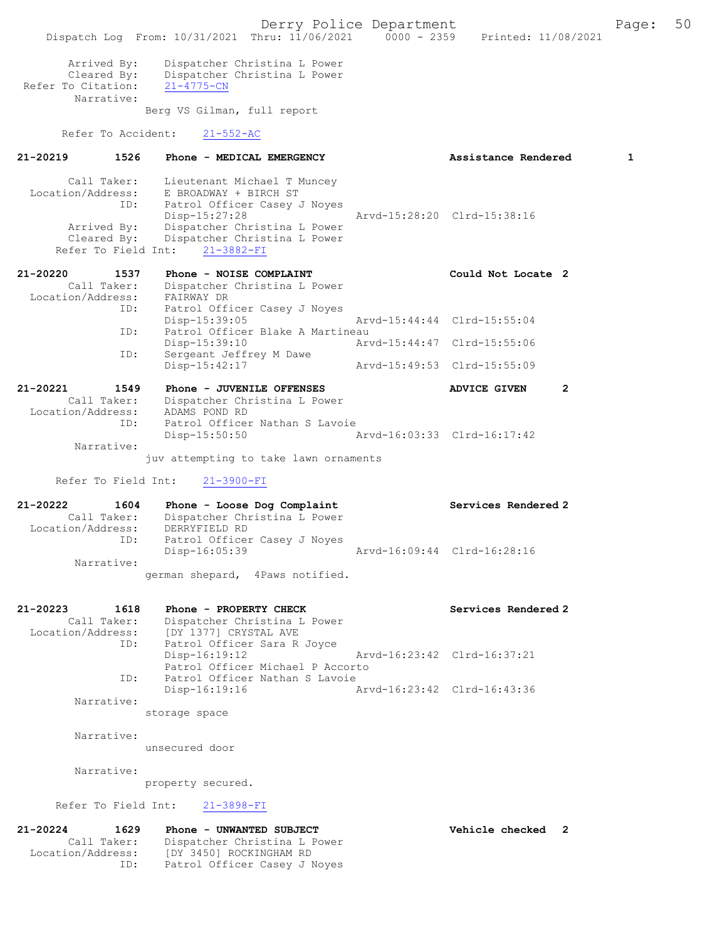Derry Police Department Fage: 50 Dispatch Log From: 10/31/2021 Thru: 11/06/2021 0000 - 2359 Printed: 11/08/2021 Arrived By: Dispatcher Christina L Power Cleared By: Dispatcher Christina L Power Refer To Citation: 21-4775-CN Narrative: Berg VS Gilman, full report Refer To Accident: 21-552-AC 21-20219 1526 Phone - MEDICAL EMERGENCY Assistance Rendered 1 Call Taker: Lieutenant Michael T Muncey Location/Address: E BROADWAY + BIRCH ST ID: Patrol Officer Casey J Noyes Disp-15:27:28 Arvd-15:28:20 Clrd-15:38:16 Arrived By: Dispatcher Christina L Power Cleared By: Dispatcher Christina L Power Refer To Field Int: 21-3882-FI 21-20220 1537 Phone - NOISE COMPLAINT Could Not Locate 2 Call Taker: Dispatcher Christina L Power Location/Address: FAIRWAY DR ID: Patrol Officer Casey J Noyes Disp-15:39:05 Arvd-15:44:44 Clrd-15:55:04 ID: Patrol Officer Blake A Martineau Disp-15:39:10 Arvd-15:44:47 Clrd-15:55:06 ID: Sergeant Jeffrey M Dawe Disp-15:42:17 Arvd-15:49:53 Clrd-15:55:09 21-20221 1549 Phone - JUVENILE OFFENSES ADVICE GIVEN 2 Call Taker: Dispatcher Christina L Power Location/Address: ADAMS POND RD ID: Patrol Officer Nathan S Lavoie Disp-15:50:50 Arvd-16:03:33 Clrd-16:17:42 Narrative: juv attempting to take lawn ornaments Refer To Field Int: 21-3900-FI 21-20222 1604 Phone - Loose Dog Complaint Services Rendered 2 Call Taker: Dispatcher Christina L Power Location/Address: DERRYFIELD RD ID: Patrol Officer Casey J Noyes Disp-16:05:39 Arvd-16:09:44 Clrd-16:28:16 Narrative: german shepard, 4Paws notified. 21-20223 1618 Phone - PROPERTY CHECK Services Rendered 2 Call Taker: Dispatcher Christina L Power Location/Address: [DY 1377] CRYSTAL AVE ID: Patrol Officer Sara R Joyce Disp-16:19:12 Arvd-16:23:42 Clrd-16:37:21 Patrol Officer Michael P Accorto ID: Patrol Officer Nathan S Lavoie<br>Disp-16:19:16 Arvd-16:23:42 Clrd-16:43:36 Narrative: storage space Narrative: unsecured door Narrative: property secured. Refer To Field Int: 21-3898-FI 21-20224 1629 Phone - UNWANTED SUBJECT Vehicle checked 2 Call Taker: Dispatcher Christina L Power Location/Address: [DY 3450] ROCKINGHAM RD ID: Patrol Officer Casey J Noyes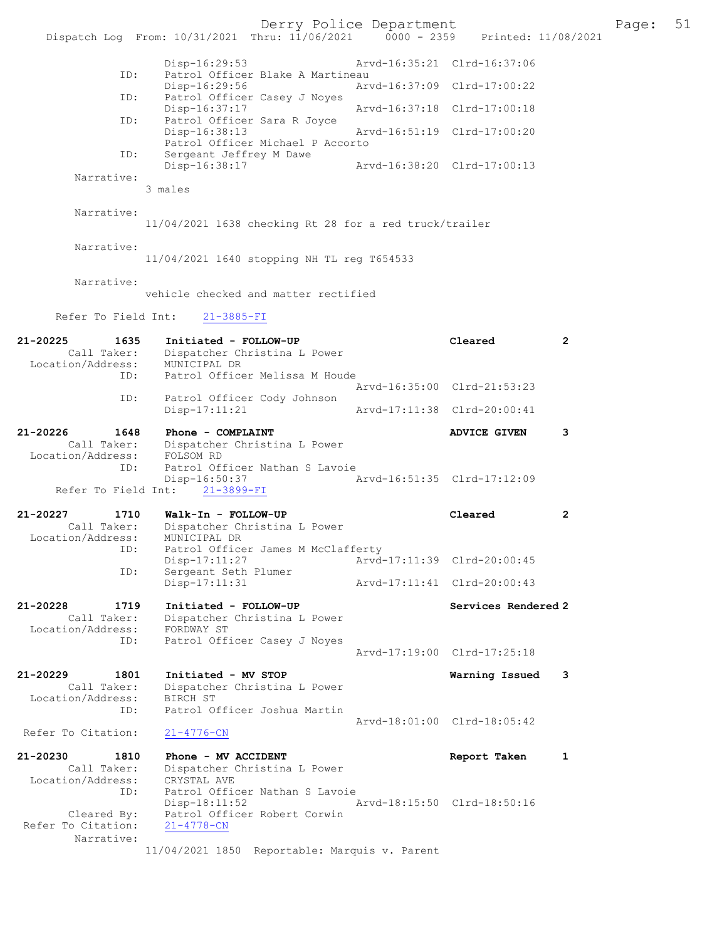|                                   | Dispatch Log From: 10/31/2021 Thru: 11/06/2021 0000 - 2359 Printed: 11/08/2021 | Derry Police Department            |                                                            |                | Page: | 51 |
|-----------------------------------|--------------------------------------------------------------------------------|------------------------------------|------------------------------------------------------------|----------------|-------|----|
|                                   |                                                                                |                                    |                                                            |                |       |    |
| ID:                               | Disp-16:29:53<br>$Disp-16:29:56$                                               | Patrol Officer Blake A Martineau   | Arvd-16:35:21 Clrd-16:37:06<br>Arvd-16:37:09 Clrd-17:00:22 |                |       |    |
| ID:                               |                                                                                | Patrol Officer Casey J Noyes       |                                                            |                |       |    |
| ID:                               | Disp-16:37:17<br>Patrol Officer Sara R Joyce                                   |                                    | Arvd-16:37:18 Clrd-17:00:18                                |                |       |    |
|                                   | Disp-16:38:13                                                                  | Patrol Officer Michael P Accorto   | Arvd-16:51:19 Clrd-17:00:20                                |                |       |    |
| ID:                               | Sergeant Jeffrey M Dawe<br>Disp-16:38:17                                       |                                    | Arvd-16:38:20 Clrd-17:00:13                                |                |       |    |
| Narrative:                        | 3 males                                                                        |                                    |                                                            |                |       |    |
|                                   |                                                                                |                                    |                                                            |                |       |    |
| Narrative:                        | 11/04/2021 1638 checking Rt 28 for a red truck/trailer                         |                                    |                                                            |                |       |    |
| Narrative:                        | 11/04/2021 1640 stopping NH TL reg T654533                                     |                                    |                                                            |                |       |    |
| Narrative:                        | vehicle checked and matter rectified                                           |                                    |                                                            |                |       |    |
| Refer To Field Int:               | $21 - 3885 - FI$                                                               |                                    |                                                            |                |       |    |
| 21-20225<br>1635<br>Call Taker:   | Initiated - FOLLOW-UP<br>Dispatcher Christina L Power                          |                                    | Cleared                                                    | $\overline{2}$ |       |    |
| Location/Address:<br>ID:          | MUNICIPAL DR                                                                   | Patrol Officer Melissa M Houde     |                                                            |                |       |    |
| ID:                               | Patrol Officer Cody Johnson                                                    |                                    | Arvd-16:35:00 Clrd-21:53:23                                |                |       |    |
|                                   | Disp-17:11:21                                                                  |                                    | Arvd-17:11:38 Clrd-20:00:41                                |                |       |    |
| 21-20226<br>1648<br>Call Taker:   | Phone - COMPLAINT<br>Dispatcher Christina L Power                              |                                    | <b>ADVICE GIVEN</b>                                        | 3              |       |    |
| Location/Address:                 | FOLSOM RD                                                                      |                                    |                                                            |                |       |    |
| ID:<br>Refer To Field Int:        | $Disp-16:50:37$<br>$21 - 3899 - FI$                                            | Patrol Officer Nathan S Lavoie     | Arvd-16:51:35 Clrd-17:12:09                                |                |       |    |
| 21-20227<br>1710                  | Walk-In - FOLLOW-UP                                                            |                                    | Cleared                                                    | $\mathbf{2}$   |       |    |
| Call Taker:<br>Location/Address:  | Dispatcher Christina L Power<br>MUNICIPAL DR                                   |                                    |                                                            |                |       |    |
| ID:                               |                                                                                | Patrol Officer James M McClafferty |                                                            |                |       |    |
| ID:                               | Disp-17:11:27<br>Sergeant Seth Plumer                                          |                                    | Arvd-17:11:39 Clrd-20:00:45                                |                |       |    |
|                                   | $Disp-17:11:31$                                                                |                                    | Arvd-17:11:41 Clrd-20:00:43                                |                |       |    |
| 21-20228<br>1719                  | Initiated - FOLLOW-UP                                                          |                                    | Services Rendered 2                                        |                |       |    |
| Call Taker:<br>Location/Address:  | Dispatcher Christina L Power<br>FORDWAY ST                                     |                                    |                                                            |                |       |    |
| ID:                               | Patrol Officer Casey J Noyes                                                   |                                    | Arvd-17:19:00 Clrd-17:25:18                                |                |       |    |
| 21-20229<br>1801                  | Initiated - MV STOP                                                            |                                    |                                                            |                |       |    |
| Call Taker:                       | Dispatcher Christina L Power                                                   |                                    | Warning Issued 3                                           |                |       |    |
| Location/Address:<br>ID:          | BIRCH ST<br>Patrol Officer Joshua Martin                                       |                                    |                                                            |                |       |    |
| Refer To Citation:                | $21 - 4776 - CN$                                                               |                                    | Arvd-18:01:00 Clrd-18:05:42                                |                |       |    |
|                                   |                                                                                |                                    |                                                            |                |       |    |
| 21-20230<br>1810<br>Call Taker:   | Phone - MV ACCIDENT<br>Dispatcher Christina L Power                            |                                    | Report Taken                                               | 1              |       |    |
| Location/Address:<br>ID:          | CRYSTAL AVE                                                                    | Patrol Officer Nathan S Lavoie     |                                                            |                |       |    |
|                                   | $Disp-18:11:52$                                                                |                                    | Arvd-18:15:50 Clrd-18:50:16                                |                |       |    |
| Cleared By:<br>Refer To Citation: | $21 - 4778 - CN$                                                               | Patrol Officer Robert Corwin       |                                                            |                |       |    |
| Narrative:                        | 11/04/2021 1850 Reportable: Marquis v. Parent                                  |                                    |                                                            |                |       |    |
|                                   |                                                                                |                                    |                                                            |                |       |    |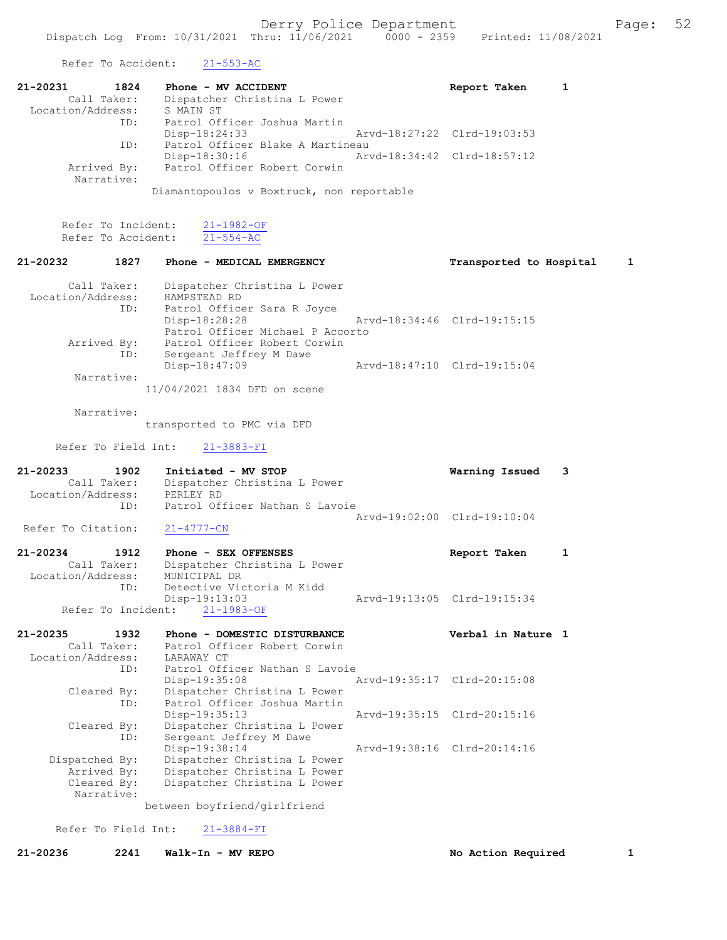Refer To Accident: 21-553-AC

| Transported to Hospital<br>1 |
|------------------------------|
|                              |
|                              |
|                              |
|                              |
|                              |
|                              |

transported to PMC via DFD

Refer To Field Int: 21-3883-FI

| 21-20233           | 1902        | Initiated - MV STOP            | Warning Issued 3            |  |
|--------------------|-------------|--------------------------------|-----------------------------|--|
|                    | Call Taker: | Dispatcher Christina L Power   |                             |  |
| Location/Address:  |             | PERLEY RD                      |                             |  |
|                    | TD:         | Patrol Officer Nathan S Lavoie |                             |  |
|                    |             |                                | Aryd-19:02:00 Clrd-19:10:04 |  |
| Refer To Citation: |             | $21 - 4777 - CN$               |                             |  |

21-20234 1912 Phone - SEX OFFENSES Report Taken 1 Call Taker: Dispatcher Christina L Power Location/Address: MUNICIPAL DR ID: Detective Victoria M Kidd Detective Victoria m niuu<br>Disp-19:13:03 Arvd-19:13:05 Clrd-19:15:34 Refer To Incident: 21-1983-OF

| $21 - 20235$<br>Location/Address: | 1932<br>Call Taker:<br>ID:               | Phone - DOMESTIC DISTURBANCE<br>Patrol Officer Robert Corwin<br>LARAWAY CT<br>Patrol Officer Nathan S Lavoie  |                             | Verbal in Nature 1 |  |
|-----------------------------------|------------------------------------------|---------------------------------------------------------------------------------------------------------------|-----------------------------|--------------------|--|
|                                   | Cleared By:                              | Disp-19:35:08<br>Dispatcher Christina L Power                                                                 | Arvd-19:35:17 Clrd-20:15:08 |                    |  |
|                                   | ID:                                      | Patrol Officer Joshua Martin<br>$Disp-19:35:13$                                                               | Arvd-19:35:15 Clrd-20:15:16 |                    |  |
|                                   | Cleared By:<br>ID:                       | Dispatcher Christina L Power<br>Sergeant Jeffrey M Dawe                                                       |                             |                    |  |
| Dispatched By:                    | Arrived By:<br>Cleared By:<br>Narrative: | Disp-19:38:14<br>Dispatcher Christina L Power<br>Dispatcher Christina L Power<br>Dispatcher Christina L Power | Aryd-19:38:16 Clrd-20:14:16 |                    |  |

between boyfriend/girlfriend

## Refer To Field Int: 21-3884-FI

21-20236 2241 Walk-In - MV REPO No Action Required 1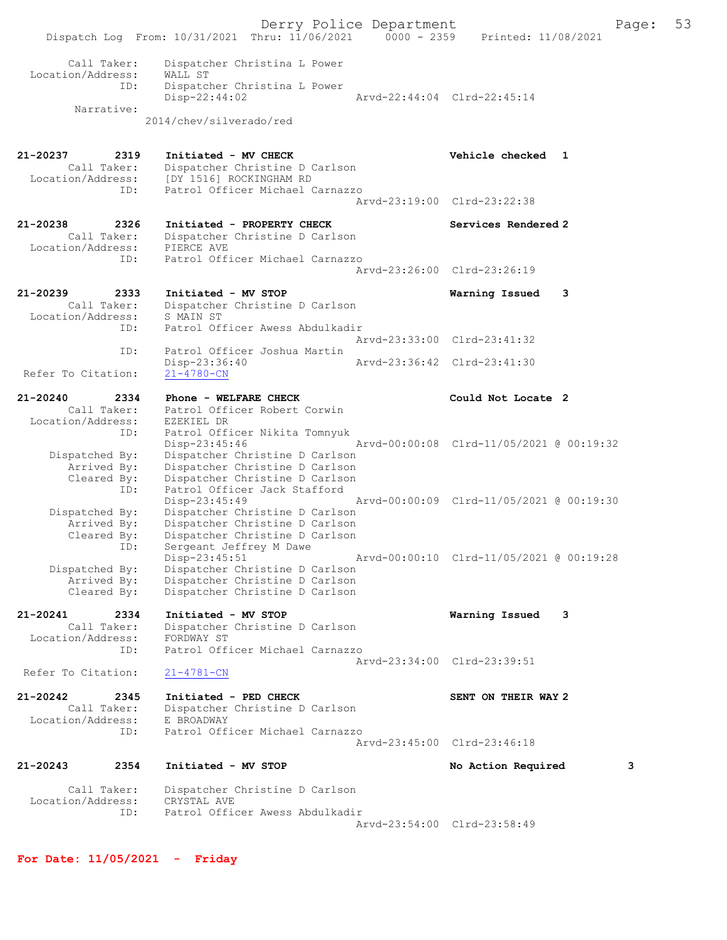Derry Police Department The Page: 53 Dispatch Log From: 10/31/2021 Thru: 11/06/2021 0000 - 2359 Printed: 11/08/2021 Call Taker: Dispatcher Christina L Power Location/Address: WALL ST ID: Dispatcher Christina L Power Disp-22:44:02 Arvd-22:44:04 Clrd-22:45:14 Narrative: 2014/chev/silverado/red 21-20237 2319 Initiated - MV CHECK Vehicle checked 1 Call Taker: Dispatcher Christine D Carlson Location/Address: [DY 1516] ROCKINGHAM RD ID: Patrol Officer Michael Carnazzo Arvd-23:19:00 Clrd-23:22:38 21-20238 2326 Initiated - PROPERTY CHECK Services Rendered 2 Call Taker: Dispatcher Christine D Carlson Location/Address: PIERCE AVE ID: Patrol Officer Michael Carnazzo Arvd-23:26:00 Clrd-23:26:19 21-20239 2333 Initiated - MV STOP Warning Issued 3 Call Taker: Dispatcher Christine D Carlson Location/Address: S MAIN ST ID: Patrol Officer Awess Abdulkadir Arvd-23:33:00 Clrd-23:41:32<br>ID: Patrol Officer Joshua Martin Patrol Officer Joshua Martin<br>Disp-23:36:40 Disp-23:36:40 Arvd-23:36:42 Clrd-23:41:30 Refer To Citation: 21-20240 2334 Phone - WELFARE CHECK COULD Could Not Locate 2 Call Taker: Patrol Officer Robert Corwin Location/Address: EZEKIEL DR ID: Patrol Officer Nikita Tomnyuk Disp-23:45:46 Arvd-00:00:08 Clrd-11/05/2021 @ 00:19:32 Dispatched By: Dispatcher Christine D Carlson Arrived By: Dispatcher Christine D Carlson Cleared By: Dispatcher Christine D Carlson ID: Patrol Officer Jack Stafford Disp-23:45:49 Arvd-00:00:09 Clrd-11/05/2021 @ 00:19:30 Dispatched By: Dispatcher Christine D Carlson Arrived By: Dispatcher Christine D Carlson Cleared By: Dispatcher Christine D Carlson ID: Sergeant Jeffrey M Dawe Disp-23:45:51 Arvd-00:00:10 Clrd-11/05/2021 @ 00:19:28 Dispatched By: Dispatcher Christine D Carlson Arrived By: Dispatcher Christine D Carlson Cleared By: Dispatcher Christine D Carlson 21-20241 2334 Initiated - MV STOP Warning Issued 3 Call Taker: Dispatcher Christine D Carlson Location/Address: FORDWAY ST ID: Patrol Officer Michael Carnazzo Arvd-23:34:00 Clrd-23:39:51 Refer To Citation: 21-4781-CN 21-20242 2345 Initiated - PED CHECK SENT ON THEIR WAY 2 Call Taker: Dispatcher Christine D Carlson Location/Address: E BROADWAY ID: Patrol Officer Michael Carnazzo Arvd-23:45:00 Clrd-23:46:18 21-20243 2354 Initiated - MV STOP No Action Required 3 Call Taker: Dispatcher Christine D Carlson Location/Address: CRYSTAL AVE ID: Patrol Officer Awess Abdulkadir Arvd-23:54:00 Clrd-23:58:49

For Date: 11/05/2021 - Friday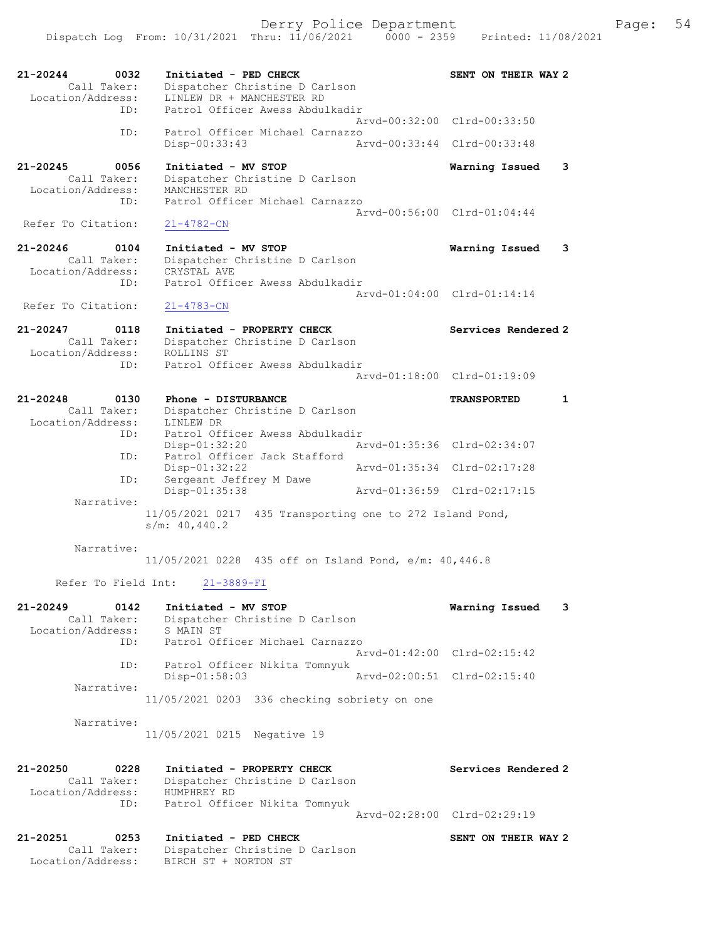Derry Police Department Fage: 54

21-20244 0032 Initiated - PED CHECK SENT ON THEIR WAY 2 Call Taker: Dispatcher Christine D Carlson Location/Address: LINLEW DR + MANCHESTER RD ID: Patrol Officer Awess Abdulkadir Arvd-00:32:00 Clrd-00:33:50 ID: Patrol Officer Michael Carnazzo Disp-00:33:43 Arvd-00:33:44 Clrd-00:33:48 21-20245 0056 Initiated - MV STOP Warning Issued 3 Call Taker: Dispatcher Christine D Carlson Location/Address: MANCHESTER RD ID: Patrol Officer Michael Carnazzo Arvd-00:56:00 Clrd-01:04:44 Refer To Citation: 21-4782-CN 21-20246 0104 Initiated - MV STOP Warning Issued 3 Call Taker: Dispatcher Christine D Carlson Location/Address: CRYSTAL AVE ID: Patrol Officer Awess Abdulkadir Arvd-01:04:00 Clrd-01:14:14 Refer To Citation: 21-4783-CN 21-20247 0118 Initiated - PROPERTY CHECK Services Rendered 2 Call Taker: Dispatcher Christine D Carlson Location/Address: ROLLINS ST ID: Patrol Officer Awess Abdulkadir Arvd-01:18:00 Clrd-01:19:09 21-20248 0130 Phone - DISTURBANCE TRANSPORTED 1 Call Taker: Dispatcher Christine D Carlson Location/Address: LINLEW DR ID: Patrol Officer Awess Abdulkadir Disp-01:32:20 Arvd-01:35:36 Clrd-02:34:07 ID: Patrol Officer Jack Stafford Disp-01:32:22 Arvd-01:35:34 Clrd-02:17:28 Disp-01:32.22<br>ID: Sergeant Jeffrey M Dawe<br>Disp-01:35:38 Disp-01:35:38 Arvd-01:36:59 Clrd-02:17:15 Narrative: 11/05/2021 0217 435 Transporting one to 272 Island Pond, s/m: 40,440.2 Narrative: 11/05/2021 0228 435 off on Island Pond, e/m: 40,446.8 Refer To Field Int: 21-3889-FI 21-20249 0142 Initiated - MV STOP Warning Issued 3 Call Taker: Dispatcher Christine D Carlson Location/Address: S MAIN ST ID: Patrol Officer Michael Carnazzo Arvd-01:42:00 Clrd-02:15:42 ID: Patrol Officer Nikita Tomnyuk Disp-01:58:03 Arvd-02:00:51 Clrd-02:15:40 Narrative: 11/05/2021 0203 336 checking sobriety on one Narrative: 11/05/2021 0215 Negative 19 21-20250 0228 Initiated - PROPERTY CHECK Services Rendered 2 Call Taker: Dispatcher Christine D Carlson Location/Address: HUMPHREY RD ID: Patrol Officer Nikita Tomnyuk Arvd-02:28:00 Clrd-02:29:19 21-20251 0253 Initiated - PED CHECK SENT ON THEIR WAY 2 Call Taker: Dispatcher Christine D Carlson Location/Address: BIRCH ST + NORTON ST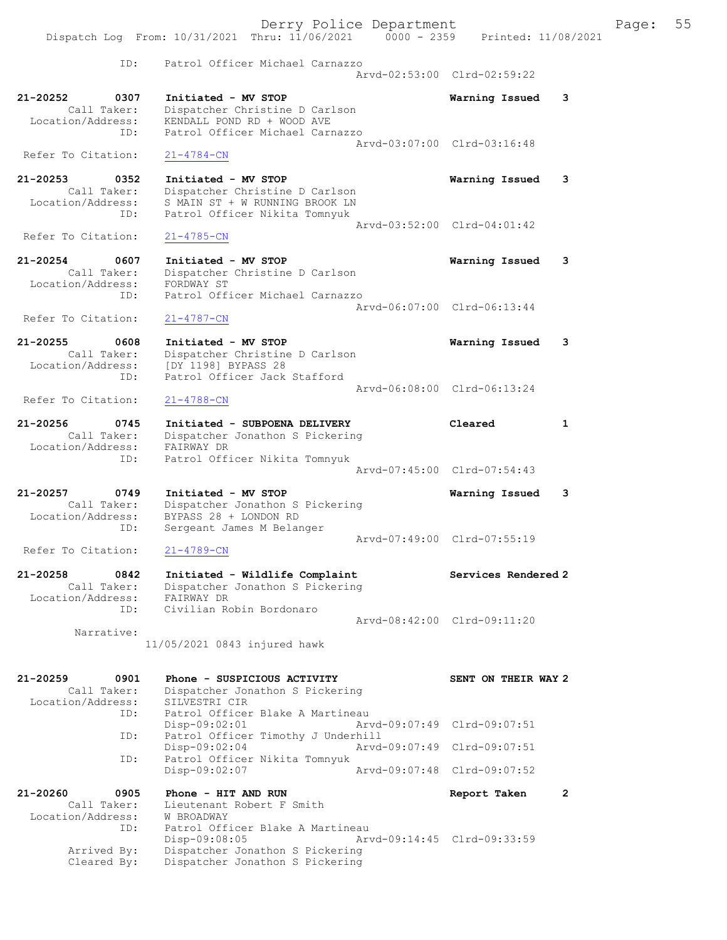|                                                                        | Derry Police Department<br>Dispatch Log From: 10/31/2021 Thru: 11/06/2021 0000 - 2359 Printed: 11/08/2021                                                            |                                                            |                | Page: | 55 |
|------------------------------------------------------------------------|----------------------------------------------------------------------------------------------------------------------------------------------------------------------|------------------------------------------------------------|----------------|-------|----|
| ID:                                                                    | Patrol Officer Michael Carnazzo                                                                                                                                      | Arvd-02:53:00 Clrd-02:59:22                                |                |       |    |
| 21-20252<br>0307<br>Call Taker:<br>Location/Address:<br>ID:            | Initiated - MV STOP<br>Dispatcher Christine D Carlson<br>KENDALL POND RD + WOOD AVE<br>Patrol Officer Michael Carnazzo                                               | Warning Issued                                             | 3              |       |    |
| Refer To Citation:                                                     | $21 - 4784 - CN$                                                                                                                                                     | Arvd-03:07:00 Clrd-03:16:48                                |                |       |    |
| $21 - 20253$<br>0352<br>Call Taker:<br>Location/Address:<br>ID:        | Initiated - MV STOP<br>Dispatcher Christine D Carlson<br>S MAIN ST + W RUNNING BROOK LN<br>Patrol Officer Nikita Tomnyuk                                             | Warning Issued                                             | 3              |       |    |
| Refer To Citation:                                                     | $21 - 4785 - CN$                                                                                                                                                     | Arvd-03:52:00 Clrd-04:01:42                                |                |       |    |
| 21-20254<br>0607<br>Call Taker:<br>Location/Address:<br>ID:            | Initiated - MV STOP<br>Dispatcher Christine D Carlson<br>FORDWAY ST<br>Patrol Officer Michael Carnazzo                                                               | Warning Issued                                             | 3              |       |    |
| Refer To Citation:                                                     | $21 - 4787 - CN$                                                                                                                                                     | Arvd-06:07:00 Clrd-06:13:44                                |                |       |    |
| 21-20255<br>0608<br>Call Taker:<br>Location/Address:<br>ID:            | Initiated - MV STOP<br>Dispatcher Christine D Carlson<br>[DY 1198] BYPASS 28<br>Patrol Officer Jack Stafford                                                         | Warning Issued                                             | 3              |       |    |
| Refer To Citation:                                                     | $21 - 4788 - CN$                                                                                                                                                     | Arvd-06:08:00 Clrd-06:13:24                                |                |       |    |
| 21-20256<br>0745<br>Call Taker:<br>Location/Address: FAIRWAY DR<br>ID: | Initiated - SUBPOENA DELIVERY<br>Dispatcher Jonathon S Pickering<br>Patrol Officer Nikita Tomnyuk                                                                    | Cleared<br>Arvd-07:45:00 Clrd-07:54:43                     | $\mathbf{1}$   |       |    |
| 21-20257<br>0749<br>Call Taker:<br>Location/Address:                   | Initiated - MV STOP<br>Dispatcher Jonathon S Pickering<br>BYPASS 28 + LONDON RD                                                                                      | Warning Issued                                             | 3              |       |    |
| ID:<br>Refer To Citation:                                              | Sergeant James M Belanger<br>$21 - 4789 - CN$                                                                                                                        | Arvd-07:49:00 Clrd-07:55:19                                |                |       |    |
| $21 - 20258$<br>0842<br>Call Taker:<br>Location/Address:<br>ID:        | Initiated - Wildlife Complaint<br>Dispatcher Jonathon S Pickering<br>FAIRWAY DR<br>Civilian Robin Bordonaro                                                          | Services Rendered 2                                        |                |       |    |
| Narrative:                                                             | 11/05/2021 0843 injured hawk                                                                                                                                         | Arvd-08:42:00 Clrd-09:11:20                                |                |       |    |
| 21-20259<br>0901<br>Call Taker:<br>Location/Address:<br>ID:            | Phone - SUSPICIOUS ACTIVITY<br>Dispatcher Jonathon S Pickering<br>SILVESTRI CIR<br>Patrol Officer Blake A Martineau                                                  | SENT ON THEIR WAY 2                                        |                |       |    |
| ID:                                                                    | $Disp-09:02:01$<br>Patrol Officer Timothy J Underhill                                                                                                                | Arvd-09:07:49 Clrd-09:07:51                                |                |       |    |
| ID:                                                                    | $Disp-09:02:04$<br>Patrol Officer Nikita Tomnyuk<br>Disp-09:02:07                                                                                                    | Arvd-09:07:49 Clrd-09:07:51<br>Arvd-09:07:48 Clrd-09:07:52 |                |       |    |
| 21-20260<br>0905                                                       | Phone - HIT AND RUN                                                                                                                                                  | Report Taken                                               | $\overline{2}$ |       |    |
| Call Taker:<br>Location/Address:<br>ID:<br>Arrived By:<br>Cleared By:  | Lieutenant Robert F Smith<br>W BROADWAY<br>Patrol Officer Blake A Martineau<br>$Disp-09:08:05$<br>Dispatcher Jonathon S Pickering<br>Dispatcher Jonathon S Pickering | Arvd-09:14:45 Clrd-09:33:59                                |                |       |    |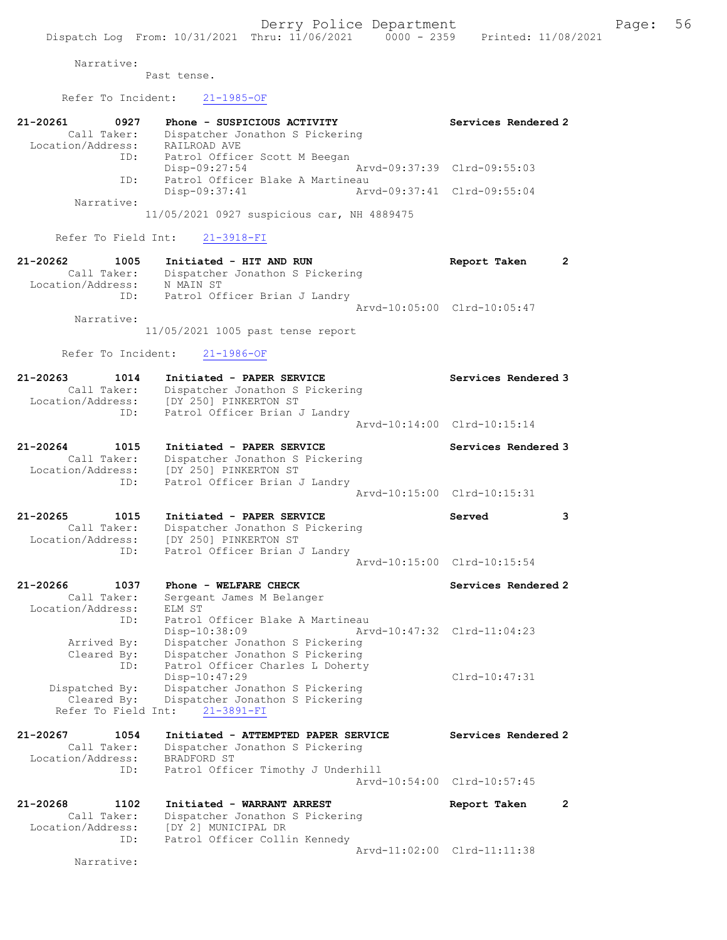Narrative:

Past tense.

Location/Address: [DY 250] PINKERTON ST

ID: Patrol Officer Brian J Landry

Cleared By: Dispatcher Jonathon S Pickering

Refer To Field Int: 21-3891-FI

Refer To Incident: 21-1985-OF

| 21-20261 0927<br>Call Taker:<br>Location/Address: RAILROAD AVE | Phone - SUSPICIOUS ACTIVITY<br>Dispatcher Jonathon S Pickering<br>ID: Patrol Officer Scott M Beegan | Services Rendered 2         |
|----------------------------------------------------------------|-----------------------------------------------------------------------------------------------------|-----------------------------|
|                                                                | Disp-09:27:54                                                                                       | Arvd-09:37:39 Clrd-09:55:03 |
| ID:                                                            | Patrol Officer Blake A Martineau                                                                    |                             |
|                                                                | $Disp-09:37:41$                                                                                     | Arvd-09:37:41 Clrd-09:55:04 |
| Narrative:                                                     |                                                                                                     |                             |
|                                                                | 11/05/2021 0927 suspicious car, NH 4889475                                                          |                             |
|                                                                | Refer To Field Int: 21-3918-FI                                                                      |                             |
| 21-20262 1005                                                  | Initiated - HIT AND RUN                                                                             | Report Taken<br>2           |
|                                                                | Call Taker: Dispatcher Jonathon S Pickering                                                         |                             |
|                                                                |                                                                                                     |                             |
| Location/Address: N MAIN ST                                    |                                                                                                     |                             |
|                                                                | ID: Patrol Officer Brian J Landry                                                                   |                             |
| Narrative:                                                     |                                                                                                     | Aryd-10:05:00 Clrd-10:05:47 |
|                                                                | 11/05/2021 1005 past tense report                                                                   |                             |
|                                                                | Refer To Incident: 21-1986-OF                                                                       |                             |

21-20264 1015 Initiated - PAPER SERVICE Services Rendered 3 Call Taker: Dispatcher Jonathon S Pickering Location/Address: [DY 250] PINKERTON ST ID: Patrol Officer Brian J Landry Arvd-10:15:00 Clrd-10:15:31

Arvd-10:14:00 Clrd-10:15:14

21-20265 1015 Initiated - PAPER SERVICE Served 3 Call Taker: Dispatcher Jonathon S Pickering Location/Address: [DY 250] PINKERTON ST ID: Patrol Officer Brian J Landry Arvd-10:15:00 Clrd-10:15:54

21-20266 1037 Phone - WELFARE CHECK Services Rendered 2 Call Taker: Sergeant James M Belanger Location/Address: ELM ST ID: Patrol Officer Blake A Martineau Disp-10:38:09 Arvd-10:47:32 Clrd-11:04:23 Arrived By: Dispatcher Jonathon S Pickering Cleared By: Dispatcher Jonathon S Pickering ID: Patrol Officer Charles L Doherty Disp-10:47:29 Clrd-10:47:31 Dispatched By: Dispatcher Jonathon S Pickering

21-20267 1054 Initiated - ATTEMPTED PAPER SERVICE Services Rendered 2 Call Taker: Dispatcher Jonathon S Pickering Location/Address: BRADFORD ST ID: Patrol Officer Timothy J Underhill Arvd-10:54:00 Clrd-10:57:45

21-20268 1102 Initiated - WARRANT ARREST Report Taken 2 Call Taker: Dispatcher Jonathon S Pickering Location/Address: [DY 2] MUNICIPAL DR ID: Patrol Officer Collin Kennedy Arvd-11:02:00 Clrd-11:11:38

Narrative: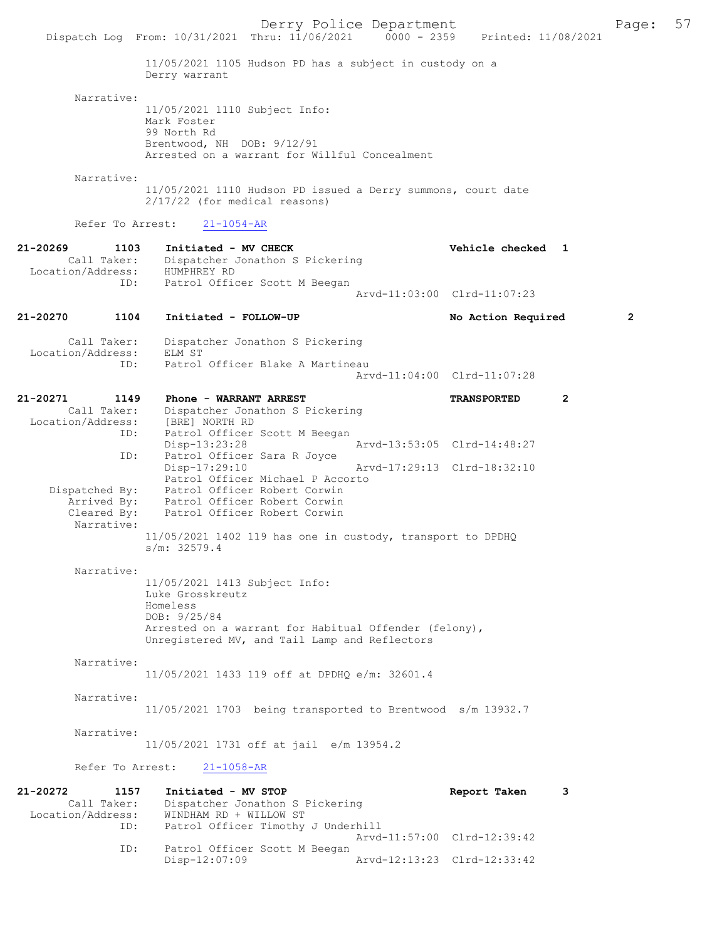Derry Police Department<br>
Page: 57<br>
Printed: 11/08/2021<br>
Printed: 11/08/2021 Dispatch Log From: 10/31/2021 Thru: 11/06/2021 0000 - 2359 11/05/2021 1105 Hudson PD has a subject in custody on a Derry warrant Narrative: 11/05/2021 1110 Subject Info: Mark Foster 99 North Rd Brentwood, NH DOB: 9/12/91 Arrested on a warrant for Willful Concealment Narrative: 11/05/2021 1110 Hudson PD issued a Derry summons, court date 2/17/22 (for medical reasons) Refer To Arrest: 21-1054-AR 21-20269 1103 Initiated - MV CHECK Vehicle checked 1 Call Taker: Dispatcher Jonathon S Pickering<br>ion/Address: HUMPHREY RD Location/Address: ID: Patrol Officer Scott M Beegan Arvd-11:03:00 Clrd-11:07:23 21-20270 1104 Initiated - FOLLOW-UP No Action Required 2 Call Taker: Dispatcher Jonathon S Pickering Location/Address: ELM ST<br>ID: Patrol Patrol Officer Blake A Martineau Arvd-11:04:00 Clrd-11:07:28 21-20271 1149 Phone - WARRANT ARREST TRANSPORTED 2 Call Taker: Dispatcher Jonathon S Pickering Location/Address: [BRE] NORTH RD ID: Patrol Officer Scott M Beegan Disp-13:23:28 Arvd-13:53:05 Clrd-14:48:27 ID: Patrol Officer Sara R Joyce<br>Disp-17:29:10 Disp-17:29:10 Arvd-17:29:13 Clrd-18:32:10 Patrol Officer Michael P Accorto<br>Dispatched By: Patrol Officer Robert Corwin Patrol Officer Robert Corwin Arrived By: Patrol Officer Robert Corwin Cleared By: Patrol Officer Robert Corwin Narrative: 11/05/2021 1402 119 has one in custody, transport to DPDHQ s/m: 32579.4 Narrative: 11/05/2021 1413 Subject Info: Luke Grosskreutz Homeless DOB: 9/25/84 Arrested on a warrant for Habitual Offender (felony), Unregistered MV, and Tail Lamp and Reflectors Narrative: 11/05/2021 1433 119 off at DPDHQ e/m: 32601.4 Narrative: 11/05/2021 1703 being transported to Brentwood s/m 13932.7 Narrative: 11/05/2021 1731 off at jail e/m 13954.2 Refer To Arrest: 21-1058-AR 21-20272 1157 Initiated - MV STOP Report Taken 3 Call Taker: Dispatcher Jonathon S Pickering<br>Location/Address: WINDHAM RD + WILLOW ST WINDHAM RD + WILLOW ST ID: Patrol Officer Timothy J Underhill Arvd-11:57:00 Clrd-12:39:42 Patrol Officer Scott M Beegan<br>Disp-12:07:09 Disp-12:07:09 Arvd-12:13:23 Clrd-12:33:42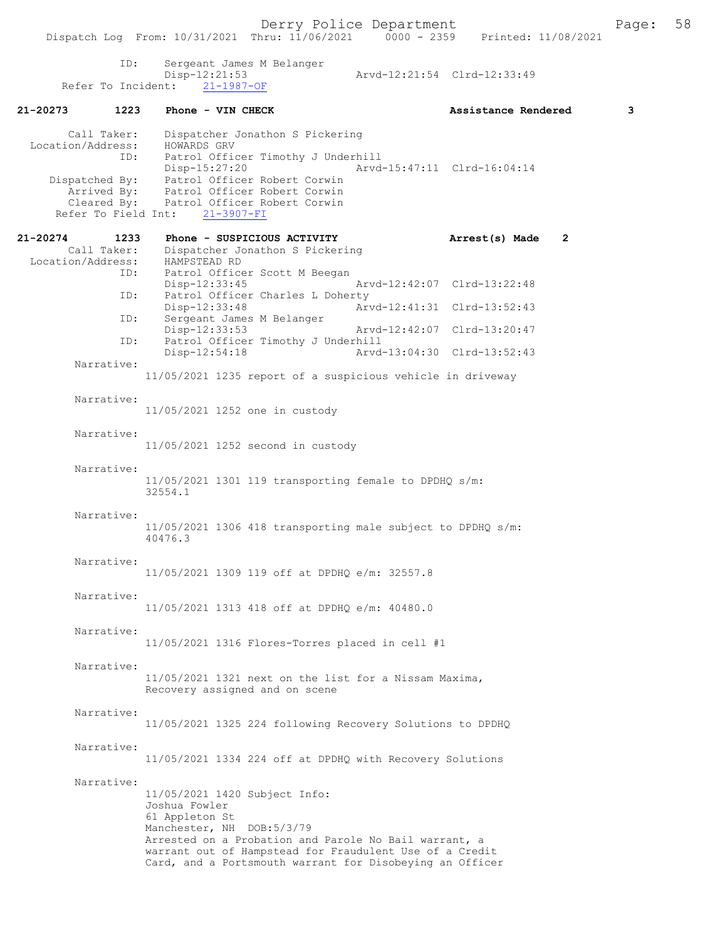| ID:<br>Refer To Incident:                                      | Sergeant James M Belanger<br>Disp-12:21:53<br>$21 - 1987 - OF$                                                                                                                                                                                                                | Arvd-12:21:54 Clrd-12:33:49 |              |
|----------------------------------------------------------------|-------------------------------------------------------------------------------------------------------------------------------------------------------------------------------------------------------------------------------------------------------------------------------|-----------------------------|--------------|
| 21-20273<br>1223                                               | Phone - VIN CHECK                                                                                                                                                                                                                                                             | Assistance Rendered         | 3            |
| Call Taker:<br>Location/Address:<br>ID:<br>Refer To Field Int: | Dispatcher Jonathon S Pickering<br>HOWARDS GRV<br>Patrol Officer Timothy J Underhill<br>Disp-15:27:20<br>Dispatched By: Patrol Officer Robert Corwin<br>Arrived By: Patrol Officer Robert Corwin<br>Cleared By: Patrol Officer Robert Corwin<br>$21 - 3907 - FI$              | Arvd-15:47:11 Clrd-16:04:14 |              |
| 21-20274<br>1233                                               | Phone - SUSPICIOUS ACTIVITY                                                                                                                                                                                                                                                   | Arrest(s) Made              | $\mathbf{2}$ |
| Call Taker:<br>Location/Address:<br>ID:<br>ID:                 | Dispatcher Jonathon S Pickering<br>HAMPSTEAD RD<br>Patrol Officer Scott M Beegan<br>$Disp-12:33:45$<br>Patrol Officer Charles L Doherty                                                                                                                                       | Arvd-12:42:07 Clrd-13:22:48 |              |
| ID:                                                            | Disp-12:33:48<br>Sergeant James M Belanger                                                                                                                                                                                                                                    | Arvd-12:41:31 Clrd-13:52:43 |              |
| ID:                                                            | Disp-12:33:53<br>Patrol Officer Timothy J Underhill                                                                                                                                                                                                                           | Arvd-12:42:07 Clrd-13:20:47 |              |
| Narrative:                                                     | Disp-12:54:18                                                                                                                                                                                                                                                                 | Arvd-13:04:30 Clrd-13:52:43 |              |
|                                                                | 11/05/2021 1235 report of a suspicious vehicle in driveway                                                                                                                                                                                                                    |                             |              |
| Narrative:                                                     | 11/05/2021 1252 one in custody                                                                                                                                                                                                                                                |                             |              |
| Narrative:                                                     | 11/05/2021 1252 second in custody                                                                                                                                                                                                                                             |                             |              |
| Narrative:                                                     | 11/05/2021 1301 119 transporting female to DPDHQ s/m:<br>32554.1                                                                                                                                                                                                              |                             |              |
| Narrative:                                                     | 11/05/2021 1306 418 transporting male subject to DPDHQ s/m:<br>40476.3                                                                                                                                                                                                        |                             |              |
| Narrative:                                                     | 11/05/2021 1309 119 off at DPDHQ e/m: 32557.8                                                                                                                                                                                                                                 |                             |              |
| Narrative:                                                     | 11/05/2021 1313 418 off at DPDHQ e/m: 40480.0                                                                                                                                                                                                                                 |                             |              |
| Narrative:                                                     | $11/05/2021$ 1316 Flores-Torres placed in cell #1                                                                                                                                                                                                                             |                             |              |
| Narrative:                                                     | 11/05/2021 1321 next on the list for a Nissam Maxima,<br>Recovery assigned and on scene                                                                                                                                                                                       |                             |              |
| Narrative:                                                     | 11/05/2021 1325 224 following Recovery Solutions to DPDHQ                                                                                                                                                                                                                     |                             |              |
| Narrative:                                                     | 11/05/2021 1334 224 off at DPDHQ with Recovery Solutions                                                                                                                                                                                                                      |                             |              |
| Narrative:                                                     | 11/05/2021 1420 Subject Info:<br>Joshua Fowler<br>61 Appleton St<br>Manchester, NH DOB:5/3/79<br>Arrested on a Probation and Parole No Bail warrant, a<br>warrant out of Hampstead for Fraudulent Use of a Credit<br>Card, and a Portsmouth warrant for Disobeying an Officer |                             |              |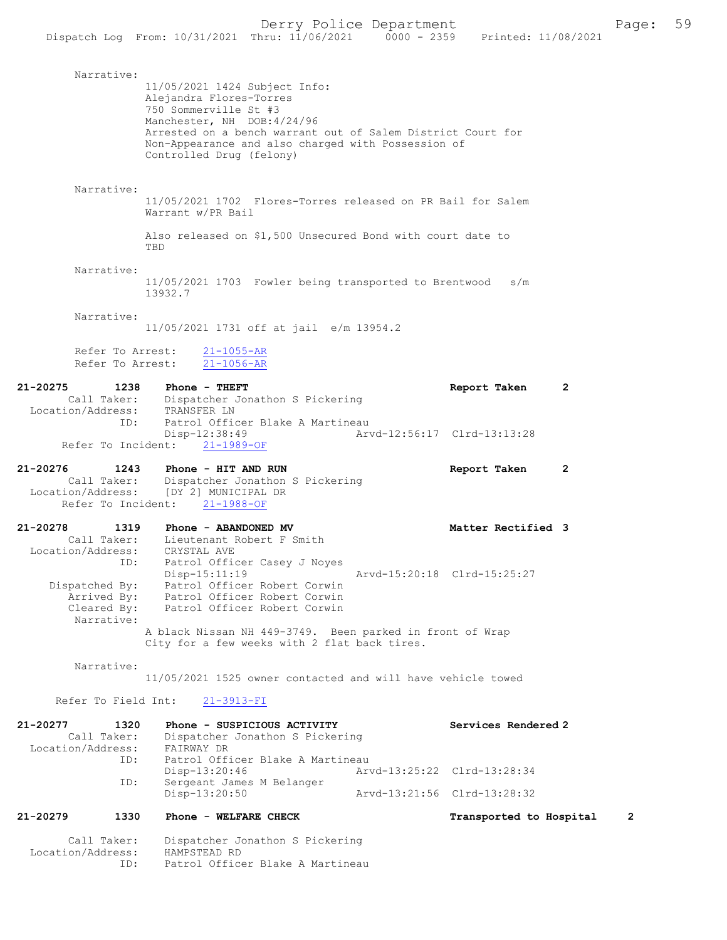|                                                                            |                                                                                                                                              |                                                                                                                   | Derry Police Department     |                     |   | Page: | 59 |
|----------------------------------------------------------------------------|----------------------------------------------------------------------------------------------------------------------------------------------|-------------------------------------------------------------------------------------------------------------------|-----------------------------|---------------------|---|-------|----|
|                                                                            | Dispatch Log From: 10/31/2021                                                                                                                | Thru: 11/06/2021                                                                                                  | $0000 - 2359$               | Printed: 11/08/2021 |   |       |    |
| Narrative:                                                                 | 11/05/2021 1424 Subject Info:<br>Alejandra Flores-Torres<br>750 Sommerville St #3<br>Manchester, NH DOB: 4/24/96<br>Controlled Drug (felony) | Arrested on a bench warrant out of Salem District Court for<br>Non-Appearance and also charged with Possession of |                             |                     |   |       |    |
| Narrative:                                                                 | Warrant w/PR Bail                                                                                                                            | 11/05/2021 1702 Flores-Torres released on PR Bail for Salem                                                       |                             |                     |   |       |    |
|                                                                            | TBD                                                                                                                                          | Also released on \$1,500 Unsecured Bond with court date to                                                        |                             |                     |   |       |    |
| Narrative:                                                                 | 13932.7                                                                                                                                      | 11/05/2021 1703 Fowler being transported to Brentwood                                                             |                             | s/m                 |   |       |    |
| Narrative:                                                                 |                                                                                                                                              | 11/05/2021 1731 off at jail e/m 13954.2                                                                           |                             |                     |   |       |    |
| Refer To Arrest:<br>Refer To Arrest:                                       | $21 - 1055 - AR$<br>$21 - 1056 - AR$                                                                                                         |                                                                                                                   |                             |                     |   |       |    |
| 21-20275<br>1238<br>Call Taker:<br>Location/Address:<br>ID:                | Phone - THEFT<br>TRANSFER LN                                                                                                                 | Dispatcher Jonathon S Pickering<br>Patrol Officer Blake A Martineau                                               |                             | Report Taken        | 2 |       |    |
| Refer To Incident:                                                         | $Disp-12:38:49$<br>$21 - 1989 - OF$                                                                                                          |                                                                                                                   | Arvd-12:56:17 Clrd-13:13:28 |                     |   |       |    |
| 21-20276<br>1243<br>Call Taker:<br>Location/Address:<br>Refer To Incident: | Phone - HIT AND RUN<br>[DY 2] MUNICIPAL DR<br>$21 - 1988 - OF$                                                                               | Dispatcher Jonathon S Pickering                                                                                   |                             | Report Taken        | 2 |       |    |
| 21-20278<br>1319<br>Call Taker:<br>Location/Address:<br>ID:                | Phone - ABANDONED MV<br>CRYSTAL AVE<br>$Disp-15:11:19$                                                                                       | Lieutenant Robert F Smith<br>Patrol Officer Casey J Noyes                                                         | Arvd-15:20:18 Clrd-15:25:27 | Matter Rectified 3  |   |       |    |
| Dispatched By:<br>Arrived By:<br>Cleared By:<br>Narrative:                 |                                                                                                                                              | Patrol Officer Robert Corwin<br>Patrol Officer Robert Corwin<br>Patrol Officer Robert Corwin                      |                             |                     |   |       |    |
|                                                                            |                                                                                                                                              | A black Nissan NH 449-3749. Been parked in front of Wrap<br>City for a few weeks with 2 flat back tires.          |                             |                     |   |       |    |
| Narrative:                                                                 |                                                                                                                                              | 11/05/2021 1525 owner contacted and will have vehicle towed                                                       |                             |                     |   |       |    |
| Refer To Field Int:                                                        | $21 - 3913 - FI$                                                                                                                             |                                                                                                                   |                             |                     |   |       |    |
| 21-20277<br>1320<br>Call Taker:<br>Location/Address:                       | FAIRWAY DR                                                                                                                                   | Phone - SUSPICIOUS ACTIVITY<br>Dispatcher Jonathon S Pickering                                                    |                             | Services Rendered 2 |   |       |    |

| TD: | Patrol Officer Blake A Martineau |                             |                             |
|-----|----------------------------------|-----------------------------|-----------------------------|
|     | Disp-13:20:46                    | Arvd-13:25:22 Clrd-13:28:34 |                             |
| ID: | Sergeant James M Belanger        |                             |                             |
|     | Disp-13:20:50                    |                             | Arvd-13:21:56 Clrd-13:28:32 |

## 21-20279 1330 Phone - WELFARE CHECK Transported to Hospital 2

 Call Taker: Dispatcher Jonathon S Pickering Location/Address: HAMPSTEAD RD ID: Patrol Officer Blake A Martineau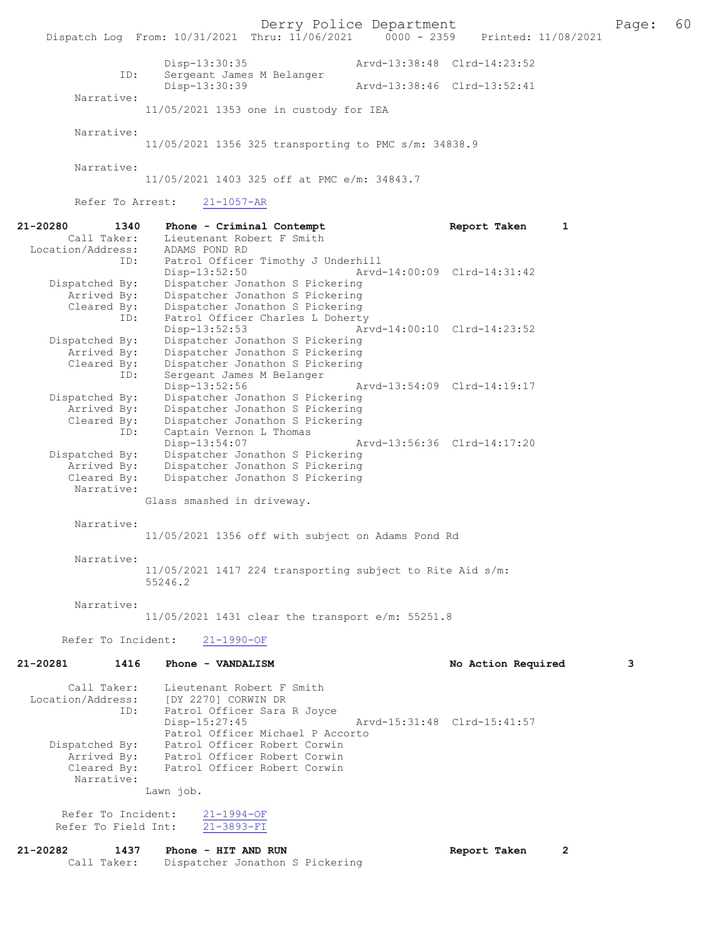Derry Police Department<br>
Page: 60<br>
Printed: 11/08/2021 0000 - 2359 Printed: 11/08/2021 Dispatch Log From: 10/31/2021 Thru: 11/06/2021 Disp-13:30:35 Arvd-13:38:48 Clrd-14:23:52 ID: Sergeant James M Belanger Disp-13:30:39 Arvd-13:38:46 Clrd-13:52:41 Narrative: 11/05/2021 1353 one in custody for IEA Narrative: 11/05/2021 1356 325 transporting to PMC s/m: 34838.9 Narrative: 11/05/2021 1403 325 off at PMC e/m: 34843.7 Refer To Arrest: 21-1057-AR 21-20280 1340 Phone - Criminal Contempt Report Taken 1 Call Taker: Lieutenant Robert F Smith Lieutenant Robert F Smith<br>ADAMS POND RD Location/Address:<br>ID: Patrol Officer Timothy J Underhill<br>Disp-13:52:50 Arvd Disp-13:52:50 Arvd-14:00:09 Clrd-14:31:42<br>Dispatched By: Dispatcher Jonathon S Pickering patched By: Dispatcher Jonathon S Pickering<br>Arrived By: Dispatcher Jonathon S Pickering Arrived By: Dispatcher Jonathon S Pickering Cleared By: Dispatcher Jonathon S Pickering ID: Patrol Officer Charles L Doherty Disp-13:52:53 Arvd-14:00:10 Clrd-14:23:52<br>Dispatched By: Dispatcher Jonathon S Pickering Dispatcher Jonathon S Pickering Arrived By: Dispatcher Jonathon S Pickering<br>Cleared By: Dispatcher Jonathon S Pickering Cleared By: Dispatcher Jonathon S Pickering<br>Compact Control Dispatcher Jonathon S Pickering ID: Sergeant James M Belanger Disp-13:52:56 Arvd-13:54:09 Clrd-14:19:17<br>Dispatched By: Dispatcher Jonathon S Pickering patched By: Dispatcher Jonathon S Pickering<br>Arrived By: Dispatcher Jonathon S Pickering Arrived By: Dispatcher Jonathon S Pickering<br>Cleared By: Dispatcher Jonathon S Pickering By: Dispatcher Jonathon S Pickering<br>ID: Captain Vernon L Thomas Captain Vernon L Thomas<br>Disp-13:54:07 Disp-13:54:07 Arvd-13:56:36 Clrd-14:17:20<br>Dispatched By: Dispatcher Jonathon S Pickering Dispatcher Jonathon S Pickering Arrived By: Dispatcher Jonathon S Pickering<br>Cleared By: Dispatcher Jonathon S Pickering Dispatcher Jonathon S Pickering

Glass smashed in driveway.

Narrative:

Narrative:

11/05/2021 1356 off with subject on Adams Pond Rd

Narrative:

11/05/2021 1417 224 transporting subject to Rite Aid s/m: 55246.2

Narrative:

11/05/2021 1431 clear the transport e/m: 55251.8

Refer To Incident: 21-1990-OF

# 21-20281 1416 Phone - VANDALISM 1999 120 No Action Required 3

| Call Taker:<br>Location/Address:<br>ID: | Lieutenant Robert F Smith<br>[DY 2270] CORWIN DR<br>Patrol Officer Sara R Joyce |                                  |                             |  |
|-----------------------------------------|---------------------------------------------------------------------------------|----------------------------------|-----------------------------|--|
|                                         | $Disp-15:27:45$                                                                 |                                  | Arvd-15:31:48 Clrd-15:41:57 |  |
|                                         |                                                                                 | Patrol Officer Michael P Accorto |                             |  |
| Dispatched By:                          | Patrol Officer Robert Corwin                                                    |                                  |                             |  |
| Arrived By:                             | Patrol Officer Robert Corwin                                                    |                                  |                             |  |
| Cleared By:                             | Patrol Officer Robert Corwin                                                    |                                  |                             |  |
| Narrative:                              |                                                                                 |                                  |                             |  |
|                                         | Lawn job.                                                                       |                                  |                             |  |

 Refer To Incident: 21-1994-OF Refer To Field Int: 21-3893-FI

#### 21-20282 1437 Phone - HIT AND RUN Report Taken 2<br>Call Taker: Dispatcher Jonathon S Pickering Dispatcher Jonathon S Pickering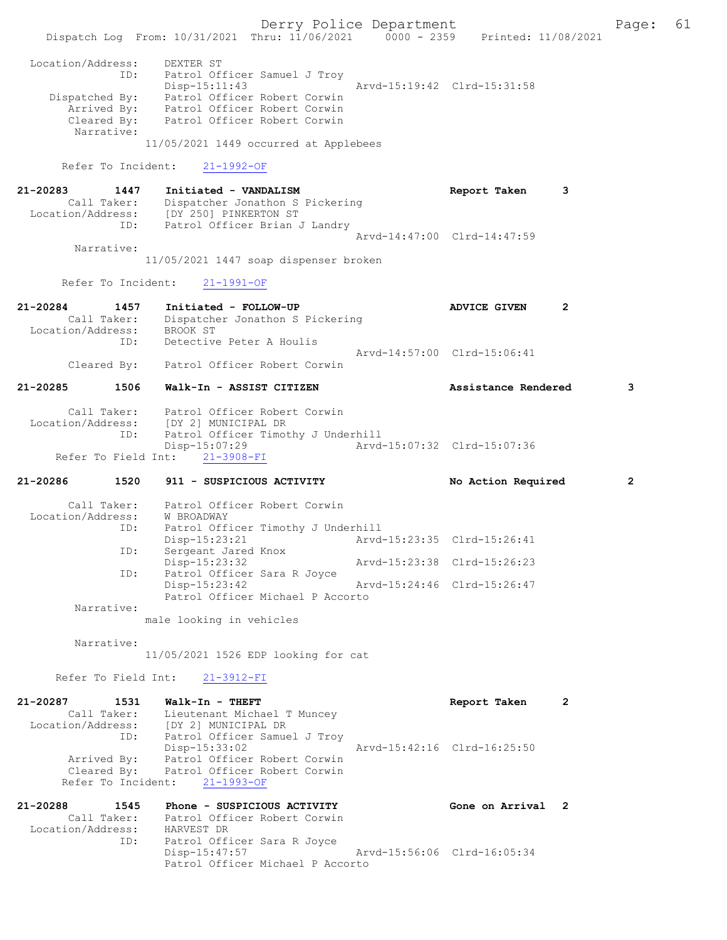Derry Police Department Fage: 61 Dispatch Log From: 10/31/2021 Thru: 11/06/2021 0000 - 2359 Printed: 11/08/2021 Location/Address: DEXTER ST ID: Patrol Officer Samuel J Troy Disp-15:11:43 Arvd-15:19:42 Clrd-15:31:58 Dispatched By: Patrol Officer Robert Corwin Arrived By: Patrol Officer Robert Corwin Cleared By: Patrol Officer Robert Corwin Narrative: 11/05/2021 1449 occurred at Applebees Refer To Incident: 21-1992-OF 21-20283 1447 Initiated - VANDALISM Report Taken 3 Call Taker: Dispatcher Jonathon S Pickering Location/Address: [DY 250] PINKERTON ST ID: Patrol Officer Brian J Landry Arvd-14:47:00 Clrd-14:47:59 Narrative: 11/05/2021 1447 soap dispenser broken Refer To Incident: 21-1991-OF 21-20284 1457 Initiated - FOLLOW-UP ADVICE GIVEN 2 Call Taker: Dispatcher Jonathon S Pickering Location/Address: BROOK ST ID: Detective Peter A Houlis Arvd-14:57:00 Clrd-15:06:41 Cleared By: Patrol Officer Robert Corwin 21-20285 1506 Walk-In - ASSIST CITIZEN Assistance Rendered 3 Call Taker: Patrol Officer Robert Corwin Location/Address: [DY 2] MUNICIPAL DR ID: Patrol Officer Timothy J Underhill<br>Disp-15:07:29 Arvd- Disp-15:07:29 Arvd-15:07:32 Clrd-15:07:36 Refer To Field Int: 21-3908-FI 21-20286 1520 911 - SUSPICIOUS ACTIVITY No Action Required 2 Call Taker: Patrol Officer Robert Corwin Location/Address: W BROADWAY ID: Patrol Officer Timothy J Underhill<br>Disp-15:23:21 Arvd- Disp-15:23:21 Arvd-15:23:35 Clrd-15:26:41 ID: Sergeant Jared Know<br>Disp-15:23:32<br>Communication Sara Disp-15:23:32 Arvd-15:23:38 Clrd-15:26:23 ID: Patrol Officer Sara R Joyce<br>Disp-15:23:42 Disp-15:23:42 Arvd-15:24:46 Clrd-15:26:47 Patrol Officer Michael P Accorto Narrative: male looking in vehicles Narrative: 11/05/2021 1526 EDP looking for cat Refer To Field Int: 21-3912-FI 21-20287 1531 Walk-In - THEFT Report Taken 2 Call Taker: Lieutenant Michael T Muncey Location/Address: [DY 2] MUNICIPAL DR ID: Patrol Officer Samuel J Troy Disp-15:33:02 Arvd-15:42:16 Clrd-16:25:50 Arrived By: Patrol Officer Robert Corwin Cleared By: Patrol Officer Robert Corwin Refer To Incident: 21-1993-OF 21-20288 1545 Phone - SUSPICIOUS ACTIVITY Gone on Arrival 2 Call Taker: Patrol Officer Robert Corwin Location/Address: HARVEST DR Patrol Officer Sara R Joyce<br>Disp-15:47:57 Arvd-15:56:06 Clrd-16:05:34 Patrol Officer Michael P Accorto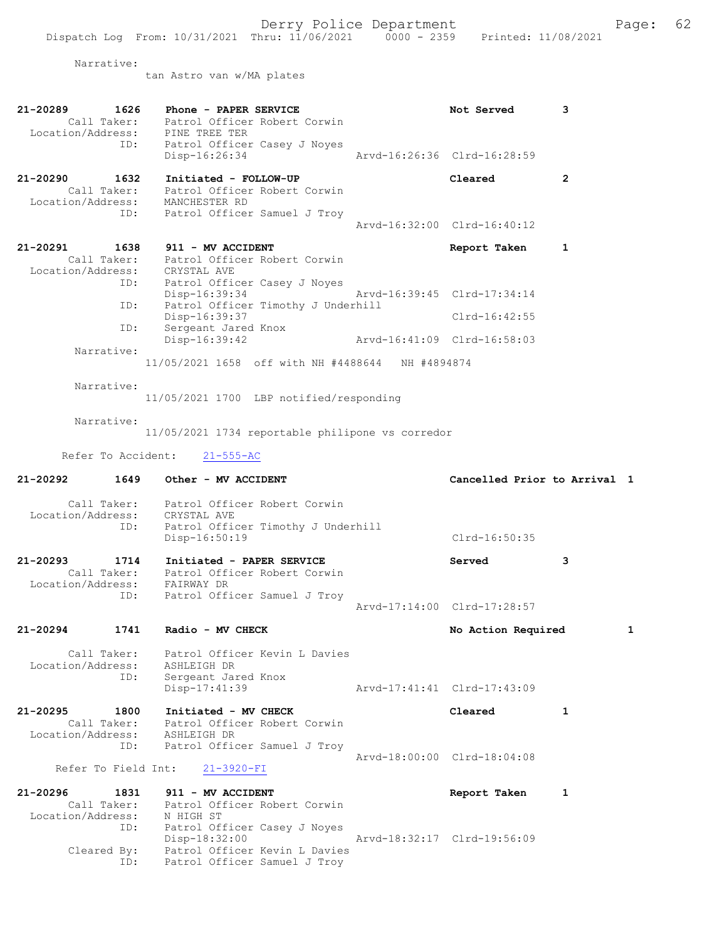Narrative:

tan Astro van w/MA plates

| 21-20289<br>1626<br>Call Taker:<br>Location/Address:<br>ID:               | Phone - PAPER SERVICE<br>Patrol Officer Robert Corwin<br>PINE TREE TER<br>Patrol Officer Casey J Noyes | Not Served                   | 3            |
|---------------------------------------------------------------------------|--------------------------------------------------------------------------------------------------------|------------------------------|--------------|
|                                                                           | Disp-16:26:34                                                                                          | Arvd-16:26:36 Clrd-16:28:59  |              |
| 21-20290<br>1632<br>Call Taker:<br>Location/Address: MANCHESTER RD<br>ID: | Initiated - FOLLOW-UP<br>Patrol Officer Robert Corwin<br>Patrol Officer Samuel J Troy                  | Cleared                      | $\mathbf{2}$ |
|                                                                           |                                                                                                        | Arvd-16:32:00 Clrd-16:40:12  |              |
| 21-20291<br>1638<br>Call Taker:                                           | 911 - MV ACCIDENT<br>Patrol Officer Robert Corwin                                                      | Report Taken                 | 1            |
| Location/Address: CRYSTAL AVE<br>ID:                                      | Patrol Officer Casey J Noyes                                                                           |                              |              |
| ID:                                                                       | Disp-16:39:34<br>Patrol Officer Timothy J Underhill                                                    | Arvd-16:39:45 Clrd-17:34:14  |              |
| ID:                                                                       | Disp-16:39:37<br>Sergeant Jared Knox                                                                   | Clrd-16:42:55                |              |
| Narrative:                                                                | Disp-16:39:42                                                                                          | Aryd-16:41:09 Clrd-16:58:03  |              |
|                                                                           | 11/05/2021 1658 off with NH #4488644 NH #4894874                                                       |                              |              |
| Narrative:                                                                | 11/05/2021 1700 LBP notified/responding                                                                |                              |              |
| Narrative:                                                                | 11/05/2021 1734 reportable philipone vs corredor                                                       |                              |              |
| Refer To Accident:                                                        | $21 - 555 - AC$                                                                                        |                              |              |
| 21-20292<br>1649                                                          | Other - MV ACCIDENT                                                                                    | Cancelled Prior to Arrival 1 |              |
|                                                                           | Call Taker: Patrol Officer Robert Corwin                                                               |                              |              |
| Location/Address: CRYSTAL AVE<br>ID:                                      | Patrol Officer Timothy J Underhill<br>Disp-16:50:19                                                    | $Clrd-16:50:35$              |              |
| $21 - 20293$<br>1714<br>Location/Address: FAIRWAY DR                      | Initiated - PAPER SERVICE<br>Call Taker: Patrol Officer Robert Corwin                                  | Served                       | 3            |
| ID:                                                                       | Patrol Officer Samuel J Troy                                                                           | Arvd-17:14:00 Clrd-17:28:57  |              |
| 21-20294<br>1741                                                          | Radio - MV CHECK                                                                                       | No Action Required           |              |
| Call Taker:                                                               | Patrol Officer Kevin L Davies                                                                          |                              |              |
| Location/Address:<br>ID:                                                  | ASHLEIGH DR<br>Sergeant Jared Knox                                                                     |                              |              |
|                                                                           | Disp-17:41:39                                                                                          | Arvd-17:41:41 Clrd-17:43:09  |              |
| $21 - 20295$<br>1800<br>Call Taker:<br>Location/Address: ASHLEIGH DR      | Initiated - MV CHECK<br>Patrol Officer Robert Corwin                                                   | Cleared                      | 1            |
| ID:                                                                       | Patrol Officer Samuel J Troy                                                                           | Arvd-18:00:00 Clrd-18:04:08  |              |
| Refer To Field Int:                                                       | 21-3920-FI                                                                                             |                              |              |
| 21-20296<br>1831<br>Call Taker:<br>Location/Address:                      | 911 - MV ACCIDENT<br>Patrol Officer Robert Corwin<br>N HIGH ST                                         | Report Taken                 | 1            |
| ID:                                                                       | Patrol Officer Casey J Noyes                                                                           |                              |              |
| Cleared By:                                                               | Disp-18:32:00                                                                                          | Arvd-18:32:17 Clrd-19:56:09  |              |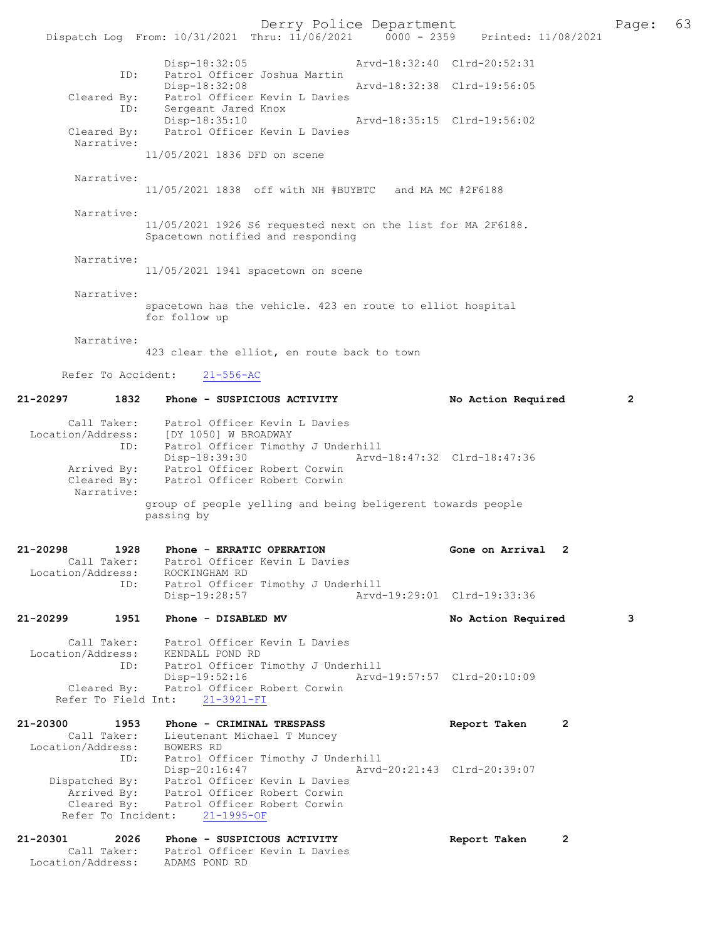Derry Police Department Page: 63 Dispatch Log From: 10/31/2021 Thru: 11/06/2021 0000 - 2359 Disp-18:32:05 Arvd-18:32:40 Clrd-20:52:31<br>ID: Patrol Officer Joshua Martin Patrol Officer Joshua Martin<br>Disp-18:32:08 Disp-18:32:08 Arvd-18:32:38 Clrd-19:56:05 Cleared By: Patrol Officer Kevin L Davies ID: Sergeant Jared Knox Disp-18:35:10 Arvd-18:35:15 Clrd-19:56:02 Cleared By: Patrol Officer Kevin L Davies Narrative: 11/05/2021 1836 DFD on scene Narrative: 11/05/2021 1838 off with NH #BUYBTC and MA MC #2F6188 Narrative: 11/05/2021 1926 S6 requested next on the list for MA 2F6188. Spacetown notified and responding Narrative: 11/05/2021 1941 spacetown on scene Narrative: spacetown has the vehicle. 423 en route to elliot hospital for follow up Narrative: 423 clear the elliot, en route back to town Refer To Accident: 21-556-AC 21-20297 1832 Phone - SUSPICIOUS ACTIVITY No Action Required 2 Call Taker: Patrol Officer Kevin L Davies Location/Address: [DY 1050] W BROADWAY ID: Patrol Officer Timothy J Underhill Disp-18:39:30 Arvd-18:47:32 Clrd-18:47:36 Arrived By: Patrol Officer Robert Corwin Cleared By: Patrol Officer Robert Corwin Narrative: group of people yelling and being beligerent towards people passing by 21-20298 1928 Phone - ERRATIC OPERATION Gone on Arrival 2 Call Taker: Patrol Officer Kevin L Davies Location/Address: ROCKINGHAM RD<br>ID: Patrol Officer Patrol Officer Timothy J Underhill<br>Disp-19:28:57 Arvd Disp-19:28:57 Arvd-19:29:01 Clrd-19:33:36 21-20299 1951 Phone - DISABLED MV No Action Required 3 Call Taker: Patrol Officer Kevin L Davies Location/Address: KENDALL POND RD ID: Patrol Officer Timothy J Underhill<br>Disp-19:52:16 Arvd Disp-19:52:16 Arvd-19:57:57 Clrd-20:10:09 Cleared By: Patrol Officer Robert Corwin Refer To Field Int: 21-3921-FI 21-20300 1953 Phone - CRIMINAL TRESPASS Report Taken 2 Call Taker: Lieutenant Michael T Muncey Location/Address: BOWERS RD ID: Patrol Officer Timothy J Underhill Disp-20:16:47 Arvd-20:21:43 Clrd-20:39:07 Dispatched By: Patrol Officer Kevin L Davies Arrived By: Patrol Officer Robert Corwin Cleared By: Patrol Officer Robert Corwin Refer To Incident: 21-1995-OF 21-20301 2026 Phone - SUSPICIOUS ACTIVITY Report Taken 2 Call Taker: Patrol Officer Kevin L Davies Location/Address: ADAMS POND RD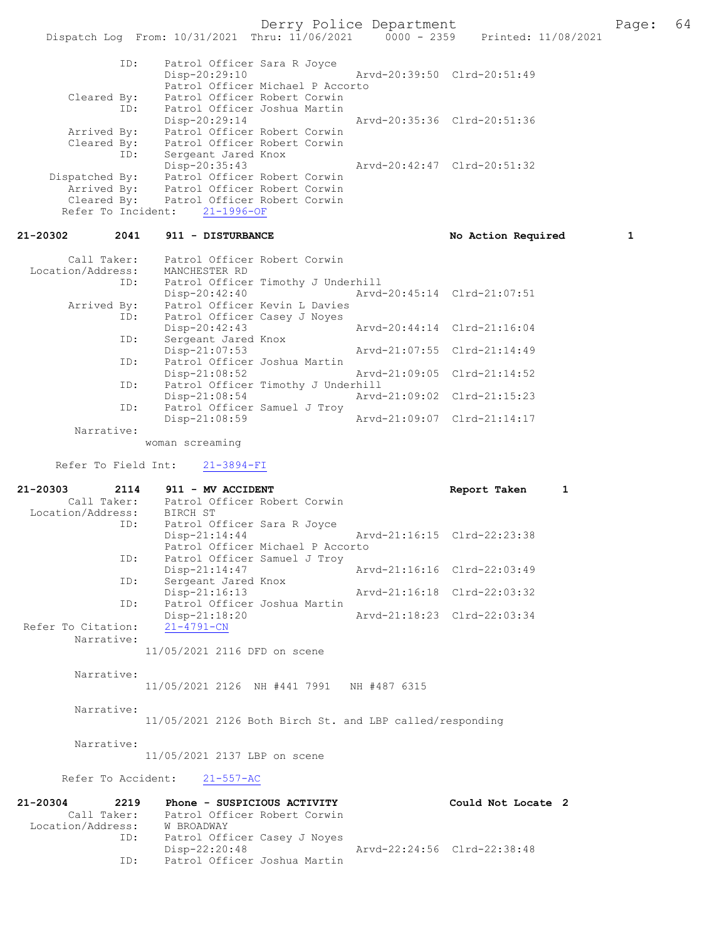Derry Police Department The Page: 64 Dispatch Log From: 10/31/2021 Thru: 11/06/2021 0000 - 2359 Printed: 11/08/2021 ID: Patrol Officer Sara R Joyce Disp-20:29:10 Arvd-20:39:50 Clrd-20:51:49 Patrol Officer Michael P Accorto<br>Cleared By: Patrol Officer Robert Corwin Patrol Officer Robert Corwin ID: Patrol Officer Joshua Martin Disp-20:29:14 Arvd-20:35:36 Clrd-20:51:36 Arrived By: Patrol Officer Robert Corwin Cleared By: Patrol Officer Robert Corwin ID: Sergeant Jared Knox Disp-20:35:43 Arvd-20:42:47 Clrd-20:51:32<br>Dispatched By: Patrol Officer Robert Corwin Dispatched By: Patrol Officer Robert Corwin Arrived By: Patrol Officer Robert Corwin Cleared By: Patrol Officer Robert Corwin Refer To Incident: 21-1996-OF 21-20302 2041 911 - DISTURBANCE No Solid No Action Required 1 Call Taker: Patrol Officer Robert Corwin Location/Address: MANCHESTER RD Patrol Officer Timothy J Underhill Disp-20:42:40 Arvd-20:45:14 Clrd-21:07:51<br>Arrived By: Patrol Officer Kevin L Davies Patrol Officer Kevin L Davies ID: Patrol Officer Casey J Noyes<br>Disp-20:42:43 Disp-20:42:43 Arvd-20:44:14 Clrd-21:16:04<br>ID: Sergeant Jared Knox Sergeant Jared Knox<br>Disp-21:07:53 Disp-21:07:53 Arvd-21:07:55 Clrd-21:14:49 ID: Patrol Officer Joshua Martin<br>Disp-21:08:52 Disp-21:08:52 Arvd-21:09:05 Clrd-21:14:52<br>ID: Patrol Officer Timothy J Underhill Patrol Officer Timothy J Underhill<br>Disp-21:08:54 Arvd Disp-21:08:54 Arvd-21:09:02 Clrd-21:15:23 ID: Patrol Officer Samuel J Troy Disp-21:08:59 Arvd-21:09:07 Clrd-21:14:17 Narrative: woman screaming Refer To Field Int: 21-3894-FI 21-20303 2114 911 - MV ACCIDENT Report Taken 1 Call Taker: Patrol Officer Robert Corwin Call Taker: Patrol O:<br>Location/Address: BIRCH ST<br>ID: Patrol O: Patrol Officer Sara R Joyce<br>Disp-21:14:44 Arvd-21:16:15 Clrd-22:23:38 Patrol Officer Michael P Accorto<br>ID: Patrol Officer Samuel J Trov Patrol Officer Samuel J Troy<br>Disp-21:14:47 Arvd-21:16:16 Clrd-22:03:49 ID: Sergeant Jared Knox<br>Disp-21:16:13 Disp-21:16:13 Arvd-21:16:18 Clrd-22:03:32 ID: Patrol Officer Joshua Martin Disp-21:18:20 Arvd-21:18:23 Clrd-22:03:34 Refer To Citation: Narrative: 11/05/2021 2116 DFD on scene Narrative: 11/05/2021 2126 NH #441 7991 NH #487 6315 Narrative: 11/05/2021 2126 Both Birch St. and LBP called/responding Narrative: 11/05/2021 2137 LBP on scene Refer To Accident: 21-557-AC 21-20304 2219 Phone - SUSPICIOUS ACTIVITY Could Not Locate 2<br>Call Taker: Patrol Officer Robert Corwin Call Taker: Patrol Officer Robert Corwin Location/Address: W BROADWAY ID: Patrol Officer Casey J Noyes<br>Disp-22:20:48 Disp-22:20:48 Arvd-22:24:56 Clrd-22:38:48 Patrol Officer Joshua Martin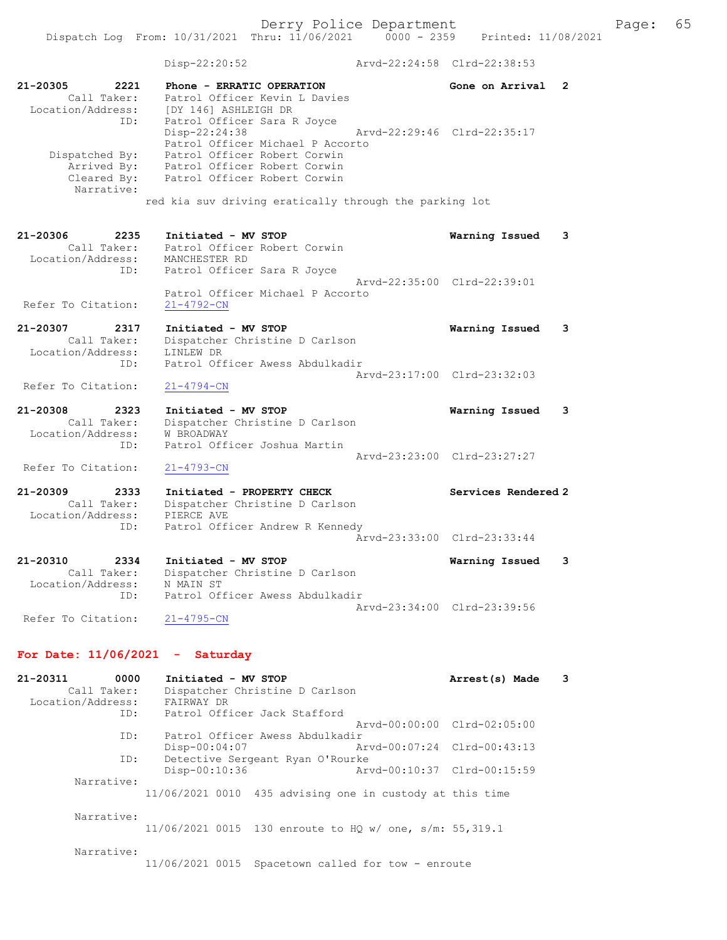Dispatch Log From: 10/31/2021 Thru: 11/06/2021 0000 - 2359 Printed: 11/08/2021 Disp-22:20:52 Arvd-22:24:58 Clrd-22:38:53 21-20305 2221 Phone - ERRATIC OPERATION Gone on Arrival 2 Call Taker: Patrol Officer Kevin L Davies Location/Address: [DY 146] ASHLEIGH DR ID: Patrol Officer Sara R Joyce Disp-22:24:38 Arvd-22:29:46 Clrd-22:35:17 Patrol Officer Michael P Accorto Dispatched By: Patrol Officer Robert Corwin Arrived By: Patrol Officer Robert Corwin Cleared By: Patrol Officer Robert Corwin Narrative: red kia suv driving eratically through the parking lot 21-20306 2235 Initiated - MV STOP Warning Issued 3 Call Taker: Patrol Officer Robert Corwin Location/Address: MANCHESTER RD ID: Patrol Officer Sara R Joyce Arvd-22:35:00 Clrd-22:39:01 Patrol Officer Michael P Accorto Refer To Citation: 21-4792-CN 21-20307 2317 Initiated - MV STOP Warning Issued 3 Call Taker: Dispatcher Christine D Carlson Location/Address: LINLEW DR ID: Patrol Officer Awess Abdulkadir Arvd-23:17:00 Clrd-23:32:03<br>21-4794-CN Refer To Citation: 21-20308 2323 Initiated - MV STOP Warning Issued 3 Call Taker: Dispatcher Christine D Carlson Location/Address: W BROADWAY ID: Patrol Officer Joshua Martin Arvd-23:23:00 Clrd-23:27:27 Refer To Citation: 21-4793-CN 21-20309 2333 Initiated - PROPERTY CHECK Services Rendered 2 Call Taker: Dispatcher Christine D Carlson Location/Address: PIERCE AVE ID: Patrol Officer Andrew R Kennedy Arvd-23:33:00 Clrd-23:33:44 21-20310 2334 Initiated - MV STOP Warning Issued 3 Call Taker: Dispatcher Christine D Carlson Location/Address: N MAIN ST ID: Patrol Officer Awess Abdulkadir Arvd-23:34:00 Clrd-23:39:56 Refer To Citation: 21-4795-CN

## For Date: 11/06/2021 - Saturday

21-20311 0000 Initiated - MV STOP Arrest(s) Made 3 Call Taker: Dispatcher Christine D Carlson Location/Address: FAIRWAY DR ID: Patrol Officer Jack Stafford Arvd-00:00:00 Clrd-02:05:00 ID: Patrol Officer Awess Abdulkadir<br>Disp-00:04:07 Mrvd-00:07:24 Clrd-00:43:13 Disp-00:04:07<br>TD: Detective Sergeant Ryan O Detective Sergeant Ryan O'Rourke<br>Disp-00:10:36 Ary Disp-00:10:36 Arvd-00:10:37 Clrd-00:15:59 Narrative: 11/06/2021 0010 435 advising one in custody at this time Narrative: 11/06/2021 0015 130 enroute to HQ w/ one, s/m: 55,319.1 Narrative: 11/06/2021 0015 Spacetown called for tow - enroute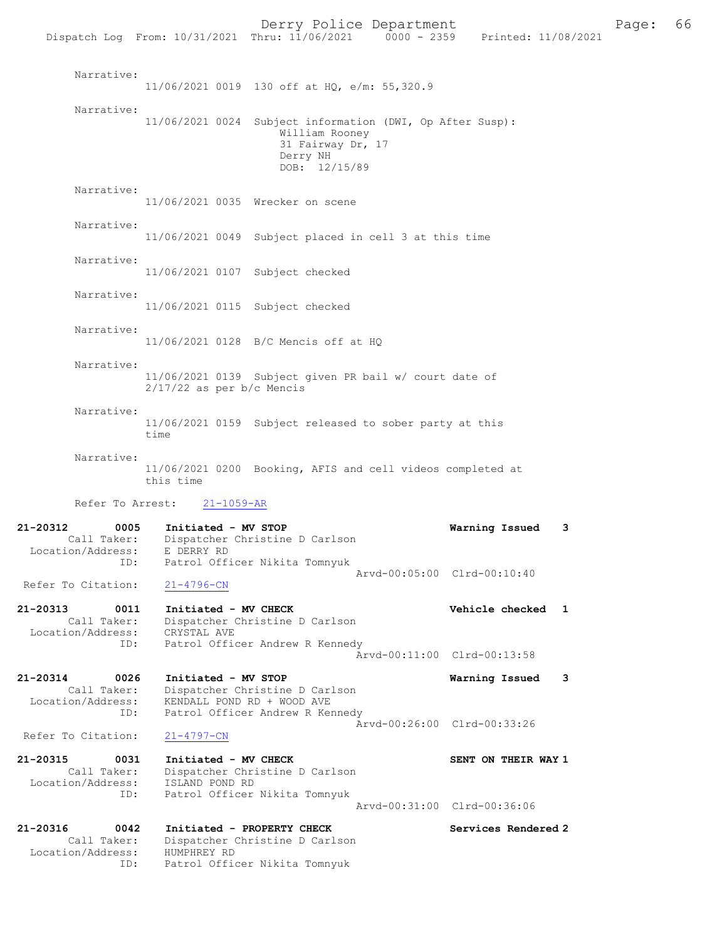Derry Police Department Fage: 66 Dispatch Log From: 10/31/2021 Thru: 11/06/2021 0000 - 2359 Printed: 11/08/2021 Narrative: 11/06/2021 0019 130 off at HQ, e/m: 55,320.9 Narrative: 11/06/2021 0024 Subject information (DWI, Op After Susp): William Rooney 31 Fairway Dr, 17 Derry NH DOB: 12/15/89 Narrative: 11/06/2021 0035 Wrecker on scene Narrative: 11/06/2021 0049 Subject placed in cell 3 at this time Narrative: 11/06/2021 0107 Subject checked Narrative: 11/06/2021 0115 Subject checked Narrative: 11/06/2021 0128 B/C Mencis off at HQ Narrative: 11/06/2021 0139 Subject given PR bail w/ court date of 2/17/22 as per b/c Mencis Narrative: 11/06/2021 0159 Subject released to sober party at this time Narrative: 11/06/2021 0200 Booking, AFIS and cell videos completed at this time Refer To Arrest: 21-1059-AR 21-20312 0005 Initiated - MV STOP Warning Issued 3 Call Taker: Dispatcher Christine D Carlson Location/Address: E DERRY RD ID: Patrol Officer Nikita Tomnyuk Arvd-00:05:00 Clrd-00:10:40<br>21-4796-CN Refer To Citation: 21-20313 0011 Initiated - MV CHECK Vehicle checked 1 Call Taker: Dispatcher Christine D Carlson Location/Address: CRYSTAL AVE ID: Patrol Officer Andrew R Kennedy Arvd-00:11:00 Clrd-00:13:58 21-20314 0026 Initiated - MV STOP Warning Issued 3 Call Taker: Dispatcher Christine D Carlson Location/Address: KENDALL POND RD + WOOD AVE ID: Patrol Officer Andrew R Kennedy Arvd-00:26:00 Clrd-00:33:26<br>21-4797-CN Refer To Citation: 21-20315 0031 Initiated - MV CHECK SENT ON THEIR WAY 1 Call Taker: Dispatcher Christine D Carlson Location/Address: ISLAND POND RD ID: Patrol Officer Nikita Tomnyuk Arvd-00:31:00 Clrd-00:36:06 21-20316 0042 Initiated - PROPERTY CHECK Services Rendered 2 Call Taker: Dispatcher Christine D Carlson Location/Address: HUMPHREY RD ID: Patrol Officer Nikita Tomnyuk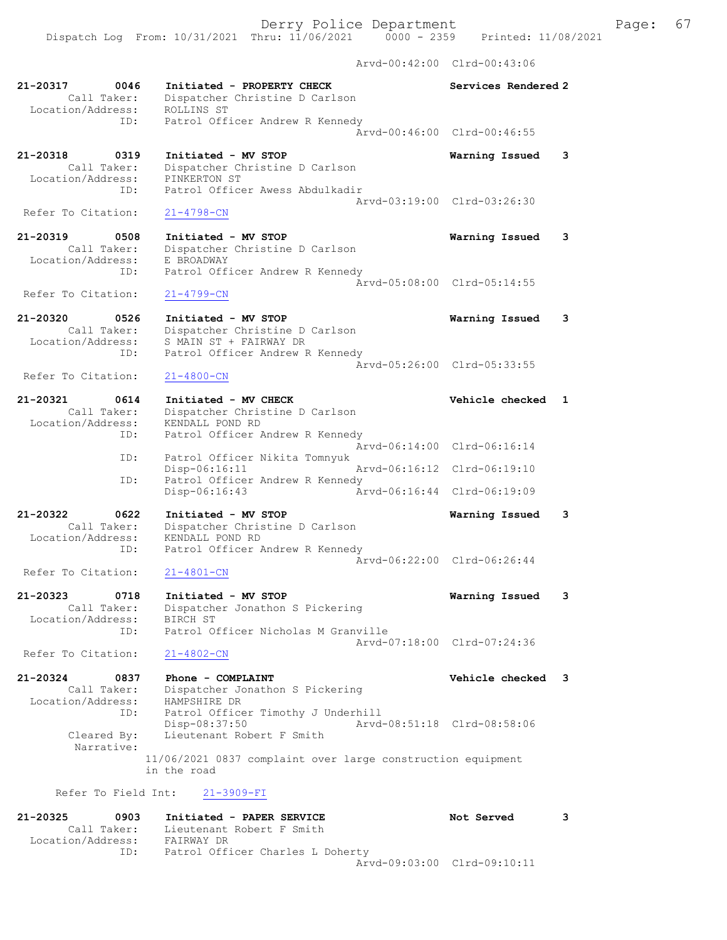Dispatch Log From: 10/31/2021 Thru: 11/06/2021 0000 - 2359 Printed: 11/08/2021

Arvd-00:42:00 Clrd-00:43:06

| 21-20317<br>0046<br>Call Taker:<br>Location/Address:            | Initiated - PROPERTY CHECK<br>Dispatcher Christine D Carlson<br>ROLLINS ST                                         | Services Rendered 2                           |   |
|-----------------------------------------------------------------|--------------------------------------------------------------------------------------------------------------------|-----------------------------------------------|---|
| ID:                                                             | Patrol Officer Andrew R Kennedy                                                                                    | Arvd-00:46:00 Clrd-00:46:55                   |   |
| 21-20318<br>0319<br>Call Taker:<br>Location/Address:<br>ID:     | Initiated - MV STOP<br>Dispatcher Christine D Carlson<br>PINKERTON ST<br>Patrol Officer Awess Abdulkadir           | Warning Issued                                | 3 |
| Refer To Citation:                                              | $21 - 4798 - CN$                                                                                                   | Arvd-03:19:00 Clrd-03:26:30                   |   |
| 21-20319<br>0508<br>Call Taker:<br>Location/Address:<br>ID:     | Initiated - MV STOP<br>Dispatcher Christine D Carlson<br>E BROADWAY<br>Patrol Officer Andrew R Kennedy             | Warning Issued<br>Arvd-05:08:00 Clrd-05:14:55 | 3 |
| Refer To Citation:                                              | $21 - 4799 - CN$                                                                                                   |                                               |   |
| $21 - 20320$<br>0526<br>Call Taker:<br>Location/Address:<br>ID: | Initiated - MV STOP<br>Dispatcher Christine D Carlson<br>S MAIN ST + FAIRWAY DR<br>Patrol Officer Andrew R Kennedy | Warning Issued                                | 3 |
| Refer To Citation:                                              | $21 - 4800 - CN$                                                                                                   | Arvd-05:26:00 Clrd-05:33:55                   |   |
| 21-20321<br>0614<br>Call Taker:<br>Location/Address:<br>ID:     | Initiated - MV CHECK<br>Dispatcher Christine D Carlson<br>KENDALL POND RD<br>Patrol Officer Andrew R Kennedy       | Vehicle checked                               | 1 |
| ID:                                                             | Arvd-06:14:00<br>Patrol Officer Nikita Tomnyuk                                                                     | $Clrd-06:16:14$                               |   |
| ID:                                                             | Disp-06:16:11<br>Arvd-06:16:12<br>Patrol Officer Andrew R Kennedy                                                  | $Clrd-06:19:10$                               |   |
|                                                                 | Disp-06:16:43<br>Arvd-06:16:44                                                                                     | Clrd-06:19:09                                 |   |
| 21-20322<br>0622<br>Call Taker:<br>Location/Address:<br>ID:     | Initiated - MV STOP<br>Dispatcher Christine D Carlson<br>KENDALL POND RD<br>Patrol Officer Andrew R Kennedy        | Warning Issued<br>Arvd-06:22:00 Clrd-06:26:44 | 3 |
| Refer To Citation:                                              | $21 - 4801 - CN$                                                                                                   |                                               |   |
| 21-20323<br>0718<br>Call Taker:<br>Location/Address:<br>ID:     | Initiated - MV STOP<br>Dispatcher Jonathon S Pickering<br>BIRCH ST<br>Patrol Officer Nicholas M Granville          | Warning Issued                                | 3 |
| Refer To Citation:                                              | $21 - 4802 - CN$                                                                                                   | Arvd-07:18:00 Clrd-07:24:36                   |   |
| 21-20324<br>0837<br>Call Taker:<br>Location/Address:            | Phone - COMPLAINT<br>Dispatcher Jonathon S Pickering<br>HAMPSHIRE DR                                               | Vehicle checked 3                             |   |
| ID:<br>Cleared By:<br>Narrative:                                | Patrol Officer Timothy J Underhill<br>Disp-08:37:50<br>Lieutenant Robert F Smith                                   | Arvd-08:51:18 Clrd-08:58:06                   |   |
|                                                                 | 11/06/2021 0837 complaint over large construction equipment<br>in the road                                         |                                               |   |
| Refer To Field Int:                                             | $21 - 3909 - FI$                                                                                                   |                                               |   |
| 21-20325<br>0903<br>Call Taker:<br>Location/Address:            | Initiated - PAPER SERVICE<br>Lieutenant Robert F Smith<br>FAIRWAY DR                                               | Not Served                                    | 3 |

 ID: Patrol Officer Charles L Doherty Arvd-09:03:00 Clrd-09:10:11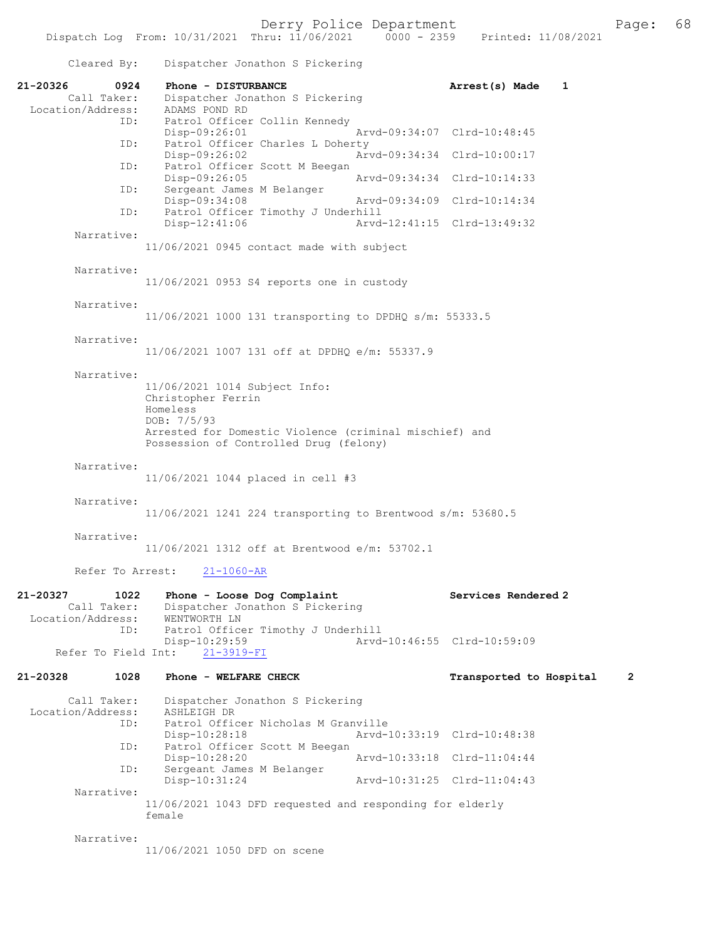Cleared By: Dispatcher Jonathon S Pickering 21-20326 0924 Phone - DISTURBANCE 21-20326 Arrest(s) Made 1<br>Call Taker: Dispatcher Jonathon S Pickering Dispatcher Jonathon S Pickering Location/Address: ADAMS POND RD ID: Patrol Officer Collin Kennedy<br>Disp-09:26:01 Disp-09:26:01 Arvd-09:34:07 Clrd-10:48:45<br>ID: Patrol Officer Charles L Doherty Patrol Officer Charles L Doherty<br>Disp-09:26:02 Ar Disp-09:26:02 <br>
Disp-09:26:02 <br>
Disposible Ratrol Officer Scott M Beegan<br>
Disposible Ratrol Officer Scott M Beegan Patrol Officer Scott M Beegan Disp-09:26:05 Arvd-09:34:34 Clrd-10:14:33<br>TD: Sergeant James M Belanger Sergeant James M Belanger<br>Disp-09:34:08 Disp-09:34:08 Arvd-09:34:09 Clrd-10:14:34 ID: Patrol Officer Timothy J Underhill Arvd-12:41:15 Clrd-13:49:32 Narrative: 11/06/2021 0945 contact made with subject Narrative: 11/06/2021 0953 S4 reports one in custody Narrative: 11/06/2021 1000 131 transporting to DPDHQ s/m: 55333.5 Narrative: 11/06/2021 1007 131 off at DPDHQ e/m: 55337.9 Narrative: 11/06/2021 1014 Subject Info: Christopher Ferrin Homeless DOB: 7/5/93 Arrested for Domestic Violence (criminal mischief) and Possession of Controlled Drug (felony) Narrative: 11/06/2021 1044 placed in cell #3 Narrative: 11/06/2021 1241 224 transporting to Brentwood s/m: 53680.5 Narrative: 11/06/2021 1312 off at Brentwood e/m: 53702.1 Refer To Arrest: 21-1060-AR 21-20327 1022 Phone - Loose Dog Complaint Services Rendered 2<br>Call Taker: Dispatcher Jonathon S Pickering Dispatcher Jonathon S Pickering<br>WENTWORTH LN Location/Address: ID: Patrol Officer Timothy J Underhill<br>Disp-10:29:59 Arvd Disp-10:29:59 Arvd-10:46:55 Clrd-10:59:09 Refer To Field Int: 21-20328 1028 Phone - WELFARE CHECK TRANSPORTED Transported to Hospital 2 Call Taker: Dispatcher Jonathon S Pickering<br>.on/Address: ASHLEIGH DR Location/Address:<br>ID: Patrol Officer Nicholas M Granville Disp-10:28:18 Arvd-10:33:19 Clrd-10:48:38<br>ID: Patrol Officer Scott M Beegan Patrol Officer Scott M Beegan<br>Disp-10:28:20 Disp-10:28:20 Arvd-10:33:18 Clrd-11:04:44 ID: Sergeant James M Belanger Disp-10:31:24 Arvd-10:31:25 Clrd-11:04:43 Narrative: 11/06/2021 1043 DFD requested and responding for elderly female

Narrative:

11/06/2021 1050 DFD on scene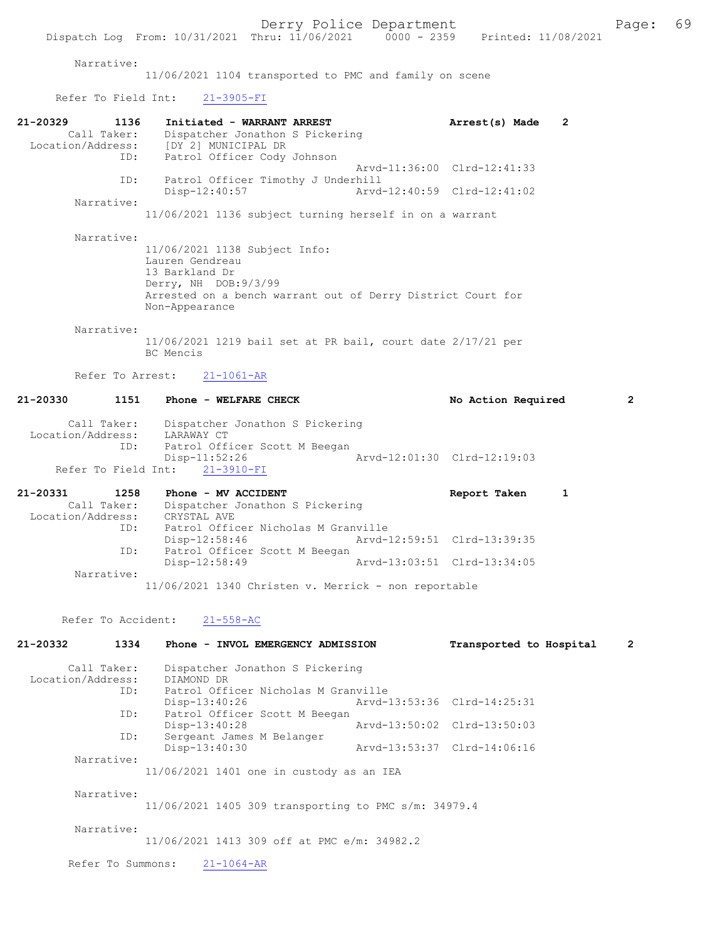#### Narrative:

11/06/2021 1104 transported to PMC and family on scene

Refer To Field Int: 21-3905-FI

| 21-20329          | 1136               | Initiated - WARRANT ARREST                                                   |                  |                                                             | Arrest(s) Made          | $\mathbf{2}$   |
|-------------------|--------------------|------------------------------------------------------------------------------|------------------|-------------------------------------------------------------|-------------------------|----------------|
|                   | Call Taker:        | Dispatcher Jonathon S Pickering                                              |                  |                                                             |                         |                |
|                   |                    | Location/Address: [DY 2] MUNICIPAL DR                                        |                  |                                                             |                         |                |
|                   |                    | ID: Patrol Officer Cody Johnson                                              |                  | Arvd-11:36:00 Clrd-12:41:33                                 |                         |                |
|                   | ID:                | Patrol Officer Timothy J Underhill                                           |                  |                                                             |                         |                |
|                   |                    | Disp-12:40:57                                                                |                  | Arvd-12:40:59 Clrd-12:41:02                                 |                         |                |
|                   | Narrative:         |                                                                              |                  |                                                             |                         |                |
|                   |                    |                                                                              |                  | 11/06/2021 1136 subject turning herself in on a warrant     |                         |                |
|                   | Narrative:         |                                                                              |                  |                                                             |                         |                |
|                   |                    | 11/06/2021 1138 Subject Info:                                                |                  |                                                             |                         |                |
|                   |                    | Lauren Gendreau                                                              |                  |                                                             |                         |                |
|                   |                    | 13 Barkland Dr                                                               |                  |                                                             |                         |                |
|                   |                    | Derry, NH DOB: 9/3/99                                                        |                  |                                                             |                         |                |
|                   |                    |                                                                              |                  | Arrested on a bench warrant out of Derry District Court for |                         |                |
|                   |                    | Non-Appearance                                                               |                  |                                                             |                         |                |
|                   | Narrative:         |                                                                              |                  |                                                             |                         |                |
|                   |                    |                                                                              |                  | 11/06/2021 1219 bail set at PR bail, court date 2/17/21 per |                         |                |
|                   |                    | BC Mencis                                                                    |                  |                                                             |                         |                |
|                   | Refer To Arrest:   |                                                                              |                  |                                                             |                         |                |
|                   |                    |                                                                              | $21 - 1061 - AR$ |                                                             |                         |                |
| 21-20330          | 1151               | Phone - WELFARE CHECK                                                        |                  |                                                             | No Action Required      | $\overline{2}$ |
|                   |                    |                                                                              |                  |                                                             |                         |                |
|                   | Call Taker:        | Dispatcher Jonathon S Pickering                                              |                  |                                                             |                         |                |
| Location/Address: | ID:                | LARAWAY CT<br>Patrol Officer Scott M Beegan                                  |                  |                                                             |                         |                |
|                   |                    | $Disp-11:52:26$                                                              |                  | Arvd-12:01:30 Clrd-12:19:03                                 |                         |                |
|                   |                    | Refer To Field Int:                                                          | $21 - 3910 - FI$ |                                                             |                         |                |
|                   |                    |                                                                              |                  |                                                             |                         |                |
| 21-20331          | 1258               | Phone - MV ACCIDENT                                                          |                  |                                                             | Report Taken            | $\mathbf{1}$   |
|                   |                    | Call Taker: Dispatcher Jonathon S Pickering<br>Location/Address: CRYSTAL AVE |                  |                                                             |                         |                |
|                   | ID:                | Patrol Officer Nicholas M Granville                                          |                  |                                                             |                         |                |
|                   |                    | $Disp-12:58:46$                                                              |                  | Arvd-12:59:51 Clrd-13:39:35                                 |                         |                |
|                   | ID:                | Patrol Officer Scott M Beegan                                                |                  |                                                             |                         |                |
|                   |                    | $Disp-12:58:49$                                                              |                  | Arvd-13:03:51 Clrd-13:34:05                                 |                         |                |
|                   | Narrative:         |                                                                              |                  |                                                             |                         |                |
|                   |                    |                                                                              |                  | $11/06/2021$ 1340 Christen v. Merrick - non reportable      |                         |                |
|                   |                    |                                                                              |                  |                                                             |                         |                |
|                   | Refer To Accident: |                                                                              | $21 - 558 - AC$  |                                                             |                         |                |
| 21-20332          | 1334               | Phone - INVOL EMERGENCY ADMISSION                                            |                  |                                                             | Transported to Hospital | 2              |
|                   |                    |                                                                              |                  |                                                             |                         |                |
|                   | Call Taker:        | Dispatcher Jonathon S Pickering                                              |                  |                                                             |                         |                |
| Location/Address: |                    | DIAMOND DR                                                                   |                  |                                                             |                         |                |
|                   | ID:                | Patrol Officer Nicholas M Granville                                          |                  |                                                             |                         |                |
|                   | ID:                | $Disp-13:40:26$<br>Patrol Officer Scott M Beegan                             |                  | Arvd-13:53:36 Clrd-14:25:31                                 |                         |                |
|                   |                    | Disp-13:40:28                                                                |                  | Arvd-13:50:02 Clrd-13:50:03                                 |                         |                |
|                   | ID:                | Sergeant James M Belanger                                                    |                  |                                                             |                         |                |
|                   |                    | Disp-13:40:30                                                                |                  | Arvd-13:53:37 Clrd-14:06:16                                 |                         |                |
|                   | Narrative:         |                                                                              |                  |                                                             |                         |                |
|                   |                    | 11/06/2021 1401 one in custody as an IEA                                     |                  |                                                             |                         |                |
|                   | Narrative:         |                                                                              |                  |                                                             |                         |                |
|                   |                    |                                                                              |                  | 11/06/2021 1405 309 transporting to PMC s/m: 34979.4        |                         |                |
|                   |                    |                                                                              |                  |                                                             |                         |                |
|                   | Narrative:         |                                                                              |                  |                                                             |                         |                |
|                   |                    | 11/06/2021 1413 309 off at PMC e/m: 34982.2                                  |                  |                                                             |                         |                |
|                   | Refer To Summons:  |                                                                              | $21 - 1064 - AR$ |                                                             |                         |                |
|                   |                    |                                                                              |                  |                                                             |                         |                |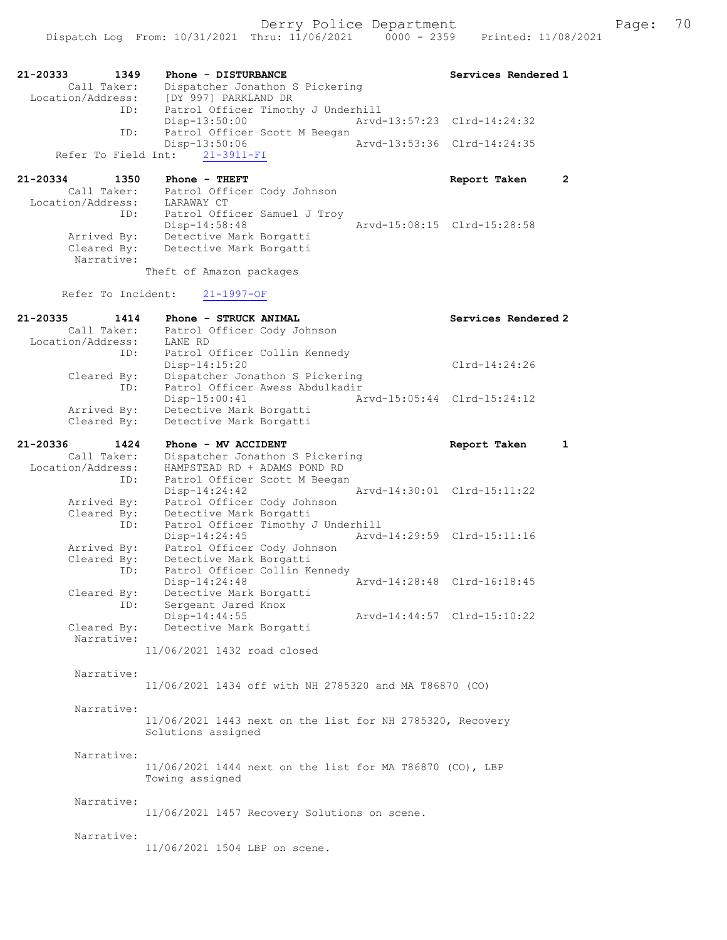| 21-20333<br>1349                 | Phone - DISTURBANCE                                        | Services Rendered 1          |
|----------------------------------|------------------------------------------------------------|------------------------------|
| Call Taker:<br>Location/Address: | Dispatcher Jonathon S Pickering                            |                              |
| ID:                              | [DY 997] PARKLAND DR<br>Patrol Officer Timothy J Underhill |                              |
|                                  | Disp-13:50:00                                              | Arvd-13:57:23 Clrd-14:24:32  |
| ID:                              | Patrol Officer Scott M Beegan                              |                              |
| Refer To Field Int:              | Disp-13:50:06<br>$21 - 3911 - FI$                          | Arvd-13:53:36 Clrd-14:24:35  |
|                                  |                                                            |                              |
| 21-20334<br>1350                 | Phone - THEFT                                              | $\mathbf{2}$<br>Report Taken |
| Call Taker:                      | Patrol Officer Cody Johnson                                |                              |
| Location/Address:<br>ID:         | LARAWAY CT<br>Patrol Officer Samuel J Troy                 |                              |
|                                  | Disp-14:58:48                                              | Arvd-15:08:15 Clrd-15:28:58  |
| Arrived By:                      | Detective Mark Borgatti                                    |                              |
| Cleared By:<br>Narrative:        | Detective Mark Borgatti                                    |                              |
|                                  | Theft of Amazon packages                                   |                              |
|                                  |                                                            |                              |
| Refer To Incident:               | $21 - 1997 - OF$                                           |                              |
| 21-20335<br>1414                 | Phone - STRUCK ANIMAL                                      | Services Rendered 2          |
| Call Taker:<br>Location/Address: | Patrol Officer Cody Johnson<br>LANE RD                     |                              |
| ID:                              | Patrol Officer Collin Kennedy                              |                              |
|                                  | Disp-14:15:20                                              | $Clrd-14:24:26$              |
| Cleared By:                      | Dispatcher Jonathon S Pickering                            |                              |
| ID:                              | Patrol Officer Awess Abdulkadir<br>$Disp-15:00:41$         | Arvd-15:05:44 Clrd-15:24:12  |
| Arrived By:                      | Detective Mark Borgatti                                    |                              |
| Cleared By:                      | Detective Mark Borgatti                                    |                              |
| 21-20336<br>1424                 | Phone - MV ACCIDENT                                        | Report Taken<br>1            |
| Call Taker:                      | Dispatcher Jonathon S Pickering                            |                              |
| Location/Address:                | HAMPSTEAD RD + ADAMS POND RD                               |                              |
| ID:                              | Patrol Officer Scott M Beegan<br>$Disp-14:24:42$           | Arvd-14:30:01 Clrd-15:11:22  |
| Arrived By:                      | Patrol Officer Cody Johnson                                |                              |
| Cleared By:                      | Detective Mark Borgatti                                    |                              |
| ID:                              | Patrol Officer Timothy J Underhill<br>$Disp-14:24:45$      | Arvd-14:29:59 Clrd-15:11:16  |
| Arrived By:                      | Patrol Officer Cody Johnson                                |                              |
| Cleared By:                      | Detective Mark Borgatti                                    |                              |
| ID:                              | Patrol Officer Collin Kennedy                              |                              |
| Cleared By:                      | Disp-14:24:48<br>Detective Mark Borgatti                   | Arvd-14:28:48 Clrd-16:18:45  |
| ID:                              | Sergeant Jared Knox                                        |                              |
|                                  | Disp-14:44:55                                              | Arvd-14:44:57 Clrd-15:10:22  |
| Cleared By:<br>Narrative:        | Detective Mark Borgatti                                    |                              |
|                                  | 11/06/2021 1432 road closed                                |                              |
|                                  |                                                            |                              |
| Narrative:                       |                                                            |                              |
|                                  | 11/06/2021 1434 off with NH 2785320 and MA T86870 (CO)     |                              |
| Narrative:                       |                                                            |                              |
|                                  | 11/06/2021 1443 next on the list for NH 2785320, Recovery  |                              |
|                                  | Solutions assigned                                         |                              |
| Narrative:                       |                                                            |                              |
|                                  | 11/06/2021 1444 next on the list for MA T86870 (CO), LBP   |                              |
|                                  | Towing assigned                                            |                              |
|                                  |                                                            |                              |
| Narrative:                       | 11/06/2021 1457 Recovery Solutions on scene.               |                              |
|                                  |                                                            |                              |
| Narrative:                       |                                                            |                              |
|                                  | 11/06/2021 1504 LBP on scene.                              |                              |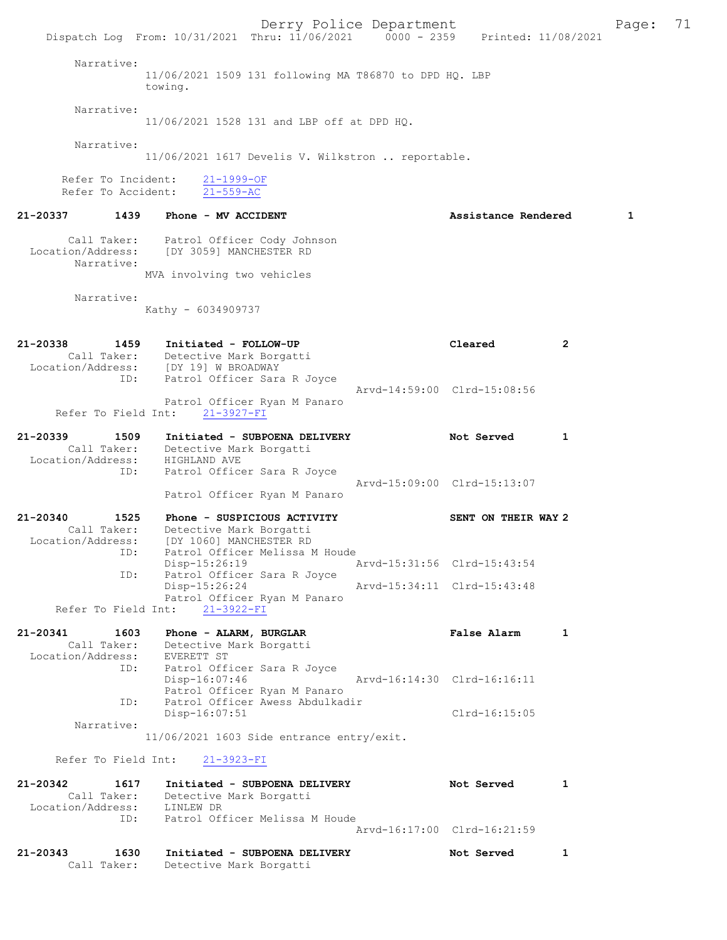Derry Police Department Fage: 71 Dispatch Log From: 10/31/2021 Thru: 11/06/2021 0000 - 2359 Printed: 11/08/2021 Narrative: 11/06/2021 1509 131 following MA T86870 to DPD HQ. LBP towing. Narrative: 11/06/2021 1528 131 and LBP off at DPD HQ. Narrative: 11/06/2021 1617 Develis V. Wilkstron .. reportable. Refer To Incident:  $\frac{21-1999-OF}{21-559-AC}$ Refer To Accident: 21-20337 1439 Phone - MV ACCIDENT 1999 21-20337 1439 Phone - MV ACCIDENT Call Taker: Patrol Officer Cody Johnson Location/Address: [DY 3059] MANCHESTER RD Narrative: MVA involving two vehicles Narrative: Kathy - 6034909737 21-20338 1459 Initiated - FOLLOW-UP Cleared 2 Call Taker: Detective Mark Borgatti Location/Address: [DY 19] W BROADWAY ID: Patrol Officer Sara R Joyce Arvd-14:59:00 Clrd-15:08:56 Patrol Officer Ryan M Panaro Refer To Field Int: 21-3927-FI 21-20339 1509 Initiated - SUBPOENA DELIVERY 1 Not Served 1 Call Taker: Detective Mark Borgatti Location/Address: HIGHLAND AVE ID: Patrol Officer Sara R Joyce Arvd-15:09:00 Clrd-15:13:07 Patrol Officer Ryan M Panaro 21-20340 1525 Phone - SUSPICIOUS ACTIVITY SENT ON THEIR WAY 2 Call Taker: Detective Mark Borgatti Location/Address: [DY 1060] MANCHESTER RD ID: Patrol Officer Melissa M Houde Disp-15:26:19 Arvd-15:31:56 Clrd-15:43:54 ID: Patrol Officer Sara R Joyce Disp-15:26:24 Arvd-15:34:11 Clrd-15:43:48 Patrol Officer Ryan M Panaro Refer To Field Int: 21-3922-FI 21-20341 1603 Phone - ALARM, BURGLAR 1988 False Alarm 1 Call Taker: Detective Mark Borgatti Location/Address: EVERETT ST ID: Patrol Officer Sara R Joyce<br>Disp-16:07:46 Disp-16:07:46 Arvd-16:14:30 Clrd-16:16:11 Patrol Officer Ryan M Panaro Patrol Officer Awess Abdulkadir ID: Factor Strategy of The Patrol Officer Awess Abdulkadir<br>Disp-16:07:51 Clrd-16:15:05 Narrative: 11/06/2021 1603 Side entrance entry/exit. Refer To Field Int: 21-3923-FI 21-20342 1617 Initiated - SUBPOENA DELIVERY Not Served 1 Call Taker: Detective Mark Borgatti Location/Address: LINLEW DR ID: Patrol Officer Melissa M Houde Arvd-16:17:00 Clrd-16:21:59 21-20343 1630 Initiated - SUBPOENA DELIVERY Not Served 1 Call Taker: Detective Mark Borgatti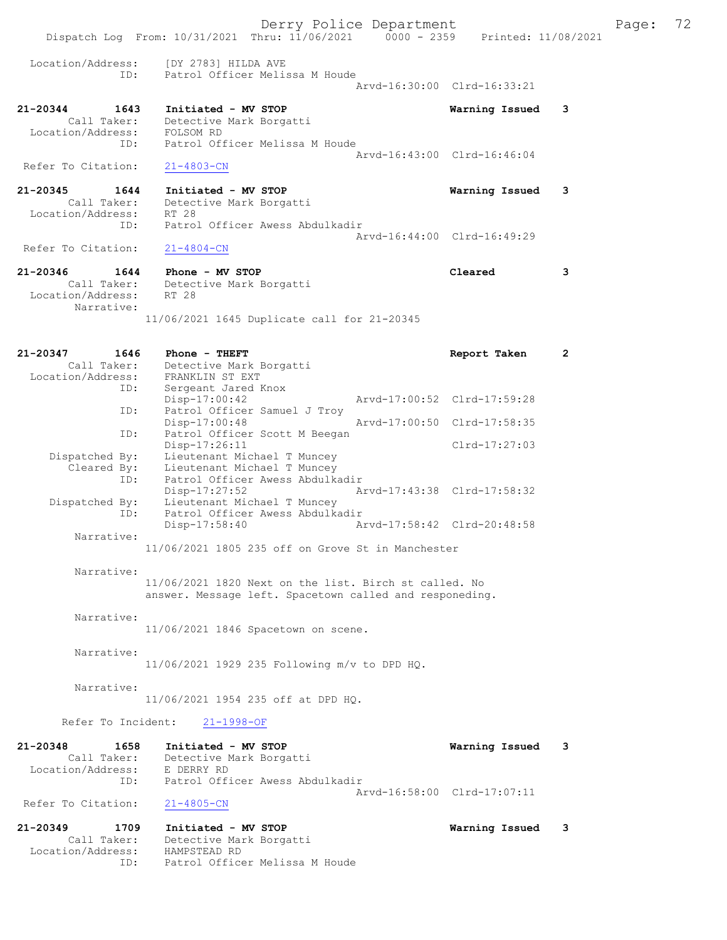Derry Police Department Fage: 72 Dispatch Log From: 10/31/2021 Thru: 11/06/2021 0000 - 2359 Printed: 11/08/2021 Location/Address: [DY 2783] HILDA AVE ID: Patrol Officer Melissa M Houde Arvd-16:30:00 Clrd-16:33:21 21-20344 1643 Initiated - MV STOP Warning Issued 3 Call Taker: Detective Mark Borgatti Location/Address: FOLSOM RD ID: Patrol Officer Melissa M Houde Arvd-16:43:00 Clrd-16:46:04 Refer To Citation: 21-4803-CN 21-20345 1644 Initiated - MV STOP Warning Issued 3 Call Taker: Detective Mark Borgatti Location/Address: RT 28<br>ID: Patro Patrol Officer Awess Abdulkadir Arvd-16:44:00 Clrd-16:49:29<br>
21-4804-CN Refer To Citation: 21-20346 1644 Phone - MV STOP Cleared 3 Call Taker: Detective Mark Borgatti<br>ion/Address: RT 28 Location/Address: Narrative: 11/06/2021 1645 Duplicate call for 21-20345 21-20347 1646 Phone - THEFT Report Taken 2 Call Taker: Detective Mark Borgatti Location/Address: FRANKLIN ST EXT ID: Sergeant Jared Knox Disp-17:00:42 Arvd-17:00:52 Clrd-17:59:28 ID: Patrol Officer Samuel J Troy<br>Disp-17:00:48 Arvd-17:00:50 Clrd-17:58:35 ID: Patrol Officer Scott M Beegan<br>Disp-17:26:11 Disp-17:26:11 Clrd-17:27:03 Dispatched By: Lieutenant Michael T Muncey Cleared By: Lieutenant Michael T Muncey ID: Patrol Officer Awess Abdulkadir Disp-17:27:52 Arvd-17:43:38 Clrd-17:58:32 Dispatched By: Lieutenant Michael T Muncey ID: Patrol Officer Awess Abdulkadir Disp-17:58:40 Arvd-17:58:42 Clrd-20:48:58 Narrative: 11/06/2021 1805 235 off on Grove St in Manchester Narrative: 11/06/2021 1820 Next on the list. Birch st called. No answer. Message left. Spacetown called and responeding. Narrative: 11/06/2021 1846 Spacetown on scene. Narrative: 11/06/2021 1929 235 Following m/v to DPD HQ. Narrative: 11/06/2021 1954 235 off at DPD HQ. Refer To Incident: 21-1998-OF 21-20348 1658 Initiated - MV STOP 120348 Call Taker: Detective Mark Borgatti Call Taker: Detective Mark Borgatti Location/Address: E DERRY RD ID: Patrol Officer Awess Abdulkadir Arvd-16:58:00 Clrd-17:07:11 Refer To Citation: 21-4805-CN 21-20349 1709 Initiated - MV STOP Warning Issued 3 Call Taker: Detective Mark Borgatti Location/Address: HAMPSTEAD RD ID: Patrol Officer Melissa M Houde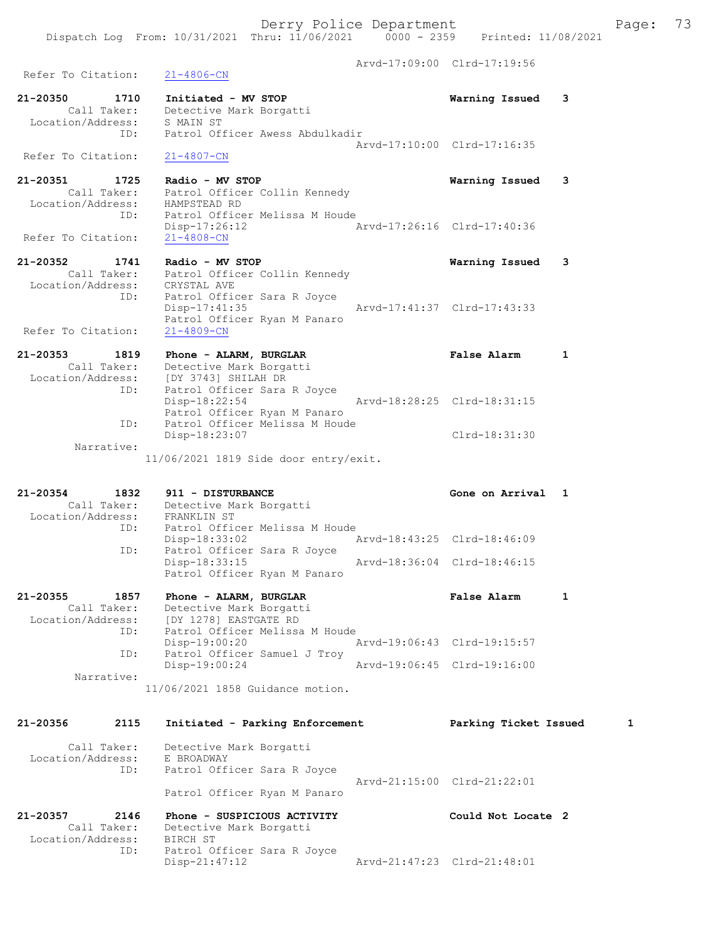Arvd-17:09:00 Clrd-17:19:56 Refer To Citation: 21-4806-CN 21-20350 1710 Initiated - MV STOP Warning Issued 3 Call Taker: Detective Mark Borgatti Location/Address: S MAIN ST ID: Patrol Officer Awess Abdulkadir Arvd-17:10:00 Clrd-17:16:35 Refer To Citation: 21-4807-CN 21-20351 1725 Radio - MV STOP Warning Issued 3 Call Taker: Patrol Officer Collin Kennedy Location/Address: HAMPSTEAD RD ID: Patrol Officer Melissa M Houde Disp-17:26:12 <br>21-4808-CN<br>21-4808-CN Refer To Citation: 21-20352 1741 Radio - MV STOP Warning Issued 3 Call Taker: Patrol Officer Collin Kennedy Location/Address: CRYSTAL AVE ID: Patrol Officer Sara R Joyce Disp-17:41:35 Arvd-17:41:37 Clrd-17:43:33 Patrol Officer Ryan M Panaro Refer To Citation: 21-4809-CN 21-20353 1819 Phone - ALARM, BURGLAR False Alarm 1 Call Taker: Detective Mark Borgatti Location/Address: [DY 3743] SHILAH DR ID: Patrol Officer Sara R Joyce Disp-18:22:54 Arvd-18:28:25 Clrd-18:31:15 Patrol Officer Ryan M Panaro ID: Patrol Officer Melissa M Houde Clrd-18:31:30 Narrative: 11/06/2021 1819 Side door entry/exit. 21-20354 1832 911 - DISTURBANCE Gone on Arrival 1 Call Taker: Detective Mark Borgatti Location/Address: FRANKLIN ST ID: Patrol Officer Melissa M Houde Disp-18:33:02 Arvd-18:43:25 Clrd-18:46:09 ID: Patrol Officer Sara R Joyce Disp-18:33:15 Arvd-18:36:04 Clrd-18:46:15 Patrol Officer Ryan M Panaro 21-20355 1857 Phone - ALARM, BURGLAR False Alarm 1 Call Taker: Detective Mark Borgatti Location/Address: [DY 1278] EASTGATE RD ID: Patrol Officer Melissa M Houde Disp-19:00:20 Arvd-19:06:43 Clrd-19:15:57 ID: Patrol Officer Samuel J Troy Disp-19:00:24 Arvd-19:06:45 Clrd-19:16:00 Narrative: 11/06/2021 1858 Guidance motion. 21-20356 2115 Initiated - Parking Enforcement Parking Ticket Issued 1 Call Taker: Detective Mark Borgatti Location/Address: E BROADWAY ID: Patrol Officer Sara R Joyce Arvd-21:15:00 Clrd-21:22:01 Patrol Officer Ryan M Panaro 21-20357 2146 Phone - SUSPICIOUS ACTIVITY Could Not Locate 2 Call Taker: Detective Mark Borgatti Location/Address: BIRCH ST ID: Patrol Officer Sara R Joyce<br>Disp-21:47:12

Disp-21:47:12 Arvd-21:47:23 Clrd-21:48:01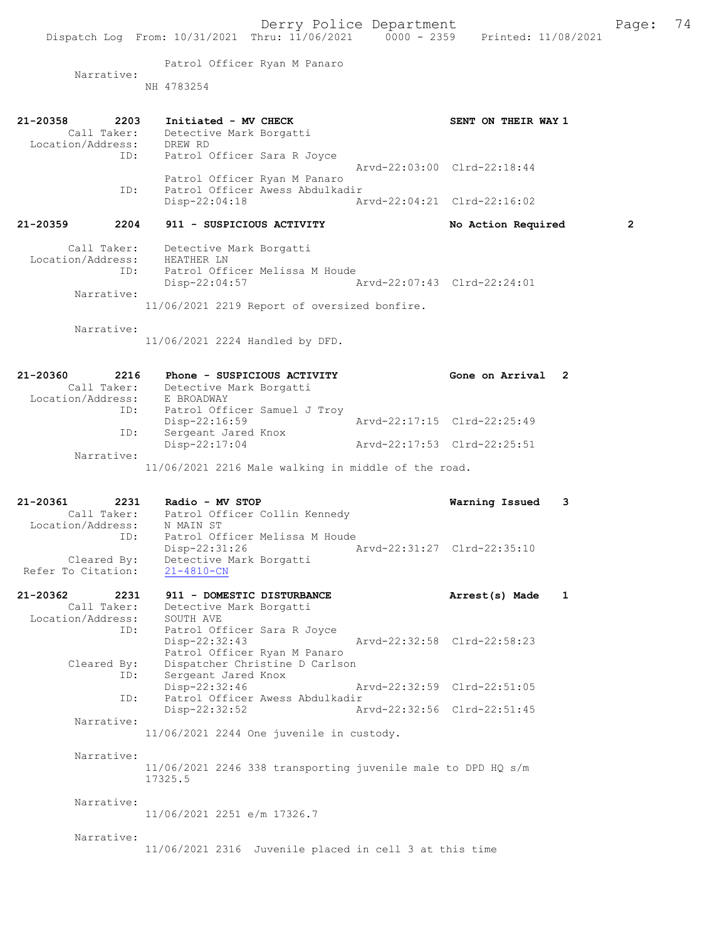Patrol Officer Ryan M Panaro

Narrative:

NH 4783254 21-20358 2203 Initiated - MV CHECK SENT ON THEIR WAY 1 Call Taker: Detective Mark Borgatti Location/Address: DREW RD ID: Patrol Officer Sara R Joyce Arvd-22:03:00 Clrd-22:18:44 Patrol Officer Ryan M Panaro<br>ID: Patrol Officer Awess Abdulkac Patrol Officer Awess Abdulkadir<br>Disp-22:04:18 Ar Disp-22:04:18 Arvd-22:04:21 Clrd-22:16:02 21-20359 2204 911 - SUSPICIOUS ACTIVITY No Action Required 2 Call Taker: Detective Mark Borgatti Location/Address: HEATHER LN ID: Patrol Officer Melissa M Houde Disp-22:04:57 Arvd-22:07:43 Clrd-22:24:01 Narrative: 11/06/2021 2219 Report of oversized bonfire. Narrative: 11/06/2021 2224 Handled by DFD. 21-20360 2216 Phone - SUSPICIOUS ACTIVITY Gone on Arrival 2 Call Taker: Detective Mark Borgatti Location/Address: E BROADWAY ID: Patrol Officer Samuel J Troy Arvd-22:17:15 Clrd-22:25:49 ID: Sergeant Jared Knox<br>Disp-22:17:04 Arvd-22:17:53 Clrd-22:25:51 Narrative: 11/06/2021 2216 Male walking in middle of the road. 21-20361 2231 Radio - MV STOP Warning Issued 3<br>Call Taker: Patrol Officer Collin Kennedy Call Taker: Patrol Officer Collin Kennedy Location/Address: N MAIN ST ID: Patrol Officer Melissa M Houde Disp-22:31:26 Arvd-22:31:27 Clrd-22:35:10 Cleared By: Detective Mark Borgatti Refer To Citation: 21-4810-CN 21-20362 2231 911 - DOMESTIC DISTURBANCE Arrest(s) Made 1 Call Taker: Detective Mark Borgatti Location/Address: SOUTH AVE ID: Patrol Officer Sara R Joyce<br>Disp-22:32:43 Arvd-22:32:58 Clrd-22:58:23 Patrol Officer Ryan M Panaro Cleared By: Dispatcher Christine D Carlson ID: Sergeant Jared Knox Disp-22:32:46 Arvd-22:32:59 Clrd-22:51:05<br>ID: Patrol Officer Awess Abdulkadir ID: Patrol Officer Awess Abdulkadir Disp-22:32:52 Arvd-22:32:56 Clrd-22:51:45 Narrative: 11/06/2021 2244 One juvenile in custody. Narrative:  $11/06/2021$  2246 338 transporting juvenile male to DPD HO s/m 17325.5 Narrative: 11/06/2021 2251 e/m 17326.7 Narrative: 11/06/2021 2316 Juvenile placed in cell 3 at this time